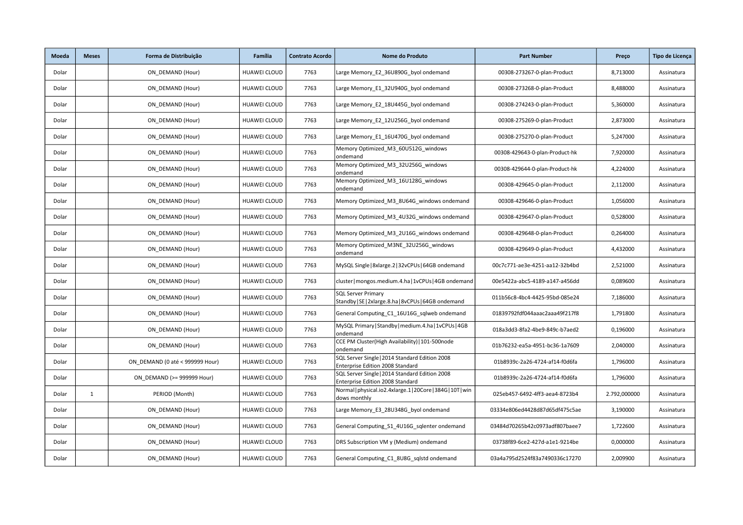| Moeda | <b>Meses</b> | Forma de Distribuição           | Família             | <b>Contrato Acordo</b> | Nome do Produto                                                                    | <b>Part Number</b>             | Preço        | Tipo de Licença |
|-------|--------------|---------------------------------|---------------------|------------------------|------------------------------------------------------------------------------------|--------------------------------|--------------|-----------------|
| Dolar |              | ON DEMAND (Hour)                | <b>HUAWEI CLOUD</b> | 7763                   | Large Memory E2 36U890G byol ondemand                                              | 00308-273267-0-plan-Product    | 8,713000     | Assinatura      |
| Dolar |              | ON DEMAND (Hour)                | <b>HUAWEI CLOUD</b> | 7763                   | Large Memory E1 32U940G byol ondemand                                              | 00308-273268-0-plan-Product    | 8,488000     | Assinatura      |
| Dolar |              | ON DEMAND (Hour)                | HUAWEI CLOUD        | 7763                   | Large Memory_E2_18U445G_byol ondemand                                              | 00308-274243-0-plan-Product    | 5,360000     | Assinatura      |
| Dolar |              | ON DEMAND (Hour)                | <b>HUAWEI CLOUD</b> | 7763                   | Large Memory E2 12U256G byol ondemand                                              | 00308-275269-0-plan-Product    | 2,873000     | Assinatura      |
| Dolar |              | ON DEMAND (Hour)                | <b>HUAWEI CLOUD</b> | 7763                   | Large Memory E1 16U470G byol ondemand                                              | 00308-275270-0-plan-Product    | 5,247000     | Assinatura      |
| Dolar |              | ON DEMAND (Hour)                | HUAWEI CLOUD        | 7763                   | Memory Optimized M3 60U512G windows<br>ondemand                                    | 00308-429643-0-plan-Product-hk | 7,920000     | Assinatura      |
| Dolar |              | ON DEMAND (Hour)                | HUAWEI CLOUD        | 7763                   | Memory Optimized_M3_32U256G_windows<br>ondemand                                    | 00308-429644-0-plan-Product-hk | 4,224000     | Assinatura      |
| Dolar |              | ON DEMAND (Hour)                | <b>HUAWEI CLOUD</b> | 7763                   | Memory Optimized_M3_16U128G_windows<br>ondemand                                    | 00308-429645-0-plan-Product    | 2,112000     | Assinatura      |
| Dolar |              | ON DEMAND (Hour)                | <b>HUAWEI CLOUD</b> | 7763                   | Memory Optimized M3 8U64G windows ondemand                                         | 00308-429646-0-plan-Product    | 1,056000     | Assinatura      |
| Dolar |              | ON DEMAND (Hour)                | <b>HUAWEI CLOUD</b> | 7763                   | Memory Optimized_M3_4U32G_windows ondemand                                         | 00308-429647-0-plan-Product    | 0,528000     | Assinatura      |
| Dolar |              | ON_DEMAND (Hour)                | <b>HUAWEI CLOUD</b> | 7763                   | Memory Optimized_M3_2U16G_windows ondemand                                         | 00308-429648-0-plan-Product    | 0,264000     | Assinatura      |
| Dolar |              | ON DEMAND (Hour)                | <b>HUAWEI CLOUD</b> | 7763                   | Memory Optimized_M3NE_32U256G_windows<br>ondemand                                  | 00308-429649-0-plan-Product    | 4,432000     | Assinatura      |
| Dolar |              | ON DEMAND (Hour)                | <b>HUAWEI CLOUD</b> | 7763                   | MySQL Single   8xlarge.2   32vCPUs   64GB ondemand                                 | 00c7c771-ae3e-4251-aa12-32b4bd | 2,521000     | Assinatura      |
| Dolar |              | ON DEMAND (Hour)                | HUAWEI CLOUD        | 7763                   | cluster   mongos.medium.4.ha   1vCPUs   4GB ondemand                               | 00e5422a-abc5-4189-a147-a456dd | 0,089600     | Assinatura      |
| Dolar |              | ON DEMAND (Hour)                | <b>HUAWEI CLOUD</b> | 7763                   | <b>SQL Server Primary</b><br>Standby   SE   2xlarge.8.ha   8vCPUs   64GB ondemand  | 011b56c8-4bc4-4425-95bd-085e24 | 7,186000     | Assinatura      |
| Dolar |              | ON DEMAND (Hour)                | <b>HUAWEI CLOUD</b> | 7763                   | General Computing C1 16U16G sqlweb ondemand                                        | 01839792fdf044aaac2aaa49f217f8 | 1,791800     | Assinatura      |
| Dolar |              | ON DEMAND (Hour)                | <b>HUAWEI CLOUD</b> | 7763                   | MySQL Primary   Standby   medium.4.ha   1vCPUs   4GB<br>ondemand                   | 018a3dd3-8fa2-4be9-849c-b7aed2 | 0,196000     | Assinatura      |
| Dolar |              | ON_DEMAND (Hour)                | <b>HUAWEI CLOUD</b> | 7763                   | CCE PM Cluster(High Availability)   101-500node<br>ondemand                        | 01b76232-ea5a-4951-bc36-1a7609 | 2,040000     | Assinatura      |
| Dolar |              | ON DEMAND (0 até < 999999 Hour) | <b>HUAWEI CLOUD</b> | 7763                   | SQL Server Single   2014 Standard Edition 2008<br>Enterprise Edition 2008 Standard | 01b8939c-2a26-4724-af14-f0d6fa | 1,796000     | Assinatura      |
| Dolar |              | ON DEMAND (>= 999999 Hour)      | HUAWEI CLOUD        | 7763                   | SQL Server Single   2014 Standard Edition 2008<br>Enterprise Edition 2008 Standard | 01b8939c-2a26-4724-af14-f0d6fa | 1,796000     | Assinatura      |
| Dolar | $\mathbf{1}$ | PERIOD (Month)                  | <b>HUAWEI CLOUD</b> | 7763                   | Normal   physical.io2.4xlarge.1   20Core   384G   10T   win<br>dows monthly        | 025eb457-6492-4ff3-aea4-8723b4 | 2.792,000000 | Assinatura      |
| Dolar |              | ON DEMAND (Hour)                | <b>HUAWEI CLOUD</b> | 7763                   | Large Memory E3 28U348G byol ondemand                                              | 03334e806ed4428d87d65df475c5ae | 3,190000     | Assinatura      |
| Dolar |              | ON DEMAND (Hour)                | <b>HUAWEI CLOUD</b> | 7763                   | General Computing S1 4U16G sqlenter ondemand                                       | 03484d70265b42c0973adf807baee7 | 1,722600     | Assinatura      |
| Dolar |              | ON DEMAND (Hour)                | <b>HUAWEI CLOUD</b> | 7763                   | DRS Subscription VM y (Medium) ondemand                                            | 03738f89-6ce2-427d-a1e1-9214be | 0,000000     | Assinatura      |
| Dolar |              | ON DEMAND (Hour)                | <b>HUAWEI CLOUD</b> | 7763                   | General Computing_C1_8U8G_sqlstd ondemand                                          | 03a4a795d2524f83a7490336c17270 | 2,009900     | Assinatura      |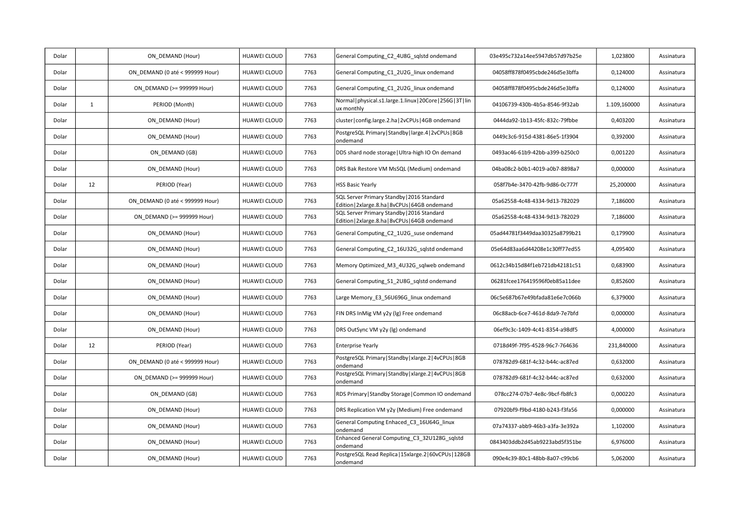| Dolar |              | ON DEMAND (Hour)                | HUAWEI CLOUD        | 7763 | General Computing_C2_4U8G_sqlstd ondemand                                                     | 03e495c732a14ee5947db57d97b25e | 1,023800     | Assinatura |
|-------|--------------|---------------------------------|---------------------|------|-----------------------------------------------------------------------------------------------|--------------------------------|--------------|------------|
| Dolar |              | ON DEMAND (0 até < 999999 Hour) | <b>HUAWEI CLOUD</b> | 7763 | General Computing C1 2U2G linux ondemand                                                      | 04058ff878f0495cbde246d5e3bffa | 0,124000     | Assinatura |
| Dolar |              | ON DEMAND (>= 999999 Hour)      | HUAWEI CLOUD        | 7763 | General Computing_C1_2U2G_linux ondemand                                                      | 04058ff878f0495cbde246d5e3bffa | 0,124000     | Assinatura |
| Dolar | $\mathbf{1}$ | PERIOD (Month)                  | <b>HUAWEI CLOUD</b> | 7763 | Normal   physical.s1.large.1.linux   20Core   256G   3T   lin<br>ux monthly                   | 04106739-430b-4b5a-8546-9f32ab | 1.109,160000 | Assinatura |
| Dolar |              | ON_DEMAND (Hour)                | HUAWEI CLOUD        | 7763 | cluster   config.large.2.ha   2vCPUs   4GB ondemand                                           | 0444da92-1b13-45fc-832c-79fbbe | 0,403200     | Assinatura |
| Dolar |              | ON DEMAND (Hour)                | <b>HUAWEI CLOUD</b> | 7763 | PostgreSQL Primary   Standby   large.4   2vCPUs   8GB<br>ondemand                             | 0449c3c6-915d-4381-86e5-1f3904 | 0,392000     | Assinatura |
| Dolar |              | ON DEMAND (GB)                  | <b>HUAWEI CLOUD</b> | 7763 | DDS shard node storage   Ultra-high IO On demand                                              | 0493ac46-61b9-42bb-a399-b250c0 | 0,001220     | Assinatura |
| Dolar |              | ON_DEMAND (Hour)                | HUAWEI CLOUD        | 7763 | DRS Bak Restore VM MsSQL (Medium) ondemand                                                    | 04ba08c2-b0b1-4019-a0b7-8898a7 | 0,000000     | Assinatura |
| Dolar | 12           | PERIOD (Year)                   | HUAWEI CLOUD        | 7763 | <b>HSS Basic Yearly</b>                                                                       | 058f7b4e-3470-42fb-9d86-0c777f | 25,200000    | Assinatura |
| Dolar |              | ON DEMAND (0 até < 999999 Hour) | <b>HUAWEI CLOUD</b> | 7763 | SQL Server Primary Standby   2016 Standard<br>Edition   2xlarge.8.ha   8vCPUs   64GB ondemand | 05a62558-4c48-4334-9d13-782029 | 7,186000     | Assinatura |
| Dolar |              | ON DEMAND (>= 999999 Hour)      | HUAWEI CLOUD        | 7763 | SQL Server Primary Standby   2016 Standard<br>Edition   2xlarge.8.ha   8vCPUs   64GB ondemand | 05a62558-4c48-4334-9d13-782029 | 7,186000     | Assinatura |
| Dolar |              | ON_DEMAND (Hour)                | HUAWEI CLOUD        | 7763 | General Computing_C2_1U2G_suse ondemand                                                       | 05ad44781f3449daa30325a8799b21 | 0,179900     | Assinatura |
| Dolar |              | ON DEMAND (Hour)                | <b>HUAWEI CLOUD</b> | 7763 | General Computing C2 16U32G sqlstd ondemand                                                   | 05e64d83aa6d44208e1c30ff77ed55 | 4,095400     | Assinatura |
| Dolar |              | ON DEMAND (Hour)                | HUAWEI CLOUD        | 7763 | Memory Optimized M3 4U32G sqlweb ondemand                                                     | 0612c34b15d84f1eb721db42181c51 | 0,683900     | Assinatura |
| Dolar |              | ON_DEMAND (Hour)                | HUAWEI CLOUD        | 7763 | General Computing_S1_2U8G_sqlstd ondemand                                                     | 06281fcee176419596f0eb85a11dee | 0,852600     | Assinatura |
| Dolar |              | ON DEMAND (Hour)                | <b>HUAWEI CLOUD</b> | 7763 | Large Memory E3 56U696G linux ondemand                                                        | 06c5e687b67e49bfada81e6e7c066b | 6,379000     | Assinatura |
| Dolar |              | ON DEMAND (Hour)                | <b>HUAWEI CLOUD</b> | 7763 | FIN DRS InMig VM y2y (lg) Free ondemand                                                       | 06c88acb-6ce7-461d-8da9-7e7bfd | 0,000000     | Assinatura |
| Dolar |              | ON DEMAND (Hour)                | HUAWEI CLOUD        | 7763 | DRS OutSync VM y2y (lg) ondemand                                                              | 06ef9c3c-1409-4c41-8354-a98df5 | 4,000000     | Assinatura |
| Dolar | 12           | PERIOD (Year)                   | HUAWEI CLOUD        | 7763 | <b>Enterprise Yearly</b>                                                                      | 0718d49f-7f95-4528-96c7-764636 | 231,840000   | Assinatura |
| Dolar |              | ON DEMAND (0 até < 999999 Hour) | <b>HUAWEI CLOUD</b> | 7763 | PostgreSQL Primary   Standby   xlarge.2   4vCPUs   8GB<br>ondemand                            | 078782d9-681f-4c32-b44c-ac87ed | 0,632000     | Assinatura |
| Dolar |              | ON DEMAND (>= 999999 Hour)      | HUAWEI CLOUD        | 7763 | PostgreSQL Primary   Standby   xlarge.2   4vCPUs   8GB<br>ondemand                            | 078782d9-681f-4c32-b44c-ac87ed | 0,632000     | Assinatura |
| Dolar |              | ON_DEMAND (GB)                  | <b>HUAWEI CLOUD</b> | 7763 | RDS Primary   Standby Storage   Common IO ondemand                                            | 078cc274-07b7-4e8c-9bcf-fb8fc3 | 0,000220     | Assinatura |
| Dolar |              | ON DEMAND (Hour)                | <b>HUAWEI CLOUD</b> | 7763 | DRS Replication VM y2y (Medium) Free ondemand                                                 | 07920bf9-f9bd-4180-b243-f3fa56 | 0,000000     | Assinatura |
| Dolar |              | ON DEMAND (Hour)                | HUAWEI CLOUD        | 7763 | General Computing Enhaced C3 16U64G linux<br>ondemand                                         | 07a74337-abb9-46b3-a3fa-3e392a | 1,102000     | Assinatura |
| Dolar |              | ON DEMAND (Hour)                | HUAWEI CLOUD        | 7763 | Enhanced General Computing_C3_32U128G_sqlstd<br>ondemand                                      | 0843403ddb2d45ab9223abd5f351be | 6,976000     | Assinatura |
| Dolar |              | ON DEMAND (Hour)                | HUAWEI CLOUD        | 7763 | PostgreSQL Read Replica   15xlarge.2   60vCPUs   128GB<br>ondemand                            | 090e4c39-80c1-48bb-8a07-c99cb6 | 5,062000     | Assinatura |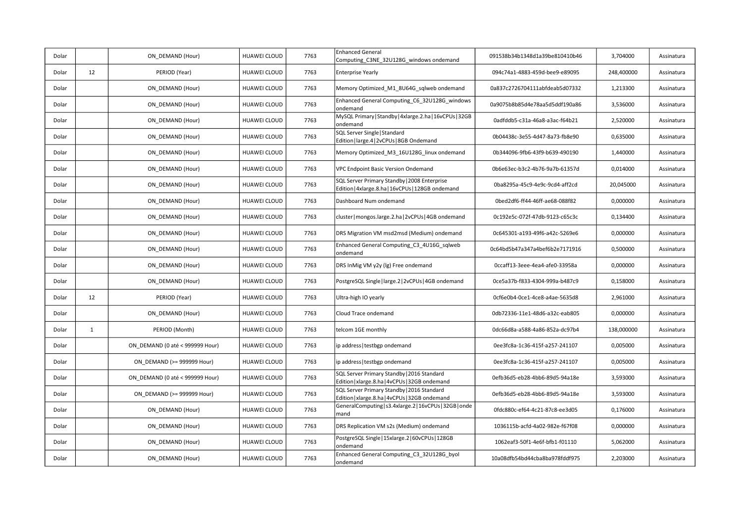| Dolar |              | ON_DEMAND (Hour)                | <b>HUAWEI CLOUD</b> | 7763 | <b>Enhanced General</b><br>Computing C3NE 32U128G windows ondemand                                | 091538b34b1348d1a39be810410b46 | 3,704000   | Assinatura |
|-------|--------------|---------------------------------|---------------------|------|---------------------------------------------------------------------------------------------------|--------------------------------|------------|------------|
| Dolar | 12           | PERIOD (Year)                   | HUAWEI CLOUD        | 7763 | <b>Enterprise Yearly</b>                                                                          | 094c74a1-4883-459d-bee9-e89095 | 248,400000 | Assinatura |
| Dolar |              | ON_DEMAND (Hour)                | <b>HUAWEI CLOUD</b> | 7763 | Memory Optimized_M1_8U64G_sqlweb ondemand                                                         | 0a837c2726704111abfdeab5d07332 | 1,213300   | Assinatura |
| Dolar |              | ON DEMAND (Hour)                | <b>HUAWEI CLOUD</b> | 7763 | Enhanced General Computing_C6_32U128G_windows<br>ondemand                                         | 0a9075b8b85d4e78aa5d5ddf190a86 | 3,536000   | Assinatura |
| Dolar |              | ON DEMAND (Hour)                | <b>HUAWEI CLOUD</b> | 7763 | MySQL Primary   Standby   4xlarge.2.ha   16vCPUs   32GB<br>ondemand                               | 0adfddb5-c31a-46a8-a3ac-f64b21 | 2,520000   | Assinatura |
| Dolar |              | ON DEMAND (Hour)                | HUAWEI CLOUD        | 7763 | SQL Server Single   Standard<br>Edition   large.4   2vCPUs   8GB Ondemand                         | 0b04438c-3e55-4d47-8a73-fb8e90 | 0,635000   | Assinatura |
| Dolar |              | ON DEMAND (Hour)                | <b>HUAWEI CLOUD</b> | 7763 | Memory Optimized_M3_16U128G_linux ondemand                                                        | 0b344096-9fb6-43f9-b639-490190 | 1,440000   | Assinatura |
| Dolar |              | ON_DEMAND (Hour)                | <b>HUAWEI CLOUD</b> | 7763 | VPC Endpoint Basic Version Ondemand                                                               | 0b6e63ec-b3c2-4b76-9a7b-61357d | 0,014000   | Assinatura |
| Dolar |              | ON DEMAND (Hour)                | <b>HUAWEI CLOUD</b> | 7763 | SQL Server Primary Standby   2008 Enterprise<br>Edition   4xlarge.8.ha   16vCPUs   128GB ondemand | 0ba8295a-45c9-4e9c-9cd4-aff2cd | 20,045000  | Assinatura |
| Dolar |              | ON DEMAND (Hour)                | <b>HUAWEI CLOUD</b> | 7763 | Dashboard Num ondemand                                                                            | 0bed2df6-ff44-46ff-ae68-088f82 | 0,000000   | Assinatura |
| Dolar |              | ON DEMAND (Hour)                | HUAWEI CLOUD        | 7763 | cluster   mongos.large.2.ha   2vCPUs   4GB ondemand                                               | 0c192e5c-072f-47db-9123-c65c3c | 0,134400   | Assinatura |
| Dolar |              | ON DEMAND (Hour)                | <b>HUAWEI CLOUD</b> | 7763 | DRS Migration VM msd2msd (Medium) ondemand                                                        | 0c645301-a193-49f6-a42c-5269e6 | 0,000000   | Assinatura |
| Dolar |              | ON DEMAND (Hour)                | HUAWEI CLOUD        | 7763 | Enhanced General Computing_C3_4U16G_sqlweb<br>ondemand                                            | 0c64bd5b47a347a4bef6b2e7171916 | 0,500000   | Assinatura |
| Dolar |              | ON_DEMAND (Hour)                | HUAWEI CLOUD        | 7763 | DRS InMig VM y2y (lg) Free ondemand                                                               | Occaff13-3eee-4ea4-afe0-33958a | 0,000000   | Assinatura |
| Dolar |              | ON DEMAND (Hour)                | HUAWEI CLOUD        | 7763 | PostgreSQL Single   large.2   2vCPUs   4GB ondemand                                               | 0ce5a37b-f833-4304-999a-b487c9 | 0,158000   | Assinatura |
| Dolar | 12           | PERIOD (Year)                   | HUAWEI CLOUD        | 7763 | Ultra-high IO yearly                                                                              | 0cf6e0b4-0ce1-4ce8-a4ae-5635d8 | 2,961000   | Assinatura |
| Dolar |              | ON DEMAND (Hour)                | <b>HUAWEI CLOUD</b> | 7763 | Cloud Trace ondemand                                                                              | 0db72336-11e1-48d6-a32c-eab805 | 0,000000   | Assinatura |
| Dolar | $\mathbf{1}$ | PERIOD (Month)                  | <b>HUAWEI CLOUD</b> | 7763 | telcom 1GE monthly                                                                                | 0dc66d8a-a588-4a86-852a-dc97b4 | 138,000000 | Assinatura |
| Dolar |              | ON DEMAND (0 até < 999999 Hour) | <b>HUAWEI CLOUD</b> | 7763 | ip address   testbgp ondemand                                                                     | 0ee3fc8a-1c36-415f-a257-241107 | 0,005000   | Assinatura |
| Dolar |              | ON DEMAND (>= 999999 Hour)      | <b>HUAWEI CLOUD</b> | 7763 | ip address   testbgp ondemand                                                                     | 0ee3fc8a-1c36-415f-a257-241107 | 0.005000   | Assinatura |
| Dolar |              | ON DEMAND (0 até < 999999 Hour) | <b>HUAWEI CLOUD</b> | 7763 | SQL Server Primary Standby   2016 Standard<br>Edition   xlarge.8.ha   4vCPUs   32GB ondemand      | 0efb36d5-eb28-4bb6-89d5-94a18e | 3,593000   | Assinatura |
| Dolar |              | ON DEMAND (>= 999999 Hour)      | HUAWEI CLOUD        | 7763 | SQL Server Primary Standby   2016 Standard<br>Edition   xlarge.8.ha   4vCPUs   32GB ondemand      | 0efb36d5-eb28-4bb6-89d5-94a18e | 3,593000   | Assinatura |
| Dolar |              | ON DEMAND (Hour)                | <b>HUAWEI CLOUD</b> | 7763 | GeneralComputing   s3.4xlarge.2   16vCPUs   32GB   onde<br>mand                                   | 0fdc880c-ef64-4c21-87c8-ee3d05 | 0,176000   | Assinatura |
| Dolar |              | ON DEMAND (Hour)                | HUAWEI CLOUD        | 7763 | DRS Replication VM s2s (Medium) ondemand                                                          | 1036115b-acfd-4a02-982e-f67f08 | 0,000000   | Assinatura |
| Dolar |              | ON DEMAND (Hour)                | <b>HUAWEI CLOUD</b> | 7763 | PostgreSQL Single   15xlarge.2   60vCPUs   128GB<br>ondemand                                      | 1062eaf3-50f1-4e6f-bfb1-f01110 | 5,062000   | Assinatura |
| Dolar |              | ON DEMAND (Hour)                | HUAWEI CLOUD        | 7763 | Enhanced General Computing_C3_32U128G_byol<br>ondemand                                            | 10a08dfb54bd44cba8ba978fddf975 | 2,203000   | Assinatura |
|       |              |                                 |                     |      |                                                                                                   |                                |            |            |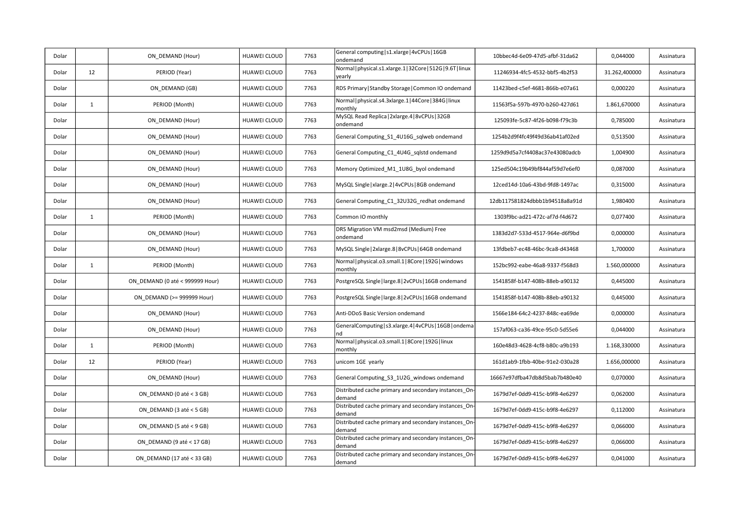| Dolar |              | ON DEMAND (Hour)                | HUAWEI CLOUD        | 7763 | General computing   s1.xlarge   4vCPUs   16GB<br>ondemand              | 10bbec4d-6e09-47d5-afbf-31da62 | 0,044000      | Assinatura |
|-------|--------------|---------------------------------|---------------------|------|------------------------------------------------------------------------|--------------------------------|---------------|------------|
| Dolar | 12           | PERIOD (Year)                   | HUAWEI CLOUD        | 7763 | Normal   physical.s1.xlarge.1   32Core   512G   9.6T   linux<br>yearly | 11246934-4fc5-4532-bbf5-4b2f53 | 31.262,400000 | Assinatura |
| Dolar |              | ON DEMAND (GB)                  | HUAWEI CLOUD        | 7763 | RDS Primary   Standby Storage   Common IO ondemand                     | 11423bed-c5ef-4681-866b-e07a61 | 0,000220      | Assinatura |
| Dolar | $\mathbf{1}$ | PERIOD (Month)                  | HUAWEI CLOUD        | 7763 | Normal   physical.s4.3xlarge.1   44Core   384G   linux<br>monthly      | 11563f5a-597b-4970-b260-427d61 | 1.861,670000  | Assinatura |
| Dolar |              | ON_DEMAND (Hour)                | HUAWEI CLOUD        | 7763 | MySQL Read Replica   2xlarge.4   8vCPUs   32GB<br>ondemand             | 125093fe-5c87-4f26-b098-f79c3b | 0,785000      | Assinatura |
| Dolar |              | ON DEMAND (Hour)                | HUAWEI CLOUD        | 7763 | General Computing_S1_4U16G_sqlweb ondemand                             | 1254b2d9f4fc49f49d36ab41af02ed | 0,513500      | Assinatura |
| Dolar |              | ON DEMAND (Hour)                | HUAWEI CLOUD        | 7763 | General Computing C1 4U4G sqlstd ondemand                              | 1259d9d5a7cf4408ac37e43080adcb | 1,004900      | Assinatura |
| Dolar |              | ON DEMAND (Hour)                | HUAWEI CLOUD        | 7763 | Memory Optimized M1 1U8G byol ondemand                                 | 125ed504c19b49bf844af59d7e6ef0 | 0,087000      | Assinatura |
| Dolar |              | ON DEMAND (Hour)                | HUAWEI CLOUD        | 7763 | MySQL Single   xlarge.2   4vCPUs   8GB ondemand                        | 12ced14d-10a6-43bd-9fd8-1497ac | 0,315000      | Assinatura |
| Dolar |              | ON DEMAND (Hour)                | HUAWEI CLOUD        | 7763 | General Computing_C1_32U32G_redhat ondemand                            | 12db117581824dbbb1b94518a8a91d | 1,980400      | Assinatura |
| Dolar | $\mathbf{1}$ | PERIOD (Month)                  | HUAWEI CLOUD        | 7763 | Common IO monthly                                                      | 1303f9bc-ad21-472c-af7d-f4d672 | 0,077400      | Assinatura |
| Dolar |              | ON DEMAND (Hour)                | HUAWEI CLOUD        | 7763 | DRS Migration VM msd2msd (Medium) Free<br>ondemand                     | 1383d2d7-533d-4517-964e-d6f9bd | 0,000000      | Assinatura |
| Dolar |              | ON DEMAND (Hour)                | HUAWEI CLOUD        | 7763 | MySQL Single   2xlarge.8   8vCPUs   64GB ondemand                      | 13fdbeb7-ec48-46bc-9ca8-d43468 | 1,700000      | Assinatura |
| Dolar | $\mathbf{1}$ | PERIOD (Month)                  | HUAWEI CLOUD        | 7763 | Normal physical.o3.small.1 8Core 192G windows<br>monthly               | 152bc992-eabe-46a8-9337-f568d3 | 1.560,000000  | Assinatura |
| Dolar |              | ON DEMAND (0 até < 999999 Hour) | HUAWEI CLOUD        | 7763 | PostgreSQL Single   large.8   2vCPUs   16GB ondemand                   | 1541858f-b147-408b-88eb-a90132 | 0,445000      | Assinatura |
| Dolar |              | ON_DEMAND (>= 999999 Hour)      | HUAWEI CLOUD        | 7763 | PostgreSQL Single   large.8   2vCPUs   16GB ondemand                   | 1541858f-b147-408b-88eb-a90132 | 0,445000      | Assinatura |
| Dolar |              | ON DEMAND (Hour)                | HUAWEI CLOUD        | 7763 | Anti-DDoS Basic Version ondemand                                       | 1566e184-64c2-4237-848c-ea69de | 0,000000      | Assinatura |
| Dolar |              | ON DEMAND (Hour)                | HUAWEI CLOUD        | 7763 | GeneralComputing   s3.xlarge.4   4vCPUs   16GB   ondema<br>nd          | 157af063-ca36-49ce-95c0-5d55e6 | 0,044000      | Assinatura |
| Dolar | $\mathbf{1}$ | PERIOD (Month)                  | HUAWEI CLOUD        | 7763 | Normal   physical.o3.small.1   8Core   192G   linux<br>monthly         | 160e48d3-4628-4cf8-b80c-a9b193 | 1.168,330000  | Assinatura |
| Dolar | 12           | PERIOD (Year)                   | HUAWEI CLOUD        | 7763 | unicom 1GE yearly                                                      | 161d1ab9-1fbb-40be-91e2-030a28 | 1.656,000000  | Assinatura |
| Dolar |              | ON_DEMAND (Hour)                | HUAWEI CLOUD        | 7763 | General Computing_S3_1U2G_windows ondemand                             | 16667e97dfba47db8d5bab7b480e40 | 0,070000      | Assinatura |
| Dolar |              | ON DEMAND (0 até < 3 GB)        | <b>HUAWEI CLOUD</b> | 7763 | Distributed cache primary and secondary instances_On-<br>demand        | 1679d7ef-0dd9-415c-b9f8-4e6297 | 0,062000      | Assinatura |
| Dolar |              | ON DEMAND (3 até < 5 GB)        | HUAWEI CLOUD        | 7763 | Distributed cache primary and secondary instances On-<br>demand        | 1679d7ef-0dd9-415c-b9f8-4e6297 | 0,112000      | Assinatura |
| Dolar |              | ON DEMAND (5 até < 9 GB)        | HUAWEI CLOUD        | 7763 | Distributed cache primary and secondary instances On-<br>demand        | 1679d7ef-0dd9-415c-b9f8-4e6297 | 0,066000      | Assinatura |
| Dolar |              | ON_DEMAND (9 até < 17 GB)       | HUAWEI CLOUD        | 7763 | Distributed cache primary and secondary instances_On-<br>demand        | 1679d7ef-0dd9-415c-b9f8-4e6297 | 0,066000      | Assinatura |
| Dolar |              | ON DEMAND (17 até < 33 GB)      | <b>HUAWEI CLOUD</b> | 7763 | Distributed cache primary and secondary instances_On-<br>demand        | 1679d7ef-0dd9-415c-b9f8-4e6297 | 0,041000      | Assinatura |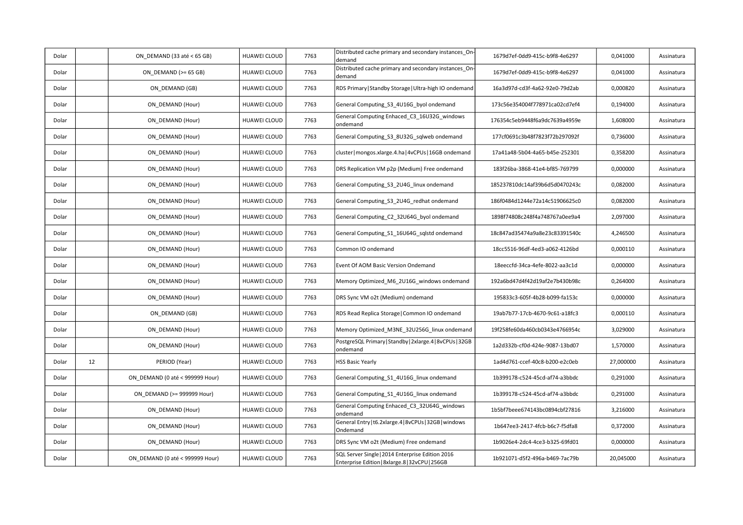| Dolar |    | ON DEMAND (33 até < 65 GB)      | HUAWEI CLOUD        | 7763 | Distributed cache primary and secondary instances On-<br>demand                                     | 1679d7ef-0dd9-415c-b9f8-4e6297 | 0,041000  | Assinatura |
|-------|----|---------------------------------|---------------------|------|-----------------------------------------------------------------------------------------------------|--------------------------------|-----------|------------|
| Dolar |    | ON DEMAND ( $>= 65$ GB)         | <b>HUAWEI CLOUD</b> | 7763 | Distributed cache primary and secondary instances_On-<br>demand                                     | 1679d7ef-0dd9-415c-b9f8-4e6297 | 0,041000  | Assinatura |
| Dolar |    | ON DEMAND (GB)                  | <b>HUAWEI CLOUD</b> | 7763 | RDS Primary   Standby Storage   Ultra-high IO ondemand                                              | 16a3d97d-cd3f-4a62-92e0-79d2ab | 0,000820  | Assinatura |
| Dolar |    | ON DEMAND (Hour)                | HUAWEI CLOUD        | 7763 | General Computing_S3_4U16G_byol ondemand                                                            | 173c56e354004f778971ca02cd7ef4 | 0,194000  | Assinatura |
| Dolar |    | ON_DEMAND (Hour)                | <b>HUAWEI CLOUD</b> | 7763 | General Computing Enhaced_C3_16U32G_windows<br>ondemand                                             | 176354c5eb9448f6a9dc7639a4959e | 1,608000  | Assinatura |
| Dolar |    | ON DEMAND (Hour)                | <b>HUAWEI CLOUD</b> | 7763 | General Computing S3 8U32G sqlweb ondemand                                                          | 177cf0691c3b48f7823f72b297092f | 0,736000  | Assinatura |
| Dolar |    | ON DEMAND (Hour)                | HUAWEI CLOUD        | 7763 | cluster   mongos.xlarge.4.ha   4vCPUs   16GB ondemand                                               | 17a41a48-5b04-4a65-b45e-252301 | 0,358200  | Assinatura |
| Dolar |    | ON DEMAND (Hour)                | HUAWEI CLOUD        | 7763 | DRS Replication VM p2p (Medium) Free ondemand                                                       | 183f26ba-3868-41e4-bf85-769799 | 0,000000  | Assinatura |
| Dolar |    | ON DEMAND (Hour)                | <b>HUAWEI CLOUD</b> | 7763 | General Computing S3 2U4G linux ondemand                                                            | 185237810dc14af39b6d5d0470243c | 0,082000  | Assinatura |
| Dolar |    | ON DEMAND (Hour)                | HUAWEI CLOUD        | 7763 | General Computing S3 2U4G redhat ondemand                                                           | 186f0484d1244e72a14c51906625c0 | 0,082000  | Assinatura |
| Dolar |    | ON DEMAND (Hour)                | HUAWEI CLOUD        | 7763 | General Computing_C2_32U64G_byol ondemand                                                           | 1898f74808c248f4a748767a0ee9a4 | 2,097000  | Assinatura |
| Dolar |    | ON_DEMAND (Hour)                | HUAWEI CLOUD        | 7763 | General Computing_S1_16U64G_sqlstd ondemand                                                         | 18c847ad35474a9a8e23c83391540c | 4,246500  | Assinatura |
| Dolar |    | ON_DEMAND (Hour)                | <b>HUAWEI CLOUD</b> | 7763 | Common IO ondemand                                                                                  | 18cc5516-96df-4ed3-a062-4126bd | 0,000110  | Assinatura |
| Dolar |    | ON DEMAND (Hour)                | HUAWEI CLOUD        | 7763 | Event Of AOM Basic Version Ondemand                                                                 | 18eeccfd-34ca-4efe-8022-aa3c1d | 0,000000  | Assinatura |
| Dolar |    | ON DEMAND (Hour)                | HUAWEI CLOUD        | 7763 | Memory Optimized_M6_2U16G_windows ondemand                                                          | 192a6bd47d4f42d19af2e7b430b98c | 0,264000  | Assinatura |
| Dolar |    | ON DEMAND (Hour)                | <b>HUAWEI CLOUD</b> | 7763 | DRS Sync VM o2t (Medium) ondemand                                                                   | 195833c3-605f-4b28-b099-fa153c | 0,000000  | Assinatura |
| Dolar |    | ON DEMAND (GB)                  | HUAWEI CLOUD        | 7763 | RDS Read Replica Storage   Common IO ondemand                                                       | 19ab7b77-17cb-4670-9c61-a18fc3 | 0,000110  | Assinatura |
| Dolar |    | ON DEMAND (Hour)                | HUAWEI CLOUD        | 7763 | Memory Optimized_M3NE_32U256G_linux ondemand                                                        | 19f258fe60da460cb0343e4766954c | 3,029000  | Assinatura |
| Dolar |    | ON_DEMAND (Hour)                | HUAWEI CLOUD        | 7763 | PostgreSQL Primary   Standby   2xlarge.4   8vCPUs   32GB<br>ondemand                                | 1a2d332b-cf0d-424e-9087-13bd07 | 1,570000  | Assinatura |
| Dolar | 12 | PERIOD (Year)                   | <b>HUAWEI CLOUD</b> | 7763 | <b>HSS Basic Yearly</b>                                                                             | 1ad4d761-ccef-40c8-b200-e2c0eb | 27,000000 | Assinatura |
| Dolar |    | ON DEMAND (0 até < 999999 Hour) | <b>HUAWEI CLOUD</b> | 7763 | General Computing S1 4U16G linux ondemand                                                           | 1b399178-c524-45cd-af74-a3bbdc | 0,291000  | Assinatura |
| Dolar |    | ON DEMAND (>= 999999 Hour)      | HUAWEI CLOUD        | 7763 | General Computing_S1_4U16G_linux ondemand                                                           | 1b399178-c524-45cd-af74-a3bbdc | 0,291000  | Assinatura |
| Dolar |    | ON DEMAND (Hour)                | <b>HUAWEI CLOUD</b> | 7763 | General Computing Enhaced_C3_32U64G_windows<br>ondemand                                             | 1b5bf7beee674143bc0894cbf27816 | 3,216000  | Assinatura |
| Dolar |    | ON DEMAND (Hour)                | HUAWEI CLOUD        | 7763 | General Entry   t6.2xlarge.4   8vCPUs   32GB   windows<br>Ondemand                                  | 1b647ee3-2417-4fcb-b6c7-f5dfa8 | 0,372000  | Assinatura |
| Dolar |    | ON DEMAND (Hour)                | HUAWEI CLOUD        | 7763 | DRS Sync VM o2t (Medium) Free ondemand                                                              | 1b9026e4-2dc4-4ce3-b325-69fd01 | 0,000000  | Assinatura |
| Dolar |    | ON DEMAND (0 até < 999999 Hour) | <b>HUAWEI CLOUD</b> | 7763 | SQL Server Single   2014 Enterprise Edition 2016<br>Enterprise Edition   8xlarge.8   32vCPU   256GB | 1b921071-d5f2-496a-b469-7ac79b | 20,045000 | Assinatura |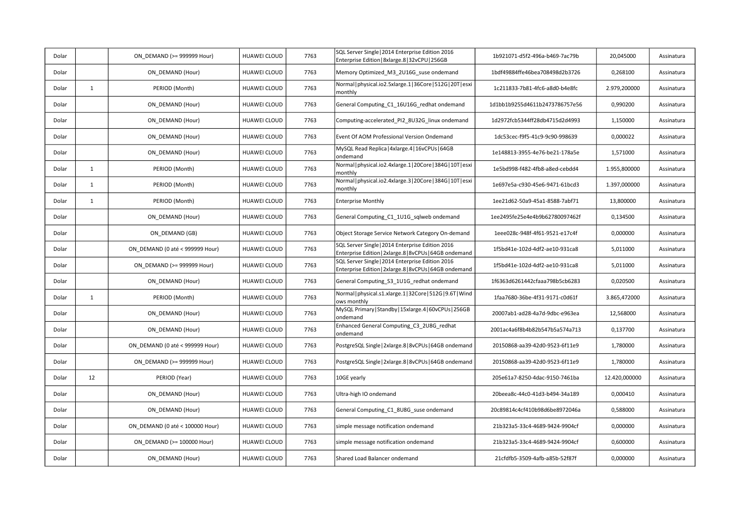| Dolar |              | ON DEMAND (>= 999999 Hour)      | <b>HUAWEI CLOUD</b> | 7763 | SQL Server Single   2014 Enterprise Edition 2016<br>Enterprise Edition   8xlarge.8   32vCPU   256GB         | 1b921071-d5f2-496a-b469-7ac79b | 20,045000     | Assinatura |
|-------|--------------|---------------------------------|---------------------|------|-------------------------------------------------------------------------------------------------------------|--------------------------------|---------------|------------|
| Dolar |              | ON DEMAND (Hour)                | <b>HUAWEI CLOUD</b> | 7763 | Memory Optimized_M3_2U16G_suse ondemand                                                                     | 1bdf49884ffe46bea708498d2b3726 | 0,268100      | Assinatura |
| Dolar | $\mathbf{1}$ | PERIOD (Month)                  | <b>HUAWEI CLOUD</b> | 7763 | Normal   physical.io2.5xlarge.1   36Core   512G   20T   esxi<br>monthly                                     | 1c211833-7b81-4fc6-a8d0-b4e8fc | 2.979,200000  | Assinatura |
| Dolar |              | ON DEMAND (Hour)                | <b>HUAWEI CLOUD</b> | 7763 | General Computing_C1_16U16G_redhat ondemand                                                                 | 1d1bb1b9255d4611b2473786757e56 | 0,990200      | Assinatura |
| Dolar |              | ON DEMAND (Hour)                | <b>HUAWEI CLOUD</b> | 7763 | Computing-accelerated PI2 8U32G linux ondemand                                                              | 1d2972fcb5344ff28db4715d2d4993 | 1,150000      | Assinatura |
| Dolar |              | ON DEMAND (Hour)                | HUAWEI CLOUD        | 7763 | Event Of AOM Professional Version Ondemand                                                                  | 1dc53cec-f9f5-41c9-9c90-998639 | 0,000022      | Assinatura |
| Dolar |              | ON DEMAND (Hour)                | <b>HUAWEI CLOUD</b> | 7763 | MySQL Read Replica   4xlarge.4   16vCPUs   64GB<br>ondemand                                                 | 1e148813-3955-4e76-be21-178a5e | 1,571000      | Assinatura |
| Dolar | $\mathbf{1}$ | PERIOD (Month)                  | <b>HUAWEI CLOUD</b> | 7763 | Normal   physical.io2.4xlarge.1   20Core   384G   10T   esxi<br>monthly                                     | 1e5bd998-f482-4fb8-a8ed-cebdd4 | 1.955,800000  | Assinatura |
| Dolar | $\mathbf{1}$ | PERIOD (Month)                  | <b>HUAWEI CLOUD</b> | 7763 | Normal   physical.io2.4xlarge.3   20Core   384G   10T   esxi<br>monthly                                     | 1e697e5a-c930-45e6-9471-61bcd3 | 1.397,000000  | Assinatura |
| Dolar | $\mathbf{1}$ | PERIOD (Month)                  | <b>HUAWEI CLOUD</b> | 7763 | <b>Enterprise Monthly</b>                                                                                   | 1ee21d62-50a9-45a1-8588-7abf71 | 13,800000     | Assinatura |
| Dolar |              | ON DEMAND (Hour)                | HUAWEI CLOUD        | 7763 | General Computing_C1_1U1G_sqlweb ondemand                                                                   | 1ee2495fe25e4e4b9b62780097462f | 0,134500      | Assinatura |
| Dolar |              | ON DEMAND (GB)                  | <b>HUAWEI CLOUD</b> | 7763 | Object Storage Service Network Category On-demand                                                           | 1eee028c-948f-4f61-9521-e17c4f | 0,000000      | Assinatura |
| Dolar |              | ON DEMAND (0 até < 999999 Hour) | <b>HUAWEI CLOUD</b> | 7763 | SQL Server Single   2014 Enterprise Edition 2016<br>Enterprise Edition   2xlarge.8   8vCPUs   64GB ondemand | 1f5bd41e-102d-4df2-ae10-931ca8 | 5,011000      | Assinatura |
| Dolar |              | ON DEMAND (>= 999999 Hour)      | HUAWEI CLOUD        | 7763 | SQL Server Single   2014 Enterprise Edition 2016<br>Enterprise Edition   2xlarge.8   8vCPUs   64GB ondemand | 1f5bd41e-102d-4df2-ae10-931ca8 | 5,011000      | Assinatura |
| Dolar |              | ON DEMAND (Hour)                | <b>HUAWEI CLOUD</b> | 7763 | General Computing_S3_1U1G_redhat ondemand                                                                   | 1f6363d6261442cfaaa798b5cb6283 | 0,020500      | Assinatura |
| Dolar | $\mathbf{1}$ | PERIOD (Month)                  | <b>HUAWEI CLOUD</b> | 7763 | Normal   physical.s1.xlarge.1   32Core   512G   9.6T   Wind<br>ows monthly                                  | 1faa7680-36be-4f31-9171-c0d61f | 3.865,472000  | Assinatura |
| Dolar |              | ON DEMAND (Hour)                | <b>HUAWEI CLOUD</b> | 7763 | MySQL Primary   Standby   15xlarge.4   60vCPUs   256GB<br>ondemand                                          | 20007ab1-ad28-4a7d-9dbc-e963ea | 12,568000     | Assinatura |
| Dolar |              | ON DEMAND (Hour)                | <b>HUAWEI CLOUD</b> | 7763 | Enhanced General Computing C3 2U8G redhat<br>ondemand                                                       | 2001ac4a6f8b4b82b547b5a574a713 | 0,137700      | Assinatura |
| Dolar |              | ON DEMAND (0 até < 999999 Hour) | <b>HUAWEI CLOUD</b> | 7763 | PostgreSQL Single   2xlarge.8   8vCPUs   64GB ondemand                                                      | 20150868-aa39-42d0-9523-6f11e9 | 1,780000      | Assinatura |
| Dolar |              | ON DEMAND (>= 999999 Hour)      | HUAWEI CLOUD        | 7763 | PostgreSQL Single   2xlarge.8   8vCPUs   64GB ondemand                                                      | 20150868-aa39-42d0-9523-6f11e9 | 1,780000      | Assinatura |
| Dolar | 12           | PERIOD (Year)                   | <b>HUAWEI CLOUD</b> | 7763 | 10GE yearly                                                                                                 | 205e61a7-8250-4dac-9150-7461ba | 12.420,000000 | Assinatura |
| Dolar |              | ON DEMAND (Hour)                | <b>HUAWEI CLOUD</b> | 7763 | Ultra-high IO ondemand                                                                                      | 20beea8c-44c0-41d3-b494-34a189 | 0,000410      | Assinatura |
| Dolar |              | ON DEMAND (Hour)                | <b>HUAWEI CLOUD</b> | 7763 | General Computing C1 8U8G suse ondemand                                                                     | 20c89814c4cf410b98d6be8972046a | 0,588000      | Assinatura |
| Dolar |              | ON DEMAND (0 até < 100000 Hour) | HUAWEI CLOUD        | 7763 | simple message notification ondemand                                                                        | 21b323a5-33c4-4689-9424-9904cf | 0,000000      | Assinatura |
| Dolar |              | ON DEMAND (>= 100000 Hour)      | HUAWEI CLOUD        | 7763 | simple message notification ondemand                                                                        | 21b323a5-33c4-4689-9424-9904cf | 0,600000      | Assinatura |
| Dolar |              | ON DEMAND (Hour)                | <b>HUAWEI CLOUD</b> | 7763 | Shared Load Balancer ondemand                                                                               | 21cfdfb5-3509-4afb-a85b-52f87f | 0,000000      | Assinatura |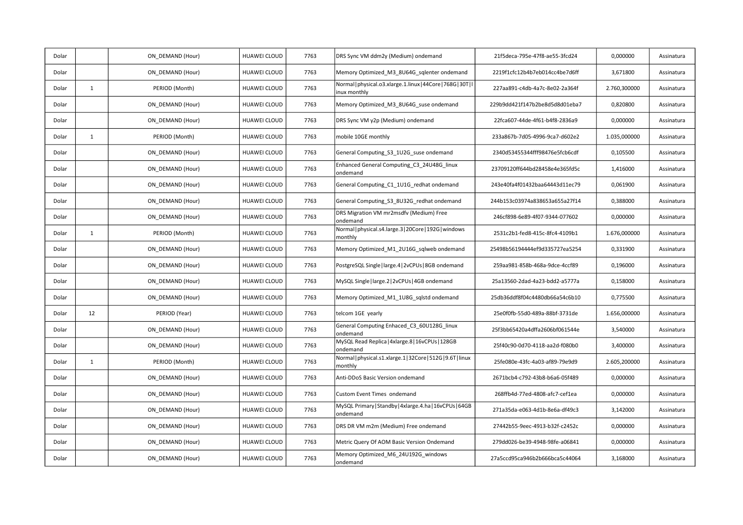| Dolar |              | ON DEMAND (Hour) | HUAWEI CLOUD        | 7763 | DRS Sync VM ddm2y (Medium) ondemand                                           | 21f5deca-795e-47f8-ae55-3fcd24 | 0,000000     | Assinatura |
|-------|--------------|------------------|---------------------|------|-------------------------------------------------------------------------------|--------------------------------|--------------|------------|
| Dolar |              | ON DEMAND (Hour) | HUAWEI CLOUD        | 7763 | Memory Optimized M3 8U64G sqlenter ondemand                                   | 2219f1cfc12b4b7eb014cc4be7d6ff | 3,671800     | Assinatura |
| Dolar | $\mathbf{1}$ | PERIOD (Month)   | <b>HUAWEI CLOUD</b> | 7763 | Normal   physical.o3.xlarge.1.linux   44Core   768G   30T   I<br>inux monthly | 227aa891-c4db-4a7c-8e02-2a364f | 2.760,300000 | Assinatura |
| Dolar |              | ON DEMAND (Hour) | HUAWEI CLOUD        | 7763 | Memory Optimized M3 8U64G suse ondemand                                       | 229b9dd421f147b2be8d5d8d01eba7 | 0,820800     | Assinatura |
| Dolar |              | ON DEMAND (Hour) | HUAWEI CLOUD        | 7763 | DRS Sync VM y2p (Medium) ondemand                                             | 22fca607-44de-4f61-b4f8-2836a9 | 0,000000     | Assinatura |
| Dolar | $\mathbf{1}$ | PERIOD (Month)   | HUAWEI CLOUD        | 7763 | mobile 10GE monthly                                                           | 233a867b-7d05-4996-9ca7-d602e2 | 1.035,000000 | Assinatura |
| Dolar |              | ON DEMAND (Hour) | HUAWEI CLOUD        | 7763 | General Computing S3 1U2G suse ondemand                                       | 2340d53455344fff98476e5fcb6cdf | 0,105500     | Assinatura |
| Dolar |              | ON DEMAND (Hour) | <b>HUAWEI CLOUD</b> | 7763 | Enhanced General Computing_C3_24U48G_linux<br>ondemand                        | 23709120ff644bd28458e4e365fd5c | 1,416000     | Assinatura |
| Dolar |              | ON DEMAND (Hour) | HUAWEI CLOUD        | 7763 | General Computing C1 1U1G redhat ondemand                                     | 243e40fa4f01432baa64443d11ec79 | 0,061900     | Assinatura |
| Dolar |              | ON DEMAND (Hour) | HUAWEI CLOUD        | 7763 | General Computing_S3_8U32G_redhat ondemand                                    | 244b153c03974a838653a655a27f14 | 0,388000     | Assinatura |
| Dolar |              | ON DEMAND (Hour) | HUAWEI CLOUD        | 7763 | DRS Migration VM mr2msdfv (Medium) Free<br>ondemand                           | 246cf898-6e89-4f07-9344-077602 | 0,000000     | Assinatura |
| Dolar | $\mathbf{1}$ | PERIOD (Month)   | <b>HUAWEI CLOUD</b> | 7763 | Normal   physical.s4.large.3   20Core   192G   windows<br>monthly             | 2531c2b1-fed8-415c-8fc4-4109b1 | 1.676,000000 | Assinatura |
| Dolar |              | ON DEMAND (Hour) | HUAWEI CLOUD        | 7763 | Memory Optimized M1 2U16G sqlweb ondemand                                     | 25498b56194444ef9d335727ea5254 | 0,331900     | Assinatura |
| Dolar |              | ON DEMAND (Hour) | <b>HUAWEI CLOUD</b> | 7763 | PostgreSQL Single   large.4   2vCPUs   8GB ondemand                           | 259aa981-858b-468a-9dce-4ccf89 | 0,196000     | Assinatura |
| Dolar |              | ON DEMAND (Hour) | <b>HUAWEI CLOUD</b> | 7763 | MySQL Single   large.2   2vCPUs   4GB ondemand                                | 25a13560-2dad-4a23-bdd2-a5777a | 0,158000     | Assinatura |
| Dolar |              | ON DEMAND (Hour) | HUAWEI CLOUD        | 7763 | Memory Optimized_M1_1U8G_sqlstd ondemand                                      | 25db36ddf8f04c4480db66a54c6b10 | 0,775500     | Assinatura |
| Dolar | 12           | PERIOD (Year)    | <b>HUAWEI CLOUD</b> | 7763 | telcom 1GE yearly                                                             | 25e0f0fb-55d0-489a-88bf-3731de | 1.656,000000 | Assinatura |
| Dolar |              | ON DEMAND (Hour) | HUAWEI CLOUD        | 7763 | General Computing Enhaced C3 60U128G linux<br>ondemand                        | 25f3bb65420a4dffa2606bf061544e | 3,540000     | Assinatura |
| Dolar |              | ON DEMAND (Hour) | HUAWEI CLOUD        | 7763 | MySQL Read Replica   4xlarge.8   16vCPUs   128GB<br>ondemand                  | 25f40c90-0d70-4118-aa2d-f080b0 | 3,400000     | Assinatura |
| Dolar | $\mathbf{1}$ | PERIOD (Month)   | HUAWEI CLOUD        | 7763 | Normal   physical.s1.xlarge.1   32Core   512G   9.6T   linux<br>monthly       | 25fe080e-43fc-4a03-af89-79e9d9 | 2.605,200000 | Assinatura |
| Dolar |              | ON DEMAND (Hour) | HUAWEI CLOUD        | 7763 | Anti-DDoS Basic Version ondemand                                              | 2671bcb4-c792-43b8-b6a6-05f489 | 0,000000     | Assinatura |
| Dolar |              | ON DEMAND (Hour) | <b>HUAWEI CLOUD</b> | 7763 | Custom Event Times ondemand                                                   | 268ffb4d-77ed-4808-afc7-cef1ea | 0,000000     | Assinatura |
| Dolar |              | ON DEMAND (Hour) | HUAWEI CLOUD        | 7763 | MySQL Primary   Standby   4xlarge.4.ha   16vCPUs   64GB<br>ondemand           | 271a35da-e063-4d1b-8e6a-df49c3 | 3,142000     | Assinatura |
| Dolar |              | ON DEMAND (Hour) | HUAWEI CLOUD        | 7763 | DRS DR VM m2m (Medium) Free ondemand                                          | 27442b55-9eec-4913-b32f-c2452c | 0,000000     | Assinatura |
| Dolar |              | ON_DEMAND (Hour) | HUAWEI CLOUD        | 7763 | Metric Query Of AOM Basic Version Ondemand                                    | 279dd026-be39-4948-98fe-a06841 | 0,000000     | Assinatura |
| Dolar |              | ON DEMAND (Hour) | HUAWEI CLOUD        | 7763 | Memory Optimized M6 24U192G windows<br>ondemand                               | 27a5ccd95ca946b2b666bca5c44064 | 3,168000     | Assinatura |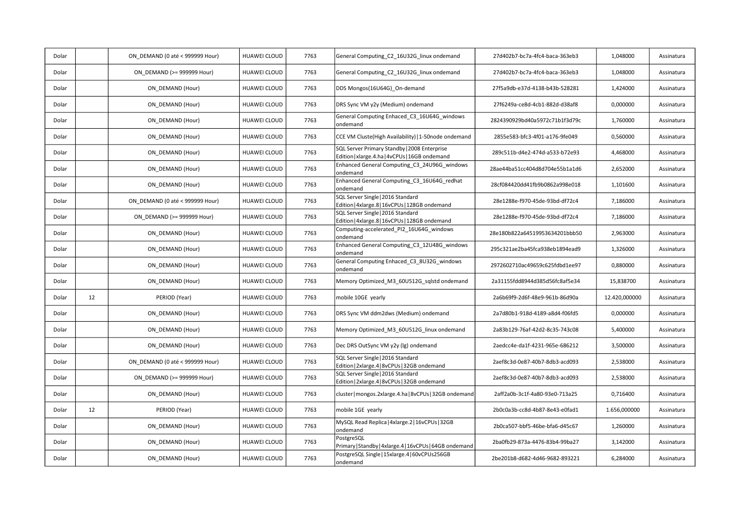| Dolar |    | ON DEMAND (0 até < 999999 Hour) | <b>HUAWEI CLOUD</b> | 7763 | General Computing_C2_16U32G_linux ondemand                                                     | 27d402b7-bc7a-4fc4-baca-363eb3 | 1,048000      | Assinatura |
|-------|----|---------------------------------|---------------------|------|------------------------------------------------------------------------------------------------|--------------------------------|---------------|------------|
| Dolar |    | ON DEMAND (>= 999999 Hour)      | HUAWEI CLOUD        | 7763 | General Computing C2 16U32G linux ondemand                                                     | 27d402b7-bc7a-4fc4-baca-363eb3 | 1,048000      | Assinatura |
| Dolar |    | ON DEMAND (Hour)                | HUAWEI CLOUD        | 7763 | DDS Mongos(16U64G) On-demand                                                                   | 27f5a9db-e37d-4138-b43b-528281 | 1,424000      | Assinatura |
| Dolar |    | ON DEMAND (Hour)                | HUAWEI CLOUD        | 7763 | DRS Sync VM y2y (Medium) ondemand                                                              | 27f6249a-ce8d-4cb1-882d-d38af8 | 0,000000      | Assinatura |
| Dolar |    | ON DEMAND (Hour)                | HUAWEI CLOUD        | 7763 | General Computing Enhaced C3 16U64G windows<br>ondemand                                        | 2824390929bd40a5972c71b1f3d79c | 1,760000      | Assinatura |
| Dolar |    | ON DEMAND (Hour)                | HUAWEI CLOUD        | 7763 | CCE VM Cluste(High Availability)   1-50node ondemand                                           | 2855e583-bfc3-4f01-a176-9fe049 | 0,560000      | Assinatura |
| Dolar |    | ON DEMAND (Hour)                | HUAWEI CLOUD        | 7763 | SQL Server Primary Standby   2008 Enterprise<br>Edition   xlarge.4.ha   4vCPUs   16GB ondemand | 289c511b-d4e2-474d-a533-b72e93 | 4,468000      | Assinatura |
| Dolar |    | ON DEMAND (Hour)                | HUAWEI CLOUD        | 7763 | Enhanced General Computing C3 24U96G windows<br>ondemand                                       | 28ae44ba51cc404d8d704e55b1a1d6 | 2,652000      | Assinatura |
| Dolar |    | ON DEMAND (Hour)                | HUAWEI CLOUD        | 7763 | Enhanced General Computing C3 16U64G redhat<br>ondemand                                        | 28cf084420dd41fb9b0862a998e018 | 1,101600      | Assinatura |
| Dolar |    | ON DEMAND (0 até < 999999 Hour) | <b>HUAWEI CLOUD</b> | 7763 | SQL Server Single   2016 Standard<br>Edition   4xlarge.8   16vCPUs   128GB ondemand            | 28e1288e-f970-45de-93bd-df72c4 | 7,186000      | Assinatura |
| Dolar |    | ON DEMAND (>= 999999 Hour)      | HUAWEI CLOUD        | 7763 | SQL Server Single   2016 Standard<br>Edition   4xlarge.8   16vCPUs   128GB ondemand            | 28e1288e-f970-45de-93bd-df72c4 | 7,186000      | Assinatura |
| Dolar |    | ON_DEMAND (Hour)                | HUAWEI CLOUD        | 7763 | Computing-accelerated_PI2_16U64G_windows<br>ondemand                                           | 28e180b822a64519953634201bbb50 | 2,963000      | Assinatura |
| Dolar |    | ON_DEMAND (Hour)                | HUAWEI CLOUD        | 7763 | Enhanced General Computing_C3_12U48G_windows<br>ondemand                                       | 295c321ae2ba45fca938eb1894ead9 | 1,326000      | Assinatura |
| Dolar |    | ON DEMAND (Hour)                | HUAWEI CLOUD        | 7763 | General Computing Enhaced C3 8U32G windows<br>ondemand                                         | 2972602710ac49659c625fdbd1ee97 | 0,880000      | Assinatura |
| Dolar |    | ON_DEMAND (Hour)                | HUAWEI CLOUD        | 7763 | Memory Optimized_M3_60U512G_sqlstd ondemand                                                    | 2a31155fdd8944d385d56fc8af5e34 | 15,838700     | Assinatura |
| Dolar | 12 | PERIOD (Year)                   | <b>HUAWEI CLOUD</b> | 7763 | mobile 10GE yearly                                                                             | 2a6b69f9-2d6f-48e9-961b-86d90a | 12.420,000000 | Assinatura |
| Dolar |    | ON DEMAND (Hour)                | <b>HUAWEI CLOUD</b> | 7763 | DRS Sync VM ddm2dws (Medium) ondemand                                                          | 2a7d80b1-918d-4189-a8d4-f06fd5 | 0,000000      | Assinatura |
| Dolar |    | ON DEMAND (Hour)                | HUAWEI CLOUD        | 7763 | Memory Optimized_M3_60U512G_linux ondemand                                                     | 2a83b129-76af-42d2-8c35-743c08 | 5,400000      | Assinatura |
| Dolar |    | ON DEMAND (Hour)                | <b>HUAWEI CLOUD</b> | 7763 | Dec DRS OutSync VM y2y (lg) ondemand                                                           | 2aedcc4e-da1f-4231-965e-686212 | 3,500000      | Assinatura |
| Dolar |    | ON DEMAND (0 até < 999999 Hour) | <b>HUAWEI CLOUD</b> | 7763 | SQL Server Single   2016 Standard<br>Edition   2xlarge.4   8vCPUs   32GB ondemand              | 2aef8c3d-0e87-40b7-8db3-acd093 | 2,538000      | Assinatura |
| Dolar |    | ON DEMAND (>= 999999 Hour)      | HUAWEI CLOUD        | 7763 | SQL Server Single   2016 Standard<br>Edition   2xlarge.4   8vCPUs   32GB ondemand              | 2aef8c3d-0e87-40b7-8db3-acd093 | 2,538000      | Assinatura |
| Dolar |    | ON DEMAND (Hour)                | HUAWEI CLOUD        | 7763 | cluster   mongos.2xlarge.4.ha   8vCPUs   32GB ondemand                                         | 2aff2a0b-3c1f-4a80-93e0-713a25 | 0,716400      | Assinatura |
| Dolar | 12 | PERIOD (Year)                   | HUAWEI CLOUD        | 7763 | mobile 1GE yearly                                                                              | 2b0c0a3b-cc8d-4b87-8e43-e0fad1 | 1.656,000000  | Assinatura |
| Dolar |    | ON DEMAND (Hour)                | HUAWEI CLOUD        | 7763 | MySQL Read Replica   4xlarge.2   16vCPUs   32GB<br>ondemand                                    | 2b0ca507-bbf5-46be-bfa6-d45c67 | 1,260000      | Assinatura |
| Dolar |    | ON DEMAND (Hour)                | HUAWEI CLOUD        | 7763 | PostgreSQL<br>Primary   Standby   4xlarge.4   16vCPUs   64GB ondemand                          | 2ba0fb29-873a-4476-83b4-99ba27 | 3,142000      | Assinatura |
| Dolar |    | ON DEMAND (Hour)                | HUAWEI CLOUD        | 7763 | PostgreSQL Single   15xlarge.4   60vCPUs256GB<br>ondemand                                      | 2be201b8-d682-4d46-9682-893221 | 6,284000      | Assinatura |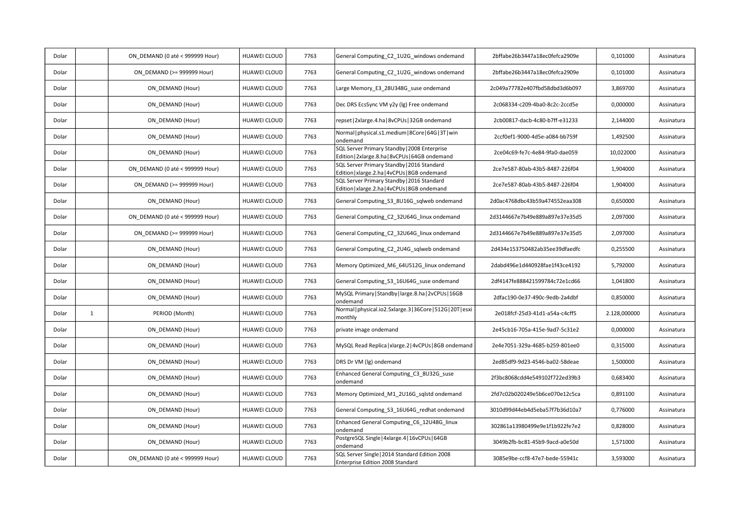| Dolar |              | ON DEMAND (0 até < 999999 Hour) | HUAWEI CLOUD        | 7763 | General Computing_C2_1U2G_windows ondemand                                                      | 2bffabe26b3447a18ec0fefca2909e | 0,101000     | Assinatura |
|-------|--------------|---------------------------------|---------------------|------|-------------------------------------------------------------------------------------------------|--------------------------------|--------------|------------|
| Dolar |              | ON DEMAND (>= 999999 Hour)      | HUAWEI CLOUD        | 7763 | General Computing C2 1U2G windows ondemand                                                      | 2bffabe26b3447a18ec0fefca2909e | 0,101000     | Assinatura |
| Dolar |              | ON DEMAND (Hour)                | HUAWEI CLOUD        | 7763 | Large Memory_E3_28U348G_suse ondemand                                                           | 2c049a77782e407fbd58dbd3d6b097 | 3,869700     | Assinatura |
| Dolar |              | ON DEMAND (Hour)                | HUAWEI CLOUD        | 7763 | Dec DRS EcsSync VM y2y (lg) Free ondemand                                                       | 2c068334-c209-4ba0-8c2c-2ccd5e | 0,000000     | Assinatura |
| Dolar |              | ON DEMAND (Hour)                | HUAWEI CLOUD        | 7763 | repset   2xlarge.4.ha   8vCPUs   32GB ondemand                                                  | 2cb00817-dacb-4c80-b7ff-e31233 | 2,144000     | Assinatura |
| Dolar |              | ON DEMAND (Hour)                | HUAWEI CLOUD        | 7763 | Normal   physical.s1.medium   8Core   64G   3T   win<br>ondemand                                | 2ccf0ef1-9000-4d5e-a084-bb759f | 1,492500     | Assinatura |
| Dolar |              | ON_DEMAND (Hour)                | HUAWEI CLOUD        | 7763 | SQL Server Primary Standby   2008 Enterprise<br>Edition   2xlarge.8.ha   8vCPUs   64GB ondemand | 2ce04c69-fe7c-4e84-9fa0-dae059 | 10,022000    | Assinatura |
| Dolar |              | ON DEMAND (0 até < 999999 Hour) | <b>HUAWEI CLOUD</b> | 7763 | SQL Server Primary Standby   2016 Standard<br>Edition   xlarge.2.ha   4vCPUs   8GB ondemand     | 2ce7e587-80ab-43b5-8487-226f04 | 1,904000     | Assinatura |
| Dolar |              | ON_DEMAND (>= 999999 Hour)      | HUAWEI CLOUD        | 7763 | SQL Server Primary Standby   2016 Standard<br>Edition   xlarge.2.ha   4vCPUs   8GB ondemand     | 2ce7e587-80ab-43b5-8487-226f04 | 1,904000     | Assinatura |
| Dolar |              | ON DEMAND (Hour)                | HUAWEI CLOUD        | 7763 | General Computing_S3_8U16G_sqlweb ondemand                                                      | 2d0ac4768dbc43b59a474552eaa308 | 0,650000     | Assinatura |
| Dolar |              | ON DEMAND (0 até < 999999 Hour) | <b>HUAWEI CLOUD</b> | 7763 | General Computing C2 32U64G linux ondemand                                                      | 2d3144667e7b49e889a897e37e35d5 | 2,097000     | Assinatura |
| Dolar |              | ON DEMAND (>= 999999 Hour)      | HUAWEI CLOUD        | 7763 | General Computing C2 32U64G linux ondemand                                                      | 2d3144667e7b49e889a897e37e35d5 | 2,097000     | Assinatura |
| Dolar |              | ON DEMAND (Hour)                | HUAWEI CLOUD        | 7763 | General Computing_C2_2U4G_sqlweb ondemand                                                       | 2d434e153750482ab35ee39dfaedfc | 0,255500     | Assinatura |
| Dolar |              | ON DEMAND (Hour)                | <b>HUAWEI CLOUD</b> | 7763 | Memory Optimized M6 64U512G linux ondemand                                                      | 2dabd496e1d440928fae1f43ce4192 | 5,792000     | Assinatura |
| Dolar |              | ON DEMAND (Hour)                | HUAWEI CLOUD        | 7763 | General Computing_S3_16U64G_suse ondemand                                                       | 2df4147fe888421599784c72e1cd66 | 1,041800     | Assinatura |
| Dolar |              | ON_DEMAND (Hour)                | HUAWEI CLOUD        | 7763 | MySQL Primary   Standby   large.8.ha   2vCPUs   16GB<br>ondemand                                | 2dfac190-0e37-490c-9edb-2a4dbf | 0,850000     | Assinatura |
| Dolar | $\mathbf{1}$ | PERIOD (Month)                  | <b>HUAWEI CLOUD</b> | 7763 | Normal   physical.io2.5xlarge.3   36Core   512G   20T   esxi<br>monthly                         | 2e018fcf-25d3-41d1-a54a-c4cff5 | 2.128,000000 | Assinatura |
| Dolar |              | ON DEMAND (Hour)                | HUAWEI CLOUD        | 7763 | private image ondemand                                                                          | 2e45cb16-705a-415e-9ad7-5c31e2 | 0,000000     | Assinatura |
| Dolar |              | ON DEMAND (Hour)                | HUAWEI CLOUD        | 7763 | MySQL Read Replica   xlarge.2   4vCPUs   8GB ondemand                                           | 2e4e7051-329a-4685-b259-801ee0 | 0,315000     | Assinatura |
| Dolar |              | ON DEMAND (Hour)                | HUAWEI CLOUD        | 7763 | DRS Dr VM (Ig) ondemand                                                                         | 2ed85df9-9d23-4546-ba02-58deae | 1,500000     | Assinatura |
| Dolar |              | ON DEMAND (Hour)                | HUAWEI CLOUD        | 7763 | Enhanced General Computing C3 8U32G suse<br>ondemand                                            | 2f3bc8068cdd4e549102f722ed39b3 | 0,683400     | Assinatura |
| Dolar |              | ON DEMAND (Hour)                | HUAWEI CLOUD        | 7763 | Memory Optimized_M1_2U16G_sqlstd ondemand                                                       | 2fd7c02b020249e5b6ce070e12c5ca | 0,891100     | Assinatura |
| Dolar |              | ON_DEMAND (Hour)                | HUAWEI CLOUD        | 7763 | General Computing_S3_16U64G_redhat ondemand                                                     | 3010d99d44eb4d5eba57f7b36d10a7 | 0,776000     | Assinatura |
| Dolar |              | ON DEMAND (Hour)                | HUAWEI CLOUD        | 7763 | Enhanced General Computing_C6_12U48G_linux<br>ondemand                                          | 302861a13980499e9e1f1b922fe7e2 | 0,828000     | Assinatura |
| Dolar |              | ON DEMAND (Hour)                | HUAWEI CLOUD        | 7763 | PostgreSQL Single   4xlarge.4   16vCPUs   64GB<br>ondemand                                      | 3049b2fb-bc81-45b9-9acd-a0e50d | 1,571000     | Assinatura |
| Dolar |              | ON DEMAND (0 até < 999999 Hour) | HUAWEI CLOUD        | 7763 | SQL Server Single   2014 Standard Edition 2008<br>Enterprise Edition 2008 Standard              | 3085e9be-ccf8-47e7-bede-55941c | 3,593000     | Assinatura |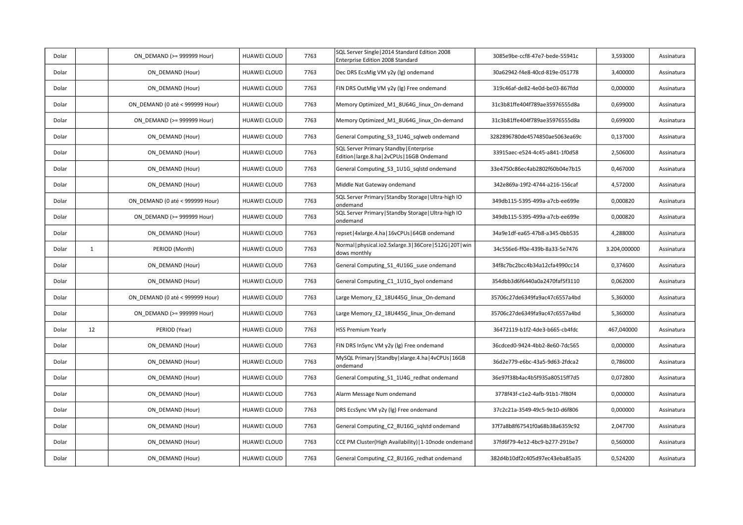| Dolar |              | ON DEMAND (>= 999999 Hour)      | HUAWEI CLOUD        | 7763 | SQL Server Single   2014 Standard Edition 2008<br>Enterprise Edition 2008 Standard       | 3085e9be-ccf8-47e7-bede-55941c | 3,593000     | Assinatura |
|-------|--------------|---------------------------------|---------------------|------|------------------------------------------------------------------------------------------|--------------------------------|--------------|------------|
| Dolar |              | ON DEMAND (Hour)                | HUAWEI CLOUD        | 7763 | Dec DRS EcsMig VM y2y (lg) ondemand                                                      | 30a62942-f4e8-40cd-819e-051778 | 3,400000     | Assinatura |
| Dolar |              | ON DEMAND (Hour)                | HUAWEI CLOUD        | 7763 | FIN DRS OutMig VM y2y (lg) Free ondemand                                                 | 319c46af-de82-4e0d-be03-867fdd | 0,000000     | Assinatura |
| Dolar |              | ON DEMAND (0 até < 999999 Hour) | <b>HUAWEI CLOUD</b> | 7763 | Memory Optimized M1 8U64G linux On-demand                                                | 31c3b81ffe404f789ae35976555d8a | 0,699000     | Assinatura |
| Dolar |              | ON DEMAND (>= 999999 Hour)      | <b>HUAWEI CLOUD</b> | 7763 | Memory Optimized M1 8U64G linux On-demand                                                | 31c3b81ffe404f789ae35976555d8a | 0,699000     | Assinatura |
| Dolar |              | ON DEMAND (Hour)                | HUAWEI CLOUD        | 7763 | General Computing S3 1U4G sqlweb ondemand                                                | 3282896780de4574850ae5063ea69c | 0,137000     | Assinatura |
| Dolar |              | ON DEMAND (Hour)                | HUAWEI CLOUD        | 7763 | SQL Server Primary Standby   Enterprise<br>Edition   large.8.ha   2vCPUs   16GB Ondemand | 33915aec-e524-4c45-a841-1f0d58 | 2,506000     | Assinatura |
| Dolar |              | ON DEMAND (Hour)                | HUAWEI CLOUD        | 7763 | General Computing S3 1U1G sqlstd ondemand                                                | 33e4750c86ec4ab2802f60b04e7b15 | 0,467000     | Assinatura |
| Dolar |              | ON DEMAND (Hour)                | HUAWEI CLOUD        | 7763 | Middle Nat Gateway ondemand                                                              | 342e869a-19f2-4744-a216-156caf | 4,572000     | Assinatura |
| Dolar |              | ON DEMAND (0 até < 999999 Hour) | HUAWEI CLOUD        | 7763 | SQL Server Primary   Standby Storage   Ultra-high IO<br>ondemand                         | 349db115-5395-499a-a7cb-ee699e | 0,000820     | Assinatura |
| Dolar |              | ON DEMAND (>= 999999 Hour)      | HUAWEI CLOUD        | 7763 | SQL Server Primary   Standby Storage   Ultra-high IO<br>ondemand                         | 349db115-5395-499a-a7cb-ee699e | 0,000820     | Assinatura |
| Dolar |              | ON DEMAND (Hour)                | HUAWEI CLOUD        | 7763 | repset   4xlarge. 4. ha   16vCPUs   64GB ondemand                                        | 34a9e1df-ea65-47b8-a345-0bb535 | 4,288000     | Assinatura |
| Dolar | $\mathbf{1}$ | PERIOD (Month)                  | <b>HUAWEI CLOUD</b> | 7763 | Normal   physical.io2.5xlarge.3   36Core   512G   20T   win<br>dows monthly              | 34c556e6-ff0e-439b-8a33-5e7476 | 3.204,000000 | Assinatura |
| Dolar |              | ON DEMAND (Hour)                | HUAWEI CLOUD        | 7763 | General Computing_S1_4U16G_suse ondemand                                                 | 34f8c7bc2bcc4b34a12cfa4990cc14 | 0,374600     | Assinatura |
| Dolar |              | ON DEMAND (Hour)                | HUAWEI CLOUD        | 7763 | General Computing_C1_1U1G_byol ondemand                                                  | 354dbb3d6f6440a0a2470faf5f3110 | 0,062000     | Assinatura |
| Dolar |              | ON_DEMAND (0 até < 999999 Hour) | <b>HUAWEI CLOUD</b> | 7763 | Large Memory_E2_18U445G_linux_On-demand                                                  | 35706c27de6349fa9ac47c6557a4bd | 5,360000     | Assinatura |
| Dolar |              | ON DEMAND (>= 999999 Hour)      | HUAWEI CLOUD        | 7763 | Large Memory E2 18U445G linux On-demand                                                  | 35706c27de6349fa9ac47c6557a4bd | 5,360000     | Assinatura |
| Dolar | 12           | PERIOD (Year)                   | <b>HUAWEI CLOUD</b> | 7763 | <b>HSS Premium Yearly</b>                                                                | 36472119-b1f2-4de3-b665-cb4fdc | 467,040000   | Assinatura |
| Dolar |              | ON DEMAND (Hour)                | HUAWEI CLOUD        | 7763 | FIN DRS InSync VM y2y (lg) Free ondemand                                                 | 36cdced0-9424-4bb2-8e60-7dc565 | 0,000000     | Assinatura |
| Dolar |              | ON DEMAND (Hour)                | <b>HUAWEI CLOUD</b> | 7763 | MySQL Primary   Standby   xlarge.4.ha   4vCPUs   16GB<br>ondemand                        | 36d2e779-e6bc-43a5-9d63-2fdca2 | 0,786000     | Assinatura |
| Dolar |              | ON_DEMAND (Hour)                | HUAWEI CLOUD        | 7763 | General Computing_S1_1U4G_redhat ondemand                                                | 36e97f38b4ac4b5f935a80515ff7d5 | 0,072800     | Assinatura |
| Dolar |              | ON DEMAND (Hour)                | HUAWEI CLOUD        | 7763 | Alarm Message Num ondemand                                                               | 3778f43f-c1e2-4afb-91b1-7f80f4 | 0,000000     | Assinatura |
| Dolar |              | ON DEMAND (Hour)                | HUAWEI CLOUD        | 7763 | DRS EcsSync VM y2y (lg) Free ondemand                                                    | 37c2c21a-3549-49c5-9e10-d6f806 | 0,000000     | Assinatura |
| Dolar |              | ON DEMAND (Hour)                | HUAWEI CLOUD        | 7763 | General Computing_C2_8U16G_sqlstd ondemand                                               | 37f7a8b8f67541f0a68b38a6359c92 | 2,047700     | Assinatura |
| Dolar |              | ON DEMAND (Hour)                | HUAWEI CLOUD        | 7763 | CCE PM Cluster(High Availability)   1-10node ondemand                                    | 37fd6f79-4e12-4bc9-b277-291be7 | 0,560000     | Assinatura |
| Dolar |              | ON DEMAND (Hour)                | HUAWEI CLOUD        | 7763 | General Computing_C2_8U16G_redhat ondemand                                               | 382d4b10df2c405d97ec43eba85a35 | 0,524200     | Assinatura |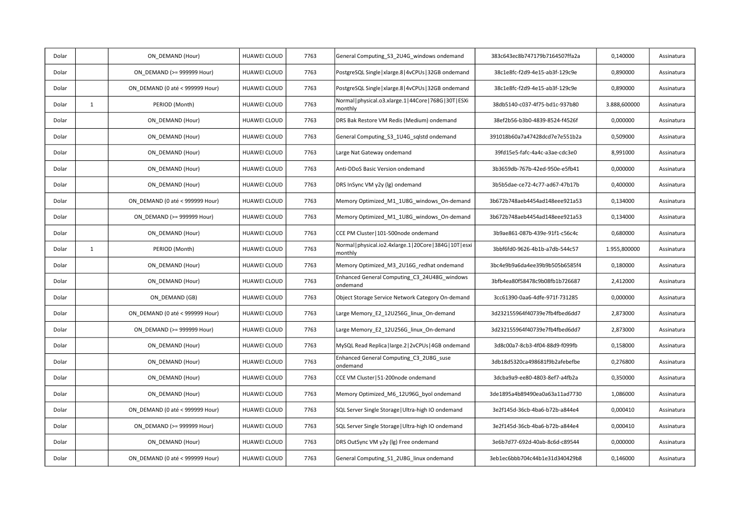| Dolar |              | ON DEMAND (Hour)                | HUAWEI CLOUD        | 7763 | General Computing_S3_2U4G_windows ondemand                              | 383c643ec8b747179b7164507ffa2a | 0,140000     | Assinatura |
|-------|--------------|---------------------------------|---------------------|------|-------------------------------------------------------------------------|--------------------------------|--------------|------------|
| Dolar |              | ON DEMAND (>= 999999 Hour)      | HUAWEI CLOUD        | 7763 | PostgreSQL Single   xlarge.8   4vCPUs   32GB ondemand                   | 38c1e8fc-f2d9-4e15-ab3f-129c9e | 0,890000     | Assinatura |
| Dolar |              | ON DEMAND (0 até < 999999 Hour) | <b>HUAWEI CLOUD</b> | 7763 | PostgreSQL Single   xlarge.8   4vCPUs   32GB ondemand                   | 38c1e8fc-f2d9-4e15-ab3f-129c9e | 0,890000     | Assinatura |
| Dolar | $\mathbf{1}$ | PERIOD (Month)                  | <b>HUAWEI CLOUD</b> | 7763 | Normal   physical.o3.xlarge.1   44Core   768G   30T   ESXi<br>monthly   | 38db5140-c037-4f75-bd1c-937b80 | 3.888,600000 | Assinatura |
| Dolar |              | ON_DEMAND (Hour)                | HUAWEI CLOUD        | 7763 | DRS Bak Restore VM Redis (Medium) ondemand                              | 38ef2b56-b3b0-4839-8524-f4526f | 0,000000     | Assinatura |
| Dolar |              | ON DEMAND (Hour)                | HUAWEI CLOUD        | 7763 | General Computing S3 1U4G sqlstd ondemand                               | 391018b60a7a47428dcd7e7e551b2a | 0,509000     | Assinatura |
| Dolar |              | ON DEMAND (Hour)                | <b>HUAWEI CLOUD</b> | 7763 | Large Nat Gateway ondemand                                              | 39fd15e5-fafc-4a4c-a3ae-cdc3e0 | 8,991000     | Assinatura |
| Dolar |              | ON DEMAND (Hour)                | HUAWEI CLOUD        | 7763 | Anti-DDoS Basic Version ondemand                                        | 3b3659db-767b-42ed-950e-e5fb41 | 0,000000     | Assinatura |
| Dolar |              | ON DEMAND (Hour)                | HUAWEI CLOUD        | 7763 | DRS InSync VM y2y (lg) ondemand                                         | 3b5b5dae-ce72-4c77-ad67-47b17b | 0,400000     | Assinatura |
| Dolar |              | ON DEMAND (0 até < 999999 Hour) | <b>HUAWEI CLOUD</b> | 7763 | Memory Optimized M1 1U8G windows On-demand                              | 3b672b748aeb4454ad148eee921a53 | 0,134000     | Assinatura |
| Dolar |              | ON DEMAND (>= 999999 Hour)      | HUAWEI CLOUD        | 7763 | Memory Optimized M1 1U8G windows On-demand                              | 3b672b748aeb4454ad148eee921a53 | 0,134000     | Assinatura |
| Dolar |              | ON_DEMAND (Hour)                | HUAWEI CLOUD        | 7763 | CCE PM Cluster   101-500node ondemand                                   | 3b9ae861-087b-439e-91f1-c56c4c | 0,680000     | Assinatura |
| Dolar | $\mathbf{1}$ | PERIOD (Month)                  | HUAWEI CLOUD        | 7763 | Normal   physical.io2.4xlarge.1   20Core   384G   10T   esxi<br>monthly | 3bbf6fd0-9626-4b1b-a7db-544c57 | 1.955,800000 | Assinatura |
| Dolar |              | ON DEMAND (Hour)                | HUAWEI CLOUD        | 7763 | Memory Optimized M3 2U16G redhat ondemand                               | 3bc4e9b9a6da4ee39b9b505b6585f4 | 0,180000     | Assinatura |
| Dolar |              | ON DEMAND (Hour)                | HUAWEI CLOUD        | 7763 | Enhanced General Computing_C3_24U48G_windows<br>ondemand                | 3bfb4ea80f58478c9b08fb1b726687 | 2,412000     | Assinatura |
| Dolar |              | ON DEMAND (GB)                  | <b>HUAWEI CLOUD</b> | 7763 | Object Storage Service Network Category On-demand                       | 3cc61390-0aa6-4dfe-971f-731285 | 0,000000     | Assinatura |
| Dolar |              | ON DEMAND (0 até < 999999 Hour) | HUAWEI CLOUD        | 7763 | Large Memory E2 12U256G linux On-demand                                 | 3d232155964f40739e7fb4fbed6dd7 | 2,873000     | Assinatura |
| Dolar |              | ON_DEMAND (>= 999999 Hour)      | HUAWEI CLOUD        | 7763 | Large Memory_E2_12U256G_linux_On-demand                                 | 3d232155964f40739e7fb4fbed6dd7 | 2,873000     | Assinatura |
| Dolar |              | ON DEMAND (Hour)                | HUAWEI CLOUD        | 7763 | MySQL Read Replica   large.2   2vCPUs   4GB ondemand                    | 3d8c00a7-8cb3-4f04-88d9-f099fb | 0,158000     | Assinatura |
| Dolar |              | ON DEMAND (Hour)                | <b>HUAWEI CLOUD</b> | 7763 | Enhanced General Computing_C3_2U8G_suse<br>ondemand                     | 3db18d5320ca498681f9b2afebefbe | 0,276800     | Assinatura |
| Dolar |              | ON DEMAND (Hour)                | HUAWEI CLOUD        | 7763 | CCE VM Cluster   51-200node ondemand                                    | 3dcba9a9-ee80-4803-8ef7-a4fb2a | 0,350000     | Assinatura |
| Dolar |              | ON_DEMAND (Hour)                | HUAWEI CLOUD        | 7763 | Memory Optimized_M6_12U96G_byol ondemand                                | 3de1895a4b89490ea0a63a11ad7730 | 1,086000     | Assinatura |
| Dolar |              | ON DEMAND (0 até < 999999 Hour) | <b>HUAWEI CLOUD</b> | 7763 | SQL Server Single Storage   Ultra-high IO ondemand                      | 3e2f145d-36cb-4ba6-b72b-a844e4 | 0,000410     | Assinatura |
| Dolar |              | ON DEMAND (>= 999999 Hour)      | HUAWEI CLOUD        | 7763 | SQL Server Single Storage   Ultra-high IO ondemand                      | 3e2f145d-36cb-4ba6-b72b-a844e4 | 0,000410     | Assinatura |
| Dolar |              | ON DEMAND (Hour)                | HUAWEI CLOUD        | 7763 | DRS OutSync VM y2y (lg) Free ondemand                                   | 3e6b7d77-692d-40ab-8c6d-c89544 | 0,000000     | Assinatura |
| Dolar |              | ON DEMAND (0 até < 999999 Hour) | <b>HUAWEI CLOUD</b> | 7763 | General Computing_S1_2U8G_linux ondemand                                | 3eb1ec6bbb704c44b1e31d340429b8 | 0,146000     | Assinatura |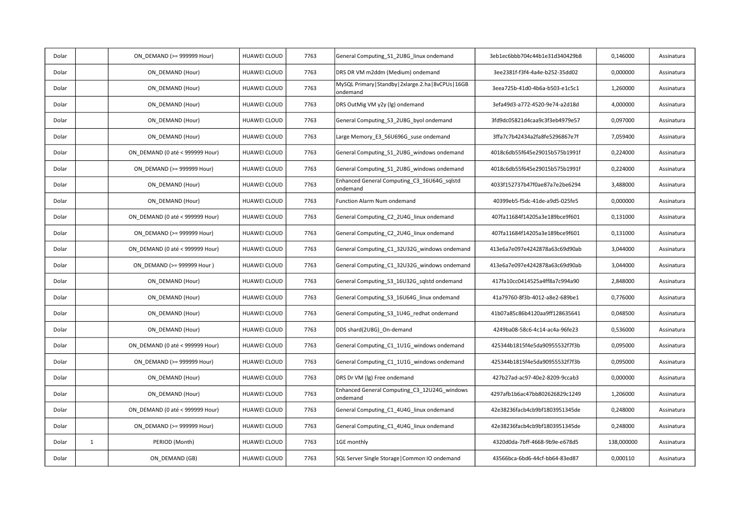| Dolar |              | ON DEMAND (>= 999999 Hour)      | HUAWEI CLOUD        | 7763 | General Computing_S1_2U8G_linux ondemand                           | 3eb1ec6bbb704c44b1e31d340429b8 | 0,146000   | Assinatura |
|-------|--------------|---------------------------------|---------------------|------|--------------------------------------------------------------------|--------------------------------|------------|------------|
| Dolar |              | ON DEMAND (Hour)                | HUAWEI CLOUD        | 7763 | DRS DR VM m2ddm (Medium) ondemand                                  | 3ee2381f-f3f4-4a4e-b252-35dd02 | 0,000000   | Assinatura |
| Dolar |              | ON DEMAND (Hour)                | HUAWEI CLOUD        | 7763 | MySQL Primary   Standby   2xlarge.2.ha   8vCPUs   16GB<br>ondemand | 3eea725b-41d0-4b6a-b503-e1c5c1 | 1,260000   | Assinatura |
| Dolar |              | ON DEMAND (Hour)                | HUAWEI CLOUD        | 7763 | DRS OutMig VM y2y (lg) ondemand                                    | 3efa49d3-a772-4520-9e74-a2d18d | 4,000000   | Assinatura |
| Dolar |              | ON DEMAND (Hour)                | HUAWEI CLOUD        | 7763 | General Computing_S3_2U8G_byol ondemand                            | 3fd9dc05821d4caa9c3f3eb4979e57 | 0,097000   | Assinatura |
| Dolar |              | ON DEMAND (Hour)                | HUAWEI CLOUD        | 7763 | Large Memory E3 56U696G suse ondemand                              | 3ffa7c7b42434a2fa8fe5296867e7f | 7,059400   | Assinatura |
| Dolar |              | ON DEMAND (0 até < 999999 Hour) | <b>HUAWEI CLOUD</b> | 7763 | General Computing S1 2U8G windows ondemand                         | 4018c6db55f645e29015b575b1991f | 0,224000   | Assinatura |
| Dolar |              | ON DEMAND (>= 999999 Hour)      | HUAWEI CLOUD        | 7763 | General Computing_S1_2U8G_windows ondemand                         | 4018c6db55f645e29015b575b1991f | 0,224000   | Assinatura |
| Dolar |              | ON DEMAND (Hour)                | HUAWEI CLOUD        | 7763 | Enhanced General Computing C3 16U64G sqlstd<br>ondemand            | 4033f152737b47f0ae87a7e2be6294 | 3,488000   | Assinatura |
| Dolar |              | ON DEMAND (Hour)                | HUAWEI CLOUD        | 7763 | Function Alarm Num ondemand                                        | 40399eb5-f5dc-41de-a9d5-025fe5 | 0,000000   | Assinatura |
| Dolar |              | ON DEMAND (0 até < 999999 Hour) | <b>HUAWEI CLOUD</b> | 7763 | General Computing C2 2U4G linux ondemand                           | 407fa11684f14205a3e189bce9f601 | 0,131000   | Assinatura |
| Dolar |              | ON DEMAND (>= 999999 Hour)      | HUAWEI CLOUD        | 7763 | General Computing C2 2U4G linux ondemand                           | 407fa11684f14205a3e189bce9f601 | 0,131000   | Assinatura |
| Dolar |              | ON DEMAND (0 até < 999999 Hour) | HUAWEI CLOUD        | 7763 | General Computing_C1_32U32G_windows ondemand                       | 413e6a7e097e4242878a63c69d90ab | 3,044000   | Assinatura |
| Dolar |              | ON DEMAND (>= 999999 Hour)      | HUAWEI CLOUD        | 7763 | General Computing C1 32U32G windows ondemand                       | 413e6a7e097e4242878a63c69d90ab | 3,044000   | Assinatura |
| Dolar |              | ON DEMAND (Hour)                | HUAWEI CLOUD        | 7763 | General Computing S3 16U32G sqlstd ondemand                        | 417fa10cc0414525a4ff8a7c994a90 | 2,848000   | Assinatura |
| Dolar |              | ON DEMAND (Hour)                | HUAWEI CLOUD        | 7763 | General Computing_S3_16U64G_linux ondemand                         | 41a79760-8f3b-4012-a8e2-689be1 | 0,776000   | Assinatura |
| Dolar |              | ON DEMAND (Hour)                | <b>HUAWEI CLOUD</b> | 7763 | General Computing S3 1U4G redhat ondemand                          | 41b07a85c86b4120aa9ff128635641 | 0,048500   | Assinatura |
| Dolar |              | ON DEMAND (Hour)                | HUAWEI CLOUD        | 7763 | DDS shard(2U8G)_On-demand                                          | 4249ba08-58c6-4c14-ac4a-96fe23 | 0,536000   | Assinatura |
| Dolar |              | ON DEMAND (0 até < 999999 Hour) | <b>HUAWEI CLOUD</b> | 7763 | General Computing C1 1U1G windows ondemand                         | 425344b1815f4e5da90955532f7f3b | 0,095000   | Assinatura |
| Dolar |              | ON DEMAND (>= 999999 Hour)      | HUAWEI CLOUD        | 7763 | General Computing C1 1U1G windows ondemand                         | 425344b1815f4e5da90955532f7f3b | 0,095000   | Assinatura |
| Dolar |              | ON DEMAND (Hour)                | HUAWEI CLOUD        | 7763 | DRS Dr VM (lg) Free ondemand                                       | 427b27ad-ac97-40e2-8209-9ccab3 | 0,000000   | Assinatura |
| Dolar |              | ON_DEMAND (Hour)                | HUAWEI CLOUD        | 7763 | Enhanced General Computing_C3_12U24G_windows<br>ondemand           | 4297afb1b6ac47bb802626829c1249 | 1,206000   | Assinatura |
| Dolar |              | ON DEMAND (0 até < 999999 Hour) | <b>HUAWEI CLOUD</b> | 7763 | General Computing C1 4U4G linux ondemand                           | 42e38236facb4cb9bf1803951345de | 0,248000   | Assinatura |
| Dolar |              | ON DEMAND (>= 999999 Hour)      | HUAWEI CLOUD        | 7763 | General Computing C1 4U4G linux ondemand                           | 42e38236facb4cb9bf1803951345de | 0,248000   | Assinatura |
| Dolar | $\mathbf{1}$ | PERIOD (Month)                  | HUAWEI CLOUD        | 7763 | 1GE monthly                                                        | 4320d0da-7bff-4668-9b9e-e678d5 | 138,000000 | Assinatura |
| Dolar |              | ON DEMAND (GB)                  | <b>HUAWEI CLOUD</b> | 7763 | SQL Server Single Storage   Common IO ondemand                     | 43566bca-6bd6-44cf-bb64-83ed87 | 0,000110   | Assinatura |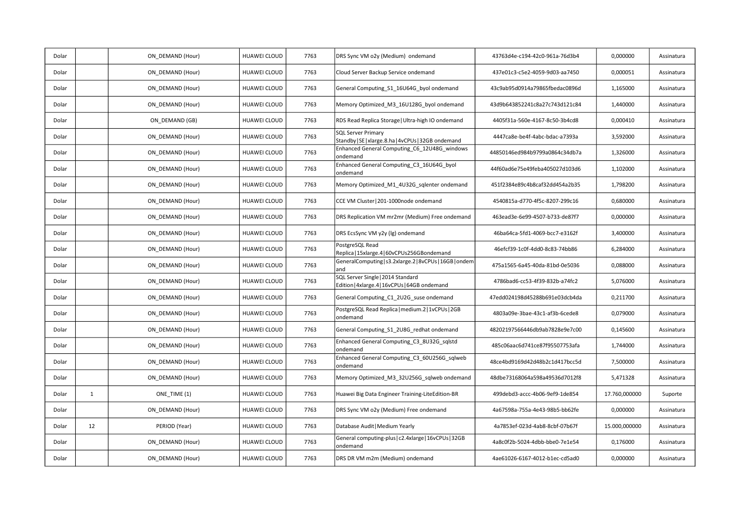| Dolar |              | ON DEMAND (Hour) | HUAWEI CLOUD        | 7763 | DRS Sync VM o2y (Medium) ondemand                                                  | 43763d4e-c194-42c0-961a-76d3b4 | 0,000000      | Assinatura |
|-------|--------------|------------------|---------------------|------|------------------------------------------------------------------------------------|--------------------------------|---------------|------------|
| Dolar |              | ON DEMAND (Hour) | HUAWEI CLOUD        | 7763 | Cloud Server Backup Service ondemand                                               | 437e01c3-c5e2-4059-9d03-aa7450 | 0,000051      | Assinatura |
| Dolar |              | ON DEMAND (Hour) | HUAWEI CLOUD        | 7763 | General Computing S1 16U64G byol ondemand                                          | 43c9ab95d0914a79865fbedac0896d | 1,165000      | Assinatura |
| Dolar |              | ON DEMAND (Hour) | HUAWEI CLOUD        | 7763 | Memory Optimized_M3_16U128G_byol ondemand                                          | 43d9b643852241c8a27c743d121c84 | 1,440000      | Assinatura |
| Dolar |              | ON DEMAND (GB)   | HUAWEI CLOUD        | 7763 | RDS Read Replica Storage   Ultra-high IO ondemand                                  | 4405f31a-560e-4167-8c50-3b4cd8 | 0,000410      | Assinatura |
| Dolar |              | ON DEMAND (Hour) | HUAWEI CLOUD        | 7763 | <b>SQL Server Primary</b><br>Standby   SE   xlarge.8.ha   4vCPUs   32GB ondemand   | 4447ca8e-be4f-4abc-bdac-a7393a | 3,592000      | Assinatura |
| Dolar |              | ON DEMAND (Hour) | HUAWEI CLOUD        | 7763 | Enhanced General Computing_C6_12U48G_windows<br>ondemand                           | 44850146ed984b9799a0864c34db7a | 1,326000      | Assinatura |
| Dolar |              | ON_DEMAND (Hour) | HUAWEI CLOUD        | 7763 | Enhanced General Computing C3 16U64G byol<br>ondemand                              | 44f60ad6e75e49feba405027d103d6 | 1,102000      | Assinatura |
| Dolar |              | ON DEMAND (Hour) | HUAWEI CLOUD        | 7763 | Memory Optimized M1 4U32G sqlenter ondemand                                        | 451f2384e89c4b8caf32dd454a2b35 | 1,798200      | Assinatura |
| Dolar |              | ON DEMAND (Hour) | <b>HUAWEI CLOUD</b> | 7763 | CCE VM Cluster   201-1000node ondemand                                             | 4540815a-d770-4f5c-8207-299c16 | 0,680000      | Assinatura |
| Dolar |              | ON DEMAND (Hour) | HUAWEI CLOUD        | 7763 | DRS Replication VM mr2mr (Medium) Free ondemand                                    | 463ead3e-6e99-4507-b733-de87f7 | 0,000000      | Assinatura |
| Dolar |              | ON_DEMAND (Hour) | HUAWEI CLOUD        | 7763 | DRS EcsSync VM y2y (lg) ondemand                                                   | 46ba64ca-5fd1-4069-bcc7-e3162f | 3,400000      | Assinatura |
| Dolar |              | ON DEMAND (Hour) | HUAWEI CLOUD        | 7763 | PostgreSQL Read<br>Replica   15xlarge.4   60vCPUs256GBondemand                     | 46efcf39-1c0f-4dd0-8c83-74bb86 | 6,284000      | Assinatura |
| Dolar |              | ON DEMAND (Hour) | HUAWEI CLOUD        | 7763 | GeneralComputing   s3.2xlarge.2   8vCPUs   16GB   ondem<br>and                     | 475a1565-6a45-40da-81bd-0e5036 | 0,088000      | Assinatura |
| Dolar |              | ON_DEMAND (Hour) | HUAWEI CLOUD        | 7763 | SQL Server Single   2014 Standard<br>Edition   4xlarge.4   16vCPUs   64GB ondemand | 4786bad6-cc53-4f39-832b-a74fc2 | 5,076000      | Assinatura |
| Dolar |              | ON DEMAND (Hour) | <b>HUAWEI CLOUD</b> | 7763 | General Computing C1 2U2G suse ondemand                                            | 47edd024198d45288b691e03dcb4da | 0,211700      | Assinatura |
| Dolar |              | ON DEMAND (Hour) | <b>HUAWEI CLOUD</b> | 7763 | PostgreSQL Read Replica   medium.2   1vCPUs   2GB<br>ondemand                      | 4803a09e-3bae-43c1-af3b-6cede8 | 0,079000      | Assinatura |
| Dolar |              | ON DEMAND (Hour) | HUAWEI CLOUD        | 7763 | General Computing_S1_2U8G_redhat ondemand                                          | 48202197566446db9ab7828e9e7c00 | 0,145600      | Assinatura |
| Dolar |              | ON_DEMAND (Hour) | HUAWEI CLOUD        | 7763 | Enhanced General Computing C3 8U32G sqlstd<br>ondemand                             | 485c06aac6d741ce87f95507753afa | 1,744000      | Assinatura |
| Dolar |              | ON DEMAND (Hour) | <b>HUAWEI CLOUD</b> | 7763 | Enhanced General Computing_C3_60U256G_sqlweb<br>ondemand                           | 48ce4bd9169d42d48b2c1d417bcc5d | 7,500000      | Assinatura |
| Dolar |              | ON DEMAND (Hour) | HUAWEI CLOUD        | 7763 | Memory Optimized M3 32U256G sqlweb ondemand                                        | 48dbe73168064a598a49536d7012f8 | 5,471328      | Assinatura |
| Dolar | $\mathbf{1}$ | ONE TIME (1)     | HUAWEI CLOUD        | 7763 | Huawei Big Data Engineer Training-LiteEdition-BR                                   | 499debd3-accc-4b06-9ef9-1de854 | 17.760,000000 | Suporte    |
| Dolar |              | ON DEMAND (Hour) | HUAWEI CLOUD        | 7763 | DRS Sync VM o2y (Medium) Free ondemand                                             | 4a67598a-755a-4e43-98b5-bb62fe | 0,000000      | Assinatura |
| Dolar | 12           | PERIOD (Year)    | HUAWEI CLOUD        | 7763 | Database Audit   Medium Yearly                                                     | 4a7853ef-023d-4ab8-8cbf-07b67f | 15.000,000000 | Assinatura |
| Dolar |              | ON DEMAND (Hour) | HUAWEI CLOUD        | 7763 | General computing-plus   c2.4xlarge   16vCPUs   32GB<br>ondemand                   | 4a8c0f2b-5024-4dbb-bbe0-7e1e54 | 0,176000      | Assinatura |
| Dolar |              | ON DEMAND (Hour) | HUAWEI CLOUD        | 7763 | DRS DR VM m2m (Medium) ondemand                                                    | 4ae61026-6167-4012-b1ec-cd5ad0 | 0,000000      | Assinatura |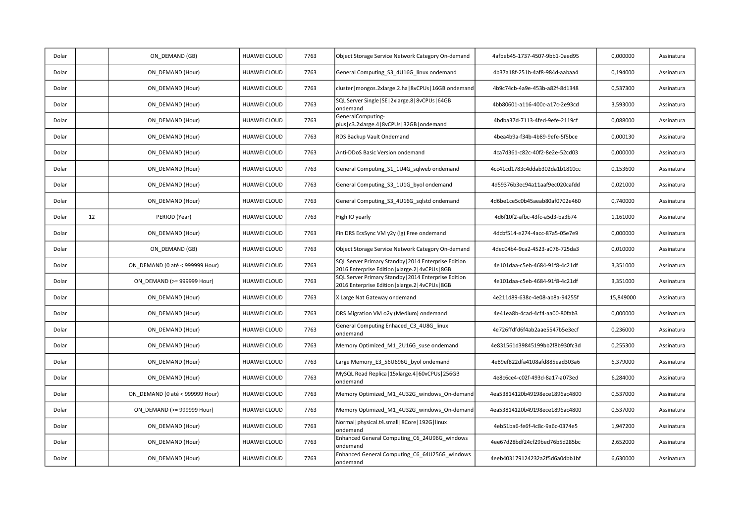| Dolar |    | ON DEMAND (GB)                  | HUAWEI CLOUD        | 7763 | Object Storage Service Network Category On-demand                                                         | 4afbeb45-1737-4507-9bb1-0aed95 | 0,000000  | Assinatura |
|-------|----|---------------------------------|---------------------|------|-----------------------------------------------------------------------------------------------------------|--------------------------------|-----------|------------|
| Dolar |    | ON DEMAND (Hour)                | HUAWEI CLOUD        | 7763 | General Computing S3 4U16G linux ondemand                                                                 | 4b37a18f-251b-4af8-984d-aabaa4 | 0,194000  | Assinatura |
| Dolar |    | ON DEMAND (Hour)                | HUAWEI CLOUD        | 7763 | cluster   mongos.2xlarge.2.ha   8vCPUs   16GB ondemand                                                    | 4b9c74cb-4a9e-453b-a82f-8d1348 | 0,537300  | Assinatura |
| Dolar |    | ON DEMAND (Hour)                | HUAWEI CLOUD        | 7763 | SQL Server Single   SE   2xlarge.8   8vCPUs   64GB<br>ondemand                                            | 4bb80601-a116-400c-a17c-2e93cd | 3,593000  | Assinatura |
| Dolar |    | ON DEMAND (Hour)                | HUAWEI CLOUD        | 7763 | GeneralComputing-<br>plus   c3.2xlarge.4   8vCPUs   32GB   ondemand                                       | 4bdba37d-7113-4fed-9efe-2119cf | 0,088000  | Assinatura |
| Dolar |    | ON DEMAND (Hour)                | HUAWEI CLOUD        | 7763 | RDS Backup Vault Ondemand                                                                                 | 4bea4b9a-f34b-4b89-9efe-5f5bce | 0,000130  | Assinatura |
| Dolar |    | ON DEMAND (Hour)                | HUAWEI CLOUD        | 7763 | Anti-DDoS Basic Version ondemand                                                                          | 4ca7d361-c82c-40f2-8e2e-52cd03 | 0,000000  | Assinatura |
| Dolar |    | ON DEMAND (Hour)                | HUAWEI CLOUD        | 7763 | General Computing_S1_1U4G_sqlweb ondemand                                                                 | 4cc41cd1783c4ddab302da1b1810cc | 0,153600  | Assinatura |
| Dolar |    | ON DEMAND (Hour)                | HUAWEI CLOUD        | 7763 | General Computing_S3_1U1G_byol ondemand                                                                   | 4d59376b3ec94a11aaf9ec020cafdd | 0,021000  | Assinatura |
| Dolar |    | ON DEMAND (Hour)                | HUAWEI CLOUD        | 7763 | General Computing S3 4U16G sqlstd ondemand                                                                | 4d6be1ce5c0b45aeab80af0702e460 | 0,740000  | Assinatura |
| Dolar | 12 | PERIOD (Year)                   | HUAWEI CLOUD        | 7763 | High IO yearly                                                                                            | 4d6f10f2-afbc-43fc-a5d3-ba3b74 | 1,161000  | Assinatura |
| Dolar |    | ON DEMAND (Hour)                | HUAWEI CLOUD        | 7763 | Fin DRS EcsSync VM y2y (lg) Free ondemand                                                                 | 4dcbf514-e274-4acc-87a5-05e7e9 | 0,000000  | Assinatura |
| Dolar |    | ON DEMAND (GB)                  | <b>HUAWEI CLOUD</b> | 7763 | Object Storage Service Network Category On-demand                                                         | 4dec04b4-9ca2-4523-a076-725da3 | 0,010000  | Assinatura |
| Dolar |    | ON DEMAND (0 até < 999999 Hour) | <b>HUAWEI CLOUD</b> | 7763 | SQL Server Primary Standby   2014 Enterprise Edition<br>2016 Enterprise Edition   xlarge.2   4vCPUs   8GB | 4e101daa-c5eb-4684-91f8-4c21df | 3,351000  | Assinatura |
| Dolar |    | ON DEMAND (>= 999999 Hour)      | <b>HUAWEI CLOUD</b> | 7763 | SQL Server Primary Standby   2014 Enterprise Edition<br>2016 Enterprise Edition   xlarge.2   4vCPUs   8GB | 4e101daa-c5eb-4684-91f8-4c21df | 3,351000  | Assinatura |
| Dolar |    | ON DEMAND (Hour)                | HUAWEI CLOUD        | 7763 | X Large Nat Gateway ondemand                                                                              | 4e211d89-638c-4e08-ab8a-94255f | 15,849000 | Assinatura |
| Dolar |    | ON DEMAND (Hour)                | <b>HUAWEI CLOUD</b> | 7763 | DRS Migration VM o2y (Medium) ondemand                                                                    | 4e41ea8b-4cad-4cf4-aa00-80fab3 | 0,000000  | Assinatura |
| Dolar |    | ON_DEMAND (Hour)                | <b>HUAWEI CLOUD</b> | 7763 | General Computing Enhaced_C3_4U8G_linux<br>ondemand                                                       | 4e726ffdfd6f4ab2aae5547b5e3ecf | 0,236000  | Assinatura |
| Dolar |    | ON DEMAND (Hour)                | HUAWEI CLOUD        | 7763 | Memory Optimized M1 2U16G suse ondemand                                                                   | 4e831561d39845199bb2f8b930fc3d | 0,255300  | Assinatura |
| Dolar |    | ON DEMAND (Hour)                | HUAWEI CLOUD        | 7763 | Large Memory_E3_56U696G_byol ondemand                                                                     | 4e89ef822dfa4108afd885ead303a6 | 6,379000  | Assinatura |
| Dolar |    | ON DEMAND (Hour)                | HUAWEI CLOUD        | 7763 | MySQL Read Replica   15xlarge.4   60vCPUs   256GB<br>ondemand                                             | 4e8c6ce4-c02f-493d-8a17-a073ed | 6,284000  | Assinatura |
| Dolar |    | ON_DEMAND (0 até < 999999 Hour) | <b>HUAWEI CLOUD</b> | 7763 | Memory Optimized_M1_4U32G_windows_On-demand                                                               | 4ea53814120b49198ece1896ac4800 | 0,537000  | Assinatura |
| Dolar |    | ON DEMAND (>= 999999 Hour)      | HUAWEI CLOUD        | 7763 | Memory Optimized M1 4U32G windows On-demand                                                               | 4ea53814120b49198ece1896ac4800 | 0,537000  | Assinatura |
| Dolar |    | ON DEMAND (Hour)                | HUAWEI CLOUD        | 7763 | Normal   physical.t4.small   8Core   192G   linux<br>ondemand                                             | 4eb51ba6-fe6f-4c8c-9a6c-0374e5 | 1,947200  | Assinatura |
| Dolar |    | ON DEMAND (Hour)                | <b>HUAWEI CLOUD</b> | 7763 | Enhanced General Computing_C6_24U96G_windows<br>ondemand                                                  | 4ee67d28bdf24cf29bed76b5d285bc | 2,652000  | Assinatura |
| Dolar |    | ON DEMAND (Hour)                | HUAWEI CLOUD        | 7763 | Enhanced General Computing_C6_64U256G_windows<br>ondemand                                                 | 4eeb403179124232a2f5d6a0dbb1bf | 6,630000  | Assinatura |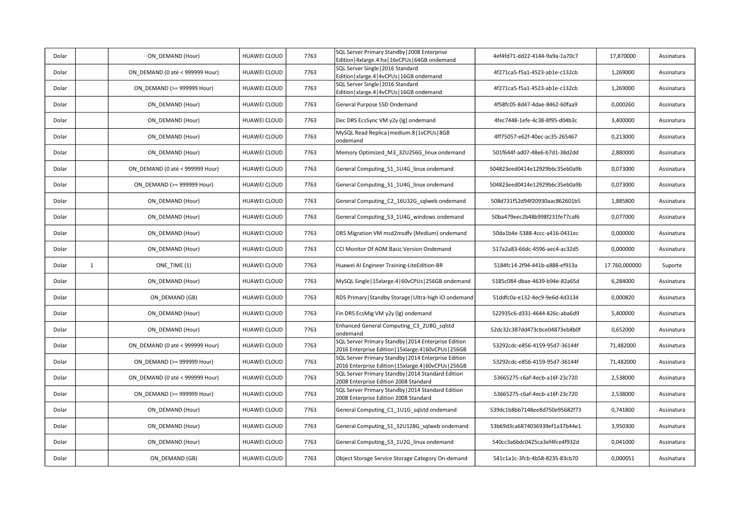| Dolar |              | ON DEMAND (Hour)                | HUAWEI CLOUD        | 7763 | SQL Server Primary Standby   2008 Enterprise<br>Edition   4xlarge.4.ha   16vCPUs   64GB ondemand               | 4ef4fd71-dd22-4144-9a9a-1a70c7 | 17,870000     | Assinatura |
|-------|--------------|---------------------------------|---------------------|------|----------------------------------------------------------------------------------------------------------------|--------------------------------|---------------|------------|
| Dolar |              | ON DEMAND (0 até < 999999 Hour) | <b>HUAWEI CLOUD</b> | 7763 | SQL Server Single   2016 Standard<br>Edition   xlarge.4   4vCPUs   16GB ondemand                               | 4f271ca5-f5a1-4523-ab1e-c132cb | 1,269000      | Assinatura |
| Dolar |              | ON DEMAND (>= 999999 Hour)      | HUAWEI CLOUD        | 7763 | SQL Server Single   2016 Standard<br>Edition   xlarge.4   4vCPUs   16GB ondemand                               | 4f271ca5-f5a1-4523-ab1e-c132cb | 1,269000      | Assinatura |
| Dolar |              | ON DEMAND (Hour)                | HUAWEI CLOUD        | 7763 | General Purpose SSD Ondemand                                                                                   | 4f58fc05-8d47-4dae-8462-60faa9 | 0,000260      | Assinatura |
| Dolar |              | ON DEMAND (Hour)                | HUAWEI CLOUD        | 7763 | Dec DRS EcsSync VM y2y (lg) ondemand                                                                           | 4fec7448-1efe-4c38-8f95-d04b3c | 3,400000      | Assinatura |
| Dolar |              | ON DEMAND (Hour)                | HUAWEI CLOUD        | 7763 | MySQL Read Replica   medium.8   1vCPUs   8GB<br>ondemand                                                       | 4ff75057-e62f-40ec-ac35-265467 | 0,213000      | Assinatura |
| Dolar |              | ON DEMAND (Hour)                | HUAWEI CLOUD        | 7763 | Memory Optimized M3 32U256G linux ondemand                                                                     | 501f644f-ad07-48e6-b7d1-38d2dd | 2,880000      | Assinatura |
| Dolar |              | ON DEMAND (0 até < 999999 Hour) | <b>HUAWEI CLOUD</b> | 7763 | General Computing S1 1U4G linux ondemand                                                                       | 504823eed0414e12929b6c35eb0a9b | 0,073000      | Assinatura |
| Dolar |              | ON DEMAND (>= 999999 Hour)      | HUAWEI CLOUD        | 7763 | General Computing S1 1U4G linux ondemand                                                                       | 504823eed0414e12929b6c35eb0a9b | 0,073000      | Assinatura |
| Dolar |              | ON DEMAND (Hour)                | HUAWEI CLOUD        | 7763 | General Computing C2 16U32G sqlweb ondemand                                                                    | 508d731f52d94f20930aac862601b5 | 1,885800      | Assinatura |
| Dolar |              | ON DEMAND (Hour)                | HUAWEI CLOUD        | 7763 | General Computing_S3_1U4G_windows ondemand                                                                     | 50ba479eec2b48b998f231fe77caf6 | 0,077000      | Assinatura |
| Dolar |              | ON DEMAND (Hour)                | HUAWEI CLOUD        | 7763 | DRS Migration VM msd2msdfv (Medium) ondemand                                                                   | 50da1b4e-5388-4ccc-a416-0431ec | 0,000000      | Assinatura |
| Dolar |              | ON DEMAND (Hour)                | HUAWEI CLOUD        | 7763 | CCI Monitor Of AOM Basic Version Ondemand                                                                      | 517a2a83-66dc-4596-aec4-ac32d5 | 0,000000      | Assinatura |
|       |              |                                 |                     |      |                                                                                                                |                                |               |            |
| Dolar | $\mathbf{1}$ | ONE TIME (1)                    | HUAWEI CLOUD        | 7763 | Huawei AI Engineer Training-LiteEdition-BR                                                                     | 5184fc14-2f94-441b-a888-ef913a | 17.760,000000 | Suporte    |
| Dolar |              | ON_DEMAND (Hour)                | HUAWEI CLOUD        | 7763 | MySQL Single   15xlarge.4   60vCPUs   256GB ondemand                                                           | 5185c084-dbae-4639-b94e-82a65d | 6,284000      | Assinatura |
| Dolar |              | ON DEMAND (GB)                  | <b>HUAWEI CLOUD</b> | 7763 | RDS Primary   Standby Storage   Ultra-high IO ondemand                                                         | 51ddfc0a-e132-4ec9-9e6d-4d3134 | 0,000820      | Assinatura |
| Dolar |              | ON DEMAND (Hour)                | HUAWEI CLOUD        | 7763 | Fin DRS EcsMig VM y2y (lg) ondemand                                                                            | 522935c6-d331-4644-826c-aba6d9 | 5,400000      | Assinatura |
| Dolar |              | ON DEMAND (Hour)                | HUAWEI CLOUD        | 7763 | Enhanced General Computing C3 2U8G sqlstd<br>ondemand                                                          | 52dc32c387dd473cbce04873eb8b0f | 0,652000      | Assinatura |
| Dolar |              | ON DEMAND (0 até < 999999 Hour) | HUAWEI CLOUD        | 7763 | SQL Server Primary Standby   2014 Enterprise Edition<br>2016 Enterprise Edition   15xlarge.4   60vCPUs   256GB | 53292cdc-e856-4159-95d7-36144f | 71,482000     | Assinatura |
| Dolar |              | ON DEMAND (>= 999999 Hour)      | HUAWEI CLOUD        | 7763 | SQL Server Primary Standby   2014 Enterprise Edition<br>2016 Enterprise Edition   15xlarge.4   60vCPUs   256GB | 53292cdc-e856-4159-95d7-36144f | 71,482000     | Assinatura |
| Dolar |              | ON DEMAND (0 até < 999999 Hour) | <b>HUAWEI CLOUD</b> | 7763 | SQL Server Primary Standby   2014 Standard Edition<br>2008 Enterprise Edition 2008 Standard                    | 53665275-c6af-4ecb-a16f-23c720 | 2,538000      | Assinatura |
| Dolar |              | ON DEMAND (>= 999999 Hour)      | HUAWEI CLOUD        | 7763 | SQL Server Primary Standby   2014 Standard Edition<br>2008 Enterprise Edition 2008 Standard                    | 53665275-c6af-4ecb-a16f-23c720 | 2,538000      | Assinatura |
| Dolar |              | ON DEMAND (Hour)                | HUAWEI CLOUD        | 7763 | General Computing C1 1U1G sqlstd ondemand                                                                      | 539dc1b8bb7148ee8d750e95682f73 | 0,741800      | Assinatura |
| Dolar |              | ON DEMAND (Hour)                | HUAWEI CLOUD        | 7763 | General Computing S1 32U128G sqlweb ondemand                                                                   | 53b69d3ca6874036939ef1a37b44e1 | 3,950300      | Assinatura |
| Dolar |              | ON DEMAND (Hour)                | HUAWEI CLOUD        | 7763 | General Computing_S3_1U2G_linux ondemand                                                                       | 540cc3a6bdc0425ca3ef4fce4f932d | 0,041000      | Assinatura |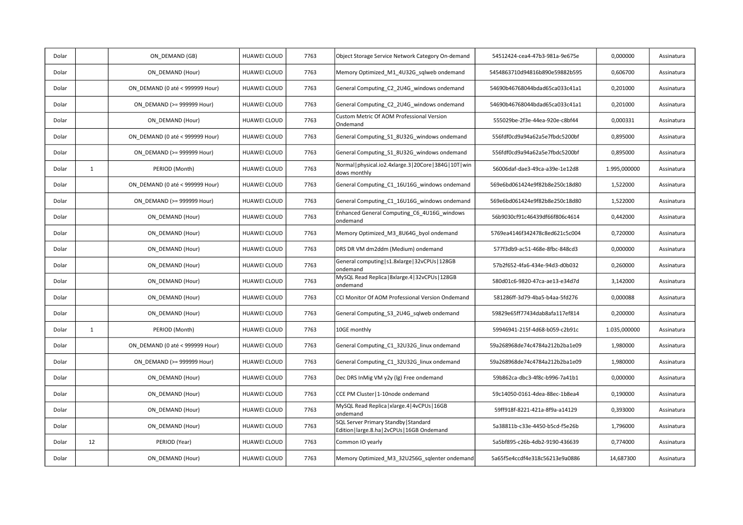| Dolar |              | ON DEMAND (GB)                  | <b>HUAWEI CLOUD</b> | 7763 | Object Storage Service Network Category On-demand                                      | 54512424-cea4-47b3-981a-9e675e | 0,000000     | Assinatura |
|-------|--------------|---------------------------------|---------------------|------|----------------------------------------------------------------------------------------|--------------------------------|--------------|------------|
| Dolar |              | ON DEMAND (Hour)                | HUAWEI CLOUD        | 7763 | Memory Optimized M1 4U32G sqlweb ondemand                                              | 5454863710d94816b890e59882b595 | 0,606700     | Assinatura |
| Dolar |              | ON DEMAND (0 até < 999999 Hour) | <b>HUAWEI CLOUD</b> | 7763 | General Computing C2 2U4G windows ondemand                                             | 54690b46768044bdad65ca033c41a1 | 0,201000     | Assinatura |
| Dolar |              | ON DEMAND (>= 999999 Hour)      | HUAWEI CLOUD        | 7763 | General Computing_C2_2U4G_windows ondemand                                             | 54690b46768044bdad65ca033c41a1 | 0,201000     | Assinatura |
| Dolar |              | ON DEMAND (Hour)                | <b>HUAWEI CLOUD</b> | 7763 | Custom Metric Of AOM Professional Version<br>Ondemand                                  | 555029be-2f3e-44ea-920e-c8bf44 | 0,000331     | Assinatura |
| Dolar |              | ON DEMAND (0 até < 999999 Hour) | <b>HUAWEI CLOUD</b> | 7763 | General Computing S1 8U32G windows ondemand                                            | 556fdf0cd9a94a62a5e7fbdc5200bf | 0,895000     | Assinatura |
| Dolar |              | ON DEMAND (>= 999999 Hour)      | <b>HUAWEI CLOUD</b> | 7763 | General Computing S1 8U32G windows ondemand                                            | 556fdf0cd9a94a62a5e7fbdc5200bf | 0,895000     | Assinatura |
| Dolar | $\mathbf{1}$ | PERIOD (Month)                  | <b>HUAWEI CLOUD</b> | 7763 | Normal   physical.io2.4xlarge.3   20Core   384G   10T   win<br>dows monthly            | 56006daf-dae3-49ca-a39e-1e12d8 | 1.995,000000 | Assinatura |
| Dolar |              | ON DEMAND (0 até < 999999 Hour) | <b>HUAWEI CLOUD</b> | 7763 | General Computing C1 16U16G windows ondemand                                           | 569e6bd061424e9f82b8e250c18d80 | 1,522000     | Assinatura |
| Dolar |              | ON DEMAND (>= 999999 Hour)      | HUAWEI CLOUD        | 7763 | General Computing C1 16U16G windows ondemand                                           | 569e6bd061424e9f82b8e250c18d80 | 1,522000     | Assinatura |
| Dolar |              | ON DEMAND (Hour)                | HUAWEI CLOUD        | 7763 | Enhanced General Computing C6 4U16G windows<br>ondemand                                | 56b9030cf91c46439df66f806c4614 | 0,442000     | Assinatura |
| Dolar |              | ON DEMAND (Hour)                | HUAWEI CLOUD        | 7763 | Memory Optimized_M3_8U64G_byol ondemand                                                | 5769ea4146f342478c8ed621c5c004 | 0,720000     | Assinatura |
| Dolar |              | ON DEMAND (Hour)                | HUAWEI CLOUD        | 7763 | DRS DR VM dm2ddm (Medium) ondemand                                                     | 577f3db9-ac51-468e-8fbc-848cd3 | 0,000000     | Assinatura |
| Dolar |              | ON DEMAND (Hour)                | HUAWEI CLOUD        | 7763 | General computing   s1.8xlarge   32vCPUs   128GB<br>ondemand                           | 57b2f652-4fa6-434e-94d3-d0b032 | 0,260000     | Assinatura |
| Dolar |              | ON DEMAND (Hour)                | HUAWEI CLOUD        | 7763 | MySQL Read Replica   8xlarge.4   32vCPUs   128GB<br>ondemand                           | 580d01c6-9820-47ca-ae13-e34d7d | 3,142000     | Assinatura |
| Dolar |              | ON DEMAND (Hour)                | HUAWEI CLOUD        | 7763 | CCI Monitor Of AOM Professional Version Ondemand                                       | 581286ff-3d79-4ba5-b4aa-5fd276 | 0,000088     | Assinatura |
| Dolar |              | ON DEMAND (Hour)                | HUAWEI CLOUD        | 7763 | General Computing_S3_2U4G_sqlweb ondemand                                              | 59829e65ff77434dab8afa117ef814 | 0,200000     | Assinatura |
| Dolar | $\mathbf{1}$ | PERIOD (Month)                  | <b>HUAWEI CLOUD</b> | 7763 | 10GE monthly                                                                           | 59946941-215f-4d68-b059-c2b91c | 1.035,000000 | Assinatura |
| Dolar |              | ON_DEMAND (0 até < 999999 Hour) | HUAWEI CLOUD        | 7763 | General Computing_C1_32U32G_linux ondemand                                             | 59a268968de74c4784a212b2ba1e09 | 1,980000     | Assinatura |
| Dolar |              | ON DEMAND (>= 999999 Hour)      | HUAWEI CLOUD        | 7763 | General Computing C1 32U32G linux ondemand                                             | 59a268968de74c4784a212b2ba1e09 | 1,980000     | Assinatura |
| Dolar |              | ON DEMAND (Hour)                | HUAWEI CLOUD        | 7763 | Dec DRS InMig VM y2y (lg) Free ondemand                                                | 59b862ca-dbc3-4f8c-b996-7a41b1 | 0,000000     | Assinatura |
| Dolar |              | ON DEMAND (Hour)                | HUAWEI CLOUD        | 7763 | CCE PM Cluster   1-10node ondemand                                                     | 59c14050-0161-4dea-88ec-1b8ea4 | 0,190000     | Assinatura |
| Dolar |              | ON_DEMAND (Hour)                | <b>HUAWEI CLOUD</b> | 7763 | MySQL Read Replica   xlarge.4   4vCPUs   16GB<br>ondemand                              | 59ff918f-8221-421a-8f9a-a14129 | 0,393000     | Assinatura |
| Dolar |              | ON DEMAND (Hour)                | HUAWEI CLOUD        | 7763 | SQL Server Primary Standby   Standard<br>Edition   large.8.ha   2vCPUs   16GB Ondemand | 5a38811b-c33e-4450-b5cd-f5e26b | 1,796000     | Assinatura |
| Dolar | 12           | PERIOD (Year)                   | HUAWEI CLOUD        | 7763 | Common IO yearly                                                                       | 5a5bf895-c26b-4db2-9190-436639 | 0,774000     | Assinatura |
| Dolar |              | ON DEMAND (Hour)                | HUAWEI CLOUD        | 7763 | Memory Optimized_M3_32U256G_sqlenter ondemand                                          | 5a65f5e4ccdf4e318c56213e9a0886 | 14,687300    | Assinatura |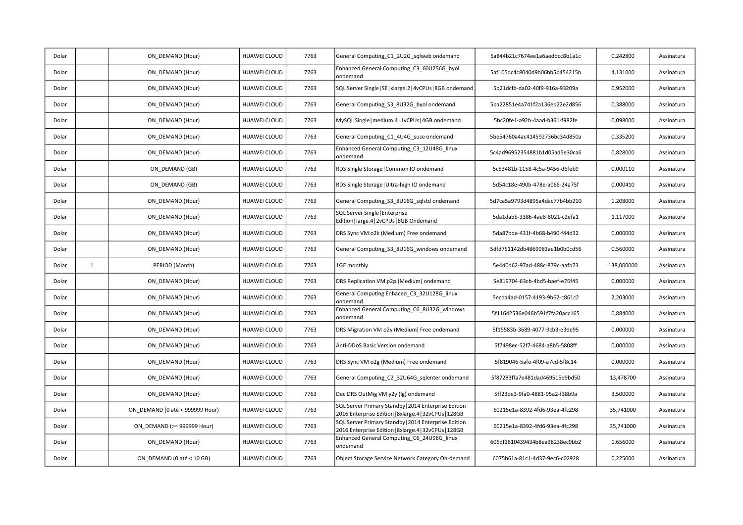| Dolar |              | ON DEMAND (Hour)                | HUAWEI CLOUD        | 7763 | General Computing_C1_2U2G_sqlweb ondemand                                                                     | 5a844b21c7674ee1a6aedbcc8b1a1c | 0,242800   | Assinatura |
|-------|--------------|---------------------------------|---------------------|------|---------------------------------------------------------------------------------------------------------------|--------------------------------|------------|------------|
| Dolar |              | ON DEMAND (Hour)                | HUAWEI CLOUD        | 7763 | Enhanced General Computing_C3_60U256G_byol<br>ondemand                                                        | 5af105dc4c8040d9b06bb5b454215b | 4,131000   | Assinatura |
| Dolar |              | ON DEMAND (Hour)                | HUAWEI CLOUD        | 7763 | SQL Server Single   SE   xlarge.2   4vCPUs   8GB ondemand                                                     | 5b21dcfb-da02-40f9-916a-93209a | 0,952000   | Assinatura |
| Dolar |              | ON DEMAND (Hour)                | HUAWEI CLOUD        | 7763 | General Computing_S3_8U32G_byol ondemand                                                                      | 5ba22851e4a741f2a136eb22e2d856 | 0,388000   | Assinatura |
| Dolar |              | ON DEMAND (Hour)                | <b>HUAWEI CLOUD</b> | 7763 | MySQL Single   medium.4   1vCPUs   4GB ondemand                                                               | 5bc20fe1-a92b-4aad-b361-f982fe | 0,098000   | Assinatura |
| Dolar |              | ON DEMAND (Hour)                | <b>HUAWEI CLOUD</b> | 7763 | General Computing C1 4U4G suse ondemand                                                                       | 5be54760a4ac414592736bc34d850a | 0,335200   | Assinatura |
| Dolar |              | ON_DEMAND (Hour)                | HUAWEI CLOUD        | 7763 | Enhanced General Computing C3 12U48G linux<br>ondemand                                                        | 5c4ad96952354881b1d05ad5e30ca6 | 0,828000   | Assinatura |
| Dolar |              | ON DEMAND (GB)                  | <b>HUAWEI CLOUD</b> | 7763 | RDS Single Storage   Common IO ondemand                                                                       | 5c53481b-1158-4c5a-9456-d6feb9 | 0,000110   | Assinatura |
| Dolar |              | ON DEMAND (GB)                  | <b>HUAWEI CLOUD</b> | 7763 | RDS Single Storage   Ultra-high IO ondemand                                                                   | 5d54c18e-490b-478e-a066-24a75f | 0,000410   | Assinatura |
| Dolar |              | ON DEMAND (Hour)                | <b>HUAWEI CLOUD</b> | 7763 | General Computing_S3_8U16G_sqlstd ondemand                                                                    | 5d7ca5a9793d4895a4dac77b4bb210 | 1,208000   | Assinatura |
| Dolar |              | ON DEMAND (Hour)                | HUAWEI CLOUD        | 7763 | SQL Server Single   Enterprise<br>Edition   large.4   2vCPUs   8GB Ondemand                                   | 5da1dabb-3386-4ae8-8021-c2efa1 | 1,117000   | Assinatura |
| Dolar |              | ON DEMAND (Hour)                | <b>HUAWEI CLOUD</b> | 7763 | DRS Sync VM o2k (Medium) Free ondemand                                                                        | 5da87bde-431f-4b68-b490-f44d32 | 0,000000   | Assinatura |
| Dolar |              | ON DEMAND (Hour)                | HUAWEI CLOUD        | 7763 | General Computing S3 8U16G windows ondemand                                                                   | 5dfd751142db4869983ae1b0b0cd56 | 0,560000   | Assinatura |
| Dolar | $\mathbf{1}$ | PERIOD (Month)                  | <b>HUAWEI CLOUD</b> | 7763 | 1GE monthly                                                                                                   | 5e4d0d62-97ad-488c-879c-aafb73 | 138,000000 | Assinatura |
| Dolar |              | ON DEMAND (Hour)                | HUAWEI CLOUD        | 7763 | DRS Replication VM p2p (Medium) ondemand                                                                      | 5e819704-63cb-4bd5-baef-e76f45 | 0,000000   | Assinatura |
| Dolar |              | ON DEMAND (Hour)                | HUAWEI CLOUD        | 7763 | General Computing Enhaced C3 32U128G linux<br>ondemand                                                        | 5ecda4ad-0157-4193-9b62-c861c2 | 2,203000   | Assinatura |
| Dolar |              | ON_DEMAND (Hour)                | HUAWEI CLOUD        |      | Enhanced General Computing_C6_8U32G_windows                                                                   |                                |            |            |
| Dolar |              |                                 |                     | 7763 | ondemand                                                                                                      | 5f11642536e046b591f7fa20acc165 | 0,884000   | Assinatura |
|       |              | ON DEMAND (Hour)                | <b>HUAWEI CLOUD</b> | 7763 | DRS Migration VM o2y (Medium) Free ondemand                                                                   | 5f15583b-3689-4077-9cb3-e3de95 | 0,000000   | Assinatura |
| Dolar |              | ON DEMAND (Hour)                | HUAWEI CLOUD        | 7763 | Anti-DDoS Basic Version ondemand                                                                              | 5f7498ec-52f7-4684-a8b5-5808ff | 0,000000   | Assinatura |
| Dolar |              | ON DEMAND (Hour)                | HUAWEI CLOUD        | 7763 | DRS Sync VM o2g (Medium) Free ondemand                                                                        | 5f819046-5afe-4f09-a7cd-5f8c14 | 0,000000   | Assinatura |
| Dolar |              | ON DEMAND (Hour)                | HUAWEI CLOUD        | 7763 | General Computing C2 32U64G sqlenter ondemand                                                                 | 5f87283ffa7e481dad469515d9bd50 | 13,478700  | Assinatura |
| Dolar |              | ON DEMAND (Hour)                | HUAWEI CLOUD        | 7763 | Dec DRS OutMig VM y2y (lg) ondemand                                                                           | 5ff23de3-9fa0-4881-95a2-f38b9a | 3,500000   | Assinatura |
| Dolar |              | ON DEMAND (0 até < 999999 Hour) | <b>HUAWEI CLOUD</b> | 7763 | SQL Server Primary Standby   2014 Enterprise Edition<br>2016 Enterprise Edition   8xlarge.4   32vCPUs   128GB | 60215e1a-8392-4fd6-93ea-4fc298 | 35,741000  | Assinatura |
| Dolar |              | ON DEMAND (>= 999999 Hour)      | <b>HUAWEI CLOUD</b> | 7763 | SQL Server Primary Standby   2014 Enterprise Edition<br>2016 Enterprise Edition   8xlarge.4   32vCPUs   128GB | 60215e1a-8392-4fd6-93ea-4fc298 | 35,741000  | Assinatura |
| Dolar |              | ON DEMAND (Hour)                | HUAWEI CLOUD        | 7763 | Enhanced General Computing C6 24U96G linux<br>ondemand                                                        | 606df1610439434b8ea38238ec9bb2 | 1,656000   | Assinatura |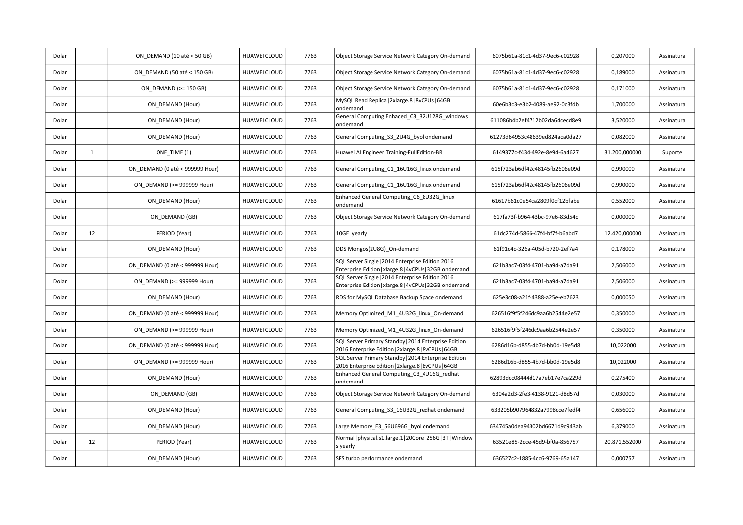| Dolar |              | ON DEMAND (10 até < 50 GB)      | HUAWEI CLOUD        | 7763 | Object Storage Service Network Category On-demand                                                           | 6075b61a-81c1-4d37-9ec6-c02928 | 0,207000      | Assinatura |
|-------|--------------|---------------------------------|---------------------|------|-------------------------------------------------------------------------------------------------------------|--------------------------------|---------------|------------|
| Dolar |              | ON DEMAND (50 até < 150 GB)     | HUAWEI CLOUD        | 7763 | Object Storage Service Network Category On-demand                                                           | 6075b61a-81c1-4d37-9ec6-c02928 | 0,189000      | Assinatura |
| Dolar |              | ON DEMAND (>= 150 GB)           | <b>HUAWEI CLOUD</b> | 7763 | Object Storage Service Network Category On-demand                                                           | 6075b61a-81c1-4d37-9ec6-c02928 | 0,171000      | Assinatura |
| Dolar |              | ON DEMAND (Hour)                | HUAWEI CLOUD        | 7763 | MySQL Read Replica   2xlarge.8   8vCPUs   64GB<br>ondemand                                                  | 60e6b3c3-e3b2-4089-ae92-0c3fdb | 1,700000      | Assinatura |
| Dolar |              | ON DEMAND (Hour)                | HUAWEI CLOUD        | 7763 | General Computing Enhaced C3 32U128G windows<br>ondemand                                                    | 611086b4b2ef4712b02da64cecd8e9 | 3,520000      | Assinatura |
| Dolar |              | ON DEMAND (Hour)                | HUAWEI CLOUD        | 7763 | General Computing_S3_2U4G_byol ondemand                                                                     | 61273d64953c48639ed824aca0da27 | 0,082000      | Assinatura |
| Dolar | $\mathbf{1}$ | ONE TIME (1)                    | HUAWEI CLOUD        | 7763 | Huawei AI Engineer Training-FullEdition-BR                                                                  | 6149377c-f434-492e-8e94-6a4627 | 31.200,000000 | Suporte    |
| Dolar |              | ON DEMAND (0 até < 999999 Hour) | <b>HUAWEI CLOUD</b> | 7763 | General Computing C1 16U16G linux ondemand                                                                  | 615f723ab6df42c48145fb2606e09d | 0,990000      | Assinatura |
| Dolar |              | ON DEMAND (>= 999999 Hour)      | HUAWEI CLOUD        | 7763 | General Computing_C1_16U16G_linux ondemand                                                                  | 615f723ab6df42c48145fb2606e09d | 0,990000      | Assinatura |
| Dolar |              | ON_DEMAND (Hour)                | HUAWEI CLOUD        | 7763 | Enhanced General Computing C6 8U32G linux<br>ondemand                                                       | 61617b61c0e54ca2809f0cf12bfabe | 0,552000      | Assinatura |
| Dolar |              | ON DEMAND (GB)                  | <b>HUAWEI CLOUD</b> | 7763 | Object Storage Service Network Category On-demand                                                           | 617fa73f-b964-43bc-97e6-83d54c | 0,000000      | Assinatura |
| Dolar | 12           | PERIOD (Year)                   | HUAWEI CLOUD        | 7763 | 10GE yearly                                                                                                 | 61dc274d-5866-47f4-bf7f-b6abd7 | 12.420,000000 | Assinatura |
| Dolar |              | ON DEMAND (Hour)                | HUAWEI CLOUD        | 7763 | DDS Mongos(2U8G) On-demand                                                                                  | 61f91c4c-326a-405d-b720-2ef7a4 | 0,178000      | Assinatura |
| Dolar |              | ON DEMAND (0 até < 999999 Hour) | <b>HUAWEI CLOUD</b> | 7763 | SQL Server Single   2014 Enterprise Edition 2016<br>Enterprise Edition   xlarge.8   4vCPUs   32GB ondemand  | 621b3ac7-03f4-4701-ba94-a7da91 | 2,506000      | Assinatura |
| Dolar |              | ON DEMAND (>= 999999 Hour)      | HUAWEI CLOUD        | 7763 | SQL Server Single   2014 Enterprise Edition 2016<br>Enterprise Edition   xlarge.8   4vCPUs   32GB ondemand  | 621b3ac7-03f4-4701-ba94-a7da91 | 2,506000      | Assinatura |
| Dolar |              | ON DEMAND (Hour)                | HUAWEI CLOUD        | 7763 | RDS for MySQL Database Backup Space ondemand                                                                | 625e3c08-a21f-4388-a25e-eb7623 | 0,000050      | Assinatura |
| Dolar |              | ON DEMAND (0 até < 999999 Hour) | <b>HUAWEI CLOUD</b> | 7763 | Memory Optimized_M1_4U32G_linux_On-demand                                                                   | 626516f9f5f246dc9aa6b2544e2e57 | 0,350000      | Assinatura |
| Dolar |              | ON DEMAND (>= 999999 Hour)      | HUAWEI CLOUD        | 7763 | Memory Optimized_M1_4U32G_linux_On-demand                                                                   | 626516f9f5f246dc9aa6b2544e2e57 | 0,350000      | Assinatura |
| Dolar |              | ON DEMAND (0 até < 999999 Hour) | <b>HUAWEI CLOUD</b> | 7763 | SQL Server Primary Standby   2014 Enterprise Edition<br>2016 Enterprise Edition   2xlarge.8   8vCPUs   64GB | 6286d16b-d855-4b7d-bb0d-19e5d8 | 10,022000     | Assinatura |
| Dolar |              | ON DEMAND (>= 999999 Hour)      | HUAWEI CLOUD        | 7763 | SQL Server Primary Standby   2014 Enterprise Edition<br>2016 Enterprise Edition   2xlarge.8   8vCPUs   64GB | 6286d16b-d855-4b7d-bb0d-19e5d8 | 10,022000     | Assinatura |
| Dolar |              | ON DEMAND (Hour)                | HUAWEI CLOUD        | 7763 | Enhanced General Computing C3 4U16G redhat<br>ondemand                                                      | 62893dcc08444d17a7eb17e7ca229d | 0,275400      | Assinatura |
| Dolar |              | ON_DEMAND (GB)                  | <b>HUAWEI CLOUD</b> | 7763 | Object Storage Service Network Category On-demand                                                           | 6304a2d3-2fe3-4138-9121-d8d57d | 0.030000      | Assinatura |
| Dolar |              | ON DEMAND (Hour)                | HUAWEI CLOUD        | 7763 | General Computing S3 16U32G redhat ondemand                                                                 | 633205b907964832a7998cce7fedf4 | 0,656000      | Assinatura |
| Dolar |              | ON DEMAND (Hour)                | HUAWEI CLOUD        | 7763 | Large Memory E3 56U696G byol ondemand                                                                       | 634745a0dea94302bd6671d9c943ab | 6,379000      | Assinatura |
| Dolar | 12           | PERIOD (Year)                   | HUAWEI CLOUD        | 7763 | Normal   physical.s1.large.1   20Core   256G   3T   Window<br>s yearly                                      | 63521e85-2cce-45d9-bf0a-856757 | 20.871,552000 | Assinatura |
| Dolar |              | ON DEMAND (Hour)                | <b>HUAWEI CLOUD</b> | 7763 | SFS turbo performance ondemand                                                                              | 636527c2-1885-4cc6-9769-65a147 | 0,000757      | Assinatura |
|       |              |                                 |                     |      |                                                                                                             |                                |               |            |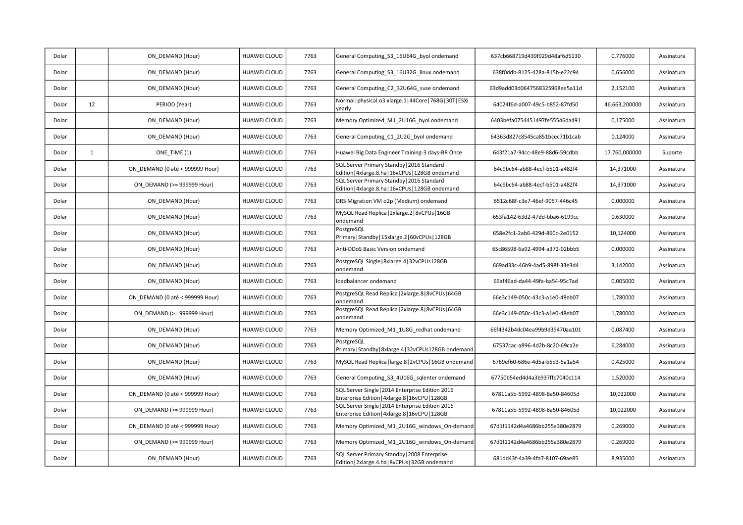| Dolar |              | ON DEMAND (Hour)                | HUAWEI CLOUD        | 7763 | General Computing_S3_16U64G_byol ondemand                                                           | 637cb668719d439f929d48af6d5130 | 0,776000      | Assinatura |
|-------|--------------|---------------------------------|---------------------|------|-----------------------------------------------------------------------------------------------------|--------------------------------|---------------|------------|
| Dolar |              | ON DEMAND (Hour)                | HUAWEI CLOUD        | 7763 | General Computing S3 16U32G linux ondemand                                                          | 638f0ddb-8125-428a-815b-e22c94 | 0,656000      | Assinatura |
| Dolar |              | ON DEMAND (Hour)                | HUAWEI CLOUD        | 7763 | General Computing C2 32U64G suse ondemand                                                           | 63d9add03d0647568325968ee5a11d | 2,152100      | Assinatura |
| Dolar | 12           | PERIOD (Year)                   | <b>HUAWEI CLOUD</b> | 7763 | Normal   physical.o3.xlarge.1   44Core   768G   30T   ESXi<br>yearly                                | 64024f6d-a007-49c5-b852-87fd50 | 46.663,200000 | Assinatura |
| Dolar |              | ON DEMAND (Hour)                | HUAWEI CLOUD        | 7763 | Memory Optimized M1 2U16G byol ondemand                                                             | 6403befa0754451497fe55546da491 | 0,175000      | Assinatura |
| Dolar |              | ON DEMAND (Hour)                | HUAWEI CLOUD        | 7763 | General Computing C1 2U2G byol ondemand                                                             | 64363d827c8545ca851bcec71b1cab | 0,124000      | Assinatura |
| Dolar | $\mathbf{1}$ | ONE TIME (1)                    | HUAWEI CLOUD        | 7763 | Huawei Big Data Engineer Training-3 days-BR Once                                                    | 643f21a7-94cc-48e9-88d6-59cdbb | 17.760,000000 | Suporte    |
| Dolar |              | ON_DEMAND (0 até < 999999 Hour) | <b>HUAWEI CLOUD</b> | 7763 | SQL Server Primary Standby   2016 Standard<br>Edition   4xlarge.8.ha   16vCPUs   128GB ondemand     | 64c9bc64-ab88-4ecf-b501-a482f4 | 14,371000     | Assinatura |
| Dolar |              | ON DEMAND (>= 999999 Hour)      | HUAWEI CLOUD        | 7763 | SQL Server Primary Standby   2016 Standard<br>Edition   4xlarge.8.ha   16vCPUs   128GB ondemand     | 64c9bc64-ab88-4ecf-b501-a482f4 | 14,371000     | Assinatura |
| Dolar |              | ON DEMAND (Hour)                | HUAWEI CLOUD        | 7763 | DRS Migration VM o2p (Medium) ondemand                                                              | 6512c68f-c3e7-46ef-9057-446c45 | 0,000000      | Assinatura |
| Dolar |              | ON DEMAND (Hour)                | HUAWEI CLOUD        | 7763 | MySQL Read Replica   2xlarge.2   8vCPUs   16GB<br>ondemand                                          | 653fa142-63d2-47dd-bba6-6199cc | 0,630000      | Assinatura |
| Dolar |              | ON_DEMAND (Hour)                | <b>HUAWEI CLOUD</b> | 7763 | PostgreSQL<br>Primary   Standby   15xlarge.2   60vCPUs   128GB                                      | 658e2fc1-2ab6-429d-860c-2e0152 | 10,124000     | Assinatura |
| Dolar |              | ON DEMAND (Hour)                | HUAWEI CLOUD        | 7763 | Anti-DDoS Basic Version ondemand                                                                    | 65c86598-6a92-4994-a372-02bbb5 | 0,000000      | Assinatura |
| Dolar |              | ON DEMAND (Hour)                | <b>HUAWEI CLOUD</b> | 7763 | PostgreSQL Single   8xlarge.4   32vCPUs128GB<br>ondemand                                            | 669ad33c-46b9-4ad5-898f-33e3d4 | 3,142000      | Assinatura |
| Dolar |              | ON_DEMAND (Hour)                | <b>HUAWEI CLOUD</b> | 7763 | loadbalancer ondemand                                                                               | 66af46ad-da44-49fa-ba54-95c7ad | 0,005000      | Assinatura |
| Dolar |              | ON_DEMAND (0 até < 999999 Hour) | <b>HUAWEI CLOUD</b> | 7763 | PostgreSQL Read Replica   2xlarge.8   8vCPUs   64GB<br>ondemand                                     | 66e3c149-050c-43c3-a1e0-48eb07 | 1,780000      | Assinatura |
| Dolar |              | ON DEMAND (>= 999999 Hour)      | HUAWEI CLOUD        | 7763 | PostgreSQL Read Replica   2xlarge.8   8vCPUs   64GB<br>ondemand                                     | 66e3c149-050c-43c3-a1e0-48eb07 | 1,780000      | Assinatura |
| Dolar |              | ON DEMAND (Hour)                | HUAWEI CLOUD        | 7763 | Memory Optimized_M1_1U8G_redhat ondemand                                                            | 66f4342b4dc04ea99b9d39470aa101 | 0,087400      | Assinatura |
| Dolar |              | ON_DEMAND (Hour)                | HUAWEI CLOUD        | 7763 | PostgreSQL<br>Primary   Standby   8xlarge.4   32vCPUs128GB ondemand                                 | 67537cac-a896-4d2b-8c20-69ca2e | 6,284000      | Assinatura |
| Dolar |              | ON DEMAND (Hour)                | HUAWEI CLOUD        | 7763 | MySQL Read Replica   large.8   2vCPUs   16GB ondemand                                               | 6769ef60-686e-4d5a-b5d3-5a1a54 | 0,425000      | Assinatura |
| Dolar |              | ON DEMAND (Hour)                | HUAWEI CLOUD        | 7763 | General Computing_S3_4U16G_sqlenter ondemand                                                        | 67750b54ed4d4a3b937ffc7040c114 | 1,520000      | Assinatura |
| Dolar |              | ON DEMAND (0 até < 999999 Hour) | <b>HUAWEI CLOUD</b> | 7763 | SQL Server Single   2014 Enterprise Edition 2016<br>Enterprise Edition   4xlarge.8   16vCPU   128GB | 67811a5b-5992-4898-8a50-84605d | 10,022000     | Assinatura |
| Dolar |              | ON DEMAND (>= 999999 Hour)      | <b>HUAWEI CLOUD</b> | 7763 | SQL Server Single   2014 Enterprise Edition 2016<br>Enterprise Edition   4xlarge.8   16vCPU   128GB | 67811a5b-5992-4898-8a50-84605d | 10,022000     | Assinatura |
| Dolar |              | ON DEMAND (0 até < 999999 Hour) | <b>HUAWEI CLOUD</b> | 7763 | Memory Optimized M1 2U16G windows On-demand                                                         | 67d1f1142d4a4686bb255a380e2879 | 0,269000      | Assinatura |
| Dolar |              | ON DEMAND (>= 999999 Hour)      | HUAWEI CLOUD        | 7763 | Memory Optimized_M1_2U16G_windows_On-demand                                                         | 67d1f1142d4a4686bb255a380e2879 | 0,269000      | Assinatura |
| Dolar |              | ON DEMAND (Hour)                | HUAWEI CLOUD        | 7763 | SQL Server Primary Standby   2008 Enterprise<br>Edition   2xlarge.4.ha   8vCPUs   32GB ondemand     | 681dd43f-4a39-4fa7-8107-69ae85 | 8,935000      | Assinatura |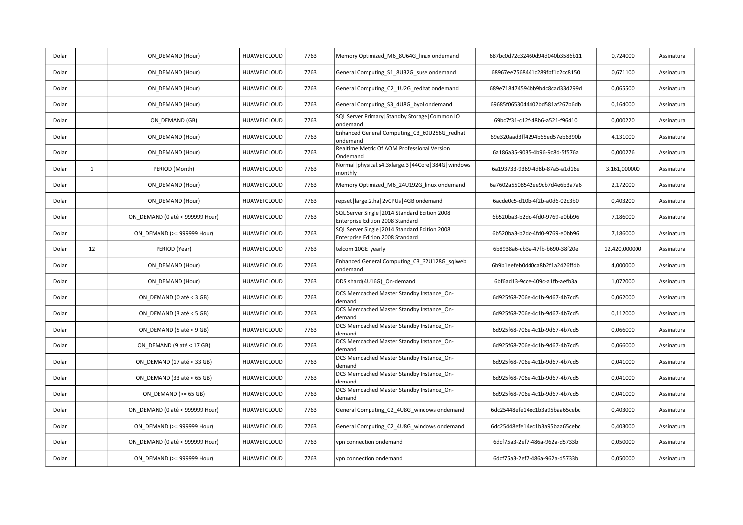| Dolar |              | ON DEMAND (Hour)                | HUAWEI CLOUD        | 7763 | Memory Optimized_M6_8U64G_linux ondemand                                           | 687bc0d72c32460d94d040b3586b11 | 0,724000      | Assinatura |
|-------|--------------|---------------------------------|---------------------|------|------------------------------------------------------------------------------------|--------------------------------|---------------|------------|
| Dolar |              | ON DEMAND (Hour)                | <b>HUAWEI CLOUD</b> | 7763 | General Computing S1 8U32G suse ondemand                                           | 68967ee7568441c289fbf1c2cc8150 | 0,671100      | Assinatura |
| Dolar |              | ON DEMAND (Hour)                | HUAWEI CLOUD        | 7763 | General Computing C2 1U2G redhat ondemand                                          | 689e718474594bb9b4c8cad33d299d | 0,065500      | Assinatura |
| Dolar |              | ON DEMAND (Hour)                | <b>HUAWEI CLOUD</b> | 7763 | General Computing S3 4U8G byol ondemand                                            | 69685f0653044402bd581af267b6db | 0,164000      | Assinatura |
| Dolar |              | ON DEMAND (GB)                  | <b>HUAWEI CLOUD</b> | 7763 | SQL Server Primary   Standby Storage   Common IO<br>ondemand                       | 69bc7f31-c12f-48b6-a521-f96410 | 0,000220      | Assinatura |
| Dolar |              | ON DEMAND (Hour)                | HUAWEI CLOUD        | 7763 | Enhanced General Computing_C3_60U256G_redhat<br>ondemand                           | 69e320aad3ff4294b65ed57eb6390b | 4,131000      | Assinatura |
| Dolar |              | ON DEMAND (Hour)                | <b>HUAWEI CLOUD</b> | 7763 | Realtime Metric Of AOM Professional Version<br>Ondemand                            | 6a186a35-9035-4b96-9c8d-5f576a | 0,000276      | Assinatura |
| Dolar | $\mathbf{1}$ | PERIOD (Month)                  | <b>HUAWEI CLOUD</b> | 7763 | Normal   physical.s4.3xlarge.3   44Core   384G   windows<br>monthly                | 6a193733-9369-4d8b-87a5-a1d16e | 3.161,000000  | Assinatura |
| Dolar |              | ON DEMAND (Hour)                | <b>HUAWEI CLOUD</b> | 7763 | Memory Optimized M6 24U192G linux ondemand                                         | 6a7602a5508542ee9cb7d4e6b3a7a6 | 2,172000      | Assinatura |
| Dolar |              | ON DEMAND (Hour)                | <b>HUAWEI CLOUD</b> | 7763 | repset   large.2.ha   2vCPUs   4GB ondemand                                        | 6acde0c5-d10b-4f2b-a0d6-02c3b0 | 0,403200      | Assinatura |
| Dolar |              | ON DEMAND (0 até < 999999 Hour) | <b>HUAWEI CLOUD</b> | 7763 | SQL Server Single   2014 Standard Edition 2008<br>Enterprise Edition 2008 Standard | 6b520ba3-b2dc-4fd0-9769-e0bb96 | 7,186000      | Assinatura |
| Dolar |              | ON DEMAND (>= 999999 Hour)      | <b>HUAWEI CLOUD</b> | 7763 | SQL Server Single   2014 Standard Edition 2008<br>Enterprise Edition 2008 Standard | 6b520ba3-b2dc-4fd0-9769-e0bb96 | 7,186000      | Assinatura |
| Dolar | 12           | PERIOD (Year)                   | HUAWEI CLOUD        | 7763 | telcom 10GE yearly                                                                 | 6b8938a6-cb3a-47fb-b690-38f20e | 12.420,000000 | Assinatura |
| Dolar |              | ON DEMAND (Hour)                | <b>HUAWEI CLOUD</b> | 7763 | Enhanced General Computing C3 32U128G sqlweb<br>ondemand                           | 6b9b1eefeb0d40ca8b2f1a2426ffdb | 4,000000      | Assinatura |
| Dolar |              | ON DEMAND (Hour)                | HUAWEI CLOUD        | 7763 | DDS shard(4U16G)_On-demand                                                         | 6bf6ad13-9cce-409c-a1fb-aefb3a | 1,072000      | Assinatura |
| Dolar |              | ON DEMAND (0 até < 3 GB)        | <b>HUAWEI CLOUD</b> | 7763 | DCS Memcached Master Standby Instance On-<br>demand                                | 6d925f68-706e-4c1b-9d67-4b7cd5 | 0,062000      | Assinatura |
| Dolar |              | ON DEMAND (3 até < 5 GB)        | <b>HUAWEI CLOUD</b> | 7763 | DCS Memcached Master Standby Instance On-<br>demand                                | 6d925f68-706e-4c1b-9d67-4b7cd5 | 0,112000      | Assinatura |
| Dolar |              | ON DEMAND (5 até < 9 GB)        | <b>HUAWEI CLOUD</b> | 7763 | DCS Memcached Master Standby Instance On-<br>demand                                | 6d925f68-706e-4c1b-9d67-4b7cd5 | 0,066000      | Assinatura |
| Dolar |              | ON DEMAND (9 até < 17 GB)       | <b>HUAWEI CLOUD</b> | 7763 | DCS Memcached Master Standby Instance On-<br>demand                                | 6d925f68-706e-4c1b-9d67-4b7cd5 | 0,066000      | Assinatura |
| Dolar |              | ON DEMAND (17 até < 33 GB)      | <b>HUAWEI CLOUD</b> | 7763 | DCS Memcached Master Standby Instance On-<br>demand                                | 6d925f68-706e-4c1b-9d67-4b7cd5 | 0,041000      | Assinatura |
| Dolar |              | ON DEMAND (33 até < 65 GB)      | <b>HUAWEI CLOUD</b> | 7763 | DCS Memcached Master Standby Instance On-<br>demand                                | 6d925f68-706e-4c1b-9d67-4b7cd5 | 0,041000      | Assinatura |
| Dolar |              | ON DEMAND ( $>= 65$ GB)         | HUAWEI CLOUD        | 7763 | DCS Memcached Master Standby Instance On-<br>demand                                | 6d925f68-706e-4c1b-9d67-4b7cd5 | 0,041000      | Assinatura |
| Dolar |              | ON DEMAND (0 até < 999999 Hour) | <b>HUAWEI CLOUD</b> | 7763 | General Computing_C2_4U8G_windows ondemand                                         | 6dc25448efe14ec1b3a95baa65cebc | 0,403000      | Assinatura |
| Dolar |              | ON DEMAND (>= 999999 Hour)      | HUAWEI CLOUD        | 7763 | General Computing C2 4U8G windows ondemand                                         | 6dc25448efe14ec1b3a95baa65cebc | 0,403000      | Assinatura |
| Dolar |              | ON DEMAND (0 até < 999999 Hour) | <b>HUAWEI CLOUD</b> | 7763 | vpn connection ondemand                                                            | 6dcf75a3-2ef7-486a-962a-d5733b | 0,050000      | Assinatura |
| Dolar |              | ON DEMAND (>= 999999 Hour)      | <b>HUAWEI CLOUD</b> | 7763 | vpn connection ondemand                                                            | 6dcf75a3-2ef7-486a-962a-d5733b | 0,050000      | Assinatura |
|       |              |                                 |                     |      |                                                                                    |                                |               |            |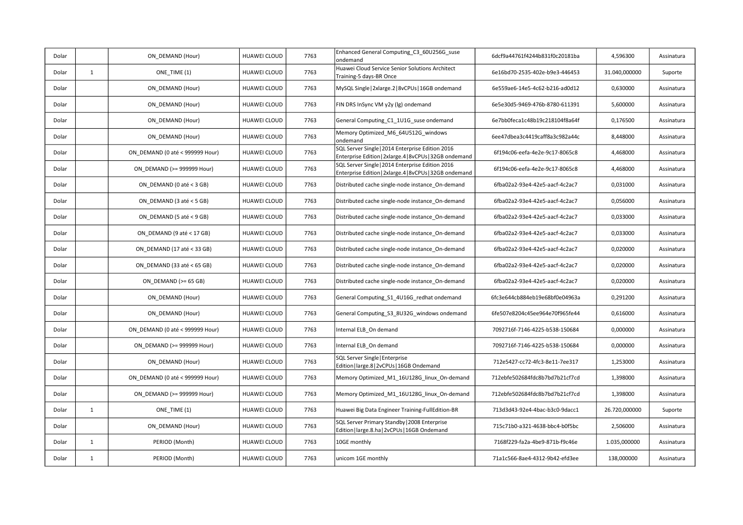| Dolar |              | ON DEMAND (Hour)                | HUAWEI CLOUD        | 7763 | Enhanced General Computing C3 60U256G suse<br>ondemand                                                      | 6dcf9a44761f4244b831f0c20181ba | 4,596300      | Assinatura |
|-------|--------------|---------------------------------|---------------------|------|-------------------------------------------------------------------------------------------------------------|--------------------------------|---------------|------------|
| Dolar | $\mathbf{1}$ | ONE TIME (1)                    | <b>HUAWEI CLOUD</b> | 7763 | Huawei Cloud Service Senior Solutions Architect<br>Training-5 days-BR Once                                  | 6e16bd70-2535-402e-b9e3-446453 | 31.040,000000 | Suporte    |
| Dolar |              | ON DEMAND (Hour)                | HUAWEI CLOUD        | 7763 | MySQL Single   2xlarge.2   8vCPUs   16GB ondemand                                                           | 6e559ae6-14e5-4c62-b216-ad0d12 | 0,630000      | Assinatura |
| Dolar |              | ON DEMAND (Hour)                | <b>HUAWEI CLOUD</b> | 7763 | FIN DRS InSync VM y2y (Ig) ondemand                                                                         | 6e5e30d5-9469-476b-8780-611391 | 5,600000      | Assinatura |
| Dolar |              | ON DEMAND (Hour)                | HUAWEI CLOUD        | 7763 | General Computing_C1_1U1G_suse ondemand                                                                     | 6e7bb0feca1c48b19c218104f8a64f | 0,176500      | Assinatura |
| Dolar |              | ON DEMAND (Hour)                | HUAWEI CLOUD        | 7763 | Memory Optimized M6 64U512G windows<br>ondemand                                                             | 6ee47dbea3c4419caff8a3c982a44c | 8,448000      | Assinatura |
| Dolar |              | ON DEMAND (0 até < 999999 Hour) | <b>HUAWEI CLOUD</b> | 7763 | SQL Server Single   2014 Enterprise Edition 2016<br>Enterprise Edition   2xlarge.4   8vCPUs   32GB ondemand | 6f194c06-eefa-4e2e-9c17-8065c8 | 4,468000      | Assinatura |
| Dolar |              | ON DEMAND (>= 999999 Hour)      | HUAWEI CLOUD        | 7763 | SQL Server Single   2014 Enterprise Edition 2016<br>Enterprise Edition   2xlarge.4   8vCPUs   32GB ondemand | 6f194c06-eefa-4e2e-9c17-8065c8 | 4,468000      | Assinatura |
| Dolar |              | ON DEMAND (0 até < 3 GB)        | <b>HUAWEI CLOUD</b> | 7763 | Distributed cache single-node instance_On-demand                                                            | 6fba02a2-93e4-42e5-aacf-4c2ac7 | 0,031000      | Assinatura |
| Dolar |              | ON_DEMAND (3 até < 5 GB)        | <b>HUAWEI CLOUD</b> | 7763 | Distributed cache single-node instance_On-demand                                                            | 6fba02a2-93e4-42e5-aacf-4c2ac7 | 0,056000      | Assinatura |
| Dolar |              | ON DEMAND (5 até < 9 GB)        | <b>HUAWEI CLOUD</b> | 7763 | Distributed cache single-node instance On-demand                                                            | 6fba02a2-93e4-42e5-aacf-4c2ac7 | 0,033000      | Assinatura |
| Dolar |              | ON DEMAND (9 até < 17 GB)       | HUAWEI CLOUD        | 7763 | Distributed cache single-node instance On-demand                                                            | 6fba02a2-93e4-42e5-aacf-4c2ac7 | 0,033000      | Assinatura |
| Dolar |              | ON DEMAND (17 até < 33 GB)      | HUAWEI CLOUD        | 7763 | Distributed cache single-node instance On-demand                                                            | 6fba02a2-93e4-42e5-aacf-4c2ac7 | 0,020000      | Assinatura |
| Dolar |              | ON DEMAND (33 até < 65 GB)      | <b>HUAWEI CLOUD</b> | 7763 | Distributed cache single-node instance_On-demand                                                            | 6fba02a2-93e4-42e5-aacf-4c2ac7 | 0,020000      | Assinatura |
| Dolar |              | ON DEMAND ( $>= 65$ GB)         | <b>HUAWEI CLOUD</b> | 7763 | Distributed cache single-node instance On-demand                                                            | 6fba02a2-93e4-42e5-aacf-4c2ac7 | 0,020000      | Assinatura |
| Dolar |              | ON DEMAND (Hour)                | <b>HUAWEI CLOUD</b> | 7763 | General Computing_S1_4U16G_redhat ondemand                                                                  | 6fc3e644cb884eb19e68bf0e04963a | 0,291200      | Assinatura |
| Dolar |              | ON DEMAND (Hour)                | HUAWEI CLOUD        | 7763 | General Computing_S3_8U32G_windows ondemand                                                                 | 6fe507e8204c45ee964e70f965fe44 | 0,616000      | Assinatura |
| Dolar |              | ON DEMAND (0 até < 999999 Hour) | <b>HUAWEI CLOUD</b> | 7763 | Internal ELB_On demand                                                                                      | 7092716f-7146-4225-b538-150684 | 0,000000      | Assinatura |
| Dolar |              | ON DEMAND (>= 999999 Hour)      | HUAWEI CLOUD        | 7763 | Internal ELB On demand                                                                                      | 7092716f-7146-4225-b538-150684 | 0,000000      | Assinatura |
| Dolar |              | ON DEMAND (Hour)                | <b>HUAWEI CLOUD</b> | 7763 | SQL Server Single   Enterprise<br>Edition   large.8   2vCPUs   16GB Ondemand                                | 712e5427-cc72-4fc3-8e11-7ee317 | 1,253000      | Assinatura |
| Dolar |              | ON DEMAND (0 até < 999999 Hour) | <b>HUAWEI CLOUD</b> | 7763 | Memory Optimized M1 16U128G linux On-demand                                                                 | 712ebfe502684fdc8b7bd7b21cf7cd | 1,398000      | Assinatura |
| Dolar |              | ON_DEMAND (>= 999999 Hour)      | HUAWEI CLOUD        | 7763 | Memory Optimized_M1_16U128G_linux_On-demand                                                                 | 712ebfe502684fdc8b7bd7b21cf7cd | 1,398000      | Assinatura |
| Dolar | $\mathbf{1}$ | ONE TIME (1)                    | <b>HUAWEI CLOUD</b> | 7763 | Huawei Big Data Engineer Training-FullEdition-BR                                                            | 713d3d43-92e4-4bac-b3c0-9dacc1 | 26.720,000000 | Suporte    |
| Dolar |              | ON DEMAND (Hour)                | <b>HUAWEI CLOUD</b> | 7763 | SQL Server Primary Standby   2008 Enterprise<br>Edition   large.8.ha   2vCPUs   16GB Ondemand               | 715c71b0-a321-4638-bbc4-b0f5bc | 2,506000      | Assinatura |
| Dolar | $\mathbf{1}$ | PERIOD (Month)                  | <b>HUAWEI CLOUD</b> | 7763 | 10GE monthly                                                                                                | 7168f229-fa2a-4be9-871b-f9c46e | 1.035,000000  | Assinatura |
| Dolar | $\mathbf{1}$ | PERIOD (Month)                  | HUAWEI CLOUD        | 7763 | unicom 1GE monthly                                                                                          | 71a1c566-8ae4-4312-9b42-efd3ee | 138,000000    | Assinatura |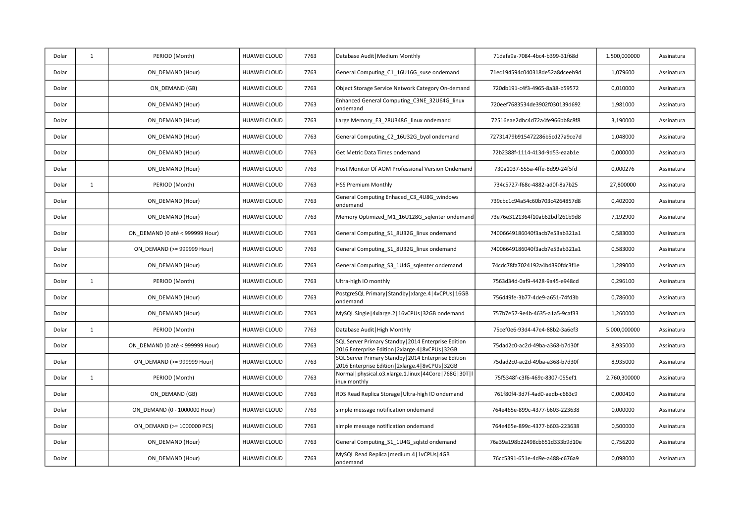| Dolar | $\mathbf{1}$ | PERIOD (Month)                  | <b>HUAWEI CLOUD</b> | 7763 | Database Audit   Medium Monthly                                                                             | 71dafa9a-7084-4bc4-b399-31f68d | 1.500,000000 | Assinatura |
|-------|--------------|---------------------------------|---------------------|------|-------------------------------------------------------------------------------------------------------------|--------------------------------|--------------|------------|
| Dolar |              | ON DEMAND (Hour)                | <b>HUAWEI CLOUD</b> | 7763 | General Computing C1 16U16G suse ondemand                                                                   | 71ec194594c040318de52a8dceeb9d | 1,079600     | Assinatura |
| Dolar |              | ON DEMAND (GB)                  | <b>HUAWEI CLOUD</b> | 7763 | Object Storage Service Network Category On-demand                                                           | 720db191-c4f3-4965-8a38-b59572 | 0,010000     | Assinatura |
| Dolar |              | ON DEMAND (Hour)                | <b>HUAWEI CLOUD</b> | 7763 | Enhanced General Computing C3NE 32U64G linux<br>ondemand                                                    | 720eef7683534de3902f030139d692 | 1,981000     | Assinatura |
| Dolar |              | ON DEMAND (Hour)                | HUAWEI CLOUD        | 7763 | Large Memory E3 28U348G linux ondemand                                                                      | 72516eae2dbc4d72a4fe966bb8c8f8 | 3,190000     | Assinatura |
| Dolar |              | ON DEMAND (Hour)                | <b>HUAWEI CLOUD</b> | 7763 | General Computing C2 16U32G byol ondemand                                                                   | 72731479b915472286b5cd27a9ce7d | 1,048000     | Assinatura |
| Dolar |              | ON DEMAND (Hour)                | <b>HUAWEI CLOUD</b> | 7763 | Get Metric Data Times ondemand                                                                              | 72b2388f-1114-413d-9d53-eaab1e | 0,000000     | Assinatura |
| Dolar |              | ON DEMAND (Hour)                | <b>HUAWEI CLOUD</b> | 7763 | Host Monitor Of AOM Professional Version Ondemand                                                           | 730a1037-555a-4ffe-8d99-24f5fd | 0,000276     | Assinatura |
| Dolar | $\mathbf{1}$ | PERIOD (Month)                  | <b>HUAWEI CLOUD</b> | 7763 | <b>HSS Premium Monthly</b>                                                                                  | 734c5727-f68c-4882-ad0f-8a7b25 | 27,800000    | Assinatura |
| Dolar |              | ON DEMAND (Hour)                | HUAWEI CLOUD        | 7763 | General Computing Enhaced_C3_4U8G_windows<br>ondemand                                                       | 739cbc1c94a54c60b703c4264857d8 | 0,402000     | Assinatura |
| Dolar |              | ON DEMAND (Hour)                | HUAWEI CLOUD        | 7763 | Memory Optimized M1 16U128G sqlenter ondemand                                                               | 73e76e3121364f10ab62bdf261b9d8 | 7,192900     | Assinatura |
| Dolar |              | ON DEMAND (0 até < 999999 Hour) | <b>HUAWEI CLOUD</b> | 7763 | General Computing S1 8U32G linux ondemand                                                                   | 74006649186040f3acb7e53ab321a1 | 0,583000     | Assinatura |
| Dolar |              | ON DEMAND (>= 999999 Hour)      | HUAWEI CLOUD        | 7763 | General Computing_S1_8U32G_linux ondemand                                                                   | 74006649186040f3acb7e53ab321a1 | 0,583000     | Assinatura |
| Dolar |              | ON DEMAND (Hour)                | <b>HUAWEI CLOUD</b> | 7763 | General Computing S3 1U4G sqlenter ondemand                                                                 | 74cdc78fa7024192a4bd390fdc3f1e | 1,289000     | Assinatura |
| Dolar | $\mathbf{1}$ | PERIOD (Month)                  | <b>HUAWEI CLOUD</b> | 7763 | Ultra-high IO monthly                                                                                       | 7563d34d-0af9-4428-9a45-e948cd | 0,296100     | Assinatura |
| Dolar |              | ON DEMAND (Hour)                | <b>HUAWEI CLOUD</b> | 7763 | PostgreSQL Primary   Standby   xlarge.4   4vCPUs   16GB<br>ondemand                                         | 756d49fe-3b77-4de9-a651-74fd3b | 0,786000     | Assinatura |
| Dolar |              | ON DEMAND (Hour)                | HUAWEI CLOUD        | 7763 | MySQL Single   4xlarge.2   16vCPUs   32GB ondemand                                                          | 757b7e57-9e4b-4635-a1a5-9caf33 | 1,260000     | Assinatura |
| Dolar | $\mathbf{1}$ | PERIOD (Month)                  | <b>HUAWEI CLOUD</b> | 7763 | Database Audit   High Monthly                                                                               | 75cef0e6-93d4-47e4-88b2-3a6ef3 | 5.000,000000 | Assinatura |
| Dolar |              | ON DEMAND (0 até < 999999 Hour) | <b>HUAWEI CLOUD</b> | 7763 | SQL Server Primary Standby   2014 Enterprise Edition<br>2016 Enterprise Edition   2xlarge.4   8vCPUs   32GB | 75dad2c0-ac2d-49ba-a368-b7d30f | 8,935000     | Assinatura |
| Dolar |              | ON DEMAND (>= 999999 Hour)      | HUAWEI CLOUD        | 7763 | SQL Server Primary Standby   2014 Enterprise Edition<br>2016 Enterprise Edition   2xlarge.4   8vCPUs   32GB | 75dad2c0-ac2d-49ba-a368-b7d30f | 8,935000     | Assinatura |
| Dolar | $\mathbf{1}$ | PERIOD (Month)                  | <b>HUAWEI CLOUD</b> | 7763 | Normal   physical.o3.xlarge.1.linux   44Core   768G   30T   I<br>inux monthly                               | 75f5348f-c3f6-469c-8307-055ef1 | 2.760,300000 | Assinatura |
| Dolar |              | ON DEMAND (GB)                  | <b>HUAWEI CLOUD</b> | 7763 | RDS Read Replica Storage   Ultra-high IO ondemand                                                           | 761f80f4-3d7f-4ad0-aedb-c663c9 | 0,000410     | Assinatura |
| Dolar |              | ON DEMAND (0 - 1000000 Hour)    | <b>HUAWEI CLOUD</b> | 7763 | simple message notification ondemand                                                                        | 764e465e-899c-4377-b603-223638 | 0,000000     | Assinatura |
| Dolar |              | ON DEMAND (>= 1000000 PCS)      | HUAWEI CLOUD        | 7763 | simple message notification ondemand                                                                        | 764e465e-899c-4377-b603-223638 | 0,500000     | Assinatura |
| Dolar |              | ON DEMAND (Hour)                | HUAWEI CLOUD        | 7763 | General Computing_S1_1U4G_sqlstd ondemand                                                                   | 76a39a198b22498cb651d333b9d10e | 0,756200     | Assinatura |
| Dolar |              | ON DEMAND (Hour)                | HUAWEI CLOUD        | 7763 | MySQL Read Replica   medium.4   1vCPUs   4GB<br>ondemand                                                    | 76cc5391-651e-4d9e-a488-c676a9 | 0,098000     | Assinatura |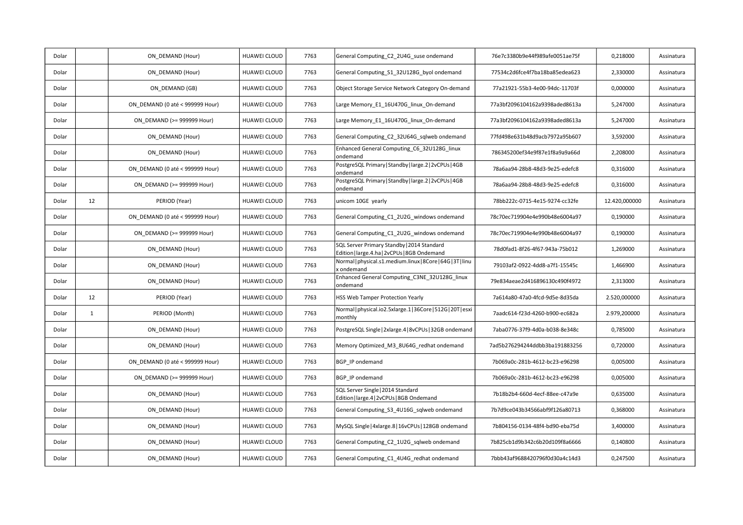| Dolar |              | ON DEMAND (Hour)                | HUAWEI CLOUD        | 7763 | General Computing_C2_2U4G_suse ondemand                                                    | 76e7c3380b9e44f989afe0051ae75f | 0,218000      | Assinatura |
|-------|--------------|---------------------------------|---------------------|------|--------------------------------------------------------------------------------------------|--------------------------------|---------------|------------|
| Dolar |              | ON DEMAND (Hour)                | HUAWEI CLOUD        | 7763 | General Computing S1 32U128G byol ondemand                                                 | 77534c2d6fce4f7ba18ba85edea623 | 2,330000      | Assinatura |
| Dolar |              | ON DEMAND (GB)                  | <b>HUAWEI CLOUD</b> | 7763 | Object Storage Service Network Category On-demand                                          | 77a21921-55b3-4e00-94dc-11703f | 0,000000      | Assinatura |
| Dolar |              | ON DEMAND (0 até < 999999 Hour) | <b>HUAWEI CLOUD</b> | 7763 | Large Memory_E1_16U470G_linux_On-demand                                                    | 77a3bf2096104162a9398aded8613a | 5,247000      | Assinatura |
| Dolar |              | ON DEMAND (>= 999999 Hour)      | HUAWEI CLOUD        | 7763 | Large Memory_E1_16U470G_linux_On-demand                                                    | 77a3bf2096104162a9398aded8613a | 5,247000      | Assinatura |
| Dolar |              | ON DEMAND (Hour)                | <b>HUAWEI CLOUD</b> | 7763 | General Computing C2 32U64G sqlweb ondemand                                                | 77fd498e631b48d9acb7972a95b607 | 3,592000      | Assinatura |
| Dolar |              | ON DEMAND (Hour)                | <b>HUAWEI CLOUD</b> | 7763 | Enhanced General Computing_C6_32U128G_linux<br>ondemand                                    | 786345200ef34e9f87e1f8a9a9a66d | 2,208000      | Assinatura |
| Dolar |              | ON DEMAND (0 até < 999999 Hour) | HUAWEI CLOUD        | 7763 | PostgreSQL Primary   Standby   large.2   2vCPUs   4GB<br>ondemand                          | 78a6aa94-28b8-48d3-9e25-edefc8 | 0,316000      | Assinatura |
| Dolar |              | ON DEMAND (>= 999999 Hour)      | HUAWEI CLOUD        | 7763 | PostgreSQL Primary   Standby   large.2   2vCPUs   4GB<br>ondemand                          | 78a6aa94-28b8-48d3-9e25-edefc8 | 0,316000      | Assinatura |
| Dolar | 12           | PERIOD (Year)                   | HUAWEI CLOUD        | 7763 | unicom 10GE yearly                                                                         | 78bb222c-0715-4e15-9274-cc32fe | 12.420,000000 | Assinatura |
| Dolar |              | ON DEMAND (0 até < 999999 Hour) | <b>HUAWEI CLOUD</b> | 7763 | General Computing C1 2U2G windows ondemand                                                 | 78c70ec719904e4e990b48e6004a97 | 0,190000      | Assinatura |
| Dolar |              | ON DEMAND (>= 999999 Hour)      | <b>HUAWEI CLOUD</b> | 7763 | General Computing_C1_2U2G_windows ondemand                                                 | 78c70ec719904e4e990b48e6004a97 | 0,190000      | Assinatura |
| Dolar |              | ON DEMAND (Hour)                | HUAWEI CLOUD        | 7763 | SQL Server Primary Standby   2014 Standard<br>Edition   large.4.ha   2vCPUs   8GB Ondemand | 78d0fad1-8f26-4f67-943a-75b012 | 1,269000      | Assinatura |
| Dolar |              | ON DEMAND (Hour)                | <b>HUAWEI CLOUD</b> | 7763 | Normal   physical.s1.medium.linux   8Core   64G   3T   linu<br>x ondemand                  | 79103af2-0922-4dd8-a7f1-15545c | 1,466900      | Assinatura |
| Dolar |              | ON DEMAND (Hour)                | <b>HUAWEI CLOUD</b> | 7763 | Enhanced General Computing_C3NE_32U128G_linux<br>ondemand                                  | 79e834aeae2d416896130c490f4972 | 2,313000      | Assinatura |
| Dolar | 12           | PERIOD (Year)                   | <b>HUAWEI CLOUD</b> | 7763 | HSS Web Tamper Protection Yearly                                                           | 7a614a80-47a0-4fcd-9d5e-8d35da | 2.520,000000  | Assinatura |
| Dolar | $\mathbf{1}$ | PERIOD (Month)                  | <b>HUAWEI CLOUD</b> | 7763 | Normal   physical.io2.5xlarge.1   36Core   512G   20T   esxi<br>monthly                    | 7aadc614-f23d-4260-b900-ec682a | 2.979,200000  | Assinatura |
| Dolar |              | ON_DEMAND (Hour)                | <b>HUAWEI CLOUD</b> | 7763 | PostgreSQL Single   2xlarge.4   8vCPUs   32GB ondemand                                     | 7aba0776-37f9-4d0a-b038-8e348c | 0,785000      | Assinatura |
| Dolar |              | ON DEMAND (Hour)                | HUAWEI CLOUD        | 7763 | Memory Optimized M3 8U64G redhat ondemand                                                  | 7ad5b276294244ddbb3ba191883256 | 0,720000      | Assinatura |
| Dolar |              | ON DEMAND (0 até < 999999 Hour) | <b>HUAWEI CLOUD</b> | 7763 | BGP IP ondemand                                                                            | 7b069a0c-281b-4612-bc23-e96298 | 0,005000      | Assinatura |
| Dolar |              | ON DEMAND (>= 999999 Hour)      | HUAWEI CLOUD        | 7763 | BGP IP ondemand                                                                            | 7b069a0c-281b-4612-bc23-e96298 | 0,005000      | Assinatura |
| Dolar |              | ON_DEMAND (Hour)                | HUAWEI CLOUD        | 7763 | SQL Server Single   2014 Standard<br>Edition   large.4   2vCPUs   8GB Ondemand             | 7b18b2b4-660d-4ecf-88ee-c47a9e | 0,635000      | Assinatura |
| Dolar |              | ON DEMAND (Hour)                | <b>HUAWEI CLOUD</b> | 7763 | General Computing S3 4U16G sqlweb ondemand                                                 | 7b7d9ce043b34566abf9f126a80713 | 0,368000      | Assinatura |
| Dolar |              | ON DEMAND (Hour)                | <b>HUAWEI CLOUD</b> | 7763 | MySQL Single   4xlarge.8   16vCPUs   128GB ondemand                                        | 7b804156-0134-48f4-bd90-eba75d | 3,400000      | Assinatura |
| Dolar |              | ON DEMAND (Hour)                | HUAWEI CLOUD        | 7763 | General Computing_C2_1U2G_sqlweb ondemand                                                  | 7b825cb1d9b342c6b20d109f8a6666 | 0,140800      | Assinatura |
| Dolar |              | ON DEMAND (Hour)                | HUAWEI CLOUD        | 7763 | General Computing_C1_4U4G_redhat ondemand                                                  | 7bbb43af9688420796f0d30a4c14d3 | 0,247500      | Assinatura |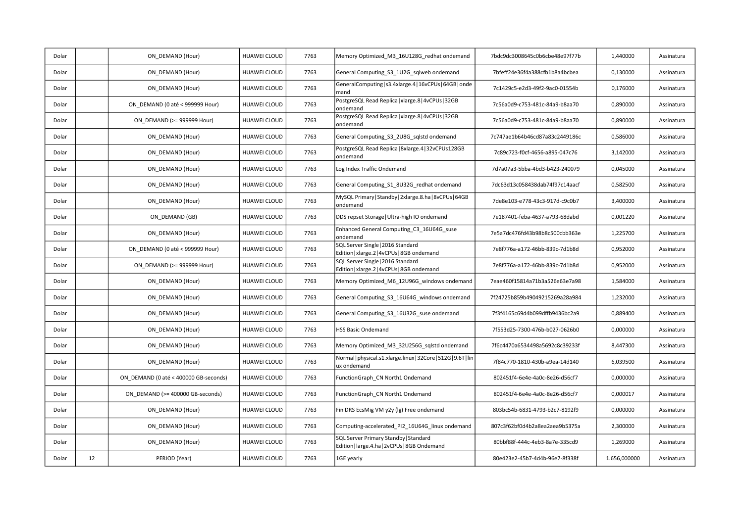| Dolar |    | ON DEMAND (Hour)                      | HUAWEI CLOUD        | 7763 | Memory Optimized_M3_16U128G_redhat ondemand                                           | 7bdc9dc3008645c0b6cbe48e97f77b | 1,440000     | Assinatura |
|-------|----|---------------------------------------|---------------------|------|---------------------------------------------------------------------------------------|--------------------------------|--------------|------------|
| Dolar |    | ON DEMAND (Hour)                      | HUAWEI CLOUD        | 7763 | General Computing S3 1U2G sqlweb ondemand                                             | 7bfeff24e36f4a388cfb1b8a4bcbea | 0,130000     | Assinatura |
| Dolar |    | ON DEMAND (Hour)                      | HUAWEI CLOUD        | 7763 | GeneralComputing   s3.4xlarge.4   16vCPUs   64GB   onde<br>mand                       | 7c1429c5-e2d3-49f2-9ac0-01554b | 0,176000     | Assinatura |
| Dolar |    | ON DEMAND (0 até < 999999 Hour)       | <b>HUAWEI CLOUD</b> | 7763 | PostgreSQL Read Replica   xlarge.8   4vCPUs   32GB<br>ondemand                        | 7c56a0d9-c753-481c-84a9-b8aa70 | 0,890000     | Assinatura |
| Dolar |    | ON DEMAND (>= 999999 Hour)            | HUAWEI CLOUD        | 7763 | PostgreSQL Read Replica   xlarge.8   4vCPUs   32GB<br>ondemand                        | 7c56a0d9-c753-481c-84a9-b8aa70 | 0,890000     | Assinatura |
| Dolar |    | ON DEMAND (Hour)                      | HUAWEI CLOUD        | 7763 | General Computing S3 2U8G sqlstd ondemand                                             | 7c747ae1b64b46cd87a83c2449186c | 0,586000     | Assinatura |
| Dolar |    | ON DEMAND (Hour)                      | HUAWEI CLOUD        | 7763 | PostgreSQL Read Replica   8xlarge.4   32vCPUs128GB<br>ondemand                        | 7c89c723-f0cf-4656-a895-047c76 | 3,142000     | Assinatura |
| Dolar |    | ON DEMAND (Hour)                      | HUAWEI CLOUD        | 7763 | Log Index Traffic Ondemand                                                            | 7d7a07a3-5bba-4bd3-b423-240079 | 0,045000     | Assinatura |
| Dolar |    | ON DEMAND (Hour)                      | HUAWEI CLOUD        | 7763 | General Computing_S1_8U32G_redhat ondemand                                            | 7dc63d13c058438dab74f97c14aacf | 0,582500     | Assinatura |
| Dolar |    | ON DEMAND (Hour)                      | <b>HUAWEI CLOUD</b> | 7763 | MySQL Primary   Standby   2xlarge.8.ha   8vCPUs   64GB<br>ondemand                    | 7de8e103-e778-43c3-917d-c9c0b7 | 3,400000     | Assinatura |
| Dolar |    | ON DEMAND (GB)                        | <b>HUAWEI CLOUD</b> | 7763 | DDS repset Storage   Ultra-high IO ondemand                                           | 7e187401-feba-4637-a793-68dabd | 0,001220     | Assinatura |
| Dolar |    | ON DEMAND (Hour)                      | HUAWEI CLOUD        | 7763 | Enhanced General Computing C3 16U64G suse<br>ondemand                                 | 7e5a7dc476fd43b98b8c500cbb363e | 1,225700     | Assinatura |
| Dolar |    | ON DEMAND (0 até < 999999 Hour)       | HUAWEI CLOUD        | 7763 | SQL Server Single   2016 Standard<br>Edition   xlarge.2   4vCPUs   8GB ondemand       | 7e8f776a-a172-46bb-839c-7d1b8d | 0,952000     | Assinatura |
| Dolar |    | ON DEMAND (>= 999999 Hour)            | HUAWEI CLOUD        | 7763 | SQL Server Single   2016 Standard<br>Edition   xlarge.2   4vCPUs   8GB ondemand       | 7e8f776a-a172-46bb-839c-7d1b8d | 0,952000     | Assinatura |
| Dolar |    | ON DEMAND (Hour)                      | HUAWEI CLOUD        | 7763 | Memory Optimized M6 12U96G windows ondemand                                           | 7eae460f15814a71b3a526e63e7a98 | 1,584000     | Assinatura |
| Dolar |    | ON DEMAND (Hour)                      | HUAWEI CLOUD        | 7763 | General Computing_S3_16U64G_windows ondemand                                          | 7f24725b859b49049215269a28a984 | 1,232000     | Assinatura |
| Dolar |    | ON DEMAND (Hour)                      | HUAWEI CLOUD        | 7763 | General Computing S3 16U32G suse ondemand                                             | 7f3f4165c69d4b099dffb9436bc2a9 | 0,889400     | Assinatura |
| Dolar |    | ON DEMAND (Hour)                      | <b>HUAWEI CLOUD</b> | 7763 | <b>HSS Basic Ondemand</b>                                                             | 7f553d25-7300-476b-b027-0626b0 | 0,000000     | Assinatura |
| Dolar |    | ON DEMAND (Hour)                      | HUAWEI CLOUD        | 7763 | Memory Optimized M3 32U256G sqlstd ondemand                                           | 7f6c4470a6534498a5692c8c39233f | 8,447300     | Assinatura |
| Dolar |    | ON DEMAND (Hour)                      | HUAWEI CLOUD        | 7763 | Normal   physical.s1.xlarge.linux   32Core   512G   9.6T   lin<br>ux ondemand         | 7f84c770-1810-430b-a9ea-14d140 | 6,039500     | Assinatura |
| Dolar |    | ON DEMAND (0 até < 400000 GB-seconds) | HUAWEI CLOUD        | 7763 | FunctionGraph CN North1 Ondemand                                                      | 802451f4-6e4e-4a0c-8e26-d56cf7 | 0,000000     | Assinatura |
| Dolar |    | ON_DEMAND (>= 400000 GB-seconds)      | <b>HUAWEI CLOUD</b> | 7763 | FunctionGraph_CN North1 Ondemand                                                      | 802451f4-6e4e-4a0c-8e26-d56cf7 | 0.000017     | Assinatura |
| Dolar |    | ON DEMAND (Hour)                      | HUAWEI CLOUD        | 7763 | Fin DRS EcsMig VM y2y (lg) Free ondemand                                              | 803bc54b-6831-4793-b2c7-8192f9 | 0,000000     | Assinatura |
| Dolar |    | ON DEMAND (Hour)                      | HUAWEI CLOUD        | 7763 | Computing-accelerated PI2 16U64G linux ondemand                                       | 807c3f62bf0d4b2a8ea2aea9b5375a | 2,300000     | Assinatura |
| Dolar |    | ON DEMAND (Hour)                      | HUAWEI CLOUD        | 7763 | SQL Server Primary Standby   Standard<br>Edition   large.4.ha   2vCPUs   8GB Ondemand | 80bbf88f-444c-4eb3-8a7e-335cd9 | 1,269000     | Assinatura |
| Dolar | 12 | PERIOD (Year)                         | <b>HUAWEI CLOUD</b> | 7763 | 1GE yearly                                                                            | 80e423e2-45b7-4d4b-96e7-8f338f | 1.656,000000 | Assinatura |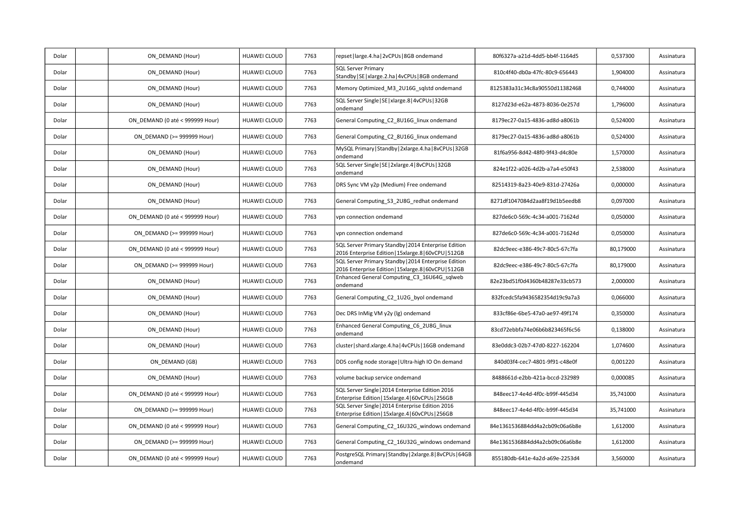| Dolar | ON DEMAND (Hour)                | HUAWEI CLOUD        | 7763 | repset   large.4.ha   2vCPUs   8GB ondemand                                                                   | 80f6327a-a21d-4dd5-bb4f-1164d5 | 0,537300  | Assinatura |
|-------|---------------------------------|---------------------|------|---------------------------------------------------------------------------------------------------------------|--------------------------------|-----------|------------|
| Dolar | ON DEMAND (Hour)                | HUAWEI CLOUD        | 7763 | <b>SQL Server Primary</b><br>Standby   SE   xlarge. 2.ha   4vCPUs   8GB ondemand                              | 810c4f40-db0a-47fc-80c9-656443 | 1,904000  | Assinatura |
| Dolar | ON DEMAND (Hour)                | HUAWEI CLOUD        | 7763 | Memory Optimized M3 2U16G sqlstd ondemand                                                                     | 8125383a31c34c8a90550d11382468 | 0,744000  | Assinatura |
| Dolar | ON DEMAND (Hour)                | HUAWEI CLOUD        | 7763 | SQL Server Single   SE   xlarge.8   4vCPUs   32GB<br>ondemand                                                 | 8127d23d-e62a-4873-8036-0e257d | 1,796000  | Assinatura |
| Dolar | ON DEMAND (0 até < 999999 Hour) | HUAWEI CLOUD        | 7763 | General Computing C2 8U16G linux ondemand                                                                     | 8179ec27-0a15-4836-ad8d-a8061b | 0,524000  | Assinatura |
| Dolar | ON DEMAND (>= 999999 Hour)      | HUAWEI CLOUD        | 7763 | General Computing C2 8U16G linux ondemand                                                                     | 8179ec27-0a15-4836-ad8d-a8061b | 0,524000  | Assinatura |
| Dolar | ON DEMAND (Hour)                | HUAWEI CLOUD        | 7763 | MySQL Primary   Standby   2xlarge.4.ha   8vCPUs   32GB<br>ondemand                                            | 81f6a956-8d42-48f0-9f43-d4c80e | 1,570000  | Assinatura |
| Dolar | ON DEMAND (Hour)                | HUAWEI CLOUD        | 7763 | SQL Server Single   SE   2xlarge.4   8vCPUs   32GB<br>ondemand                                                | 824e1f22-a026-4d2b-a7a4-e50f43 | 2,538000  | Assinatura |
| Dolar | ON DEMAND (Hour)                | <b>HUAWEI CLOUD</b> | 7763 | DRS Sync VM y2p (Medium) Free ondemand                                                                        | 82514319-8a23-40e9-831d-27426a | 0,000000  | Assinatura |
| Dolar | ON DEMAND (Hour)                | HUAWEI CLOUD        | 7763 | General Computing S3 2U8G redhat ondemand                                                                     | 8271df1047084d2aa8f19d1b5eedb8 | 0,097000  | Assinatura |
| Dolar | ON DEMAND (0 até < 999999 Hour) | <b>HUAWEI CLOUD</b> | 7763 | vpn connection ondemand                                                                                       | 827de6c0-569c-4c34-a001-71624d | 0,050000  | Assinatura |
| Dolar | ON DEMAND (>= 999999 Hour)      | <b>HUAWEI CLOUD</b> | 7763 | vpn connection ondemand                                                                                       | 827de6c0-569c-4c34-a001-71624d | 0,050000  | Assinatura |
| Dolar | ON DEMAND (0 até < 999999 Hour) | HUAWEI CLOUD        | 7763 | SQL Server Primary Standby   2014 Enterprise Edition<br>2016 Enterprise Edition   15xlarge.8   60vCPU   512GB | 82dc9eec-e386-49c7-80c5-67c7fa | 80,179000 | Assinatura |
| Dolar | ON DEMAND (>= 999999 Hour)      | <b>HUAWEI CLOUD</b> | 7763 | SQL Server Primary Standby   2014 Enterprise Edition<br>2016 Enterprise Edition   15xlarge.8   60vCPU   512GB | 82dc9eec-e386-49c7-80c5-67c7fa | 80,179000 | Assinatura |
| Dolar | ON DEMAND (Hour)                | HUAWEI CLOUD        | 7763 | Enhanced General Computing C3 16U64G sqlweb<br>ondemand                                                       | 82e23bd51f0d4360b48287e33cb573 | 2,000000  | Assinatura |
| Dolar | ON DEMAND (Hour)                | HUAWEI CLOUD        | 7763 | General Computing_C2_1U2G_byol ondemand                                                                       | 832fcedc5fa9436582354d19c9a7a3 | 0,066000  | Assinatura |
| Dolar | ON DEMAND (Hour)                | HUAWEI CLOUD        | 7763 | Dec DRS InMig VM y2y (lg) ondemand                                                                            | 833cf86e-6be5-47a0-ae97-49f174 | 0,350000  | Assinatura |
| Dolar | ON DEMAND (Hour)                | HUAWEI CLOUD        | 7763 | Enhanced General Computing_C6_2U8G_linux<br>ondemand                                                          | 83cd72ebbfa74e06b6b823465f6c56 | 0,138000  | Assinatura |
| Dolar | ON DEMAND (Hour)                | HUAWEI CLOUD        | 7763 | cluster   shard.xlarge.4.ha   4vCPUs   16GB ondemand                                                          | 83e0ddc3-02b7-47d0-8227-162204 | 1,074600  | Assinatura |
| Dolar | ON DEMAND (GB)                  | <b>HUAWEI CLOUD</b> | 7763 | DDS config node storage Ultra-high IO On demand                                                               | 840d03f4-cec7-4801-9f91-c48e0f | 0,001220  | Assinatura |
| Dolar | ON DEMAND (Hour)                | HUAWEI CLOUD        | 7763 | volume backup service ondemand                                                                                | 8488661d-e2bb-421a-bccd-232989 | 0,000085  | Assinatura |
| Dolar | ON DEMAND (0 até < 999999 Hour) | <b>HUAWEI CLOUD</b> | 7763 | SQL Server Single   2014 Enterprise Edition 2016<br>Enterprise Edition   15xlarge.4   60vCPUs   256GB         | 848eec17-4e4d-4f0c-b99f-445d34 | 35,741000 | Assinatura |
| Dolar | ON DEMAND (>= 999999 Hour)      | HUAWEI CLOUD        | 7763 | SQL Server Single   2014 Enterprise Edition 2016<br>Enterprise Edition   15xlarge.4   60vCPUs   256GB         | 848eec17-4e4d-4f0c-b99f-445d34 | 35,741000 | Assinatura |
| Dolar | ON DEMAND (0 até < 999999 Hour) | HUAWEI CLOUD        | 7763 | General Computing C2 16U32G windows ondemand                                                                  | 84e1361536884dd4a2cb09c06a6b8e | 1,612000  | Assinatura |
| Dolar | ON DEMAND (>= 999999 Hour)      | HUAWEI CLOUD        | 7763 | General Computing_C2_16U32G_windows ondemand                                                                  | 84e1361536884dd4a2cb09c06a6b8e | 1,612000  | Assinatura |
| Dolar | ON DEMAND (0 até < 999999 Hour) | <b>HUAWEI CLOUD</b> | 7763 | PostgreSQL Primary   Standby   2xlarge.8   8vCPUs   64GB<br>ondemand                                          | 855180db-641e-4a2d-a69e-2253d4 | 3,560000  | Assinatura |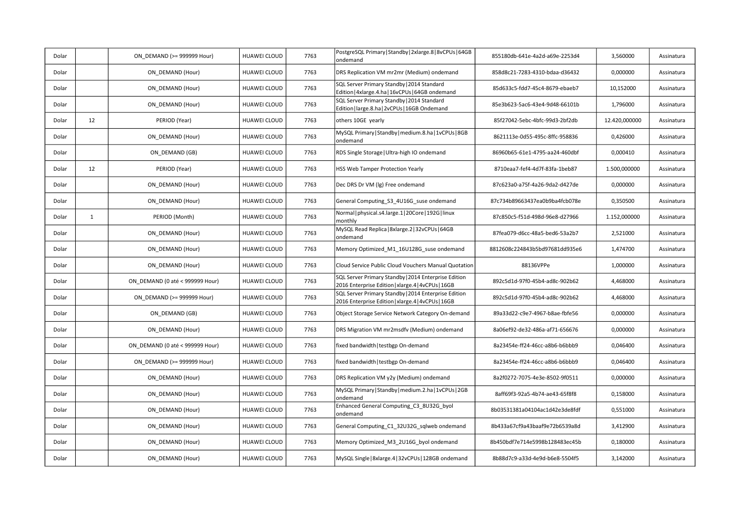| Dolar |              | ON DEMAND (>= 999999 Hour)      | HUAWEI CLOUD        | 7763 | PostgreSQL Primary   Standby   2xlarge.8   8vCPUs   64GB<br>ondemand                                       | 855180db-641e-4a2d-a69e-2253d4 | 3,560000      | Assinatura |
|-------|--------------|---------------------------------|---------------------|------|------------------------------------------------------------------------------------------------------------|--------------------------------|---------------|------------|
| Dolar |              | ON DEMAND (Hour)                | HUAWEI CLOUD        | 7763 | DRS Replication VM mr2mr (Medium) ondemand                                                                 | 858d8c21-7283-4310-bdaa-d36432 | 0,000000      | Assinatura |
| Dolar |              | ON DEMAND (Hour)                | HUAWEI CLOUD        | 7763 | SQL Server Primary Standby   2014 Standard<br>Edition   4xlarge.4.ha   16vCPUs   64GB ondemand             | 85d633c5-fdd7-45c4-8679-ebaeb7 | 10,152000     | Assinatura |
| Dolar |              | ON DEMAND (Hour)                | HUAWEI CLOUD        | 7763 | SQL Server Primary Standby   2014 Standard<br>Edition   large.8.ha   2vCPUs   16GB Ondemand                | 85e3b623-5ac6-43e4-9d48-66101b | 1,796000      | Assinatura |
| Dolar | 12           | PERIOD (Year)                   | HUAWEI CLOUD        | 7763 | others 10GE yearly                                                                                         | 85f27042-5ebc-4bfc-99d3-2bf2db | 12.420,000000 | Assinatura |
| Dolar |              | ON DEMAND (Hour)                | HUAWEI CLOUD        | 7763 | MySQL Primary   Standby   medium.8.ha   1vCPUs   8GB<br>ondemand                                           | 8621113e-0d55-495c-8ffc-958836 | 0,426000      | Assinatura |
| Dolar |              | ON DEMAND (GB)                  | <b>HUAWEI CLOUD</b> | 7763 | RDS Single Storage   Ultra-high IO ondemand                                                                | 86960b65-61e1-4795-aa24-460dbf | 0,000410      | Assinatura |
| Dolar | 12           | PERIOD (Year)                   | HUAWEI CLOUD        | 7763 | HSS Web Tamper Protection Yearly                                                                           | 8710eaa7-fef4-4d7f-83fa-1beb87 | 1.500,000000  | Assinatura |
| Dolar |              | ON DEMAND (Hour)                | HUAWEI CLOUD        | 7763 | Dec DRS Dr VM (lg) Free ondemand                                                                           | 87c623a0-a75f-4a26-9da2-d427de | 0,000000      | Assinatura |
| Dolar |              | ON DEMAND (Hour)                | HUAWEI CLOUD        | 7763 | General Computing S3 4U16G suse ondemand                                                                   | 87c734b89663437ea0b9ba4fcb078e | 0,350500      | Assinatura |
| Dolar | $\mathbf{1}$ | PERIOD (Month)                  | <b>HUAWEI CLOUD</b> | 7763 | Normal   physical.s4.large.1   20Core   192G   linux<br>monthly                                            | 87c850c5-f51d-498d-96e8-d27966 | 1.152,000000  | Assinatura |
| Dolar |              | ON DEMAND (Hour)                | HUAWEI CLOUD        | 7763 | MySQL Read Replica   8xlarge.2   32vCPUs   64GB<br>ondemand                                                | 87fea079-d6cc-48a5-bed6-53a2b7 | 2,521000      | Assinatura |
| Dolar |              | ON DEMAND (Hour)                | HUAWEI CLOUD        | 7763 | Memory Optimized_M1_16U128G_suse ondemand                                                                  | 8812608c224843b5bd97681dd935e6 | 1,474700      | Assinatura |
| Dolar |              | ON DEMAND (Hour)                | HUAWEI CLOUD        | 7763 | Cloud Service Public Cloud Vouchers Manual Quotation                                                       | 88136VPPe                      | 1,000000      | Assinatura |
| Dolar |              | ON DEMAND (0 até < 999999 Hour) | <b>HUAWEI CLOUD</b> | 7763 | SQL Server Primary Standby   2014 Enterprise Edition<br>2016 Enterprise Edition   xlarge.4   4vCPUs   16GB | 892c5d1d-97f0-45b4-ad8c-902b62 | 4,468000      | Assinatura |
| Dolar |              | ON DEMAND (>= 999999 Hour)      | HUAWEI CLOUD        | 7763 | SQL Server Primary Standby   2014 Enterprise Edition<br>2016 Enterprise Edition   xlarge.4   4vCPUs   16GB | 892c5d1d-97f0-45b4-ad8c-902b62 | 4,468000      | Assinatura |
| Dolar |              | ON DEMAND (GB)                  | <b>HUAWEI CLOUD</b> | 7763 | Object Storage Service Network Category On-demand                                                          | 89a33d22-c9e7-4967-b8ae-fbfe56 | 0,000000      | Assinatura |
| Dolar |              | ON DEMAND (Hour)                | HUAWEI CLOUD        | 7763 | DRS Migration VM mr2msdfv (Medium) ondemand                                                                | 8a06ef92-de32-486a-af71-656676 | 0,000000      | Assinatura |
| Dolar |              | ON DEMAND (0 até < 999999 Hour) | <b>HUAWEI CLOUD</b> | 7763 | fixed bandwidth   testbgp On-demand                                                                        | 8a23454e-ff24-46cc-a8b6-b6bbb9 | 0,046400      | Assinatura |
| Dolar |              | ON DEMAND (>= 999999 Hour)      | HUAWEI CLOUD        | 7763 | fixed bandwidth   testbgp On-demand                                                                        | 8a23454e-ff24-46cc-a8b6-b6bbb9 | 0,046400      | Assinatura |
| Dolar |              | ON DEMAND (Hour)                | HUAWEI CLOUD        | 7763 | DRS Replication VM y2y (Medium) ondemand                                                                   | 8a2f0272-7075-4e3e-8502-9f0511 | 0,000000      | Assinatura |
| Dolar |              | ON_DEMAND (Hour)                | HUAWEI CLOUD        | 7763 | MySQL Primary   Standby   medium.2.ha   1vCPUs   2GB<br>ondemand                                           | 8aff69f3-92a5-4b74-ae43-65f8f8 | 0,158000      | Assinatura |
| Dolar |              | ON DEMAND (Hour)                | HUAWEI CLOUD        | 7763 | Enhanced General Computing_C3_8U32G_byol<br>ondemand                                                       | 8b03531381a04104ac1d42e3de8fdf | 0,551000      | Assinatura |
| Dolar |              | ON DEMAND (Hour)                | <b>HUAWEI CLOUD</b> | 7763 | General Computing C1 32U32G sqlweb ondemand                                                                | 8b433a67cf9a43baaf9e72b6539a8d | 3,412900      | Assinatura |
| Dolar |              | ON DEMAND (Hour)                | HUAWEI CLOUD        | 7763 | Memory Optimized_M3_2U16G_byol ondemand                                                                    | 8b450bdf7e714e5998b128483ec45b | 0,180000      | Assinatura |
| Dolar |              | ON DEMAND (Hour)                | HUAWEI CLOUD        | 7763 | MySQL Single   8xlarge.4   32vCPUs   128GB ondemand                                                        | 8b88d7c9-a33d-4e9d-b6e8-5504f5 | 3,142000      | Assinatura |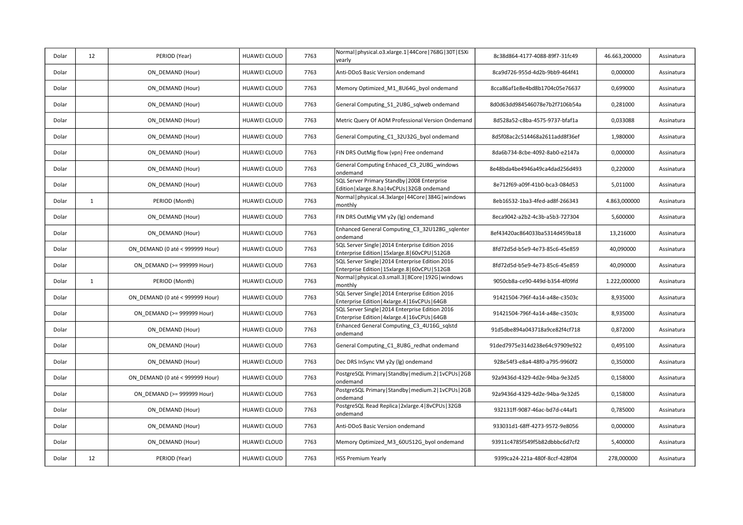| Dolar | 12           | PERIOD (Year)                   | HUAWEI CLOUD        | 7763 | Normal   physical.o3.xlarge.1   44Core   768G   30T   ESXi<br>vearly                                 | 8c38d864-4177-4088-89f7-31fc49 | 46.663,200000 | Assinatura |
|-------|--------------|---------------------------------|---------------------|------|------------------------------------------------------------------------------------------------------|--------------------------------|---------------|------------|
| Dolar |              | ON DEMAND (Hour)                | HUAWEI CLOUD        | 7763 | Anti-DDoS Basic Version ondemand                                                                     | 8ca9d726-955d-4d2b-9bb9-464f41 | 0,000000      | Assinatura |
| Dolar |              | ON DEMAND (Hour)                | HUAWEI CLOUD        | 7763 | Memory Optimized M1 8U64G byol ondemand                                                              | 8cca86af1e8e4bd8b1704c05e76637 | 0,699000      | Assinatura |
| Dolar |              | ON DEMAND (Hour)                | HUAWEI CLOUD        | 7763 | General Computing_S1_2U8G_sqlweb ondemand                                                            | 8d0d63dd984546078e7b2f7106b54a | 0,281000      | Assinatura |
| Dolar |              | ON DEMAND (Hour)                | HUAWEI CLOUD        | 7763 | Metric Query Of AOM Professional Version Ondemand                                                    | 8d528a52-c8ba-4575-9737-bfaf1a | 0,033088      | Assinatura |
| Dolar |              | ON DEMAND (Hour)                | <b>HUAWEI CLOUD</b> | 7763 | General Computing C1 32U32G byol ondemand                                                            | 8d5f08ac2c514468a2611add8f36ef | 1,980000      | Assinatura |
| Dolar |              | ON DEMAND (Hour)                | <b>HUAWEI CLOUD</b> | 7763 | FIN DRS OutMig flow (vpn) Free ondemand                                                              | 8da6b734-8cbe-4092-8ab0-e2147a | 0,000000      | Assinatura |
| Dolar |              | ON DEMAND (Hour)                | HUAWEI CLOUD        | 7763 | General Computing Enhaced C3 2U8G windows<br>ondemand                                                | 8e48bda4be4946a49ca4dad256d493 | 0,220000      | Assinatura |
| Dolar |              | ON DEMAND (Hour)                | HUAWEI CLOUD        | 7763 | SQL Server Primary Standby   2008 Enterprise<br>Edition   xlarge.8.ha   4vCPUs   32GB ondemand       | 8e712f69-a09f-41b0-bca3-084d53 | 5,011000      | Assinatura |
| Dolar | $\mathbf{1}$ | PERIOD (Month)                  | <b>HUAWEI CLOUD</b> | 7763 | Normal   physical.s4.3xlarge   44Core   384G   windows<br>monthly                                    | 8eb16532-1ba3-4fed-ad8f-266343 | 4.863,000000  | Assinatura |
| Dolar |              | ON DEMAND (Hour)                | <b>HUAWEI CLOUD</b> | 7763 | FIN DRS OutMig VM y2y (lg) ondemand                                                                  | 8eca9042-a2b2-4c3b-a5b3-727304 | 5,600000      | Assinatura |
| Dolar |              | ON DEMAND (Hour)                | HUAWEI CLOUD        | 7763 | Enhanced General Computing C3 32U128G sqlenter<br>ondemand                                           | 8ef43420ac864033ba5314d459ba18 | 13,216000     | Assinatura |
| Dolar |              | ON DEMAND (0 até < 999999 Hour) | HUAWEI CLOUD        | 7763 | SQL Server Single   2014 Enterprise Edition 2016<br>Enterprise Edition   15xlarge.8   60vCPU   512GB | 8fd72d5d-b5e9-4e73-85c6-45e859 | 40,090000     | Assinatura |
| Dolar |              | ON DEMAND (>= 999999 Hour)      | <b>HUAWEI CLOUD</b> | 7763 | SQL Server Single   2014 Enterprise Edition 2016<br>Enterprise Edition   15xlarge.8   60vCPU   512GB | 8fd72d5d-b5e9-4e73-85c6-45e859 | 40,090000     | Assinatura |
| Dolar | $\mathbf{1}$ | PERIOD (Month)                  | <b>HUAWEI CLOUD</b> | 7763 | Normal   physical.o3.small.3   8Core   192G   windows<br>monthly                                     | 9050cb8a-ce90-449d-b354-4f09fd | 1.222,000000  | Assinatura |
| Dolar |              | ON DEMAND (0 até < 999999 Hour) | <b>HUAWEI CLOUD</b> | 7763 | SQL Server Single   2014 Enterprise Edition 2016<br>Enterprise Edition   4xlarge.4   16vCPUs   64GB  | 91421504-796f-4a14-a48e-c3503c | 8,935000      | Assinatura |
| Dolar |              | ON DEMAND (>= 999999 Hour)      | HUAWEI CLOUD        | 7763 | SQL Server Single   2014 Enterprise Edition 2016<br>Enterprise Edition   4xlarge.4   16vCPUs   64GB  | 91421504-796f-4a14-a48e-c3503c | 8,935000      | Assinatura |
| Dolar |              | ON_DEMAND (Hour)                | <b>HUAWEI CLOUD</b> | 7763 | Enhanced General Computing_C3_4U16G_sqlstd<br>ondemand                                               | 91d5dbe894a043718a9ce82f4cf718 | 0,872000      | Assinatura |
| Dolar |              | ON DEMAND (Hour)                | HUAWEI CLOUD        | 7763 | General Computing C1 8U8G redhat ondemand                                                            | 91ded7975e314d238e64c97909e922 | 0,495100      | Assinatura |
| Dolar |              | ON DEMAND (Hour)                | HUAWEI CLOUD        | 7763 | Dec DRS InSync VM y2y (lg) ondemand                                                                  | 928e54f3-e8a4-48f0-a795-9960f2 | 0,350000      | Assinatura |
| Dolar |              | ON DEMAND (0 até < 999999 Hour) | <b>HUAWEI CLOUD</b> | 7763 | PostgreSQL Primary   Standby   medium.2   1vCPUs   2GB<br>ondemand                                   | 92a9436d-4329-4d2e-94ba-9e32d5 | 0,158000      | Assinatura |
| Dolar |              | ON DEMAND (>= 999999 Hour)      | <b>HUAWEI CLOUD</b> | 7763 | PostgreSQL Primary   Standby   medium.2   1vCPUs   2GB<br>ondemand                                   | 92a9436d-4329-4d2e-94ba-9e32d5 | 0,158000      | Assinatura |
| Dolar |              | ON DEMAND (Hour)                | HUAWEI CLOUD        | 7763 | PostgreSQL Read Replica   2xlarge.4   8vCPUs   32GB<br>ondemand                                      | 932131ff-9087-46ac-bd7d-c44af1 | 0,785000      | Assinatura |
| Dolar |              | ON DEMAND (Hour)                | HUAWEI CLOUD        | 7763 | Anti-DDoS Basic Version ondemand                                                                     | 933031d1-68ff-4273-9572-9e8056 | 0,000000      | Assinatura |
| Dolar |              | ON DEMAND (Hour)                | HUAWEI CLOUD        | 7763 | Memory Optimized_M3_60U512G_byol ondemand                                                            | 93911c4785f549f5b82dbbbc6d7cf2 | 5,400000      | Assinatura |
| Dolar | 12           | PERIOD (Year)                   | HUAWEI CLOUD        | 7763 | <b>HSS Premium Yearly</b>                                                                            | 9399ca24-221a-480f-8ccf-428f04 | 278,000000    | Assinatura |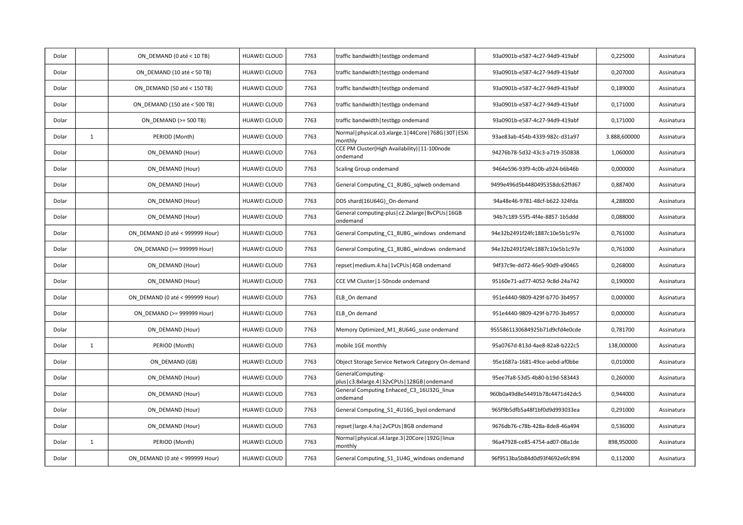| Dolar |              | ON DEMAND (0 até < 10 TB)       | HUAWEI CLOUD        | 7763 | traffic bandwidth   testbgp ondemand                                  | 93a0901b-e587-4c27-94d9-419abf | 0,225000     | Assinatura |
|-------|--------------|---------------------------------|---------------------|------|-----------------------------------------------------------------------|--------------------------------|--------------|------------|
| Dolar |              | ON DEMAND (10 até < 50 TB)      | HUAWEI CLOUD        | 7763 | traffic bandwidth   testbgp ondemand                                  | 93a0901b-e587-4c27-94d9-419abf | 0,207000     | Assinatura |
| Dolar |              | ON DEMAND (50 até < 150 TB)     | HUAWEI CLOUD        | 7763 | traffic bandwidth   testbgp ondemand                                  | 93a0901b-e587-4c27-94d9-419abf | 0,189000     | Assinatura |
| Dolar |              | ON DEMAND (150 até < 500 TB)    | <b>HUAWEI CLOUD</b> | 7763 | traffic bandwidth   testbgp ondemand                                  | 93a0901b-e587-4c27-94d9-419abf | 0,171000     | Assinatura |
| Dolar |              | ON DEMAND (>= 500 TB)           | <b>HUAWEI CLOUD</b> | 7763 | traffic bandwidth   testbgp ondemand                                  | 93a0901b-e587-4c27-94d9-419abf | 0,171000     | Assinatura |
| Dolar | $\mathbf{1}$ | PERIOD (Month)                  | HUAWEI CLOUD        | 7763 | Normal   physical.o3.xlarge.1   44Core   768G   30T   ESXi<br>monthly | 93ae83ab-454b-4339-982c-d31a97 | 3.888,600000 | Assinatura |
| Dolar |              | ON DEMAND (Hour)                | HUAWEI CLOUD        | 7763 | CCE PM Cluster(High Availability)   11-100node<br>ondemand            | 94276b78-5d32-43c3-a719-350838 | 1,060000     | Assinatura |
| Dolar |              | ON DEMAND (Hour)                | HUAWEI CLOUD        | 7763 | Scaling Group ondemand                                                | 9464e596-93f9-4c0b-a924-b6b46b | 0,000000     | Assinatura |
| Dolar |              | ON DEMAND (Hour)                | HUAWEI CLOUD        | 7763 | General Computing_C1_8U8G_sqlweb ondemand                             | 9499e496d5b4480495358dc62ffd67 | 0,887400     | Assinatura |
| Dolar |              | ON DEMAND (Hour)                | HUAWEI CLOUD        | 7763 | DDS shard(16U64G) On-demand                                           | 94a48e46-9781-48cf-b622-324fda | 4,288000     | Assinatura |
| Dolar |              | ON DEMAND (Hour)                | <b>HUAWEI CLOUD</b> | 7763 | General computing-plus   c2.2xlarge   8vCPUs   16GB<br>ondemand       | 94b7c189-55f5-4f4e-8857-1b5ddd | 0,088000     | Assinatura |
| Dolar |              | ON_DEMAND (0 até < 999999 Hour) | <b>HUAWEI CLOUD</b> | 7763 | General Computing_C1_8U8G_windows_ondemand                            | 94e32b2491f24fc1887c10e5b1c97e | 0,761000     | Assinatura |
| Dolar |              | ON DEMAND (>= 999999 Hour)      | HUAWEI CLOUD        | 7763 | General Computing C1 8U8G windows ondemand                            | 94e32b2491f24fc1887c10e5b1c97e | 0,761000     | Assinatura |
| Dolar |              | ON DEMAND (Hour)                | HUAWEI CLOUD        | 7763 | repset   medium.4.ha   1vCPUs   4GB ondemand                          | 94f37c9e-dd72-46e5-90d9-a90465 | 0,268000     | Assinatura |
| Dolar |              | ON_DEMAND (Hour)                | HUAWEI CLOUD        | 7763 | CCE VM Cluster   1-50node ondemand                                    | 95160e71-ad77-4052-9c8d-24a742 | 0.190000     | Assinatura |
| Dolar |              | ON DEMAND (0 até < 999999 Hour) | <b>HUAWEI CLOUD</b> | 7763 | ELB On demand                                                         | 951e4440-9809-429f-b770-3b4957 | 0,000000     | Assinatura |
| Dolar |              | ON DEMAND (>= 999999 Hour)      | HUAWEI CLOUD        | 7763 | ELB On demand                                                         | 951e4440-9809-429f-b770-3b4957 | 0,000000     | Assinatura |
| Dolar |              | ON_DEMAND (Hour)                | HUAWEI CLOUD        | 7763 | Memory Optimized_M1_8U64G_suse ondemand                               | 9555861130684925b71d9cfd4e0cde | 0,781700     | Assinatura |
| Dolar | $\mathbf{1}$ | PERIOD (Month)                  | <b>HUAWEI CLOUD</b> | 7763 | mobile 1GE monthly                                                    | 95a0767d-813d-4ae8-82a8-b222c5 | 138,000000   | Assinatura |
| Dolar |              | ON DEMAND (GB)                  | <b>HUAWEI CLOUD</b> | 7763 | Object Storage Service Network Category On-demand                     | 95e1687a-1681-49ce-aebd-af0bbe | 0,010000     | Assinatura |
| Dolar |              | ON DEMAND (Hour)                | HUAWEI CLOUD        | 7763 | GeneralComputing-<br>plus   c3.8xlarge.4   32vCPUs   128GB   ondemand | 95ee7fa8-53d5-4b80-b19d-583443 | 0,260000     | Assinatura |
| Dolar |              | ON DEMAND (Hour)                | HUAWEI CLOUD        | 7763 | General Computing Enhaced C3 16U32G linux<br>ondemand                 | 960b0a49d8e54491b78c4471d42dc5 | 0,944000     | Assinatura |
| Dolar |              | ON DEMAND (Hour)                | HUAWEI CLOUD        | 7763 | General Computing_S1_4U16G_byol ondemand                              | 965f9b5dfb5a48f1bf0d9d993033ea | 0,291000     | Assinatura |
| Dolar |              | ON DEMAND (Hour)                | HUAWEI CLOUD        | 7763 | repset   large.4.ha   2vCPUs   8GB ondemand                           | 9676db76-c78b-428a-8de8-46a494 | 0,536000     | Assinatura |
| Dolar | $\mathbf{1}$ | PERIOD (Month)                  | <b>HUAWEI CLOUD</b> | 7763 | Normal   physical.s4.large.3   20Core   192G   linux<br>monthly       | 96a47928-ce85-4754-ad07-08a1de | 898,950000   | Assinatura |
| Dolar |              | ON DEMAND (0 até < 999999 Hour) | HUAWEI CLOUD        | 7763 | General Computing_S1_1U4G_windows ondemand                            | 96f9513ba5b84d0d93f4692e6fc894 | 0,112000     | Assinatura |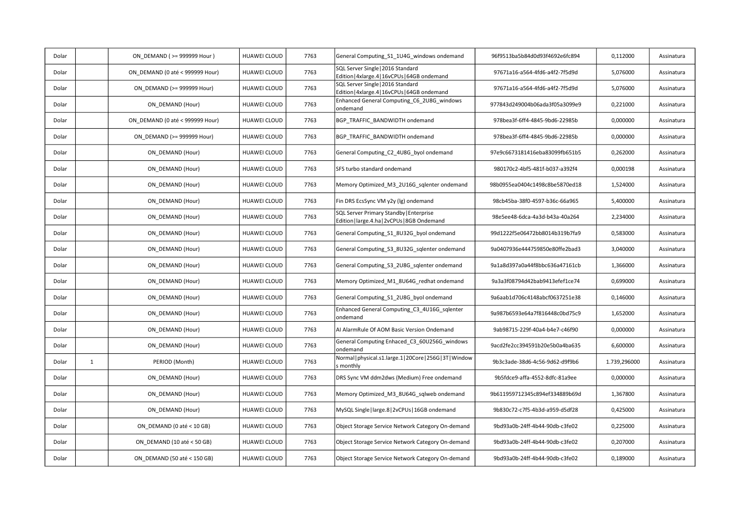| Dolar |              | ON DEMAND ( >= 999999 Hour )    | HUAWEI CLOUD        | 7763 | General Computing_S1_1U4G_windows ondemand                                              | 96f9513ba5b84d0d93f4692e6fc894 | 0,112000     | Assinatura |
|-------|--------------|---------------------------------|---------------------|------|-----------------------------------------------------------------------------------------|--------------------------------|--------------|------------|
| Dolar |              | ON DEMAND (0 até < 999999 Hour) | <b>HUAWEI CLOUD</b> | 7763 | SQL Server Single   2016 Standard<br>Edition   4xlarge.4   16vCPUs   64GB ondemand      | 97671a16-a564-4fd6-a4f2-7f5d9d | 5,076000     | Assinatura |
| Dolar |              | ON DEMAND (>= 999999 Hour)      | HUAWEI CLOUD        | 7763 | SQL Server Single   2016 Standard<br>Edition   4xlarge.4   16vCPUs   64GB ondemand      | 97671a16-a564-4fd6-a4f2-7f5d9d | 5,076000     | Assinatura |
| Dolar |              | ON DEMAND (Hour)                | HUAWEI CLOUD        | 7763 | Enhanced General Computing C6 2U8G windows<br>ondemand                                  | 977843d249004b06ada3f05a3099e9 | 0,221000     | Assinatura |
| Dolar |              | ON DEMAND (0 até < 999999 Hour) | <b>HUAWEI CLOUD</b> | 7763 | BGP TRAFFIC BANDWIDTH ondemand                                                          | 978bea3f-6ff4-4845-9bd6-22985b | 0,000000     | Assinatura |
| Dolar |              | ON DEMAND (>= 999999 Hour)      | HUAWEI CLOUD        | 7763 | BGP TRAFFIC BANDWIDTH ondemand                                                          | 978bea3f-6ff4-4845-9bd6-22985b | 0,000000     | Assinatura |
| Dolar |              | ON DEMAND (Hour)                | <b>HUAWEI CLOUD</b> | 7763 | General Computing C2 4U8G byol ondemand                                                 | 97e9c6673181416eba83099fb651b5 | 0,262000     | Assinatura |
| Dolar |              | ON DEMAND (Hour)                | <b>HUAWEI CLOUD</b> | 7763 | SFS turbo standard ondemand                                                             | 980170c2-4bf5-481f-b037-a392f4 | 0,000198     | Assinatura |
| Dolar |              | ON DEMAND (Hour)                | HUAWEI CLOUD        | 7763 | Memory Optimized_M3_2U16G_sqlenter ondemand                                             | 98b0955ea0404c1498c8be5870ed18 | 1,524000     | Assinatura |
| Dolar |              | ON DEMAND (Hour)                | HUAWEI CLOUD        | 7763 | Fin DRS EcsSync VM y2y (lg) ondemand                                                    | 98cb45ba-38f0-4597-b36c-66a965 | 5,400000     | Assinatura |
| Dolar |              | ON DEMAND (Hour)                | <b>HUAWEI CLOUD</b> | 7763 | SQL Server Primary Standby   Enterprise<br>Edition   large.4.ha   2vCPUs   8GB Ondemand | 98e5ee48-6dca-4a3d-b43a-40a264 | 2,234000     | Assinatura |
| Dolar |              | ON DEMAND (Hour)                | HUAWEI CLOUD        | 7763 | General Computing S1 8U32G byol ondemand                                                | 99d1222f5e06472bb8014b319b7fa9 | 0,583000     | Assinatura |
| Dolar |              | ON DEMAND (Hour)                | HUAWEI CLOUD        | 7763 | General Computing_S3_8U32G_sqlenter ondemand                                            | 9a0407936e444759850e80ffe2bad3 | 3,040000     | Assinatura |
| Dolar |              | ON DEMAND (Hour)                | <b>HUAWEI CLOUD</b> | 7763 | General Computing S3 2U8G sqlenter ondemand                                             | 9a1a8d397a0a44f8bbc636a47161cb | 1,366000     | Assinatura |
| Dolar |              | ON DEMAND (Hour)                | <b>HUAWEI CLOUD</b> | 7763 | Memory Optimized M1 8U64G redhat ondemand                                               | 9a3a3f08794d42bab9413efef1ce74 | 0,699000     | Assinatura |
| Dolar |              | ON DEMAND (Hour)                | <b>HUAWEI CLOUD</b> | 7763 | General Computing_S1_2U8G_byol ondemand                                                 | 9a6aab1d706c4148abcf0637251e38 | 0,146000     | Assinatura |
| Dolar |              | ON DEMAND (Hour)                | <b>HUAWEI CLOUD</b> | 7763 | Enhanced General Computing C3 4U16G sqlenter<br>ondemand                                | 9a987b6593e64a7f816448c0bd75c9 | 1,652000     | Assinatura |
| Dolar |              | ON DEMAND (Hour)                | <b>HUAWEI CLOUD</b> | 7763 | AI AlarmRule Of AOM Basic Version Ondemand                                              | 9ab98715-229f-40a4-b4e7-c46f90 | 0,000000     | Assinatura |
| Dolar |              | ON DEMAND (Hour)                | HUAWEI CLOUD        | 7763 | General Computing Enhaced_C3_60U256G_windows<br>ondemand                                | 9acd2fe2cc394591b20e5b0a4ba635 | 6,600000     | Assinatura |
| Dolar | $\mathbf{1}$ | PERIOD (Month)                  | <b>HUAWEI CLOUD</b> | 7763 | Normal physical.s1.large.1 20Core 256G 3T Window<br>s monthly                           | 9b3c3ade-38d6-4c56-9d62-d9f9b6 | 1.739,296000 | Assinatura |
| Dolar |              | ON DEMAND (Hour)                | HUAWEI CLOUD        | 7763 | DRS Sync VM ddm2dws (Medium) Free ondemand                                              | 9b5fdce9-affa-4552-8dfc-81a9ee | 0,000000     | Assinatura |
| Dolar |              | ON_DEMAND (Hour)                | <b>HUAWEI CLOUD</b> | 7763 | Memory Optimized_M3_8U64G_sqlweb ondemand                                               | 9b611959712345c894ef334889b69d | 1,367800     | Assinatura |
| Dolar |              | ON DEMAND (Hour)                | <b>HUAWEI CLOUD</b> | 7763 | MySQL Single   large.8   2vCPUs   16GB ondemand                                         | 9b830c72-c7f5-4b3d-a959-d5df28 | 0,425000     | Assinatura |
| Dolar |              | ON DEMAND (0 até < 10 GB)       | <b>HUAWEI CLOUD</b> | 7763 | Object Storage Service Network Category On-demand                                       | 9bd93a0b-24ff-4b44-90db-c3fe02 | 0,225000     | Assinatura |
| Dolar |              | ON DEMAND (10 até < 50 GB)      | HUAWEI CLOUD        | 7763 | Object Storage Service Network Category On-demand                                       | 9bd93a0b-24ff-4b44-90db-c3fe02 | 0,207000     | Assinatura |
| Dolar |              | ON DEMAND (50 até < 150 GB)     | HUAWEI CLOUD        | 7763 | Object Storage Service Network Category On-demand                                       | 9bd93a0b-24ff-4b44-90db-c3fe02 | 0,189000     | Assinatura |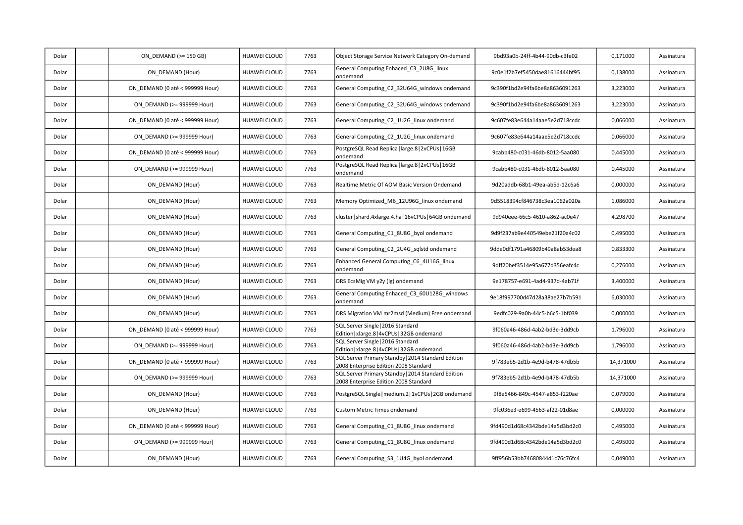| Dolar | ON DEMAND (>= 150 GB)           | HUAWEI CLOUD        | 7763 | Object Storage Service Network Category On-demand                                           | 9bd93a0b-24ff-4b44-90db-c3fe02 | 0,171000  | Assinatura |
|-------|---------------------------------|---------------------|------|---------------------------------------------------------------------------------------------|--------------------------------|-----------|------------|
| Dolar | ON DEMAND (Hour)                | HUAWEI CLOUD        | 7763 | General Computing Enhaced_C3_2U8G_linux<br>ondemand                                         | 9c0e1f2b7ef5450dae81616444bf95 | 0,138000  | Assinatura |
| Dolar | ON DEMAND (0 até < 999999 Hour) | <b>HUAWEI CLOUD</b> | 7763 | General Computing C2 32U64G windows ondemand                                                | 9c390f1bd2e94fa6be8a8636091263 | 3,223000  | Assinatura |
| Dolar | ON DEMAND (>= 999999 Hour)      | HUAWEI CLOUD        | 7763 | General Computing_C2_32U64G_windows ondemand                                                | 9c390f1bd2e94fa6be8a8636091263 | 3,223000  | Assinatura |
| Dolar | ON DEMAND (0 até < 999999 Hour) | HUAWEI CLOUD        | 7763 | General Computing C2 1U2G linux ondemand                                                    | 9c607fe83e644a14aae5e2d718ccdc | 0,066000  | Assinatura |
| Dolar | ON DEMAND (>= 999999 Hour)      | HUAWEI CLOUD        | 7763 | General Computing C2 1U2G linux ondemand                                                    | 9c607fe83e644a14aae5e2d718ccdc | 0,066000  | Assinatura |
| Dolar | ON DEMAND (0 até < 999999 Hour) | <b>HUAWEI CLOUD</b> | 7763 | PostgreSQL Read Replica   large.8   2vCPUs   16GB<br>ondemand                               | 9cabb480-c031-46db-8012-5aa080 | 0,445000  | Assinatura |
| Dolar | ON DEMAND (>= 999999 Hour)      | HUAWEI CLOUD        | 7763 | PostgreSQL Read Replica   large.8   2vCPUs   16GB<br>ondemand                               | 9cabb480-c031-46db-8012-5aa080 | 0,445000  | Assinatura |
| Dolar | ON DEMAND (Hour)                | HUAWEI CLOUD        | 7763 | Realtime Metric Of AOM Basic Version Ondemand                                               | 9d20addb-68b1-49ea-ab5d-12c6a6 | 0,000000  | Assinatura |
| Dolar | ON DEMAND (Hour)                | HUAWEI CLOUD        | 7763 | Memory Optimized M6 12U96G linux ondemand                                                   | 9d5518394cf846738c3ea1062a020a | 1,086000  | Assinatura |
| Dolar | ON DEMAND (Hour)                | <b>HUAWEI CLOUD</b> | 7763 | cluster   shard.4xlarge.4.ha   16vCPUs   64GB ondemand                                      | 9d940eee-66c5-4610-a862-ac0e47 | 4,298700  | Assinatura |
| Dolar | ON DEMAND (Hour)                | HUAWEI CLOUD        | 7763 | General Computing_C1_8U8G_byol ondemand                                                     | 9d9f237ab9e440549ebe21f20a4c02 | 0,495000  | Assinatura |
| Dolar | ON DEMAND (Hour)                | HUAWEI CLOUD        | 7763 | General Computing C2 2U4G sqlstd ondemand                                                   | 9dde0df1791a46809b49a8ab53dea8 | 0,833300  | Assinatura |
| Dolar | ON DEMAND (Hour)                | HUAWEI CLOUD        | 7763 | Enhanced General Computing_C6_4U16G_linux<br>ondemand                                       | 9dff20bef3514e95a677d356eafc4c | 0,276000  | Assinatura |
| Dolar | ON DEMAND (Hour)                | <b>HUAWEI CLOUD</b> | 7763 | DRS EcsMig VM y2y (lg) ondemand                                                             | 9e178757-e691-4ad4-937d-4ab71f | 3,400000  | Assinatura |
| Dolar | ON DEMAND (Hour)                | <b>HUAWEI CLOUD</b> | 7763 | General Computing Enhaced C3 60U128G windows<br>ondemand                                    | 9e18f997700d47d28a38ae27b7b591 | 6,030000  | Assinatura |
| Dolar | ON DEMAND (Hour)                | <b>HUAWEI CLOUD</b> | 7763 | DRS Migration VM mr2msd (Medium) Free ondemand                                              | 9edfc029-9a0b-44c5-b6c5-1bf039 | 0,000000  | Assinatura |
| Dolar | ON DEMAND (0 até < 999999 Hour) | <b>HUAWEI CLOUD</b> | 7763 | SQL Server Single   2016 Standard<br>Edition   xlarge.8   4vCPUs   32GB ondemand            | 9f060a46-486d-4ab2-bd3e-3dd9cb | 1,796000  | Assinatura |
| Dolar | ON DEMAND (>= 999999 Hour)      | HUAWEI CLOUD        | 7763 | SQL Server Single   2016 Standard<br>Edition   xlarge.8   4vCPUs   32GB ondemand            | 9f060a46-486d-4ab2-bd3e-3dd9cb | 1,796000  | Assinatura |
| Dolar | ON DEMAND (0 até < 999999 Hour) | <b>HUAWEI CLOUD</b> | 7763 | SQL Server Primary Standby   2014 Standard Edition<br>2008 Enterprise Edition 2008 Standard | 9f783eb5-2d1b-4e9d-b478-47db5b | 14,371000 | Assinatura |
| Dolar | ON DEMAND (>= 999999 Hour)      | HUAWEI CLOUD        | 7763 | SQL Server Primary Standby   2014 Standard Edition<br>2008 Enterprise Edition 2008 Standard | 9f783eb5-2d1b-4e9d-b478-47db5b | 14,371000 | Assinatura |
| Dolar | ON_DEMAND (Hour)                | HUAWEI CLOUD        | 7763 | PostgreSQL Single   medium.2   1vCPUs   2GB ondemand                                        | 9f8e5466-849c-4547-a853-f220ae | 0,079000  | Assinatura |
| Dolar | ON DEMAND (Hour)                | <b>HUAWEI CLOUD</b> | 7763 | <b>Custom Metric Times ondemand</b>                                                         | 9fc036e3-e699-4563-af22-01d8ae | 0,000000  | Assinatura |
| Dolar | ON DEMAND (0 até < 999999 Hour) | <b>HUAWEI CLOUD</b> | 7763 | General Computing_C1_8U8G_linux ondemand                                                    | 9fd490d1d68c4342bde14a5d3bd2c0 | 0,495000  | Assinatura |
| Dolar | ON DEMAND (>= 999999 Hour)      | HUAWEI CLOUD        | 7763 | General Computing_C1_8U8G_linux ondemand                                                    | 9fd490d1d68c4342bde14a5d3bd2c0 | 0,495000  | Assinatura |
| Dolar | ON DEMAND (Hour)                | HUAWEI CLOUD        | 7763 | General Computing_S3_1U4G_byol ondemand                                                     | 9ff956b53bb74680844d1c76c76fc4 | 0,049000  | Assinatura |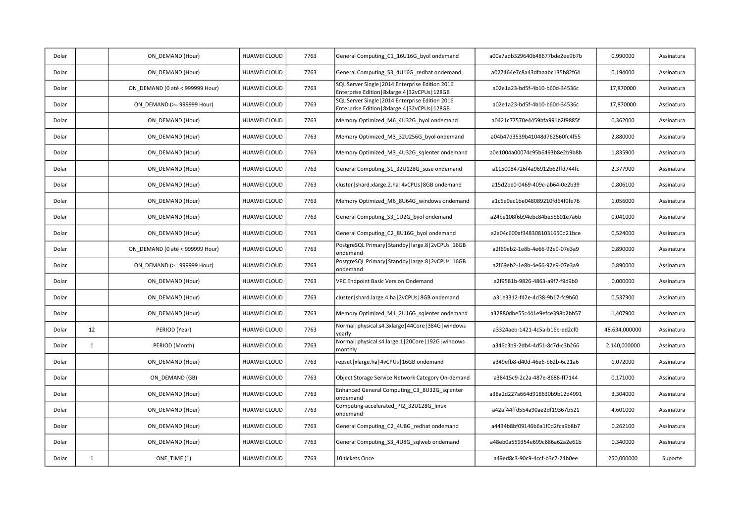| Dolar |              | ON DEMAND (Hour)                | <b>HUAWEI CLOUD</b> | 7763 | General Computing C1 16U16G byol ondemand                                                             | a00a7adb329640b48677bde2ee9b7b | 0,990000      | Assinatura |
|-------|--------------|---------------------------------|---------------------|------|-------------------------------------------------------------------------------------------------------|--------------------------------|---------------|------------|
| Dolar |              | ON DEMAND (Hour)                | <b>HUAWEI CLOUD</b> | 7763 | General Computing_S3_4U16G_redhat ondemand                                                            | a027464e7c8a43dfaaabc135b82f64 | 0,194000      | Assinatura |
| Dolar |              | ON DEMAND (0 até < 999999 Hour) | <b>HUAWEI CLOUD</b> | 7763 | SQL Server Single   2014 Enterprise Edition 2016<br>Enterprise Edition   8xlarge.4   32vCPUs   128GB  | a02e1a23-bd5f-4b10-b60d-34536c | 17,870000     | Assinatura |
| Dolar |              | ON DEMAND (>= 999999 Hour)      | HUAWEI CLOUD        | 7763 | SQL Server Single   2014 Enterprise Edition 2016<br>Enterprise Edition   8xlarge. 4   32vCPUs   128GB | a02e1a23-bd5f-4b10-b60d-34536c | 17,870000     | Assinatura |
| Dolar |              | ON DEMAND (Hour)                | <b>HUAWEI CLOUD</b> | 7763 | Memory Optimized M6 4U32G byol ondemand                                                               | a0421c77570e4459bfa991b2f9885f | 0,362000      | Assinatura |
| Dolar |              | ON DEMAND (Hour)                | <b>HUAWEI CLOUD</b> | 7763 | Memory Optimized M3 32U256G byol ondemand                                                             | a04b47d3539b41048d762560fc4f55 | 2,880000      | Assinatura |
| Dolar |              | ON DEMAND (Hour)                | <b>HUAWEI CLOUD</b> | 7763 | Memory Optimized M3 4U32G sglenter ondemand                                                           | a0e1004a00074c95b6493b8e2b9b8b | 1,835900      | Assinatura |
| Dolar |              | ON DEMAND (Hour)                | <b>HUAWEI CLOUD</b> | 7763 | General Computing S1 32U128G suse ondemand                                                            | a1150084726f4a96912b62ffd744fc | 2,377900      | Assinatura |
| Dolar |              | ON DEMAND (Hour)                | <b>HUAWEI CLOUD</b> | 7763 | cluster   shard.xlarge.2.ha   4vCPUs   8GB ondemand                                                   | a15d2be0-0469-409e-ab64-0e2b39 | 0,806100      | Assinatura |
| Dolar |              | ON DEMAND (Hour)                | <b>HUAWEI CLOUD</b> | 7763 | Memory Optimized_M6_8U64G_windows ondemand                                                            | a1c6e9ec1be048089210fd64f9fe76 | 1,056000      | Assinatura |
| Dolar |              | ON DEMAND (Hour)                | <b>HUAWEI CLOUD</b> | 7763 | General Computing_S3_1U2G_byol ondemand                                                               | a24be108f6b94ebc84be55601e7a6b | 0,041000      | Assinatura |
| Dolar |              | ON DEMAND (Hour)                | <b>HUAWEI CLOUD</b> | 7763 | General Computing C2 8U16G byol ondemand                                                              | a2a04c600af3483081031650d21bce | 0,524000      | Assinatura |
| Dolar |              | ON DEMAND (0 até < 999999 Hour) | <b>HUAWEI CLOUD</b> | 7763 | PostgreSQL Primary   Standby   large.8   2vCPUs   16GB<br>ondemand                                    | a2f69eb2-1e8b-4e66-92e9-07e3a9 | 0,890000      | Assinatura |
| Dolar |              | ON DEMAND (>= 999999 Hour)      | HUAWEI CLOUD        | 7763 | PostgreSQL Primary   Standby   large.8   2vCPUs   16GB<br>ondemand                                    | a2f69eb2-1e8b-4e66-92e9-07e3a9 | 0,890000      | Assinatura |
| Dolar |              | ON DEMAND (Hour)                | HUAWEI CLOUD        | 7763 | VPC Endpoint Basic Version Ondemand                                                                   | a2f9581b-9826-4863-a9f7-f9d9b0 | 0,000000      | Assinatura |
| Dolar |              | ON DEMAND (Hour)                | <b>HUAWEI CLOUD</b> | 7763 | cluster   shard.large.4.ha   2vCPUs   8GB ondemand                                                    | a31e3312-f42e-4d38-9b17-fc9b60 | 0,537300      | Assinatura |
| Dolar |              | ON DEMAND (Hour)                | <b>HUAWEI CLOUD</b> | 7763 | Memory Optimized M1 2U16G sqlenter ondemand                                                           | a32880dbe55c441e9efce398b2bb57 | 1,407900      | Assinatura |
| Dolar | 12           | PERIOD (Year)                   | HUAWEI CLOUD        | 7763 | Normal   physical.s4.3xlarge   44Core   384G   windows<br>yearly                                      | a3324aeb-1421-4c5a-b16b-ed2cf0 | 48.634,000000 | Assinatura |
| Dolar | $\mathbf{1}$ | PERIOD (Month)                  | <b>HUAWEI CLOUD</b> | 7763 | Normal   physical.s4.large.1   20Core   192G   windows<br>monthly                                     | a346c3b9-2db4-4d51-8c7d-c3b266 | 2.140,000000  | Assinatura |
| Dolar |              | ON DEMAND (Hour)                | HUAWEI CLOUD        | 7763 | repset   xlarge.ha   4vCPUs   16GB ondemand                                                           | a349efb8-d40d-46e6-b62b-6c21a6 | 1,072000      | Assinatura |
| Dolar |              | ON DEMAND (GB)                  | <b>HUAWEI CLOUD</b> | 7763 | Object Storage Service Network Category On-demand                                                     | a38415c9-2c2a-487e-8688-ff7144 | 0.171000      | Assinatura |
| Dolar |              | ON DEMAND (Hour)                | <b>HUAWEI CLOUD</b> | 7763 | Enhanced General Computing_C3_8U32G_sqlenter<br>ondemand                                              | a38a2d227a664d918630b9b12d4991 | 3.304000      | Assinatura |
| Dolar |              | ON DEMAND (Hour)                | <b>HUAWEI CLOUD</b> | 7763 | Computing-accelerated_PI2_32U128G_linux<br>ondemand                                                   | a42af44ffd554a90ae2df19367b521 | 4,601000      | Assinatura |
| Dolar |              | ON DEMAND (Hour)                | <b>HUAWEI CLOUD</b> | 7763 | General Computing C2 4U8G redhat ondemand                                                             | a4434b8bf09146b6a1f0d2fca9b8b7 | 0,262100      | Assinatura |
| Dolar |              | ON DEMAND (Hour)                | HUAWEI CLOUD        | 7763 | General Computing_S3_4U8G_sqlweb ondemand                                                             | a48eb0a559354e699c686a62a2e61b | 0,340000      | Assinatura |
| Dolar | $\mathbf{1}$ | ONE_TIME (1)                    | <b>HUAWEI CLOUD</b> | 7763 | 10 tickets Once                                                                                       | a49ed8c3-90c9-4ccf-b3c7-24b0ee | 250,000000    | Suporte    |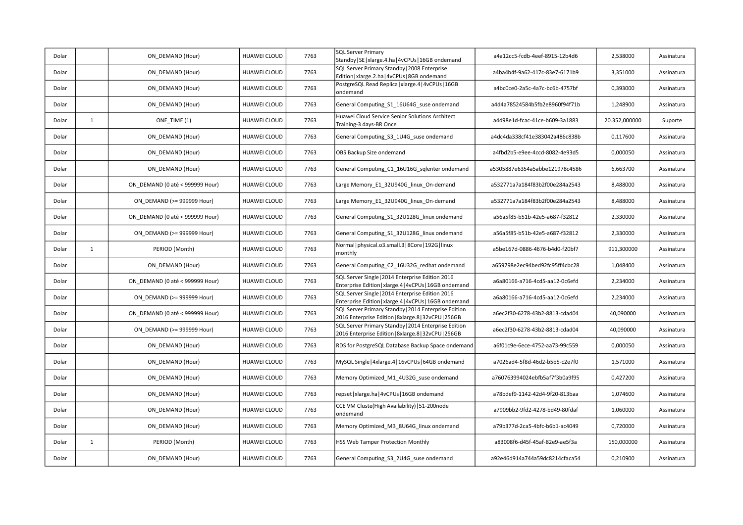| Dolar |              | ON DEMAND (Hour)                | <b>HUAWEI CLOUD</b> | 7763 | <b>SQL Server Primary</b><br>Standby   SE   xlarge. 4.ha   4vCPUs   16GB ondemand                            | a4a12cc5-fcdb-4eef-8915-12b4d6 | 2,538000      | Assinatura |
|-------|--------------|---------------------------------|---------------------|------|--------------------------------------------------------------------------------------------------------------|--------------------------------|---------------|------------|
| Dolar |              | ON DEMAND (Hour)                | <b>HUAWEI CLOUD</b> | 7763 | SQL Server Primary Standby   2008 Enterprise<br>Edition   xlarge.2.ha   4vCPUs   8GB ondemand                | a4ba4b4f-9a62-417c-83e7-6171b9 | 3,351000      | Assinatura |
| Dolar |              | ON DEMAND (Hour)                | <b>HUAWEI CLOUD</b> | 7763 | PostgreSQL Read Replica   xlarge.4   4vCPUs   16GB<br>ondemand                                               | a4bc0ce0-2a5c-4a7c-bc6b-4757bf | 0,393000      | Assinatura |
| Dolar |              | ON DEMAND (Hour)                | <b>HUAWEI CLOUD</b> | 7763 | General Computing S1 16U64G suse ondemand                                                                    | a4d4a78524584b5fb2e8960f94f71b | 1,248900      | Assinatura |
| Dolar | $\mathbf{1}$ | ONE TIME (1)                    | <b>HUAWEI CLOUD</b> | 7763 | Huawei Cloud Service Senior Solutions Architect<br>Training-3 days-BR Once                                   | a4d98e1d-fcac-41ce-b609-3a1883 | 20.352,000000 | Suporte    |
| Dolar |              | ON DEMAND (Hour)                | <b>HUAWEI CLOUD</b> | 7763 | General Computing_S3_1U4G_suse ondemand                                                                      | a4dc4da338cf41e383042a486c838b | 0,117600      | Assinatura |
| Dolar |              | ON_DEMAND (Hour)                | <b>HUAWEI CLOUD</b> | 7763 | OBS Backup Size ondemand                                                                                     | a4fbd2b5-e9ee-4ccd-8082-4e93d5 | 0,000050      | Assinatura |
| Dolar |              | ON DEMAND (Hour)                | HUAWEI CLOUD        | 7763 | General Computing C1 16U16G sqlenter ondemand                                                                | a5305887e6354a5abbe121978c4586 | 6,663700      | Assinatura |
| Dolar |              | ON DEMAND (0 até < 999999 Hour) | <b>HUAWEI CLOUD</b> | 7763 | Large Memory_E1_32U940G_linux_On-demand                                                                      | a532771a7a184f83b2f00e284a2543 | 8,488000      | Assinatura |
| Dolar |              | ON DEMAND (>= 999999 Hour)      | <b>HUAWEI CLOUD</b> | 7763 | Large Memory_E1_32U940G_linux_On-demand                                                                      | a532771a7a184f83b2f00e284a2543 | 8,488000      | Assinatura |
| Dolar |              | ON DEMAND (0 até < 999999 Hour) | <b>HUAWEI CLOUD</b> | 7763 | General Computing S1 32U128G linux ondemand                                                                  | a56a5f85-b51b-42e5-a687-f32812 | 2,330000      | Assinatura |
| Dolar |              | ON DEMAND (>= 999999 Hour)      | HUAWEI CLOUD        | 7763 | General Computing S1 32U128G linux ondemand                                                                  | a56a5f85-b51b-42e5-a687-f32812 | 2,330000      | Assinatura |
| Dolar | $\mathbf{1}$ | PERIOD (Month)                  | <b>HUAWEI CLOUD</b> | 7763 | Normal   physical.o3.small.3   8Core   192G   linux<br>monthly                                               | a5be167d-0886-4676-b4d0-f20bf7 | 911,300000    | Assinatura |
| Dolar |              | ON DEMAND (Hour)                | <b>HUAWEI CLOUD</b> | 7763 | General Computing_C2_16U32G_redhat ondemand                                                                  | a659798e2ec94bed92fc95ff4cbc28 | 1,048400      | Assinatura |
| Dolar |              | ON DEMAND (0 até < 999999 Hour) | <b>HUAWEI CLOUD</b> | 7763 | SQL Server Single   2014 Enterprise Edition 2016<br>Enterprise Edition   xlarge.4   4vCPUs   16GB ondemand   | a6a80166-a716-4cd5-aa12-0c6efd | 2,234000      | Assinatura |
| Dolar |              | ON DEMAND (>= 999999 Hour)      | <b>HUAWEI CLOUD</b> | 7763 | SQL Server Single   2014 Enterprise Edition 2016<br>Enterprise Edition   xlarge.4   4vCPUs   16GB ondemand   | a6a80166-a716-4cd5-aa12-0c6efd | 2,234000      | Assinatura |
| Dolar |              | ON DEMAND (0 até < 999999 Hour) | HUAWEI CLOUD        | 7763 | SQL Server Primary Standby   2014 Enterprise Edition<br>2016 Enterprise Edition   8xlarge.8   32vCPU   256GB | a6ec2f30-6278-43b2-8813-cdad04 | 40,090000     | Assinatura |
| Dolar |              | ON DEMAND (>= 999999 Hour)      | HUAWEI CLOUD        | 7763 | SQL Server Primary Standby   2014 Enterprise Edition<br>2016 Enterprise Edition   8xlarge.8   32vCPU   256GB | a6ec2f30-6278-43b2-8813-cdad04 | 40,090000     | Assinatura |
| Dolar |              | ON DEMAND (Hour)                | <b>HUAWEI CLOUD</b> | 7763 | RDS for PostgreSQL Database Backup Space ondemand                                                            | a6f01c9e-6ece-4752-aa73-99c559 | 0,000050      | Assinatura |
| Dolar |              | ON DEMAND (Hour)                | <b>HUAWEI CLOUD</b> | 7763 | MySQL Single   4xlarge.4   16vCPUs   64GB ondemand                                                           | a7026ad4-5f8d-46d2-b5b5-c2e7f0 | 1,571000      | Assinatura |
| Dolar |              | ON DEMAND (Hour)                | HUAWEI CLOUD        | 7763 | Memory Optimized M1 4U32G suse ondemand                                                                      | a760763994024ebfb5af7f3b0a9f95 | 0,427200      | Assinatura |
| Dolar |              | ON DEMAND (Hour)                | HUAWEI CLOUD        | 7763 | repset   xlarge.ha   4vCPUs   16GB ondemand                                                                  | a78bdef9-1142-42d4-9f20-813baa | 1.074600      | Assinatura |
| Dolar |              | ON DEMAND (Hour)                | <b>HUAWEI CLOUD</b> | 7763 | CCE VM Cluste(High Availability)   51-200node<br>ondemand                                                    | a7909bb2-9fd2-4278-bd49-80fdaf | 1,060000      | Assinatura |
| Dolar |              | ON DEMAND (Hour)                | <b>HUAWEI CLOUD</b> | 7763 | Memory Optimized M3 8U64G linux ondemand                                                                     | a79b377d-2ca5-4bfc-b6b1-ac4049 | 0,720000      | Assinatura |
| Dolar | $\mathbf{1}$ | PERIOD (Month)                  | <b>HUAWEI CLOUD</b> | 7763 | HSS Web Tamper Protection Monthly                                                                            | a83008f6-d45f-45af-82e9-ae5f3a | 150,000000    | Assinatura |
| Dolar |              | ON DEMAND (Hour)                | HUAWEI CLOUD        | 7763 | General Computing_S3_2U4G_suse ondemand                                                                      | a92e46d914a744a59dc8214cfaca54 | 0,210900      | Assinatura |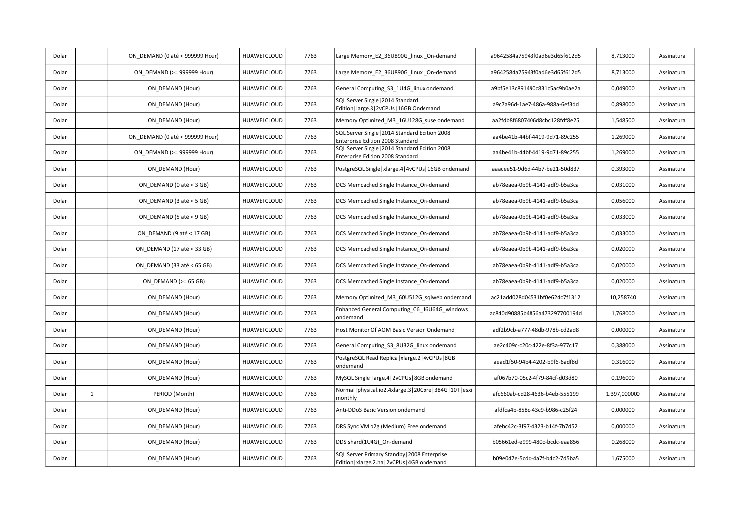| Dolar |              | ON DEMAND (0 até < 999999 Hour) | <b>HUAWEI CLOUD</b> | 7763 | Large Memory_E2_36U890G_linux _On-demand                                                      | a9642584a75943f0ad6e3d65f612d5 | 8,713000     | Assinatura |
|-------|--------------|---------------------------------|---------------------|------|-----------------------------------------------------------------------------------------------|--------------------------------|--------------|------------|
| Dolar |              | ON DEMAND (>= 999999 Hour)      | HUAWEI CLOUD        | 7763 | Large Memory E2 36U890G linux On-demand                                                       | a9642584a75943f0ad6e3d65f612d5 | 8,713000     | Assinatura |
| Dolar |              | ON DEMAND (Hour)                | <b>HUAWEI CLOUD</b> | 7763 | General Computing S3 1U4G linux ondemand                                                      | a9bf5e13c891490c831c5ac9b0ae2a | 0,049000     | Assinatura |
| Dolar |              | ON DEMAND (Hour)                | <b>HUAWEI CLOUD</b> | 7763 | SQL Server Single   2014 Standard<br>Edition   large.8   2vCPUs   16GB Ondemand               | a9c7a96d-1ae7-486a-988a-6ef3dd | 0,898000     | Assinatura |
| Dolar |              | ON DEMAND (Hour)                | <b>HUAWEI CLOUD</b> | 7763 | Memory Optimized_M3_16U128G_suse ondemand                                                     | aa2fdb8f6807406d8cbc128fdf8e25 | 1,548500     | Assinatura |
| Dolar |              | ON DEMAND (0 até < 999999 Hour) | <b>HUAWEI CLOUD</b> | 7763 | SQL Server Single   2014 Standard Edition 2008<br>Enterprise Edition 2008 Standard            | aa4be41b-44bf-4419-9d71-89c255 | 1,269000     | Assinatura |
| Dolar |              | ON DEMAND (>= 999999 Hour)      | HUAWEI CLOUD        | 7763 | SQL Server Single   2014 Standard Edition 2008<br>Enterprise Edition 2008 Standard            | aa4be41b-44bf-4419-9d71-89c255 | 1,269000     | Assinatura |
| Dolar |              | ON DEMAND (Hour)                | <b>HUAWEI CLOUD</b> | 7763 | PostgreSQL Single   xlarge.4   4vCPUs   16GB ondemand                                         | aaacee51-9d6d-44b7-be21-50d837 | 0,393000     | Assinatura |
| Dolar |              | ON DEMAND (0 até < 3 GB)        | <b>HUAWEI CLOUD</b> | 7763 | DCS Memcached Single Instance On-demand                                                       | ab78eaea-0b9b-4141-adf9-b5a3ca | 0,031000     | Assinatura |
| Dolar |              | ON DEMAND (3 até < 5 GB)        | <b>HUAWEI CLOUD</b> | 7763 | DCS Memcached Single Instance On-demand                                                       | ab78eaea-0b9b-4141-adf9-b5a3ca | 0,056000     | Assinatura |
| Dolar |              | ON DEMAND (5 até < 9 GB)        | HUAWEI CLOUD        | 7763 | DCS Memcached Single Instance On-demand                                                       | ab78eaea-0b9b-4141-adf9-b5a3ca | 0,033000     | Assinatura |
| Dolar |              | ON DEMAND (9 até < 17 GB)       | <b>HUAWEI CLOUD</b> | 7763 | DCS Memcached Single Instance On-demand                                                       | ab78eaea-0b9b-4141-adf9-b5a3ca | 0,033000     | Assinatura |
| Dolar |              | ON DEMAND (17 até < 33 GB)      | <b>HUAWEI CLOUD</b> | 7763 | DCS Memcached Single Instance On-demand                                                       | ab78eaea-0b9b-4141-adf9-b5a3ca | 0,020000     | Assinatura |
| Dolar |              | ON DEMAND (33 até < 65 GB)      | <b>HUAWEI CLOUD</b> | 7763 | DCS Memcached Single Instance On-demand                                                       | ab78eaea-0b9b-4141-adf9-b5a3ca | 0,020000     | Assinatura |
| Dolar |              | ON_DEMAND (>= 65 GB)            | HUAWEI CLOUD        | 7763 | DCS Memcached Single Instance On-demand                                                       | ab78eaea-0b9b-4141-adf9-b5a3ca | 0,020000     | Assinatura |
| Dolar |              | ON DEMAND (Hour)                | <b>HUAWEI CLOUD</b> | 7763 | Memory Optimized_M3_60U512G_sqlweb ondemand                                                   | ac21add028d04531bf0e624c7f1312 | 10,258740    | Assinatura |
| Dolar |              | ON DEMAND (Hour)                | <b>HUAWEI CLOUD</b> | 7763 | Enhanced General Computing_C6_16U64G_windows<br>ondemand                                      | ac840d90885b4856a473297700194d | 1,768000     | Assinatura |
| Dolar |              | ON DEMAND (Hour)                | <b>HUAWEI CLOUD</b> | 7763 | Host Monitor Of AOM Basic Version Ondemand                                                    | adf2b9cb-a777-48db-978b-cd2ad8 | 0,000000     | Assinatura |
| Dolar |              | ON DEMAND (Hour)                | HUAWEI CLOUD        | 7763 | General Computing_S3_8U32G_linux ondemand                                                     | ae2c409c-c20c-422e-8f3a-977c17 | 0,388000     | Assinatura |
| Dolar |              | ON DEMAND (Hour)                | <b>HUAWEI CLOUD</b> | 7763 | PostgreSQL Read Replica   xlarge.2   4vCPUs   8GB<br>ondemand                                 | aead1f50-94b4-4202-b9f6-6adf8d | 0,316000     | Assinatura |
| Dolar |              | ON DEMAND (Hour)                | <b>HUAWEI CLOUD</b> | 7763 | MySQL Single   large.4   2vCPUs   8GB ondemand                                                | af067b70-05c2-4f79-84cf-d03d80 | 0,196000     | Assinatura |
| Dolar | $\mathbf{1}$ | PERIOD (Month)                  | <b>HUAWEI CLOUD</b> | 7763 | Normal   physical.io2.4xlarge.3   20Core   384G   10T   esxi<br>monthly                       | afc660ab-cd28-4636-b4eb-555199 | 1.397,000000 | Assinatura |
| Dolar |              | ON DEMAND (Hour)                | <b>HUAWEI CLOUD</b> | 7763 | Anti-DDoS Basic Version ondemand                                                              | afdfca4b-858c-43c9-b986-c25f24 | 0,000000     | Assinatura |
| Dolar |              | ON DEMAND (Hour)                | <b>HUAWEI CLOUD</b> | 7763 | DRS Sync VM o2g (Medium) Free ondemand                                                        | afebc42c-3f97-4323-b14f-7b7d52 | 0,000000     | Assinatura |
| Dolar |              | ON DEMAND (Hour)                | <b>HUAWEI CLOUD</b> | 7763 | DDS shard(1U4G)_On-demand                                                                     | b05661ed-e999-480c-bcdc-eaa856 | 0,268000     | Assinatura |
| Dolar |              | ON DEMAND (Hour)                | <b>HUAWEI CLOUD</b> | 7763 | SQL Server Primary Standby   2008 Enterprise<br>Edition   xlarge.2.ha   2vCPUs   4GB ondemand | b09e047e-5cdd-4a7f-b4c2-7d5ba5 | 1,675000     | Assinatura |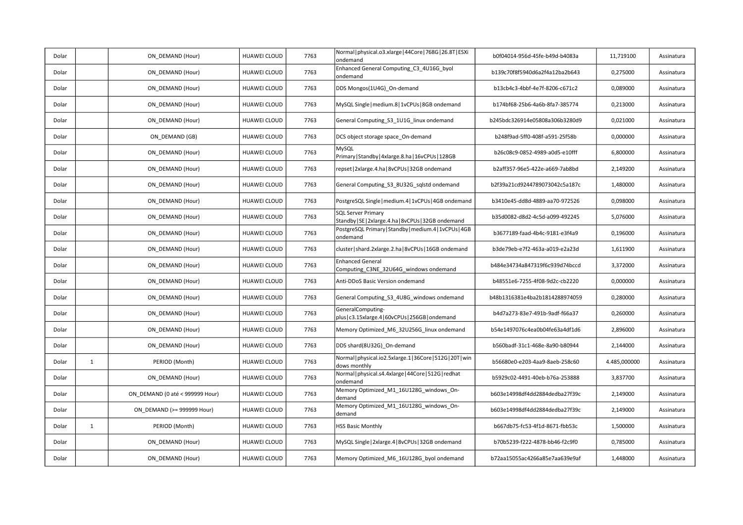| Dolar |              | ON DEMAND (Hour)                | HUAWEI CLOUD        | 7763 | Normal   physical.o3.xlarge   44Core   768G   26.8T   ESXi<br>ondemand            | b0f04014-956d-45fe-b49d-b4083a | 11,719100    | Assinatura |
|-------|--------------|---------------------------------|---------------------|------|-----------------------------------------------------------------------------------|--------------------------------|--------------|------------|
| Dolar |              | ON DEMAND (Hour)                | HUAWEI CLOUD        | 7763 | Enhanced General Computing_C3_4U16G_byol<br>ondemand                              | b139c70f8f5940d6a2f4a12ba2b643 | 0,275000     | Assinatura |
| Dolar |              | ON DEMAND (Hour)                | HUAWEI CLOUD        | 7763 | DDS Mongos(1U4G) On-demand                                                        | b13cb4c3-4bbf-4e7f-8206-c671c2 | 0,089000     | Assinatura |
| Dolar |              | ON DEMAND (Hour)                | HUAWEI CLOUD        | 7763 | MySQL Single   medium.8   1vCPUs   8GB ondemand                                   | b174bf68-25b6-4a6b-8fa7-385774 | 0,213000     | Assinatura |
| Dolar |              | ON_DEMAND (Hour)                | HUAWEI CLOUD        | 7763 | General Computing_S3_1U1G_linux ondemand                                          | b245bdc326914e05808a306b3280d9 | 0,021000     | Assinatura |
| Dolar |              | ON DEMAND (GB)                  | <b>HUAWEI CLOUD</b> | 7763 | DCS object storage space On-demand                                                | b248f9ad-5ff0-408f-a591-25f58b | 0,000000     | Assinatura |
| Dolar |              | ON DEMAND (Hour)                | HUAWEI CLOUD        | 7763 | MySQL<br>Primary   Standby   4xlarge.8.ha   16vCPUs   128GB                       | b26c08c9-0852-4989-a0d5-e10fff | 6,800000     | Assinatura |
| Dolar |              | ON_DEMAND (Hour)                | HUAWEI CLOUD        | 7763 | repset   2xlarge.4.ha   8vCPUs   32GB ondemand                                    | b2aff357-96e5-422e-a669-7ab8bd | 2,149200     | Assinatura |
| Dolar |              | ON DEMAND (Hour)                | HUAWEI CLOUD        | 7763 | General Computing S3 8U32G sqlstd ondemand                                        | b2f39a21cd9244789073042c5a187c | 1,480000     | Assinatura |
| Dolar |              | ON DEMAND (Hour)                | HUAWEI CLOUD        | 7763 | PostgreSQL Single   medium.4   1vCPUs   4GB ondemand                              | b3410e45-dd8d-4889-aa70-972526 | 0,098000     | Assinatura |
| Dolar |              | ON DEMAND (Hour)                | HUAWEI CLOUD        | 7763 | <b>SQL Server Primary</b><br>Standby   SE   2xlarge.4.ha   8vCPUs   32GB ondemand | b35d0082-d8d2-4c5d-a099-492245 | 5,076000     | Assinatura |
| Dolar |              | ON_DEMAND (Hour)                | HUAWEI CLOUD        | 7763 | PostgreSQL Primary   Standby   medium.4   1vCPUs   4GB<br>ondemand                | b3677189-faad-4b4c-9181-e3f4a9 | 0,196000     | Assinatura |
| Dolar |              | ON DEMAND (Hour)                | HUAWEI CLOUD        | 7763 | cluster   shard.2xlarge.2.ha   8vCPUs   16GB ondemand                             | b3de79eb-e7f2-463a-a019-e2a23d | 1,611900     | Assinatura |
| Dolar |              | ON DEMAND (Hour)                | HUAWEI CLOUD        | 7763 | <b>Enhanced General</b><br>Computing_C3NE_32U64G_windows ondemand                 | b484e34734a847319f6c939d74bccd | 3,372000     | Assinatura |
| Dolar |              | ON_DEMAND (Hour)                | HUAWEI CLOUD        | 7763 | Anti-DDoS Basic Version ondemand                                                  | b48551e6-7255-4f08-9d2c-cb2220 | 0,000000     | Assinatura |
| Dolar |              | ON DEMAND (Hour)                | HUAWEI CLOUD        | 7763 | General Computing S3 4U8G windows ondemand                                        | b48b1316381e4ba2b1814288974059 | 0,280000     | Assinatura |
| Dolar |              | ON DEMAND (Hour)                | HUAWEI CLOUD        | 7763 | GeneralComputing-<br>plus   c3.15xlarge.4   60vCPUs   256GB   ondemand            | b4d7a273-83e7-491b-9adf-f66a37 | 0,260000     | Assinatura |
| Dolar |              | ON DEMAND (Hour)                | HUAWEI CLOUD        | 7763 | Memory Optimized_M6_32U256G_linux ondemand                                        | b54e1497076c4ea0b04fe63a4df1d6 | 2,896000     | Assinatura |
| Dolar |              | ON_DEMAND (Hour)                | HUAWEI CLOUD        | 7763 | DDS shard(8U32G)_On-demand                                                        | b560badf-31c1-468e-8a90-b80944 | 2,144000     | Assinatura |
| Dolar | $\mathbf{1}$ | PERIOD (Month)                  | <b>HUAWEI CLOUD</b> | 7763 | Normal physical.io2.5xlarge.1 36Core 512G 20T win<br>dows monthly                 | b56680e0-e203-4aa9-8aeb-258c60 | 4.485,000000 | Assinatura |
| Dolar |              | ON DEMAND (Hour)                | HUAWEI CLOUD        | 7763 | Normal   physical.s4.4xlarge   44Core   512G   redhat<br>ondemand                 | b5929c02-4491-40eb-b76a-253888 | 3,837700     | Assinatura |
| Dolar |              | ON_DEMAND (0 até < 999999 Hour) | HUAWEI CLOUD        | 7763 | Memory Optimized_M1_16U128G_windows_On-<br>demand                                 | b603e14998df4dd2884dedba27f39c | 2,149000     | Assinatura |
| Dolar |              | ON DEMAND (>= 999999 Hour)      | HUAWEI CLOUD        | 7763 | Memory Optimized_M1_16U128G_windows_On-<br>demand                                 | b603e14998df4dd2884dedba27f39c | 2,149000     | Assinatura |
| Dolar | $\mathbf{1}$ | PERIOD (Month)                  | <b>HUAWEI CLOUD</b> | 7763 | <b>HSS Basic Monthly</b>                                                          | b667db75-fc53-4f1d-8671-fbb53c | 1,500000     | Assinatura |
| Dolar |              | ON DEMAND (Hour)                | HUAWEI CLOUD        | 7763 | MySQL Single   2xlarge.4   8vCPUs   32GB ondemand                                 | b70b5239-f222-4878-bb46-f2c9f0 | 0,785000     | Assinatura |
| Dolar |              | ON DEMAND (Hour)                | HUAWEI CLOUD        | 7763 | Memory Optimized_M6_16U128G_byol ondemand                                         | b72aa15055ac4266a85e7aa639e9af | 1,448000     | Assinatura |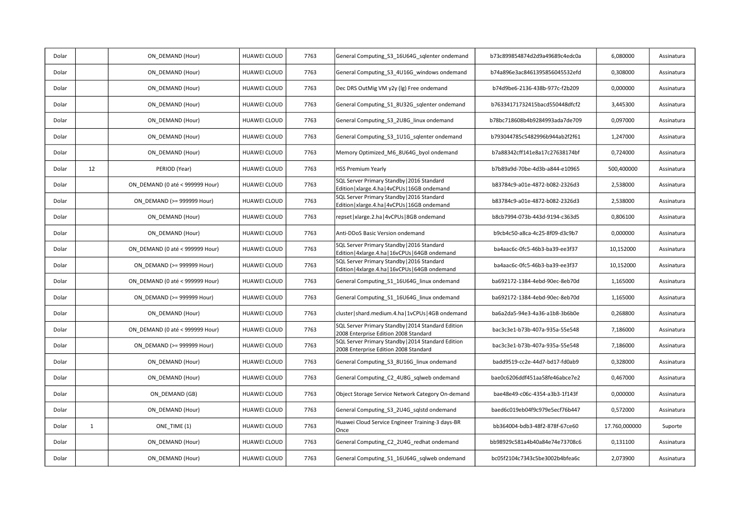| Dolar |              | ON DEMAND (Hour)                | HUAWEI CLOUD        | 7763 | General Computing_S3_16U64G_sqlenter ondemand                                                  | b73c899854874d2d9a49689c4edc0a | 6,080000      | Assinatura |
|-------|--------------|---------------------------------|---------------------|------|------------------------------------------------------------------------------------------------|--------------------------------|---------------|------------|
| Dolar |              | ON DEMAND (Hour)                | <b>HUAWEI CLOUD</b> | 7763 | General Computing S3 4U16G windows ondemand                                                    | b74a896e3ac8461395856045532efd | 0,308000      | Assinatura |
| Dolar |              | ON DEMAND (Hour)                | HUAWEI CLOUD        | 7763 | Dec DRS OutMig VM y2y (lg) Free ondemand                                                       | b74d9be6-2136-438b-977c-f2b209 | 0,000000      | Assinatura |
| Dolar |              | ON DEMAND (Hour)                | HUAWEI CLOUD        | 7763 | General Computing S1 8U32G sqlenter ondemand                                                   | b76334171732415bacd550448dfcf2 | 3,445300      | Assinatura |
| Dolar |              | ON DEMAND (Hour)                | <b>HUAWEI CLOUD</b> | 7763 | General Computing_S3_2U8G_linux ondemand                                                       | b78bc718608b4b9284993ada7de709 | 0,097000      | Assinatura |
| Dolar |              | ON DEMAND (Hour)                | HUAWEI CLOUD        | 7763 | General Computing_S3_1U1G_sqlenter ondemand                                                    | b793044785c5482996b944ab2f2f61 | 1,247000      | Assinatura |
| Dolar |              | ON DEMAND (Hour)                | HUAWEI CLOUD        | 7763 | Memory Optimized M6 8U64G byol ondemand                                                        | b7a88342cff141e8a17c27638174bf | 0,724000      | Assinatura |
| Dolar | 12           | PERIOD (Year)                   | HUAWEI CLOUD        | 7763 | <b>HSS Premium Yearly</b>                                                                      | b7b89a9d-70be-4d3b-a844-e10965 | 500,400000    | Assinatura |
| Dolar |              | ON_DEMAND (0 até < 999999 Hour) | <b>HUAWEI CLOUD</b> | 7763 | SQL Server Primary Standby   2016 Standard<br>Edition   xlarge.4.ha   4vCPUs   16GB ondemand   | b83784c9-a01e-4872-b082-2326d3 | 2,538000      | Assinatura |
| Dolar |              | ON DEMAND (>= 999999 Hour)      | HUAWEI CLOUD        | 7763 | SQL Server Primary Standby   2016 Standard<br>Edition   xlarge.4.ha   4vCPUs   16GB ondemand   | b83784c9-a01e-4872-b082-2326d3 | 2,538000      | Assinatura |
| Dolar |              | ON DEMAND (Hour)                | HUAWEI CLOUD        | 7763 | repset   xlarge. 2. ha   4vCPUs   8GB ondemand                                                 | b8cb7994-073b-443d-9194-c363d5 | 0,806100      | Assinatura |
| Dolar |              | ON DEMAND (Hour)                | HUAWEI CLOUD        | 7763 | Anti-DDoS Basic Version ondemand                                                               | b9cb4c50-a8ca-4c25-8f09-d3c9b7 | 0,000000      | Assinatura |
| Dolar |              | ON DEMAND (0 até < 999999 Hour) | <b>HUAWEI CLOUD</b> | 7763 | SQL Server Primary Standby   2016 Standard<br>Edition   4xlarge.4.ha   16vCPUs   64GB ondemand | ba4aac6c-0fc5-46b3-ba39-ee3f37 | 10,152000     | Assinatura |
| Dolar |              | ON DEMAND (>= 999999 Hour)      | <b>HUAWEI CLOUD</b> | 7763 | SQL Server Primary Standby   2016 Standard<br>Edition   4xlarge.4.ha   16vCPUs   64GB ondemand | ba4aac6c-0fc5-46b3-ba39-ee3f37 | 10,152000     | Assinatura |
| Dolar |              | ON DEMAND (0 até < 999999 Hour) | <b>HUAWEI CLOUD</b> | 7763 | General Computing S1 16U64G linux ondemand                                                     | ba692172-1384-4ebd-90ec-8eb70d | 1,165000      | Assinatura |
| Dolar |              | ON DEMAND (>= 999999 Hour)      | HUAWEI CLOUD        | 7763 | General Computing_S1_16U64G_linux ondemand                                                     | ba692172-1384-4ebd-90ec-8eb70d | 1,165000      | Assinatura |
| Dolar |              | ON DEMAND (Hour)                | HUAWEI CLOUD        | 7763 | cluster   shard.medium.4.ha   1vCPUs   4GB ondemand                                            | ba6a2da5-94e3-4a36-a1b8-3b6b0e | 0,268800      | Assinatura |
| Dolar |              | ON DEMAND (0 até < 999999 Hour) | <b>HUAWEI CLOUD</b> | 7763 | SQL Server Primary Standby   2014 Standard Edition<br>2008 Enterprise Edition 2008 Standard    | bac3c3e1-b73b-407a-935a-55e548 | 7,186000      | Assinatura |
| Dolar |              | ON DEMAND (>= 999999 Hour)      | <b>HUAWEI CLOUD</b> | 7763 | SQL Server Primary Standby   2014 Standard Edition<br>2008 Enterprise Edition 2008 Standard    | bac3c3e1-b73b-407a-935a-55e548 | 7,186000      | Assinatura |
| Dolar |              | ON DEMAND (Hour)                | HUAWEI CLOUD        | 7763 | General Computing S3 8U16G linux ondemand                                                      | badd9519-cc2e-44d7-bd17-fd0ab9 | 0,328000      | Assinatura |
| Dolar |              | ON DEMAND (Hour)                | HUAWEI CLOUD        | 7763 | General Computing C2 4U8G sqlweb ondemand                                                      | bae0c6206ddf451aa58fe46abce7e2 | 0,467000      | Assinatura |
| Dolar |              | ON DEMAND (GB)                  | <b>HUAWEI CLOUD</b> | 7763 | Object Storage Service Network Category On-demand                                              | bae48e49-c06c-4354-a3b3-1f143f | 0,000000      | Assinatura |
| Dolar |              | ON DEMAND (Hour)                | HUAWEI CLOUD        | 7763 | General Computing S3 2U4G sqlstd ondemand                                                      | baed6c019eb04f9c979e5ecf76b447 | 0,572000      | Assinatura |
| Dolar | $\mathbf{1}$ | ONE TIME (1)                    | <b>HUAWEI CLOUD</b> | 7763 | Huawei Cloud Service Engineer Training-3 days-BR<br>Once                                       | bb364004-bdb3-48f2-878f-67ce60 | 17.760,000000 | Suporte    |
| Dolar |              | ON DEMAND (Hour)                | HUAWEI CLOUD        | 7763 | General Computing C2 2U4G redhat ondemand                                                      | bb98929c581a4b40a84e74e73708c6 | 0,131100      | Assinatura |
| Dolar |              | ON DEMAND (Hour)                | HUAWEI CLOUD        | 7763 | General Computing_S1_16U64G_sqlweb ondemand                                                    | bc05f2104c7343c5be3002b4bfea6c | 2,073900      | Assinatura |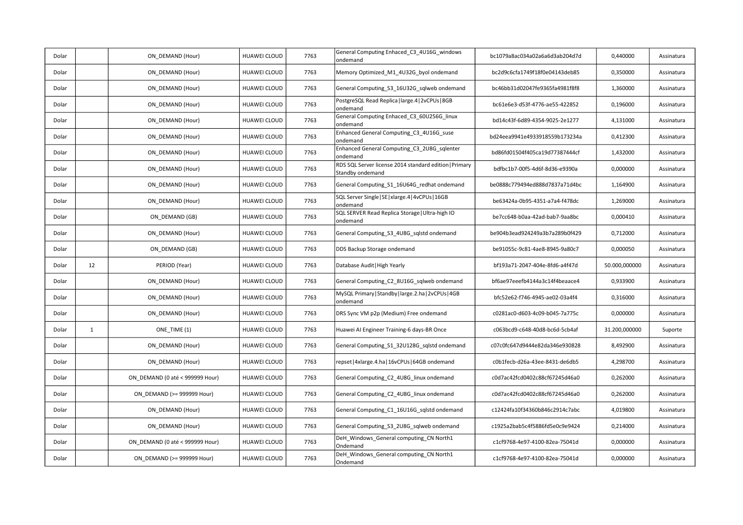| Dolar |              | ON DEMAND (Hour)                | HUAWEI CLOUD        | 7763 | General Computing Enhaced C3 4U16G windows<br>ondemand                     | bc1079a8ac034a02a6a6d3ab204d7d | 0,440000      | Assinatura |
|-------|--------------|---------------------------------|---------------------|------|----------------------------------------------------------------------------|--------------------------------|---------------|------------|
| Dolar |              | ON DEMAND (Hour)                | HUAWEI CLOUD        | 7763 | Memory Optimized_M1_4U32G_byol ondemand                                    | bc2d9c6cfa1749f18f0e04143deb85 | 0,350000      | Assinatura |
| Dolar |              | ON DEMAND (Hour)                | HUAWEI CLOUD        | 7763 | General Computing_S3_16U32G_sqlweb ondemand                                | bc46bb31d02047fe9365fa4981f8f8 | 1,360000      | Assinatura |
| Dolar |              | ON DEMAND (Hour)                | HUAWEI CLOUD        | 7763 | PostgreSQL Read Replica   large.4   2vCPUs   8GB<br>ondemand               | bc61e6e3-d53f-4776-ae55-422852 | 0,196000      | Assinatura |
| Dolar |              | ON DEMAND (Hour)                | <b>HUAWEI CLOUD</b> | 7763 | General Computing Enhaced C3 60U256G linux<br>ondemand                     | bd14c43f-6d89-4354-9025-2e1277 | 4,131000      | Assinatura |
| Dolar |              | ON DEMAND (Hour)                | HUAWEI CLOUD        | 7763 | Enhanced General Computing_C3_4U16G_suse<br>ondemand                       | bd24eea9941e4933918559b173234a | 0,412300      | Assinatura |
| Dolar |              | ON DEMAND (Hour)                | HUAWEI CLOUD        | 7763 | Enhanced General Computing_C3_2U8G_sqlenter<br>ondemand                    | bd86fd01504f405ca19d77387444cf | 1,432000      | Assinatura |
| Dolar |              | ON DEMAND (Hour)                | HUAWEI CLOUD        | 7763 | RDS SQL Server license 2014 standard edition   Primary<br>Standby ondemand | bdfbc1b7-00f5-4d6f-8d36-e9390a | 0,000000      | Assinatura |
| Dolar |              | ON DEMAND (Hour)                | HUAWEI CLOUD        | 7763 | General Computing_S1_16U64G_redhat ondemand                                | be0888c779494ed888d7837a71d4bc | 1,164900      | Assinatura |
| Dolar |              | ON DEMAND (Hour)                | HUAWEI CLOUD        | 7763 | SQL Server Single   SE   xlarge.4   4vCPUs   16GB<br>ondemand              | be63424a-0b95-4351-a7a4-f478dc | 1,269000      | Assinatura |
| Dolar |              | ON DEMAND (GB)                  | HUAWEI CLOUD        | 7763 | SQL SERVER Read Replica Storage   Ultra-high IO<br>ondemand                | be7cc648-b0aa-42ad-bab7-9aa8bc | 0,000410      | Assinatura |
| Dolar |              | ON DEMAND (Hour)                | HUAWEI CLOUD        | 7763 | General Computing S3 4U8G sqlstd ondemand                                  | be904b3ead924249a3b7a289b0f429 | 0,712000      | Assinatura |
| Dolar |              | ON DEMAND (GB)                  | <b>HUAWEI CLOUD</b> | 7763 | DDS Backup Storage ondemand                                                | be91055c-9c81-4ae8-8945-9a80c7 | 0,000050      | Assinatura |
| Dolar | 12           | PERIOD (Year)                   | HUAWEI CLOUD        | 7763 | Database Audit   High Yearly                                               | bf193a71-2047-404e-8fd6-a4f47d | 50.000,000000 | Assinatura |
| Dolar |              | ON_DEMAND (Hour)                | HUAWEI CLOUD        | 7763 | General Computing_C2_8U16G_sqlweb ondemand                                 | bf6ae97eeefb4144a3c14f4beaace4 | 0,933900      | Assinatura |
| Dolar |              | ON DEMAND (Hour)                | HUAWEI CLOUD        | 7763 | MySQL Primary   Standby   large.2.ha   2vCPUs   4GB<br>ondemand            | bfc52e62-f746-4945-ae02-03a4f4 | 0,316000      | Assinatura |
| Dolar |              | ON DEMAND (Hour)                | HUAWEI CLOUD        | 7763 | DRS Sync VM p2p (Medium) Free ondemand                                     | c0281ac0-d603-4c09-b045-7a775c | 0,000000      | Assinatura |
| Dolar | $\mathbf{1}$ | ONE TIME (1)                    | HUAWEI CLOUD        | 7763 | Huawei AI Engineer Training-6 days-BR Once                                 | c063bcd9-c648-40d8-bc6d-5cb4af | 31.200,000000 | Suporte    |
| Dolar |              | ON DEMAND (Hour)                | HUAWEI CLOUD        | 7763 | General Computing S1 32U128G sqlstd ondemand                               | c07c0fc647d9444e82da346e930828 | 8,492900      | Assinatura |
| Dolar |              | ON DEMAND (Hour)                | <b>HUAWEI CLOUD</b> | 7763 | epset   4xlarge. 4. ha   16vCPUs   64GB ondemand                           | c0b1fecb-d26a-43ee-8431-de6db5 | 4,298700      | Assinatura |
| Dolar |              | ON_DEMAND (0 até < 999999 Hour) | <b>HUAWEI CLOUD</b> | 7763 | General Computing_C2_4U8G_linux ondemand                                   | c0d7ac42fcd0402c88cf67245d46a0 | 0,262000      | Assinatura |
| Dolar |              | ON DEMAND (>= 999999 Hour)      | HUAWEI CLOUD        | 7763 | General Computing C2 4U8G linux ondemand                                   | c0d7ac42fcd0402c88cf67245d46a0 | 0,262000      | Assinatura |
| Dolar |              | ON DEMAND (Hour)                | HUAWEI CLOUD        | 7763 | General Computing C1 16U16G sqlstd ondemand                                | c12424fa10f34360b846c2914c7abc | 4,019800      | Assinatura |
| Dolar |              | ON DEMAND (Hour)                | HUAWEI CLOUD        | 7763 | General Computing_S3_2U8G_sqlweb ondemand                                  | c1925a2bab5c4f5886fd5e0c9e9424 | 0,214000      | Assinatura |
| Dolar |              | ON_DEMAND (0 até < 999999 Hour) | HUAWEI CLOUD        | 7763 | DeH Windows General computing CN North1<br>Ondemand                        | c1cf9768-4e97-4100-82ea-75041d | 0,000000      | Assinatura |
| Dolar |              | ON DEMAND (>= 999999 Hour)      | HUAWEI CLOUD        | 7763 | DeH_Windows_General computing_CN North1<br>Ondemand                        | c1cf9768-4e97-4100-82ea-75041d | 0,000000      | Assinatura |
|       |              |                                 |                     |      |                                                                            |                                |               |            |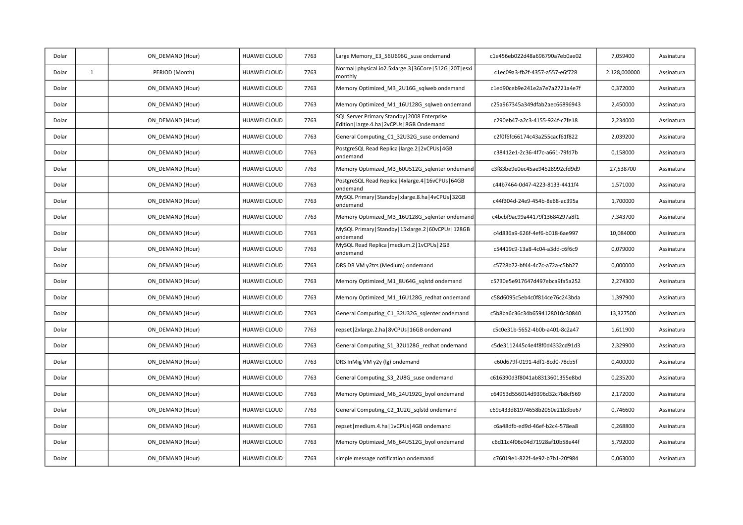| Dolar |              | ON_DEMAND (Hour) | HUAWEI CLOUD        | 7763 | Large Memory_E3_56U696G_suse ondemand                                                        | c1e456eb022d48a696790a7eb0ae02 | 7,059400     | Assinatura |
|-------|--------------|------------------|---------------------|------|----------------------------------------------------------------------------------------------|--------------------------------|--------------|------------|
| Dolar | $\mathbf{1}$ | PERIOD (Month)   | <b>HUAWEI CLOUD</b> | 7763 | Normal   physical.io2.5xlarge.3   36Core   512G   20T   esxi<br>monthly                      | c1ec09a3-fb2f-4357-a557-e6f728 | 2.128,000000 | Assinatura |
| Dolar |              | ON DEMAND (Hour) | HUAWEI CLOUD        | 7763 | Memory Optimized M3 2U16G sqlweb ondemand                                                    | c1ed90ceb9e241e2a7e7a2721a4e7f | 0,372000     | Assinatura |
| Dolar |              | ON DEMAND (Hour) | HUAWEI CLOUD        | 7763 | Memory Optimized_M1_16U128G_sqlweb ondemand                                                  | c25a967345a349dfab2aec66896943 | 2,450000     | Assinatura |
| Dolar |              | ON DEMAND (Hour) | HUAWEI CLOUD        | 7763 | SQL Server Primary Standby   2008 Enterprise<br>Edition   large.4.ha   2vCPUs   8GB Ondemand | c290eb47-a2c3-4155-924f-c7fe18 | 2,234000     | Assinatura |
| Dolar |              | ON DEMAND (Hour) | HUAWEI CLOUD        | 7763 | General Computing C1 32U32G suse ondemand                                                    | c2f0f6fc66174c43a255cacf61f822 | 2,039200     | Assinatura |
| Dolar |              | ON DEMAND (Hour) | HUAWEI CLOUD        | 7763 | PostgreSQL Read Replica   large.2   2vCPUs   4GB<br>ondemand                                 | c38412e1-2c36-4f7c-a661-79fd7b | 0,158000     | Assinatura |
| Dolar |              | ON DEMAND (Hour) | HUAWEI CLOUD        | 7763 | Memory Optimized_M3_60U512G_sqlenter ondemand                                                | c3f83be9e0ec45ae94528992cfd9d9 | 27,538700    | Assinatura |
| Dolar |              | ON DEMAND (Hour) | HUAWEI CLOUD        | 7763 | PostgreSQL Read Replica   4xlarge.4   16vCPUs   64GB<br>ondemand                             | c44b7464-0d47-4223-8133-4411f4 | 1,571000     | Assinatura |
| Dolar |              | ON DEMAND (Hour) | HUAWEI CLOUD        | 7763 | MySQL Primary   Standby   xlarge.8.ha   4vCPUs   32GB<br>ondemand                            | c44f304d-24e9-454b-8e68-ac395a | 1,700000     | Assinatura |
| Dolar |              | ON DEMAND (Hour) | <b>HUAWEI CLOUD</b> | 7763 | Memory Optimized M3 16U128G sqlenter ondemand                                                | c4bcbf9ac99a44179f13684297a8f1 | 7,343700     | Assinatura |
| Dolar |              | ON DEMAND (Hour) | HUAWEI CLOUD        | 7763 | MySQL Primary   Standby   15xlarge.2   60vCPUs   128GB<br>ondemand                           | c4d836a9-626f-4ef6-b018-6ae997 | 10,084000    | Assinatura |
| Dolar |              | ON DEMAND (Hour) | HUAWEI CLOUD        | 7763 | MySQL Read Replica   medium.2   1vCPUs   2GB<br>ondemand                                     | c54419c9-13a8-4c04-a3dd-c6f6c9 | 0,079000     | Assinatura |
| Dolar |              | ON DEMAND (Hour) | HUAWEI CLOUD        | 7763 | DRS DR VM y2trs (Medium) ondemand                                                            | c5728b72-bf44-4c7c-a72a-c5bb27 | 0,000000     | Assinatura |
| Dolar |              | ON DEMAND (Hour) | <b>HUAWEI CLOUD</b> | 7763 | Memory Optimized M1 8U64G sqlstd ondemand                                                    | c5730e5e917647d497ebca9fa5a252 | 2,274300     | Assinatura |
| Dolar |              | ON DEMAND (Hour) | HUAWEI CLOUD        | 7763 | Memory Optimized_M1_16U128G_redhat ondemand                                                  | c58d6095c5eb4c0f814ce76c243bda | 1,397900     | Assinatura |
| Dolar |              | ON DEMAND (Hour) | <b>HUAWEI CLOUD</b> | 7763 | General Computing C1 32U32G sqlenter ondemand                                                | c5b8ba6c36c34b6594128010c30840 | 13,327500    | Assinatura |
| Dolar |              | ON_DEMAND (Hour) | HUAWEI CLOUD        | 7763 | repset   2xlarge.2.ha   8vCPUs   16GB ondemand                                               | c5c0e31b-5652-4b0b-a401-8c2a47 | 1,611900     | Assinatura |
| Dolar |              | ON DEMAND (Hour) | HUAWEI CLOUD        | 7763 | General Computing S1 32U128G redhat ondemand                                                 | c5de3112445c4e4f8f0d4332cd91d3 | 2,329900     | Assinatura |
| Dolar |              | ON DEMAND (Hour) | <b>HUAWEI CLOUD</b> | 7763 | DRS InMig VM y2y (lg) ondemand                                                               | c60d679f-0191-4df1-8cd0-78cb5f | 0,400000     | Assinatura |
| Dolar |              | ON_DEMAND (Hour) | HUAWEI CLOUD        | 7763 | General Computing_S3_2U8G_suse ondemand                                                      | c616390d3f8041ab8313601355e8bd | 0,235200     | Assinatura |
| Dolar |              | ON_DEMAND (Hour) | HUAWEI CLOUD        | 7763 | Memory Optimized_M6_24U192G_byol ondemand                                                    | c64953d556014d9396d32c7b8cf569 | 2,172000     | Assinatura |
| Dolar |              | ON DEMAND (Hour) | HUAWEI CLOUD        | 7763 | General Computing C2 1U2G sqlstd ondemand                                                    | c69c433d81974658b2050e21b3be67 | 0,746600     | Assinatura |
| Dolar |              | ON DEMAND (Hour) | HUAWEI CLOUD        | 7763 | repset   medium.4.ha   1vCPUs   4GB ondemand                                                 | c6a48dfb-ed9d-46ef-b2c4-578ea8 | 0,268800     | Assinatura |
| Dolar |              | ON DEMAND (Hour) | HUAWEI CLOUD        | 7763 | Memory Optimized_M6_64U512G_byol ondemand                                                    | c6d11c4f06c04d71928af10b58e44f | 5,792000     | Assinatura |
| Dolar |              | ON DEMAND (Hour) | HUAWEI CLOUD        | 7763 | simple message notification ondemand                                                         | c76019e1-822f-4e92-b7b1-20f984 | 0,063000     | Assinatura |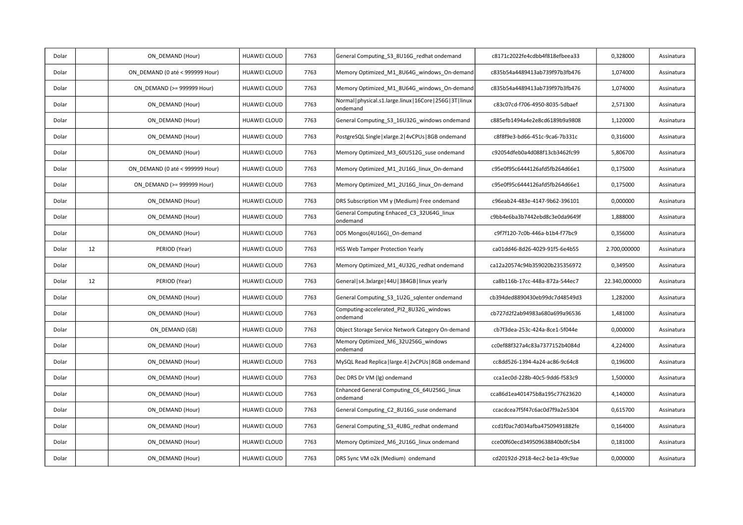| Dolar |    | ON DEMAND (Hour)                | HUAWEI CLOUD        | 7763 | General Computing_S3_8U16G_redhat ondemand                                | c8171c2022fe4cdbb4f818efbeea33 | 0,328000      | Assinatura |
|-------|----|---------------------------------|---------------------|------|---------------------------------------------------------------------------|--------------------------------|---------------|------------|
| Dolar |    | ON DEMAND (0 até < 999999 Hour) | <b>HUAWEI CLOUD</b> | 7763 | Memory Optimized_M1_8U64G_windows_On-demand                               | c835b54a4489413ab739f97b3fb476 | 1,074000      | Assinatura |
| Dolar |    | ON DEMAND (>= 999999 Hour)      | HUAWEI CLOUD        | 7763 | Memory Optimized M1 8U64G windows On-demand                               | c835b54a4489413ab739f97b3fb476 | 1,074000      | Assinatura |
| Dolar |    | ON DEMAND (Hour)                | HUAWEI CLOUD        | 7763 | Normal   physical.s1.large.linux   16Core   256G   3T   linux<br>ondemand | c83c07cd-f706-4950-8035-5dbaef | 2,571300      | Assinatura |
| Dolar |    | ON DEMAND (Hour)                | <b>HUAWEI CLOUD</b> | 7763 | General Computing_S3_16U32G_windows ondemand                              | c885efb1494a4e2e8cd6189b9a9808 | 1,120000      | Assinatura |
| Dolar |    | ON DEMAND (Hour)                | HUAWEI CLOUD        | 7763 | PostgreSQL Single   xlarge.2   4vCPUs   8GB ondemand                      | c8f8f9e3-bd66-451c-9ca6-7b331c | 0,316000      | Assinatura |
| Dolar |    | ON_DEMAND (Hour)                | HUAWEI CLOUD        | 7763 | Memory Optimized M3 60U512G suse ondemand                                 | c92054dfeb0a4d088f13cb3462fc99 | 5,806700      | Assinatura |
| Dolar |    | ON DEMAND (0 até < 999999 Hour) | <b>HUAWEI CLOUD</b> | 7763 | Memory Optimized M1 2U16G linux On-demand                                 | c95e0f95c6444126afd5fb264d66e1 | 0,175000      | Assinatura |
| Dolar |    | ON DEMAND (>= 999999 Hour)      | HUAWEI CLOUD        | 7763 | Memory Optimized_M1_2U16G_linux_On-demand                                 | c95e0f95c6444126afd5fb264d66e1 | 0,175000      | Assinatura |
| Dolar |    | ON DEMAND (Hour)                | HUAWEI CLOUD        | 7763 | DRS Subscription VM y (Medium) Free ondemand                              | c96eab24-483e-4147-9b62-396101 | 0,000000      | Assinatura |
| Dolar |    | ON DEMAND (Hour)                | HUAWEI CLOUD        | 7763 | General Computing Enhaced_C3_32U64G_linux<br>ondemand                     | c9bb4e6ba3b7442ebd8c3e0da9649f | 1,888000      | Assinatura |
| Dolar |    | ON DEMAND (Hour)                | HUAWEI CLOUD        | 7763 | DDS Mongos(4U16G) On-demand                                               | c9f7f120-7c0b-446a-b1b4-f77bc9 | 0,356000      | Assinatura |
| Dolar | 12 | PERIOD (Year)                   | HUAWEI CLOUD        | 7763 | HSS Web Tamper Protection Yearly                                          | ca01dd46-8d26-4029-91f5-6e4b55 | 2.700,000000  | Assinatura |
| Dolar |    | ON DEMAND (Hour)                | HUAWEI CLOUD        | 7763 | Memory Optimized M1 4U32G redhat ondemand                                 | ca12a20574c94b359020b235356972 | 0,349500      | Assinatura |
| Dolar | 12 | PERIOD (Year)                   | HUAWEI CLOUD        | 7763 | General   s4.3xlarge   44U   384GB   linux yearly                         | ca8b116b-17cc-448a-872a-544ec7 | 22.340,000000 | Assinatura |
| Dolar |    | ON DEMAND (Hour)                | HUAWEI CLOUD        | 7763 | General Computing_S3_1U2G_sqlenter ondemand                               | cb394ded8890430eb99dc7d48549d3 | 1,282000      | Assinatura |
| Dolar |    | ON DEMAND (Hour)                | HUAWEI CLOUD        | 7763 | Computing-accelerated_PI2_8U32G_windows<br>ondemand                       | cb727d2f2ab94983a680a699a96536 | 1,481000      | Assinatura |
| Dolar |    | ON DEMAND (GB)                  | <b>HUAWEI CLOUD</b> | 7763 | Object Storage Service Network Category On-demand                         | cb7f3dea-253c-424a-8ce1-5f044e | 0,000000      | Assinatura |
| Dolar |    | ON DEMAND (Hour)                | HUAWEI CLOUD        | 7763 | Memory Optimized M6 32U256G windows<br>ondemand                           | cc0ef88f327a4c83a7377152b4084d | 4,224000      | Assinatura |
| Dolar |    | ON_DEMAND (Hour)                | HUAWEI CLOUD        | 7763 | MySQL Read Replica   large.4   2vCPUs   8GB ondemand                      | cc8dd526-1394-4a24-ac86-9c64c8 | 0,196000      | Assinatura |
| Dolar |    | ON_DEMAND (Hour)                | HUAWEI CLOUD        | 7763 | Dec DRS Dr VM (lg) ondemand                                               | cca1ec0d-228b-40c5-9dd6-f583c9 | 1,500000      | Assinatura |
| Dolar |    | ON DEMAND (Hour)                | HUAWEI CLOUD        | 7763 | Enhanced General Computing_C6_64U256G_linux<br>ondemand                   | cca86d1ea401475b8a195c77623620 | 4,140000      | Assinatura |
| Dolar |    | ON DEMAND (Hour)                | HUAWEI CLOUD        | 7763 | General Computing C2 8U16G suse ondemand                                  | ccacdcea7f5f47c6ac0d7f9a2e5304 | 0,615700      | Assinatura |
| Dolar |    | ON DEMAND (Hour)                | HUAWEI CLOUD        | 7763 | General Computing_S3_4U8G_redhat ondemand                                 | ccd1f0ac7d034afba47509491882fe | 0,164000      | Assinatura |
| Dolar |    | ON DEMAND (Hour)                | HUAWEI CLOUD        | 7763 | Memory Optimized_M6_2U16G_linux ondemand                                  | cce00f60ecd349509638840b0fc5b4 | 0,181000      | Assinatura |
| Dolar |    | ON DEMAND (Hour)                | HUAWEI CLOUD        | 7763 | DRS Sync VM o2k (Medium) ondemand                                         | cd20192d-2918-4ec2-be1a-49c9ae | 0,000000      | Assinatura |
|       |    |                                 |                     |      |                                                                           |                                |               |            |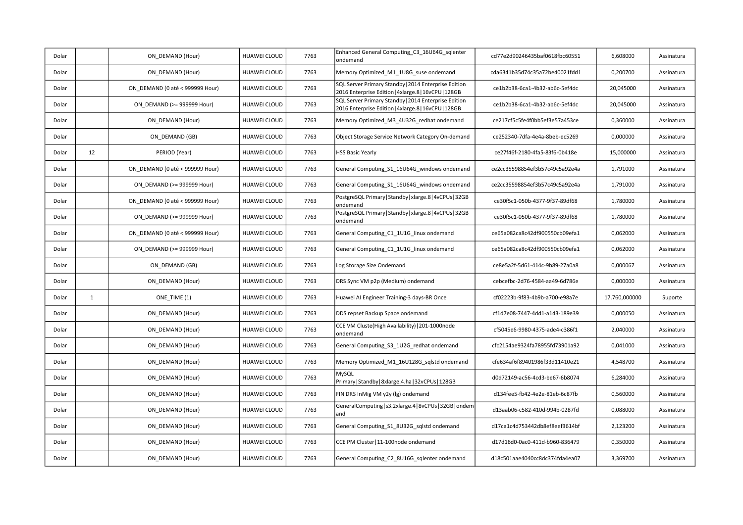| Dolar |              | ON DEMAND (Hour)                | HUAWEI CLOUD        | 7763 | Enhanced General Computing C3 16U64G sqlenter<br>ondemand                                                    | cd77e2d90246435baf0618fbc60551 | 6,608000      | Assinatura |
|-------|--------------|---------------------------------|---------------------|------|--------------------------------------------------------------------------------------------------------------|--------------------------------|---------------|------------|
| Dolar |              | ON DEMAND (Hour)                | HUAWEI CLOUD        | 7763 | Memory Optimized_M1_1U8G_suse ondemand                                                                       | cda6341b35d74c35a72be40021fdd1 | 0,200700      | Assinatura |
| Dolar |              | ON DEMAND (0 até < 999999 Hour) | <b>HUAWEI CLOUD</b> | 7763 | SQL Server Primary Standby   2014 Enterprise Edition<br>2016 Enterprise Edition   4xlarge.8   16vCPU   128GB | ce1b2b38-6ca1-4b32-ab6c-5ef4dc | 20,045000     | Assinatura |
| Dolar |              | ON DEMAND (>= 999999 Hour)      | HUAWEI CLOUD        | 7763 | SQL Server Primary Standby   2014 Enterprise Edition<br>2016 Enterprise Edition   4xlarge.8   16vCPU   128GB | ce1b2b38-6ca1-4b32-ab6c-5ef4dc | 20,045000     | Assinatura |
| Dolar |              | ON DEMAND (Hour)                | <b>HUAWEI CLOUD</b> | 7763 | Memory Optimized M3 4U32G redhat ondemand                                                                    | ce217cf5c5fe4f0bb5ef3e57a453ce | 0,360000      | Assinatura |
| Dolar |              | ON DEMAND (GB)                  | HUAWEI CLOUD        | 7763 | Object Storage Service Network Category On-demand                                                            | ce252340-7dfa-4e4a-8beb-ec5269 | 0,000000      | Assinatura |
| Dolar | 12           | PERIOD (Year)                   | <b>HUAWEI CLOUD</b> | 7763 | <b>HSS Basic Yearly</b>                                                                                      | ce27f46f-2180-4fa5-83f6-0b418e | 15,000000     | Assinatura |
| Dolar |              | ON DEMAND (0 até < 999999 Hour) | <b>HUAWEI CLOUD</b> | 7763 | General Computing S1 16U64G windows ondemand                                                                 | ce2cc35598854ef3b57c49c5a92e4a | 1,791000      | Assinatura |
| Dolar |              | ON DEMAND (>= 999999 Hour)      | HUAWEI CLOUD        | 7763 | General Computing_S1_16U64G_windows ondemand                                                                 | ce2cc35598854ef3b57c49c5a92e4a | 1,791000      | Assinatura |
| Dolar |              | ON DEMAND (0 até < 999999 Hour) | HUAWEI CLOUD        | 7763 | PostgreSQL Primary   Standby   xlarge.8   4vCPUs   32GB<br>ondemand                                          | ce30f5c1-050b-4377-9f37-89df68 | 1,780000      | Assinatura |
| Dolar |              | ON DEMAND (>= 999999 Hour)      | <b>HUAWEI CLOUD</b> | 7763 | PostgreSQL Primary   Standby   xlarge.8   4vCPUs   32GB<br>ondemand                                          | ce30f5c1-050b-4377-9f37-89df68 | 1,780000      | Assinatura |
| Dolar |              | ON DEMAND (0 até < 999999 Hour) | <b>HUAWEI CLOUD</b> | 7763 | General Computing C1 1U1G linux ondemand                                                                     | ce65a082ca8c42df900550cb09efa1 | 0,062000      | Assinatura |
| Dolar |              | ON DEMAND (>= 999999 Hour)      | HUAWEI CLOUD        | 7763 | General Computing C1 1U1G linux ondemand                                                                     | ce65a082ca8c42df900550cb09efa1 | 0,062000      | Assinatura |
| Dolar |              | ON DEMAND (GB)                  | HUAWEI CLOUD        | 7763 | Log Storage Size Ondemand                                                                                    | ce8e5a2f-5d61-414c-9b89-27a0a8 | 0,000067      | Assinatura |
| Dolar |              | ON DEMAND (Hour)                | HUAWEI CLOUD        | 7763 | DRS Sync VM p2p (Medium) ondemand                                                                            | cebcefbc-2d76-4584-aa49-6d786e | 0,000000      | Assinatura |
| Dolar | $\mathbf{1}$ | ONE TIME (1)                    | <b>HUAWEI CLOUD</b> | 7763 | Huawei AI Engineer Training-3 days-BR Once                                                                   | cf02223b-9f83-4b9b-a700-e98a7e | 17.760,000000 | Suporte    |
| Dolar |              | ON DEMAND (Hour)                | HUAWEI CLOUD        | 7763 | DDS repset Backup Space ondemand                                                                             | cf1d7e08-7447-4dd1-a143-189e39 | 0,000050      | Assinatura |
| Dolar |              | ON DEMAND (Hour)                | HUAWEI CLOUD        | 7763 | CCE VM Cluste(High Availability)   201-1000node<br>ondemand                                                  | cf5045e6-9980-4375-ade4-c386f1 | 2,040000      | Assinatura |
| Dolar |              | ON DEMAND (Hour)                | HUAWEI CLOUD        | 7763 | General Computing S3 1U2G redhat ondemand                                                                    | cfc2154ae9324fa78955fd73901a92 | 0,041000      | Assinatura |
| Dolar |              | ON DEMAND (Hour)                | <b>HUAWEI CLOUD</b> | 7763 | Memory Optimized_M1_16U128G_sqlstd ondemand                                                                  | cfe634af6f89401986f33d11410e21 | 4,548700      | Assinatura |
| Dolar |              | ON_DEMAND (Hour)                | HUAWEI CLOUD        | 7763 | MySQL<br>Primary   Standby   8xlarge. 4. ha   32 vCPUs   128 GB                                              | d0d72149-ac56-4cd3-be67-6b8074 | 6,284000      | Assinatura |
| Dolar |              | ON DEMAND (Hour)                | HUAWEI CLOUD        | 7763 | FIN DRS InMig VM y2y (lg) ondemand                                                                           | d134fee5-fb42-4e2e-81eb-6c87fb | 0,560000      | Assinatura |
| Dolar |              | ON DEMAND (Hour)                | HUAWEI CLOUD        | 7763 | GeneralComputing   s3.2xlarge.4   8vCPUs   32GB   ondem<br>and                                               | d13aab06-c582-410d-994b-0287fd | 0,088000      | Assinatura |
| Dolar |              | ON DEMAND (Hour)                | HUAWEI CLOUD        | 7763 | General Computing_S1_8U32G_sqlstd ondemand                                                                   | d17ca1c4d753442db8ef8eef3614bf | 2,123200      | Assinatura |
| Dolar |              | ON DEMAND (Hour)                | HUAWEI CLOUD        | 7763 | CCE PM Cluster   11-100node ondemand                                                                         | d17d16d0-0ac0-411d-b960-836479 | 0,350000      | Assinatura |
| Dolar |              | ON DEMAND (Hour)                | HUAWEI CLOUD        | 7763 | General Computing_C2_8U16G_sqlenter ondemand                                                                 | d18c501aae4040cc8dc374fda4ea07 | 3,369700      | Assinatura |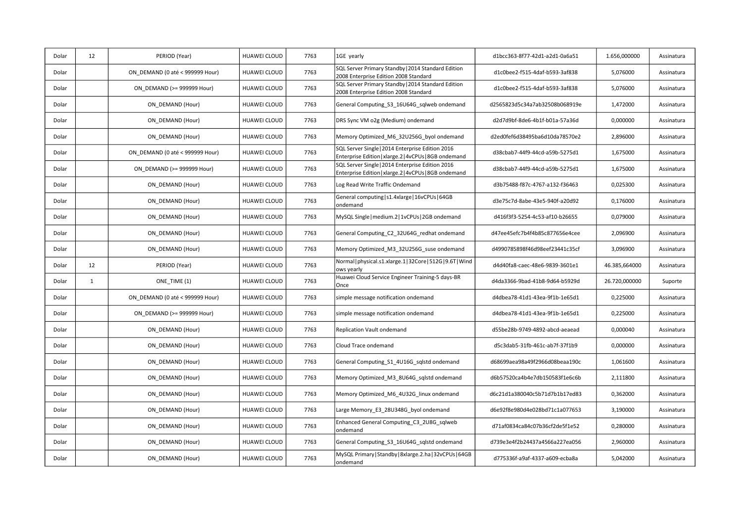| Dolar | 12           | PERIOD (Year)                   | HUAWEI CLOUD        | 7763 | 1GE yearly                                                                                                | d1bcc363-8f77-42d1-a2d1-0a6a51 | 1.656,000000  | Assinatura |
|-------|--------------|---------------------------------|---------------------|------|-----------------------------------------------------------------------------------------------------------|--------------------------------|---------------|------------|
| Dolar |              | ON DEMAND (0 até < 999999 Hour) | <b>HUAWEI CLOUD</b> | 7763 | SQL Server Primary Standby   2014 Standard Edition<br>2008 Enterprise Edition 2008 Standard               | d1c0bee2-f515-4daf-b593-3af838 | 5,076000      | Assinatura |
| Dolar |              | ON DEMAND (>= 999999 Hour)      | HUAWEI CLOUD        | 7763 | SQL Server Primary Standby   2014 Standard Edition<br>2008 Enterprise Edition 2008 Standard               | d1c0bee2-f515-4daf-b593-3af838 | 5,076000      | Assinatura |
| Dolar |              | ON DEMAND (Hour)                | HUAWEI CLOUD        | 7763 | General Computing S3 16U64G sqlweb ondemand                                                               | d2565823d5c34a7ab32508b068919e | 1,472000      | Assinatura |
| Dolar |              | ON DEMAND (Hour)                | HUAWEI CLOUD        | 7763 | DRS Sync VM o2g (Medium) ondemand                                                                         | d2d7d9bf-8de6-4b1f-b01a-57a36d | 0,000000      | Assinatura |
| Dolar |              | ON DEMAND (Hour)                | HUAWEI CLOUD        | 7763 | Memory Optimized M6 32U256G byol ondemand                                                                 | d2ed0fef6d38495ba6d10da78570e2 | 2,896000      | Assinatura |
| Dolar |              | ON DEMAND (0 até < 999999 Hour) | HUAWEI CLOUD        | 7763 | SQL Server Single   2014 Enterprise Edition 2016<br>Enterprise Edition   xlarge.2   4vCPUs   8GB ondemand | d38cbab7-44f9-44cd-a59b-5275d1 | 1,675000      | Assinatura |
| Dolar |              | ON_DEMAND (>= 999999 Hour)      | HUAWEI CLOUD        | 7763 | SQL Server Single   2014 Enterprise Edition 2016<br>Enterprise Edition   xlarge.2   4vCPUs   8GB ondemand | d38cbab7-44f9-44cd-a59b-5275d1 | 1,675000      | Assinatura |
| Dolar |              | ON DEMAND (Hour)                | HUAWEI CLOUD        | 7763 | Log Read Write Traffic Ondemand                                                                           | d3b75488-f87c-4767-a132-f36463 | 0,025300      | Assinatura |
| Dolar |              | ON DEMAND (Hour)                | HUAWEI CLOUD        | 7763 | General computing   s1.4xlarge   16vCPUs   64GB<br>ondemand                                               | d3e75c7d-8abe-43e5-940f-a20d92 | 0,176000      | Assinatura |
| Dolar |              | ON DEMAND (Hour)                | HUAWEI CLOUD        | 7763 | MySQL Single   medium.2   1vCPUs   2GB ondemand                                                           | d416f3f3-5254-4c53-af10-b26655 | 0,079000      | Assinatura |
| Dolar |              | ON_DEMAND (Hour)                | <b>HUAWEI CLOUD</b> | 7763 | General Computing_C2_32U64G_redhat ondemand                                                               | d47ee45efc7b4f4b85c877656e4cee | 2,096900      | Assinatura |
| Dolar |              | ON DEMAND (Hour)                | HUAWEI CLOUD        | 7763 | Memory Optimized M3 32U256G suse ondemand                                                                 | d4990785898f46d98eef23441c35cf | 3,096900      | Assinatura |
| Dolar | 12           | PERIOD (Year)                   | <b>HUAWEI CLOUD</b> | 7763 | Normal   physical.s1.xlarge.1   32Core   512G   9.6T   Wind<br>ows yearly                                 | d4d40fa8-caec-48e6-9839-3601e1 | 46.385,664000 | Assinatura |
| Dolar | $\mathbf{1}$ | ONE TIME (1)                    | <b>HUAWEI CLOUD</b> | 7763 | Huawei Cloud Service Engineer Training-5 days-BR<br>Once                                                  | d4da3366-9bad-41b8-9d64-b5929d | 26.720,000000 | Suporte    |
| Dolar |              | ON DEMAND (0 até < 999999 Hour) | <b>HUAWEI CLOUD</b> | 7763 | simple message notification ondemand                                                                      | d4dbea78-41d1-43ea-9f1b-1e65d1 | 0,225000      | Assinatura |
| Dolar |              | ON DEMAND (>= 999999 Hour)      | HUAWEI CLOUD        | 7763 | simple message notification ondemand                                                                      | d4dbea78-41d1-43ea-9f1b-1e65d1 | 0,225000      | Assinatura |
| Dolar |              | ON DEMAND (Hour)                | HUAWEI CLOUD        | 7763 | Replication Vault ondemand                                                                                | d55be28b-9749-4892-abcd-aeaead | 0,000040      | Assinatura |
| Dolar |              |                                 |                     |      |                                                                                                           |                                |               |            |
|       |              | ON_DEMAND (Hour)                | HUAWEI CLOUD        | 7763 | Cloud Trace ondemand                                                                                      | d5c3dab5-31fb-461c-ab7f-37f1b9 | 0,000000      | Assinatura |
| Dolar |              | ON DEMAND (Hour)                | HUAWEI CLOUD        | 7763 | General Computing S1 4U16G sqlstd ondemand                                                                | d68699aea98a49f2966d08beaa190c | 1,061600      | Assinatura |
| Dolar |              | ON DEMAND (Hour)                | HUAWEI CLOUD        | 7763 | Memory Optimized M3 8U64G sqlstd ondemand                                                                 | d6b57520ca4b4e7db150583f1e6c6b | 2,111800      | Assinatura |
| Dolar |              | ON_DEMAND (Hour)                | HUAWEI CLOUD        | 7763 | Memory Optimized_M6_4U32G_linux ondemand                                                                  | d6c21d1a380040c5b71d7b1b17ed83 | 0,362000      | Assinatura |
| Dolar |              | ON DEMAND (Hour)                | HUAWEI CLOUD        | 7763 | Large Memory E3 28U348G byol ondemand                                                                     | d6e92f8e980d4e028bd71c1a077653 | 3,190000      | Assinatura |
| Dolar |              | ON DEMAND (Hour)                | <b>HUAWEI CLOUD</b> | 7763 | Enhanced General Computing C3 2U8G sqlweb<br>ondemand                                                     | d71af0834ca84c07b36cf2de5f1e52 | 0,280000      | Assinatura |
| Dolar |              | ON DEMAND (Hour)                | HUAWEI CLOUD        | 7763 | General Computing_S3_16U64G_sqlstd ondemand                                                               | d739e3e4f2b24437a4566a227ea056 | 2,960000      | Assinatura |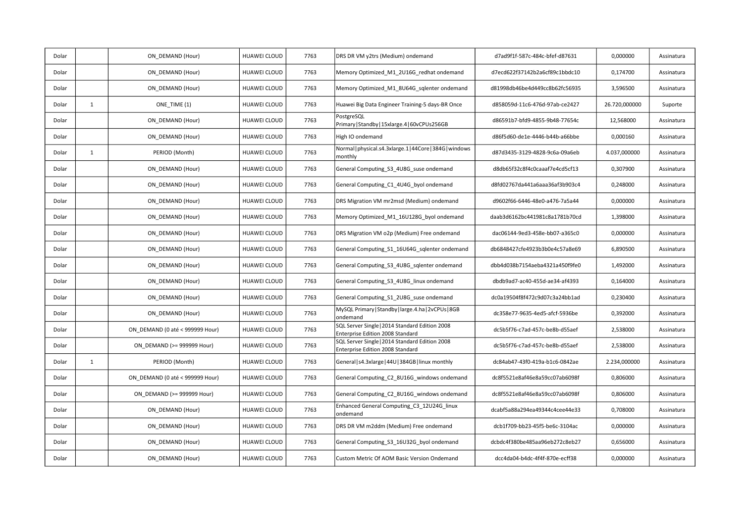| Dolar |              | ON DEMAND (Hour)                | HUAWEI CLOUD        | 7763 | DRS DR VM y2trs (Medium) ondemand                                                  | d7ad9f1f-587c-484c-bfef-d87631 | 0,000000      | Assinatura |
|-------|--------------|---------------------------------|---------------------|------|------------------------------------------------------------------------------------|--------------------------------|---------------|------------|
| Dolar |              | ON DEMAND (Hour)                | <b>HUAWEI CLOUD</b> | 7763 | Memory Optimized M1 2U16G redhat ondemand                                          | d7ecd622f37142b2a6cf89c1bbdc10 | 0,174700      | Assinatura |
| Dolar |              | ON DEMAND (Hour)                | <b>HUAWEI CLOUD</b> | 7763 | Memory Optimized M1 8U64G sqlenter ondemand                                        | d81998db46be4d449cc8b62fc56935 | 3,596500      | Assinatura |
| Dolar | $\mathbf{1}$ | ONE TIME (1)                    | <b>HUAWEI CLOUD</b> | 7763 | Huawei Big Data Engineer Training-5 days-BR Once                                   | d858059d-11c6-476d-97ab-ce2427 | 26.720,000000 | Suporte    |
| Dolar |              | ON DEMAND (Hour)                | HUAWEI CLOUD        | 7763 | PostgreSQL<br>Primary   Standby   15xlarge.4   60vCPUs256GB                        | d86591b7-bfd9-4855-9b48-77654c | 12,568000     | Assinatura |
| Dolar |              | ON DEMAND (Hour)                | <b>HUAWEI CLOUD</b> | 7763 | High IO ondemand                                                                   | d86f5d60-de1e-4446-b44b-a66bbe | 0,000160      | Assinatura |
| Dolar | $\mathbf{1}$ | PERIOD (Month)                  | <b>HUAWEI CLOUD</b> | 7763 | Normal   physical.s4.3xlarge.1   44Core   384G   windows<br>monthly                | d87d3435-3129-4828-9c6a-09a6eb | 4.037,000000  | Assinatura |
| Dolar |              | ON DEMAND (Hour)                | <b>HUAWEI CLOUD</b> | 7763 | General Computing_S3_4U8G_suse ondemand                                            | d8db65f32c8f4c0caaaf7e4cd5cf13 | 0,307900      | Assinatura |
| Dolar |              | ON DEMAND (Hour)                | <b>HUAWEI CLOUD</b> | 7763 | General Computing_C1_4U4G_byol ondemand                                            | d8fd02767da441a6aaa36af3b903c4 | 0,248000      | Assinatura |
| Dolar |              | ON DEMAND (Hour)                | <b>HUAWEI CLOUD</b> | 7763 | DRS Migration VM mr2msd (Medium) ondemand                                          | d9602f66-6446-48e0-a476-7a5a44 | 0,000000      | Assinatura |
| Dolar |              | ON DEMAND (Hour)                | <b>HUAWEI CLOUD</b> | 7763 | Memory Optimized M1 16U128G byol ondemand                                          | daab3d6162bc441981c8a1781b70cd | 1,398000      | Assinatura |
| Dolar |              | ON DEMAND (Hour)                | <b>HUAWEI CLOUD</b> | 7763 | DRS Migration VM o2p (Medium) Free ondemand                                        | dac06144-9ed3-458e-bb07-a365c0 | 0,000000      | Assinatura |
| Dolar |              | ON DEMAND (Hour)                | HUAWEI CLOUD        | 7763 | General Computing S1 16U64G sqlenter ondemand                                      | db6848427cfe4923b3b0e4c57a8e69 | 6,890500      | Assinatura |
| Dolar |              | ON DEMAND (Hour)                | <b>HUAWEI CLOUD</b> | 7763 | General Computing S3 4U8G sqlenter ondemand                                        | dbb4d038b7154aeba4321a450f9fe0 | 1,492000      | Assinatura |
| Dolar |              | ON DEMAND (Hour)                | <b>HUAWEI CLOUD</b> | 7763 | General Computing S3 4U8G linux ondemand                                           | dbdb9ad7-ac40-455d-ae34-af4393 | 0,164000      | Assinatura |
| Dolar |              | ON DEMAND (Hour)                | <b>HUAWEI CLOUD</b> | 7763 | General Computing_S1_2U8G_suse ondemand                                            | dc0a19504f8f472c9d07c3a24bb1ad | 0,230400      | Assinatura |
| Dolar |              | ON DEMAND (Hour)                | HUAWEI CLOUD        | 7763 | MySQL Primary   Standby   large.4.ha   2vCPUs   8GB<br>ondemand                    | dc358e77-9635-4ed5-afcf-5936be | 0,392000      | Assinatura |
| Dolar |              | ON DEMAND (0 até < 999999 Hour) | <b>HUAWEI CLOUD</b> | 7763 | SQL Server Single   2014 Standard Edition 2008<br>Enterprise Edition 2008 Standard | dc5b5f76-c7ad-457c-be8b-d55aef | 2,538000      | Assinatura |
| Dolar |              | ON DEMAND (>= 999999 Hour)      | <b>HUAWEI CLOUD</b> | 7763 | SQL Server Single   2014 Standard Edition 2008<br>Enterprise Edition 2008 Standard | dc5b5f76-c7ad-457c-be8b-d55aef | 2,538000      | Assinatura |
| Dolar | $\mathbf{1}$ | PERIOD (Month)                  | <b>HUAWEI CLOUD</b> | 7763 | General   s4.3xlarge   44U   384GB   linux monthly                                 | dc84ab47-43f0-419a-b1c6-0842ae | 2.234,000000  | Assinatura |
| Dolar |              | ON DEMAND (0 até < 999999 Hour) | <b>HUAWEI CLOUD</b> | 7763 | General Computing_C2_8U16G_windows ondemand                                        | dc8f5521e8af46e8a59cc07ab6098f | 0,806000      | Assinatura |
| Dolar |              | ON_DEMAND (>= 999999 Hour)      | HUAWEI CLOUD        | 7763 | General Computing_C2_8U16G_windows ondemand                                        | dc8f5521e8af46e8a59cc07ab6098f | 0,806000      | Assinatura |
| Dolar |              | ON DEMAND (Hour)                | HUAWEI CLOUD        | 7763 | Enhanced General Computing_C3_12U24G_linux<br>ondemand                             | dcabf5a88a294ea49344c4cee44e33 | 0,708000      | Assinatura |
| Dolar |              | ON DEMAND (Hour)                | HUAWEI CLOUD        | 7763 | DRS DR VM m2ddm (Medium) Free ondemand                                             | dcb1f709-bb23-45f5-be6c-3104ac | 0,000000      | Assinatura |
| Dolar |              | ON DEMAND (Hour)                | HUAWEI CLOUD        | 7763 | General Computing_S3_16U32G_byol ondemand                                          | dcbdc4f380be485aa96eb272c8eb27 | 0,656000      | Assinatura |
| Dolar |              | ON DEMAND (Hour)                | <b>HUAWEI CLOUD</b> | 7763 | Custom Metric Of AOM Basic Version Ondemand                                        | dcc4da04-b4dc-4f4f-870e-ecff38 | 0,000000      | Assinatura |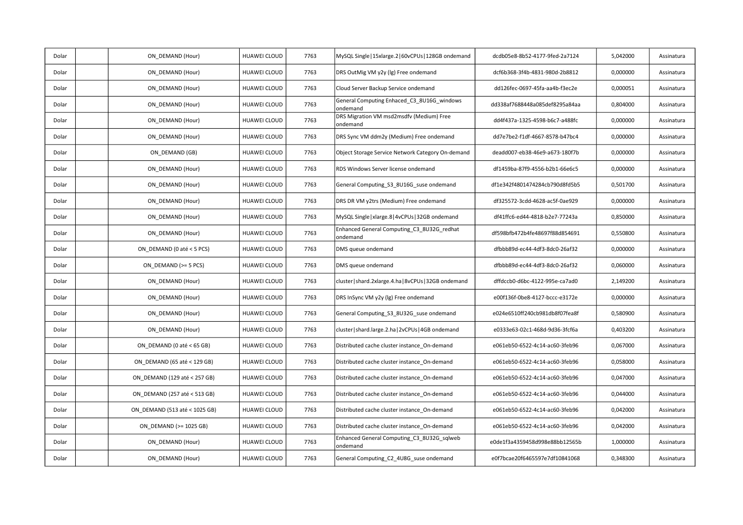| Dolar | ON DEMAND (Hour)              | HUAWEI CLOUD        | 7763 | MySQL Single   15xlarge.2   60vCPUs   128GB ondemand   | dcdb05e8-8b52-4177-9fed-2a7124 | 5,042000 | Assinatura |
|-------|-------------------------------|---------------------|------|--------------------------------------------------------|--------------------------------|----------|------------|
| Dolar | ON DEMAND (Hour)              | HUAWEI CLOUD        | 7763 | DRS OutMig VM y2y (lg) Free ondemand                   | dcf6b368-3f4b-4831-980d-2b8812 | 0,000000 | Assinatura |
| Dolar | ON DEMAND (Hour)              | HUAWEI CLOUD        | 7763 | Cloud Server Backup Service ondemand                   | dd126fec-0697-45fa-aa4b-f3ec2e | 0,000051 | Assinatura |
| Dolar | ON DEMAND (Hour)              | HUAWEI CLOUD        | 7763 | General Computing Enhaced C3 8U16G windows<br>ondemand | dd338af7688448a085def8295a84aa | 0,804000 | Assinatura |
| Dolar | ON_DEMAND (Hour)              | HUAWEI CLOUD        | 7763 | DRS Migration VM msd2msdfv (Medium) Free<br>ondemand   | dd4f437a-1325-4598-b6c7-a488fc | 0,000000 | Assinatura |
| Dolar | ON DEMAND (Hour)              | <b>HUAWEI CLOUD</b> | 7763 | DRS Sync VM ddm2y (Medium) Free ondemand               | dd7e7be2-f1df-4667-8578-b47bc4 | 0,000000 | Assinatura |
| Dolar | ON DEMAND (GB)                | <b>HUAWEI CLOUD</b> | 7763 | Object Storage Service Network Category On-demand      | deadd007-eb38-46e9-a673-180f7b | 0,000000 | Assinatura |
| Dolar | ON DEMAND (Hour)              | HUAWEI CLOUD        | 7763 | RDS Windows Server license ondemand                    | df1459ba-87f9-4556-b2b1-66e6c5 | 0,000000 | Assinatura |
| Dolar | ON DEMAND (Hour)              | HUAWEI CLOUD        | 7763 | General Computing_S3_8U16G_suse ondemand               | df1e342f4801474284cb790d8fd5b5 | 0,501700 | Assinatura |
| Dolar | ON DEMAND (Hour)              | <b>HUAWEI CLOUD</b> | 7763 | DRS DR VM y2trs (Medium) Free ondemand                 | df325572-3cdd-4628-ac5f-0ae929 | 0,000000 | Assinatura |
| Dolar | ON DEMAND (Hour)              | <b>HUAWEI CLOUD</b> | 7763 | MySQL Single   xlarge.8   4vCPUs   32GB ondemand       | df41ffc6-ed44-4818-b2e7-77243a | 0,850000 | Assinatura |
| Dolar | ON DEMAND (Hour)              | HUAWEI CLOUD        | 7763 | Enhanced General Computing_C3_8U32G_redhat<br>ondemand | df598bfb472b4fe48697f88d854691 | 0,550800 | Assinatura |
| Dolar | ON DEMAND (0 até < 5 PCS)     | <b>HUAWEI CLOUD</b> | 7763 | DMS queue ondemand                                     | dfbbb89d-ec44-4df3-8dc0-26af32 | 0,000000 | Assinatura |
| Dolar | ON DEMAND (>= 5 PCS)          | <b>HUAWEI CLOUD</b> | 7763 | DMS queue ondemand                                     | dfbbb89d-ec44-4df3-8dc0-26af32 | 0,060000 | Assinatura |
| Dolar | ON DEMAND (Hour)              | <b>HUAWEI CLOUD</b> | 7763 | cluster   shard.2xlarge.4.ha   8vCPUs   32GB ondemand  | dffdccb0-d6bc-4122-995e-ca7ad0 | 2,149200 | Assinatura |
| Dolar | ON DEMAND (Hour)              | HUAWEI CLOUD        | 7763 | DRS InSync VM y2y (lg) Free ondemand                   | e00f136f-0be8-4127-bccc-e3172e | 0,000000 | Assinatura |
| Dolar | ON DEMAND (Hour)              | <b>HUAWEI CLOUD</b> | 7763 | General Computing S3 8U32G suse ondemand               | e024e6510ff240cb981db8f07fea8f | 0,580900 | Assinatura |
| Dolar | ON DEMAND (Hour)              | <b>HUAWEI CLOUD</b> | 7763 | cluster   shard.large.2.ha   2vCPUs   4GB ondemand     | e0333e63-02c1-468d-9d36-3fcf6a | 0,403200 | Assinatura |
| Dolar | ON DEMAND (0 até < 65 GB)     | HUAWEI CLOUD        | 7763 | Distributed cache cluster instance On-demand           | e061eb50-6522-4c14-ac60-3feb96 | 0,067000 | Assinatura |
| Dolar | ON DEMAND (65 até < 129 GB)   | <b>HUAWEI CLOUD</b> | 7763 | Distributed cache cluster instance On-demand           | e061eb50-6522-4c14-ac60-3feb96 | 0,058000 | Assinatura |
| Dolar | ON DEMAND (129 até < 257 GB)  | HUAWEI CLOUD        | 7763 | Distributed cache cluster instance On-demand           | e061eb50-6522-4c14-ac60-3feb96 | 0,047000 | Assinatura |
| Dolar | ON_DEMAND (257 até < 513 GB)  | <b>HUAWEI CLOUD</b> | 7763 | Distributed cache cluster instance_On-demand           | e061eb50-6522-4c14-ac60-3feb96 | 0,044000 | Assinatura |
| Dolar | ON DEMAND (513 até < 1025 GB) | HUAWEI CLOUD        | 7763 | Distributed cache cluster instance On-demand           | e061eb50-6522-4c14-ac60-3feb96 | 0,042000 | Assinatura |
| Dolar | ON DEMAND (>= 1025 GB)        | HUAWEI CLOUD        | 7763 | Distributed cache cluster instance On-demand           | e061eb50-6522-4c14-ac60-3feb96 | 0,042000 | Assinatura |
| Dolar | ON DEMAND (Hour)              | <b>HUAWEI CLOUD</b> | 7763 | Enhanced General Computing_C3_8U32G_sqlweb<br>ondemand | e0de1f3a4359458d998e88bb12565b | 1,000000 | Assinatura |
| Dolar | ON DEMAND (Hour)              | HUAWEI CLOUD        | 7763 | General Computing_C2_4U8G_suse ondemand                | e0f7bcae20f6465597e7df10841068 | 0,348300 | Assinatura |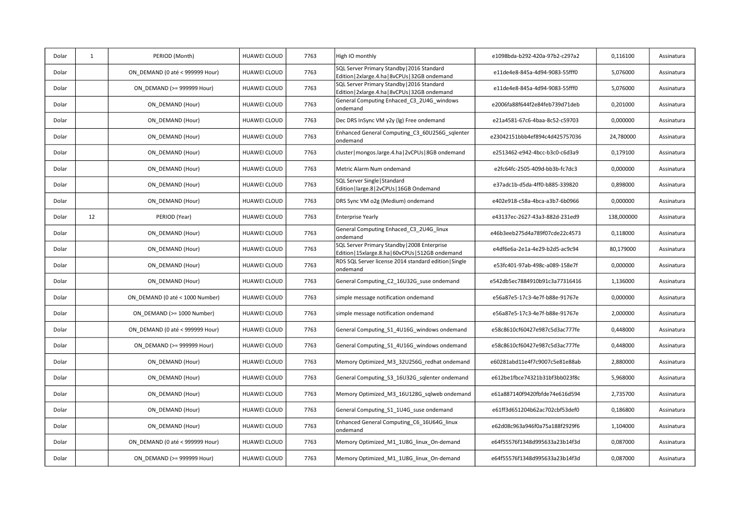| Dolar | 1  | PERIOD (Month)                  | HUAWEI CLOUD        | 7763 | High IO monthly                                                                                    | e1098bda-b292-420a-97b2-c297a2 | 0,116100   | Assinatura |
|-------|----|---------------------------------|---------------------|------|----------------------------------------------------------------------------------------------------|--------------------------------|------------|------------|
| Dolar |    | ON DEMAND (0 até < 999999 Hour) | <b>HUAWEI CLOUD</b> | 7763 | SQL Server Primary Standby   2016 Standard<br>Edition   2xlarge.4.ha   8vCPUs   32GB ondemand      | e11de4e8-845a-4d94-9083-55fff0 | 5,076000   | Assinatura |
| Dolar |    | ON DEMAND (>= 999999 Hour)      | HUAWEI CLOUD        | 7763 | SQL Server Primary Standby   2016 Standard<br>Edition   2xlarge.4.ha   8vCPUs   32GB ondemand      | e11de4e8-845a-4d94-9083-55fff0 | 5,076000   | Assinatura |
| Dolar |    | ON DEMAND (Hour)                | <b>HUAWEI CLOUD</b> | 7763 | General Computing Enhaced_C3_2U4G_windows<br>ondemand                                              | e2006fa88f644f2e84feb739d71deb | 0,201000   | Assinatura |
| Dolar |    | ON DEMAND (Hour)                | HUAWEI CLOUD        | 7763 | Dec DRS InSync VM y2y (lg) Free ondemand                                                           | e21a4581-67c6-4baa-8c52-c59703 | 0,000000   | Assinatura |
| Dolar |    | ON DEMAND (Hour)                | HUAWEI CLOUD        | 7763 | Enhanced General Computing C3 60U256G sqlenter<br>ondemand                                         | e23042151bbb4ef894c4d425757036 | 24,780000  | Assinatura |
| Dolar |    | ON DEMAND (Hour)                | HUAWEI CLOUD        | 7763 | cluster   mongos.large.4.ha   2vCPUs   8GB ondemand                                                | e2513462-e942-4bcc-b3c0-c6d3a9 | 0,179100   | Assinatura |
| Dolar |    | ON DEMAND (Hour)                | HUAWEI CLOUD        | 7763 | Metric Alarm Num ondemand                                                                          | e2fc64fc-2505-409d-bb3b-fc7dc3 | 0,000000   | Assinatura |
| Dolar |    | ON DEMAND (Hour)                | HUAWEI CLOUD        | 7763 | SQL Server Single   Standard<br>Edition   large.8   2vCPUs   16GB Ondemand                         | e37adc1b-d5da-4ff0-b885-339820 | 0,898000   | Assinatura |
| Dolar |    | ON DEMAND (Hour)                | HUAWEI CLOUD        | 7763 | DRS Sync VM o2g (Medium) ondemand                                                                  | e402e918-c58a-4bca-a3b7-6b0966 | 0,000000   | Assinatura |
| Dolar | 12 | PERIOD (Year)                   | HUAWEI CLOUD        | 7763 | <b>Enterprise Yearly</b>                                                                           | e43137ec-2627-43a3-882d-231ed9 | 138,000000 | Assinatura |
| Dolar |    | ON_DEMAND (Hour)                | <b>HUAWEI CLOUD</b> | 7763 | General Computing Enhaced_C3_2U4G_linux<br>ondemand                                                | e46b3eeb275d4a789f07cde22c4573 | 0,118000   | Assinatura |
| Dolar |    | ON DEMAND (Hour)                | HUAWEI CLOUD        | 7763 | SQL Server Primary Standby   2008 Enterprise<br>Edition   15xlarge.8.ha   60vCPUs   512GB ondemand | e4df6e6a-2e1a-4e29-b2d5-ac9c94 | 80,179000  | Assinatura |
| Dolar |    | ON DEMAND (Hour)                | <b>HUAWEI CLOUD</b> | 7763 | RDS SQL Server license 2014 standard edition   Single<br>ondemand                                  | e53fc401-97ab-498c-a089-158e7f | 0,000000   | Assinatura |
| Dolar |    | ON_DEMAND (Hour)                | <b>HUAWEI CLOUD</b> | 7763 | General Computing_C2_16U32G_suse ondemand                                                          | e542db5ec7884910b91c3a77316416 | 1,136000   | Assinatura |
| Dolar |    | ON DEMAND (0 até < 1000 Number) | HUAWEI CLOUD        | 7763 | simple message notification ondemand                                                               | e56a87e5-17c3-4e7f-b88e-91767e | 0,000000   | Assinatura |
| Dolar |    | ON DEMAND (>= 1000 Number)      | <b>HUAWEI CLOUD</b> | 7763 | simple message notification ondemand                                                               | e56a87e5-17c3-4e7f-b88e-91767e | 2,000000   | Assinatura |
| Dolar |    | ON DEMAND (0 até < 999999 Hour) | <b>HUAWEI CLOUD</b> | 7763 | General Computing_S1_4U16G_windows ondemand                                                        | e58c8610cf60427e987c5d3ac777fe | 0,448000   | Assinatura |
| Dolar |    | ON DEMAND (>= 999999 Hour)      | HUAWEI CLOUD        | 7763 | General Computing_S1_4U16G_windows ondemand                                                        | e58c8610cf60427e987c5d3ac777fe | 0,448000   | Assinatura |
| Dolar |    | ON DEMAND (Hour)                | HUAWEI CLOUD        | 7763 | Memory Optimized M3 32U256G redhat ondemand                                                        | e60281abd11e4f7c9007c5e81e88ab | 2,880000   | Assinatura |
| Dolar |    | ON DEMAND (Hour)                | HUAWEI CLOUD        | 7763 | General Computing_S3_16U32G_sqlenter ondemand                                                      | e612be1fbce74321b31bf3bb023f8c | 5,968000   | Assinatura |
| Dolar |    | ON_DEMAND (Hour)                | HUAWEI CLOUD        | 7763 | Memory Optimized_M3_16U128G_sqlweb ondemand                                                        | e61a887140f9420fbfde74e616d594 | 2,735700   | Assinatura |
| Dolar |    | ON DEMAND (Hour)                | HUAWEI CLOUD        | 7763 | General Computing S1 1U4G suse ondemand                                                            | e61ff3d651204b62ac702cbf53def0 | 0,186800   | Assinatura |
| Dolar |    | ON DEMAND (Hour)                | <b>HUAWEI CLOUD</b> | 7763 | Enhanced General Computing C6 16U64G linux<br>ondemand                                             | e62d08c963a946f0a75a188f2929f6 | 1,104000   | Assinatura |
| Dolar |    | ON DEMAND (0 até < 999999 Hour) | HUAWEI CLOUD        | 7763 | Memory Optimized M1 1U8G linux On-demand                                                           | e64f55576f1348d995633a23b14f3d | 0,087000   | Assinatura |
| Dolar |    | ON DEMAND (>= 999999 Hour)      | HUAWEI CLOUD        | 7763 | Memory Optimized_M1_1U8G_linux_On-demand                                                           | e64f55576f1348d995633a23b14f3d | 0,087000   | Assinatura |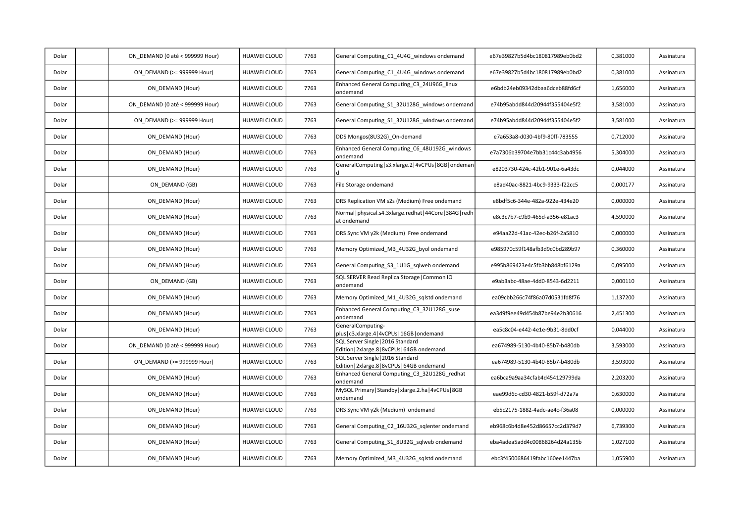| Dolar | ON DEMAND (0 até < 999999 Hour) | HUAWEI CLOUD        | 7763 | General Computing_C1_4U4G_windows ondemand                                        | e67e39827b5d4bc180817989eb0bd2 | 0,381000 | Assinatura |
|-------|---------------------------------|---------------------|------|-----------------------------------------------------------------------------------|--------------------------------|----------|------------|
| Dolar | ON DEMAND (>= 999999 Hour)      | HUAWEI CLOUD        | 7763 | General Computing C1 4U4G windows ondemand                                        | e67e39827b5d4bc180817989eb0bd2 | 0,381000 | Assinatura |
| Dolar | ON DEMAND (Hour)                | HUAWEI CLOUD        | 7763 | Enhanced General Computing_C3_24U96G_linux<br>ondemand                            | e6bdb24eb09342dbaa6dceb88fd6cf | 1,656000 | Assinatura |
| Dolar | ON DEMAND (0 até < 999999 Hour) | <b>HUAWEI CLOUD</b> | 7763 | General Computing S1 32U128G windows ondemand                                     | e74b95abdd844d20944f355404e5f2 | 3,581000 | Assinatura |
| Dolar | ON DEMAND (>= 999999 Hour)      | HUAWEI CLOUD        | 7763 | General Computing_S1_32U128G_windows ondemand                                     | e74b95abdd844d20944f355404e5f2 | 3,581000 | Assinatura |
| Dolar | ON DEMAND (Hour)                | HUAWEI CLOUD        | 7763 | DDS Mongos(8U32G) On-demand                                                       | e7a653a8-d030-4bf9-80ff-783555 | 0,712000 | Assinatura |
| Dolar | ON DEMAND (Hour)                | <b>HUAWEI CLOUD</b> | 7763 | Enhanced General Computing_C6_48U192G_windows<br>ondemand                         | e7a7306b39704e7bb31c44c3ab4956 | 5,304000 | Assinatura |
| Dolar | ON DEMAND (Hour)                | HUAWEI CLOUD        | 7763 | GeneralComputing   s3.xlarge.2   4vCPUs   8GB   ondeman                           | e8203730-424c-42b1-901e-6a43dc | 0,044000 | Assinatura |
| Dolar | ON DEMAND (GB)                  | <b>HUAWEI CLOUD</b> | 7763 | File Storage ondemand                                                             | e8ad40ac-8821-4bc9-9333-f22cc5 | 0,000177 | Assinatura |
| Dolar | ON DEMAND (Hour)                | HUAWEI CLOUD        | 7763 | DRS Replication VM s2s (Medium) Free ondemand                                     | e8bdf5c6-344e-482a-922e-434e20 | 0,000000 | Assinatura |
| Dolar | ON DEMAND (Hour)                | <b>HUAWEI CLOUD</b> | 7763 | Normal   physical.s4.3xlarge.redhat   44Core   384G   redh<br>at ondemand         | e8c3c7b7-c9b9-465d-a356-e81ac3 | 4,590000 | Assinatura |
| Dolar | ON DEMAND (Hour)                | HUAWEI CLOUD        | 7763 | DRS Sync VM y2k (Medium) Free ondemand                                            | e94aa22d-41ac-42ec-b26f-2a5810 | 0,000000 | Assinatura |
| Dolar | ON DEMAND (Hour)                | HUAWEI CLOUD        | 7763 | Memory Optimized M3 4U32G byol ondemand                                           | e985970c59f148afb3d9c0bd289b97 | 0,360000 | Assinatura |
| Dolar | ON DEMAND (Hour)                | <b>HUAWEI CLOUD</b> | 7763 | General Computing S3 1U1G sqlweb ondemand                                         | e995b869423e4c5fb3bb848bf6129a | 0,095000 | Assinatura |
| Dolar | ON DEMAND (GB)                  | <b>HUAWEI CLOUD</b> | 7763 | SQL SERVER Read Replica Storage   Common IO<br>ondemand                           | e9ab3abc-48ae-4dd0-8543-6d2211 | 0,000110 | Assinatura |
| Dolar | ON DEMAND (Hour)                | <b>HUAWEI CLOUD</b> | 7763 | Memory Optimized_M1_4U32G_sqlstd ondemand                                         | ea09cbb266c74f86a07d0531fd8f76 | 1,137200 | Assinatura |
| Dolar | ON DEMAND (Hour)                | <b>HUAWEI CLOUD</b> | 7763 | Enhanced General Computing C3 32U128G suse<br>ondemand                            | ea3d9f9ee49d454b87be94e2b30616 | 2,451300 | Assinatura |
| Dolar | ON DEMAND (Hour)                | <b>HUAWEI CLOUD</b> | 7763 | GeneralComputing-<br>plus   c3.xlarge.4   4vCPUs   16GB   ondemand                | ea5c8c04-e442-4e1e-9b31-8dd0cf | 0,044000 | Assinatura |
| Dolar | ON DEMAND (0 até < 999999 Hour) | <b>HUAWEI CLOUD</b> | 7763 | SQL Server Single   2016 Standard<br>Edition   2xlarge.8   8vCPUs   64GB ondemand | ea674989-5130-4b40-85b7-b480db | 3,593000 | Assinatura |
| Dolar | ON DEMAND (>= 999999 Hour)      | <b>HUAWEI CLOUD</b> | 7763 | SQL Server Single   2016 Standard<br>Edition   2xlarge.8   8vCPUs   64GB ondemand | ea674989-5130-4b40-85b7-b480db | 3,593000 | Assinatura |
| Dolar | ON DEMAND (Hour)                | HUAWEI CLOUD        | 7763 | Enhanced General Computing C3 32U128G redhat<br>ondemand                          | ea6bca9a9aa34cfab4d454129799da | 2,203200 | Assinatura |
| Dolar | ON_DEMAND (Hour)                | <b>HUAWEI CLOUD</b> | 7763 | MySQL Primary   Standby   xlarge.2.ha   4vCPUs   8GB<br>ondemand                  | eae99d6c-cd30-4821-b59f-d72a7a | 0,630000 | Assinatura |
| Dolar | ON DEMAND (Hour)                | HUAWEI CLOUD        | 7763 | DRS Sync VM y2k (Medium) ondemand                                                 | eb5c2175-1882-4adc-ae4c-f36a08 | 0,000000 | Assinatura |
| Dolar | ON DEMAND (Hour)                | <b>HUAWEI CLOUD</b> | 7763 | General Computing_C2_16U32G_sqlenter ondemand                                     | eb968c6b4d8e452d86657cc2d379d7 | 6,739300 | Assinatura |
| Dolar | ON DEMAND (Hour)                | HUAWEI CLOUD        | 7763 | General Computing_S1_8U32G_sqlweb ondemand                                        | eba4adea5add4c00868264d24a135b | 1,027100 | Assinatura |
| Dolar | ON DEMAND (Hour)                | HUAWEI CLOUD        | 7763 | Memory Optimized_M3_4U32G_sqlstd ondemand                                         | ebc3f4500686419fabc160ee1447ba | 1,055900 | Assinatura |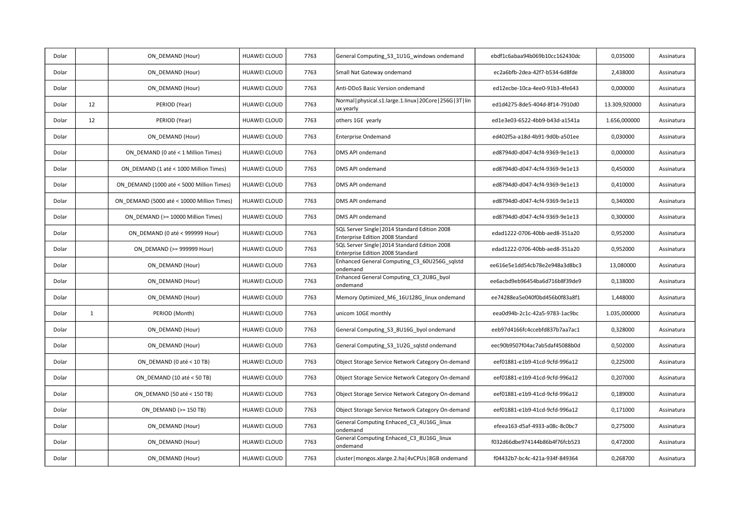| Dolar |              | ON DEMAND (Hour)                           | <b>HUAWEI CLOUD</b> | 7763 | General Computing_S3_1U1G_windows ondemand                                         | ebdf1c6abaa94b069b10cc162430dc | 0,035000      | Assinatura |
|-------|--------------|--------------------------------------------|---------------------|------|------------------------------------------------------------------------------------|--------------------------------|---------------|------------|
| Dolar |              | ON DEMAND (Hour)                           | <b>HUAWEI CLOUD</b> | 7763 | Small Nat Gateway ondemand                                                         | ec2a6bfb-2dea-42f7-b534-6d8fde | 2,438000      | Assinatura |
| Dolar |              | ON DEMAND (Hour)                           | HUAWEI CLOUD        | 7763 | Anti-DDoS Basic Version ondemand                                                   | ed12ecbe-10ca-4ee0-91b3-4fe643 | 0,000000      | Assinatura |
| Dolar | 12           | PERIOD (Year)                              | HUAWEI CLOUD        | 7763 | Normal   physical.s1.large.1.linux   20Core   256G   3T   lin<br>ux yearly         | ed1d4275-8de5-404d-8f14-7910d0 | 13.309,920000 | Assinatura |
| Dolar | 12           | PERIOD (Year)                              | HUAWEI CLOUD        | 7763 | others 1GE yearly                                                                  | ed1e3e03-6522-4bb9-b43d-a1541a | 1.656,000000  | Assinatura |
| Dolar |              | ON_DEMAND (Hour)                           | HUAWEI CLOUD        | 7763 | <b>Enterprise Ondemand</b>                                                         | ed402f5a-a18d-4b91-9d0b-a501ee | 0,030000      | Assinatura |
| Dolar |              | ON DEMAND (0 até < 1 Million Times)        | <b>HUAWEI CLOUD</b> | 7763 | DMS API ondemand                                                                   | ed8794d0-d047-4cf4-9369-9e1e13 | 0,000000      | Assinatura |
| Dolar |              | ON DEMAND (1 até < 1000 Million Times)     | <b>HUAWEI CLOUD</b> | 7763 | DMS API ondemand                                                                   | ed8794d0-d047-4cf4-9369-9e1e13 | 0,450000      | Assinatura |
| Dolar |              | ON DEMAND (1000 até < 5000 Million Times)  | HUAWEI CLOUD        | 7763 | DMS API ondemand                                                                   | ed8794d0-d047-4cf4-9369-9e1e13 | 0,410000      | Assinatura |
| Dolar |              | ON DEMAND (5000 até < 10000 Million Times) | <b>HUAWEI CLOUD</b> | 7763 | DMS API ondemand                                                                   | ed8794d0-d047-4cf4-9369-9e1e13 | 0,340000      | Assinatura |
| Dolar |              | ON DEMAND (>= 10000 Million Times)         | HUAWEI CLOUD        | 7763 | DMS API ondemand                                                                   | ed8794d0-d047-4cf4-9369-9e1e13 | 0,300000      | Assinatura |
| Dolar |              | ON DEMAND (0 até < 999999 Hour)            | HUAWEI CLOUD        | 7763 | SQL Server Single   2014 Standard Edition 2008<br>Enterprise Edition 2008 Standard | edad1222-0706-40bb-aed8-351a20 | 0,952000      | Assinatura |
| Dolar |              | ON DEMAND (>= 999999 Hour)                 | HUAWEI CLOUD        | 7763 | SQL Server Single   2014 Standard Edition 2008<br>Enterprise Edition 2008 Standard | edad1222-0706-40bb-aed8-351a20 | 0,952000      | Assinatura |
| Dolar |              | ON DEMAND (Hour)                           | HUAWEI CLOUD        | 7763 | Enhanced General Computing C3 60U256G sqlstd<br>ondemand                           | ee616e5e1dd54cb78e2e948a3d8bc3 | 13,080000     | Assinatura |
| Dolar |              | ON_DEMAND (Hour)                           | HUAWEI CLOUD        | 7763 | Enhanced General Computing C3 2U8G byol<br>ondemand                                | ee6acbd9eb96454ba6d716b8f39de9 | 0,138000      | Assinatura |
| Dolar |              | ON DEMAND (Hour)                           | <b>HUAWEI CLOUD</b> | 7763 | Memory Optimized M6 16U128G linux ondemand                                         | ee74288ea5e040f0bd456b0f83a8f1 | 1,448000      | Assinatura |
| Dolar | $\mathbf{1}$ | PERIOD (Month)                             | HUAWEI CLOUD        | 7763 | unicom 10GE monthly                                                                | eea0d94b-2c1c-42a5-9783-1ac9bc | 1.035,000000  | Assinatura |
| Dolar |              | ON_DEMAND (Hour)                           | <b>HUAWEI CLOUD</b> | 7763 | General Computing_S3_8U16G_byol ondemand                                           | eeb97d4166fc4ccebfd837b7aa7ac1 | 0,328000      | Assinatura |
| Dolar |              | ON DEMAND (Hour)                           | <b>HUAWEI CLOUD</b> | 7763 | General Computing S3 1U2G sqlstd ondemand                                          | eec90b9507f04ac7ab5daf45088b0d | 0,502000      | Assinatura |
| Dolar |              | ON DEMAND (0 até < 10 TB)                  | HUAWEI CLOUD        | 7763 | Object Storage Service Network Category On-demand                                  | eef01881-e1b9-41cd-9cfd-996a12 | 0,225000      | Assinatura |
| Dolar |              | ON DEMAND (10 até < 50 TB)                 | <b>HUAWEI CLOUD</b> | 7763 | Object Storage Service Network Category On-demand                                  | eef01881-e1b9-41cd-9cfd-996a12 | 0,207000      | Assinatura |
| Dolar |              | ON DEMAND (50 até < 150 TB)                | HUAWEI CLOUD        | 7763 | Object Storage Service Network Category On-demand                                  | eef01881-e1b9-41cd-9cfd-996a12 | 0,189000      | Assinatura |
| Dolar |              | ON DEMAND (>= 150 TB)                      | HUAWEI CLOUD        | 7763 | Object Storage Service Network Category On-demand                                  | eef01881-e1b9-41cd-9cfd-996a12 | 0,171000      | Assinatura |
| Dolar |              | ON DEMAND (Hour)                           | <b>HUAWEI CLOUD</b> | 7763 | General Computing Enhaced_C3_4U16G_linux<br>ondemand                               | efeea163-d5af-4933-a08c-8c0bc7 | 0,275000      | Assinatura |
| Dolar |              | ON DEMAND (Hour)                           | HUAWEI CLOUD        | 7763 | General Computing Enhaced C3 8U16G linux<br>ondemand                               | f032d66dbe974144b86b4f76fcb523 | 0,472000      | Assinatura |
| Dolar |              | ON DEMAND (Hour)                           | HUAWEI CLOUD        | 7763 | cluster   mongos.xlarge.2.ha   4vCPUs   8GB ondemand                               | f04432b7-bc4c-421a-934f-849364 | 0,268700      | Assinatura |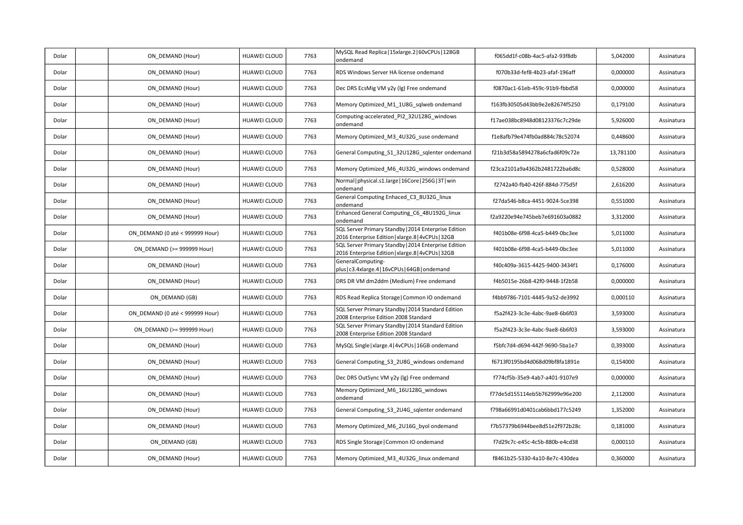| Dolar | ON DEMAND (Hour)                | HUAWEI CLOUD        | 7763 | MySQL Read Replica   15xlarge.2   60vCPUs   128GB<br>ondemand                                              | f065dd1f-c08b-4ac5-afa2-93f8db | 5,042000  | Assinatura |
|-------|---------------------------------|---------------------|------|------------------------------------------------------------------------------------------------------------|--------------------------------|-----------|------------|
| Dolar | ON DEMAND (Hour)                | HUAWEI CLOUD        | 7763 | RDS Windows Server HA license ondemand                                                                     | f070b33d-fef8-4b23-afaf-196aff | 0,000000  | Assinatura |
| Dolar | ON DEMAND (Hour)                | HUAWEI CLOUD        | 7763 | Dec DRS EcsMig VM y2y (lg) Free ondemand                                                                   | f0870ac1-61eb-459c-91b9-fbbd58 | 0,000000  | Assinatura |
| Dolar | ON DEMAND (Hour)                | HUAWEI CLOUD        | 7763 | Memory Optimized M1 1U8G sqlweb ondemand                                                                   | f163fb30505d43bb9e2e82674f5250 | 0,179100  | Assinatura |
| Dolar | ON DEMAND (Hour)                | <b>HUAWEI CLOUD</b> | 7763 | Computing-accelerated_PI2_32U128G_windows<br>ondemand                                                      | f17ae038bc8948d08123376c7c29de | 5,926000  | Assinatura |
| Dolar | ON DEMAND (Hour)                | HUAWEI CLOUD        | 7763 | Memory Optimized M3 4U32G suse ondemand                                                                    | f1e8afb79e474fb0ad884c78c52074 | 0,448600  | Assinatura |
| Dolar | ON DEMAND (Hour)                | HUAWEI CLOUD        | 7763 | General Computing S1 32U128G sqlenter ondemand                                                             | f21b3d58a5894278a6cfad6f09c72e | 13,781100 | Assinatura |
| Dolar | ON DEMAND (Hour)                | HUAWEI CLOUD        | 7763 | Memory Optimized M6 4U32G windows ondemand                                                                 | f23ca2101a9a4362b2481722ba6d8c | 0,528000  | Assinatura |
| Dolar | ON DEMAND (Hour)                | HUAWEI CLOUD        | 7763 | Normal   physical.s1.large   16Core   256G   3T   win<br>ondemand                                          | f2742a40-fb40-426f-884d-775d5f | 2,616200  | Assinatura |
| Dolar | ON DEMAND (Hour)                | HUAWEI CLOUD        | 7763 | General Computing Enhaced C3 8U32G linux<br>ondemand                                                       | f27da546-b8ca-4451-9024-5ce398 | 0,551000  | Assinatura |
| Dolar | ON DEMAND (Hour)                | HUAWEI CLOUD        | 7763 | Enhanced General Computing C6 48U192G linux<br>ondemand                                                    | f2a9220e94e745beb7e691603a0882 | 3,312000  | Assinatura |
| Dolar | ON DEMAND (0 até < 999999 Hour) | <b>HUAWEI CLOUD</b> | 7763 | SQL Server Primary Standby   2014 Enterprise Edition<br>2016 Enterprise Edition   xlarge.8   4vCPUs   32GB | f401b08e-6f98-4ca5-b449-0bc3ee | 5,011000  | Assinatura |
| Dolar | ON DEMAND (>= 999999 Hour)      | HUAWEI CLOUD        | 7763 | SQL Server Primary Standby   2014 Enterprise Edition<br>2016 Enterprise Edition   xlarge.8   4vCPUs   32GB | f401b08e-6f98-4ca5-b449-0bc3ee | 5,011000  | Assinatura |
| Dolar | ON DEMAND (Hour)                | HUAWEI CLOUD        | 7763 | GeneralComputing-<br>plus   c3.4xlarge.4   16vCPUs   64GB   ondemand                                       | f40c409a-3615-4425-9400-3434f1 | 0,176000  | Assinatura |
| Dolar | ON DEMAND (Hour)                | HUAWEI CLOUD        | 7763 | DRS DR VM dm2ddm (Medium) Free ondemand                                                                    | f4b5015e-26b8-42f0-9448-1f2b58 | 0,000000  | Assinatura |
| Dolar | ON DEMAND (GB)                  | <b>HUAWEI CLOUD</b> | 7763 | RDS Read Replica Storage   Common IO ondemand                                                              | f4bb9786-7101-4445-9a52-de3992 | 0,000110  | Assinatura |
| Dolar | ON DEMAND (0 até < 999999 Hour) | <b>HUAWEI CLOUD</b> | 7763 | SQL Server Primary Standby   2014 Standard Edition<br>2008 Enterprise Edition 2008 Standard                | f5a2f423-3c3e-4abc-9ae8-6b6f03 | 3,593000  | Assinatura |
| Dolar | ON DEMAND (>= 999999 Hour)      | HUAWEI CLOUD        | 7763 | SQL Server Primary Standby   2014 Standard Edition<br>2008 Enterprise Edition 2008 Standard                | f5a2f423-3c3e-4abc-9ae8-6b6f03 | 3,593000  | Assinatura |
| Dolar | ON DEMAND (Hour)                | HUAWEI CLOUD        | 7763 | MySQL Single   xlarge.4   4vCPUs   16GB ondemand                                                           | f5bfc7d4-d694-442f-9690-5ba1e7 | 0,393000  | Assinatura |
| Dolar | ON DEMAND (Hour)                | <b>HUAWEI CLOUD</b> | 7763 | General Computing_S3_2U8G_windows ondemand                                                                 | f6713f0195bd4d068d09bf8fa1891e | 0,154000  | Assinatura |
| Dolar | ON_DEMAND (Hour)                | HUAWEI CLOUD        | 7763 | Dec DRS OutSync VM y2y (lg) Free ondemand                                                                  | f774cf5b-35e9-4ab7-a401-9107e9 | 0,000000  | Assinatura |
| Dolar | ON DEMAND (Hour)                | HUAWEI CLOUD        | 7763 | Memory Optimized_M6_16U128G_windows<br>ondemand                                                            | f77de5d155114eb5b762999e96e200 | 2,112000  | Assinatura |
| Dolar | ON DEMAND (Hour)                | HUAWEI CLOUD        | 7763 | General Computing S3 2U4G sqlenter ondemand                                                                | f798a66991d0401cab6bbd177c5249 | 1,352000  | Assinatura |
| Dolar | ON DEMAND (Hour)                | HUAWEI CLOUD        | 7763 | Memory Optimized_M6_2U16G_byol ondemand                                                                    | f7b57379b6944bee8d51e2f972b28c | 0,181000  | Assinatura |
| Dolar | ON DEMAND (GB)                  | HUAWEI CLOUD        | 7763 | RDS Single Storage   Common IO ondemand                                                                    | f7d29c7c-e45c-4c5b-880b-e4cd38 | 0,000110  | Assinatura |
| Dolar | ON DEMAND (Hour)                | HUAWEI CLOUD        | 7763 | Memory Optimized_M3_4U32G_linux ondemand                                                                   | f8461b25-5330-4a10-8e7c-430dea | 0,360000  | Assinatura |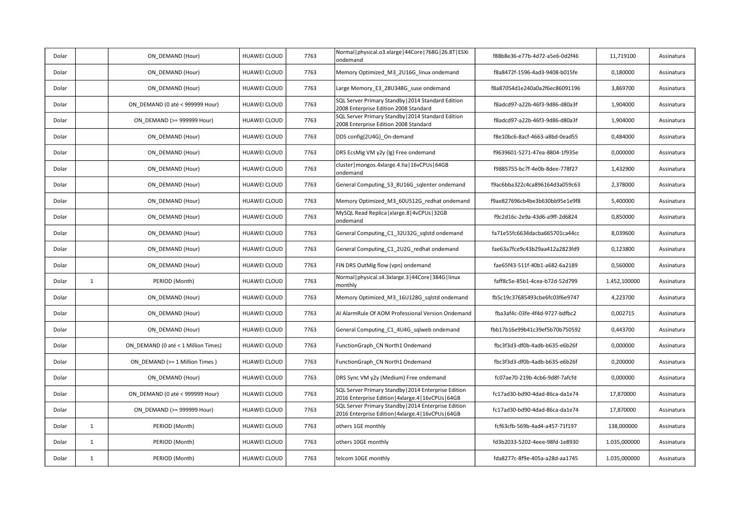| Dolar |              | ON DEMAND (Hour)                    | HUAWEI CLOUD        | 7763 | Normal   physical.o3.xlarge   44Core   768G   26.8T   ESXi<br>ondemand                                       | f88b8e36-e77b-4d72-a5e6-0d2f46 | 11,719100    | Assinatura |
|-------|--------------|-------------------------------------|---------------------|------|--------------------------------------------------------------------------------------------------------------|--------------------------------|--------------|------------|
| Dolar |              | ON DEMAND (Hour)                    | HUAWEI CLOUD        | 7763 | Memory Optimized_M3_2U16G_linux ondemand                                                                     | f8a8472f-1596-4ad3-9408-b015fe | 0,180000     | Assinatura |
| Dolar |              | ON DEMAND (Hour)                    | HUAWEI CLOUD        | 7763 | Large Memory E3 28U348G suse ondemand                                                                        | f8a87054d1e240a0a2f6ec86091196 | 3,869700     | Assinatura |
| Dolar |              | ON DEMAND (0 até < 999999 Hour)     | <b>HUAWEI CLOUD</b> | 7763 | SQL Server Primary Standby   2014 Standard Edition<br>2008 Enterprise Edition 2008 Standard                  | f8adcd97-a22b-46f3-9d86-d80a3f | 1,904000     | Assinatura |
| Dolar |              | ON DEMAND (>= 999999 Hour)          | <b>HUAWEI CLOUD</b> | 7763 | SQL Server Primary Standby   2014 Standard Edition<br>2008 Enterprise Edition 2008 Standard                  | f8adcd97-a22b-46f3-9d86-d80a3f | 1,904000     | Assinatura |
| Dolar |              | ON DEMAND (Hour)                    | HUAWEI CLOUD        | 7763 | DDS config(2U4G) On-demand                                                                                   | f8e10bc6-8acf-4663-a8bd-0ead55 | 0,484000     | Assinatura |
| Dolar |              | ON DEMAND (Hour)                    | HUAWEI CLOUD        | 7763 | DRS EcsMig VM y2y (lg) Free ondemand                                                                         | f9639601-5271-47ea-8804-1f935e | 0,000000     | Assinatura |
| Dolar |              | ON DEMAND (Hour)                    | HUAWEI CLOUD        | 7763 | cluster   mongos.4xlarge.4.ha   16vCPUs   64GB<br>ondemand                                                   | f9885755-bc7f-4e0b-8dee-778f27 | 1,432900     | Assinatura |
| Dolar |              | ON DEMAND (Hour)                    | HUAWEI CLOUD        | 7763 | General Computing_S3_8U16G_sqlenter ondemand                                                                 | f9ac6bba322c4ca896164d3a059c63 | 2,378000     | Assinatura |
| Dolar |              | ON DEMAND (Hour)                    | HUAWEI CLOUD        | 7763 | Memory Optimized_M3_60U512G_redhat ondemand                                                                  | f9ae827696cb4be3b630bb95e1e9f8 | 5,400000     | Assinatura |
| Dolar |              | ON DEMAND (Hour)                    | HUAWEI CLOUD        | 7763 | MySQL Read Replica   xlarge.8   4vCPUs   32GB<br>ondemand                                                    | f9c2d16c-2e9a-43d6-a9ff-2d6824 | 0,850000     | Assinatura |
| Dolar |              | ON DEMAND (Hour)                    | HUAWEI CLOUD        | 7763 | General Computing C1 32U32G sqlstd ondemand                                                                  | fa71e55fc6634dacba665701ca44cc | 8,039600     | Assinatura |
| Dolar |              | ON DEMAND (Hour)                    | HUAWEI CLOUD        | 7763 | General Computing C1 2U2G redhat ondemand                                                                    | fae63a7fce9c43b29aa412a2823fd9 | 0,123800     | Assinatura |
| Dolar |              | ON DEMAND (Hour)                    | HUAWEI CLOUD        | 7763 | FIN DRS OutMig flow (vpn) ondemand                                                                           | fae65f43-511f-40b1-a682-6a2189 | 0,560000     | Assinatura |
| Dolar | $\mathbf{1}$ | PERIOD (Month)                      | <b>HUAWEI CLOUD</b> | 7763 | Normal   physical.s4.3xlarge.3   44Core   384G   linux<br>monthly                                            | faff8c5e-85b1-4cea-b72d-52d799 | 1.452,100000 | Assinatura |
| Dolar |              | ON DEMAND (Hour)                    | <b>HUAWEI CLOUD</b> | 7763 | Memory Optimized_M3_16U128G_sqlstd ondemand                                                                  | fb5c19c37685493cbe6fc03f6e9747 | 4,223700     | Assinatura |
| Dolar |              | ON DEMAND (Hour)                    | HUAWEI CLOUD        | 7763 | Al AlarmRule Of AOM Professional Version Ondemand                                                            | fba3af4c-03fe-4f4d-9727-bdfbc2 | 0,002715     | Assinatura |
| Dolar |              | ON DEMAND (Hour)                    | HUAWEI CLOUD        | 7763 | General Computing C1 4U4G sqlweb ondemand                                                                    | fbb17b16e99b41c39ef5b70b750592 | 0,443700     | Assinatura |
| Dolar |              | ON DEMAND (0 até < 1 Million Times) | <b>HUAWEI CLOUD</b> | 7763 | FunctionGraph CN North1 Ondemand                                                                             | fbc3f3d3-df0b-4adb-b635-e6b26f | 0,000000     | Assinatura |
| Dolar |              | ON DEMAND (>= 1 Million Times)      | <b>HUAWEI CLOUD</b> | 7763 | FunctionGraph CN North1 Ondemand                                                                             | fbc3f3d3-df0b-4adb-b635-e6b26f | 0,200000     | Assinatura |
| Dolar |              | ON_DEMAND (Hour)                    | HUAWEI CLOUD        | 7763 | DRS Sync VM y2y (Medium) Free ondemand                                                                       | fc07ae70-219b-4cb6-9d8f-7afcfd | 0,000000     | Assinatura |
| Dolar |              | ON DEMAND (0 até < 999999 Hour)     | <b>HUAWEI CLOUD</b> | 7763 | SQL Server Primary Standby   2014 Enterprise Edition<br>2016 Enterprise Edition   4xlarge.4   16vCPUs   64GB | fc17ad30-bd90-4dad-86ca-da1e74 | 17,870000    | Assinatura |
| Dolar |              | ON DEMAND (>= 999999 Hour)          | HUAWEI CLOUD        | 7763 | SQL Server Primary Standby   2014 Enterprise Edition<br>2016 Enterprise Edition   4xlarge.4   16vCPUs   64GB | fc17ad30-bd90-4dad-86ca-da1e74 | 17,870000    | Assinatura |
| Dolar | $\mathbf{1}$ | PERIOD (Month)                      | <b>HUAWEI CLOUD</b> | 7763 | others 1GE monthly                                                                                           | fcf63cfb-569b-4ad4-a457-71f197 | 138,000000   | Assinatura |
| Dolar | $\mathbf{1}$ | PERIOD (Month)                      | HUAWEI CLOUD        | 7763 | others 10GE monthly                                                                                          | fd3b2033-5202-4eee-98fd-1e8930 | 1.035,000000 | Assinatura |
| Dolar | $\mathbf{1}$ | PERIOD (Month)                      | <b>HUAWEI CLOUD</b> | 7763 | telcom 10GE monthly                                                                                          | fda8277c-8f9e-405a-a28d-aa1745 | 1.035,000000 | Assinatura |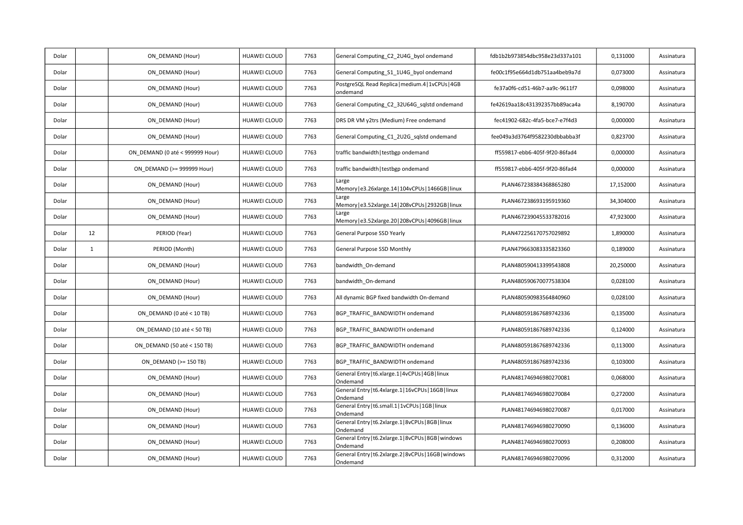| Dolar |              | ON DEMAND (Hour)                | HUAWEI CLOUD        | 7763 | General Computing_C2_2U4G_byol ondemand                            | fdb1b2b973854dbc958e23d337a101 | 0,131000  | Assinatura |
|-------|--------------|---------------------------------|---------------------|------|--------------------------------------------------------------------|--------------------------------|-----------|------------|
| Dolar |              | ON DEMAND (Hour)                | HUAWEI CLOUD        | 7763 | General Computing S1 1U4G byol ondemand                            | fe00c1f95e664d1db751aa4beb9a7d | 0,073000  | Assinatura |
| Dolar |              | ON DEMAND (Hour)                | HUAWEI CLOUD        | 7763 | PostgreSQL Read Replica   medium.4   1vCPUs   4GB<br>ondemand      | fe37a0f6-cd51-46b7-aa9c-9611f7 | 0,098000  | Assinatura |
| Dolar |              | ON DEMAND (Hour)                | HUAWEI CLOUD        | 7763 | General Computing_C2_32U64G_sqlstd ondemand                        | fe42619aa18c431392357bb89aca4a | 8,190700  | Assinatura |
| Dolar |              | ON_DEMAND (Hour)                | HUAWEI CLOUD        | 7763 | DRS DR VM y2trs (Medium) Free ondemand                             | fec41902-682c-4fa5-bce7-e7f4d3 | 0,000000  | Assinatura |
| Dolar |              | ON DEMAND (Hour)                | HUAWEI CLOUD        | 7763 | General Computing C1 2U2G sqlstd ondemand                          | fee049a3d3764f9582230dbbabba3f | 0,823700  | Assinatura |
| Dolar |              | ON DEMAND (0 até < 999999 Hour) | HUAWEI CLOUD        | 7763 | traffic bandwidth   testbgp ondemand                               | ff559817-ebb6-405f-9f20-86fad4 | 0,000000  | Assinatura |
| Dolar |              | ON DEMAND (>= 999999 Hour)      | HUAWEI CLOUD        | 7763 | traffic bandwidth   testbgp ondemand                               | ff559817-ebb6-405f-9f20-86fad4 | 0,000000  | Assinatura |
| Dolar |              | ON DEMAND (Hour)                | HUAWEI CLOUD        | 7763 | Large<br>Memory   e3.26xlarge.14   104vCPUs   1466GB   linux       | PLAN467238384368865280         | 17,152000 | Assinatura |
| Dolar |              | ON DEMAND (Hour)                | HUAWEI CLOUD        | 7763 | Large<br>Memory   e3.52xlarge.14   208vCPUs   2932GB   linux       | PLAN467238693195919360         | 34,304000 | Assinatura |
| Dolar |              | ON DEMAND (Hour)                | HUAWEI CLOUD        | 7763 | Large<br>Memory   e3.52xlarge.20   208vCPUs   4096GB   linux       | PLAN467239045533782016         | 47,923000 | Assinatura |
| Dolar | 12           | PERIOD (Year)                   | HUAWEI CLOUD        | 7763 | General Purpose SSD Yearly                                         | PLAN472256170757029892         | 1,890000  | Assinatura |
| Dolar | $\mathbf{1}$ | PERIOD (Month)                  | HUAWEI CLOUD        | 7763 | General Purpose SSD Monthly                                        | PLAN479663083335823360         | 0,189000  | Assinatura |
| Dolar |              | ON DEMAND (Hour)                | HUAWEI CLOUD        | 7763 | bandwidth On-demand                                                | PLAN480590413399543808         | 20,250000 | Assinatura |
| Dolar |              | ON DEMAND (Hour)                | HUAWEI CLOUD        | 7763 | bandwidth On-demand                                                | PLAN480590670077538304         | 0,028100  | Assinatura |
| Dolar |              | ON DEMAND (Hour)                | HUAWEI CLOUD        | 7763 | All dynamic BGP fixed bandwidth On-demand                          | PLAN480590983564840960         | 0,028100  | Assinatura |
| Dolar |              | ON DEMAND (0 até < 10 TB)       | HUAWEI CLOUD        | 7763 | BGP_TRAFFIC_BANDWIDTH ondemand                                     | PLAN480591867689742336         | 0,135000  | Assinatura |
| Dolar |              | ON_DEMAND (10 até < 50 TB)      | HUAWEI CLOUD        | 7763 | BGP_TRAFFIC_BANDWIDTH ondemand                                     | PLAN480591867689742336         | 0,124000  | Assinatura |
| Dolar |              | ON DEMAND (50 até < 150 TB)     | HUAWEI CLOUD        | 7763 | BGP TRAFFIC BANDWIDTH ondemand                                     | PLAN480591867689742336         | 0,113000  | Assinatura |
| Dolar |              | ON DEMAND (>= 150 TB)           | <b>HUAWEI CLOUD</b> | 7763 | BGP TRAFFIC BANDWIDTH ondemand                                     | PLAN480591867689742336         | 0,103000  | Assinatura |
| Dolar |              | ON_DEMAND (Hour)                | HUAWEI CLOUD        | 7763 | General Entry   t6.xlarge.1   4vCPUs   4GB   linux<br>Ondemand     | PLAN481746946980270081         | 0,068000  | Assinatura |
| Dolar |              | ON_DEMAND (Hour)                | HUAWEI CLOUD        | 7763 | General Entry   t6.4xlarge.1   16vCPUs   16GB   linux<br>Ondemand  | PLAN481746946980270084         | 0,272000  | Assinatura |
| Dolar |              | ON DEMAND (Hour)                | HUAWEI CLOUD        | 7763 | General Entry   t6.small.1   1vCPUs   1GB   linux<br>Ondemand      | PLAN481746946980270087         | 0,017000  | Assinatura |
| Dolar |              | ON DEMAND (Hour)                | HUAWEI CLOUD        | 7763 | General Entry   t6.2xlarge.1   8vCPUs   8GB   linux<br>Ondemand    | PLAN481746946980270090         | 0,136000  | Assinatura |
| Dolar |              | ON_DEMAND (Hour)                | HUAWEI CLOUD        | 7763 | General Entry   t6.2xlarge.1   8vCPUs   8GB   windows<br>Ondemand  | PLAN481746946980270093         | 0,208000  | Assinatura |
| Dolar |              | ON DEMAND (Hour)                | HUAWEI CLOUD        | 7763 | General Entry   t6.2xlarge.2   8vCPUs   16GB   windows<br>Ondemand | PLAN481746946980270096         | 0,312000  | Assinatura |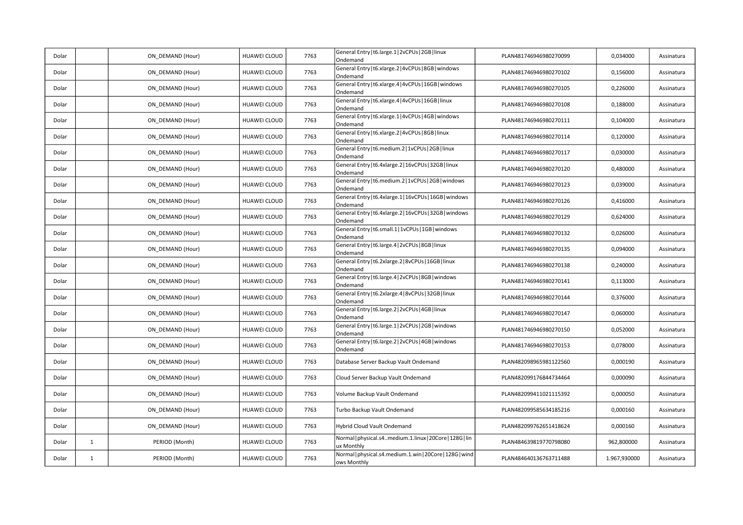|       |              |                  |                     |      | General Entry   t6.large.1   2vCPUs   2GB   linux                       |                        |              |            |
|-------|--------------|------------------|---------------------|------|-------------------------------------------------------------------------|------------------------|--------------|------------|
| Dolar |              | ON_DEMAND (Hour) | HUAWEI CLOUD        | 7763 | Ondemand                                                                | PLAN481746946980270099 | 0,034000     | Assinatura |
| Dolar |              | ON DEMAND (Hour) | <b>HUAWEI CLOUD</b> | 7763 | General Entry   t6.xlarge.2   4vCPUs   8GB   windows<br>Ondemand        | PLAN481746946980270102 | 0,156000     | Assinatura |
| Dolar |              | ON DEMAND (Hour) | HUAWEI CLOUD        | 7763 | General Entry   t6.xlarge.4   4vCPUs   16GB   windows<br>Ondemand       | PLAN481746946980270105 | 0,226000     | Assinatura |
| Dolar |              | ON DEMAND (Hour) | <b>HUAWEI CLOUD</b> | 7763 | General Entry   t6.xlarge.4   4vCPUs   16GB   linux<br>Ondemand         | PLAN481746946980270108 | 0,188000     | Assinatura |
| Dolar |              | ON DEMAND (Hour) | HUAWEI CLOUD        | 7763 | General Entry   t6.xlarge.1   4vCPUs   4GB   windows<br>Ondemand        | PLAN481746946980270111 | 0,104000     | Assinatura |
| Dolar |              | ON DEMAND (Hour) | <b>HUAWEI CLOUD</b> | 7763 | General Entry   t6.xlarge.2   4vCPUs   8GB   linux<br>Ondemand          | PLAN481746946980270114 | 0,120000     | Assinatura |
| Dolar |              | ON DEMAND (Hour) | HUAWEI CLOUD        | 7763 | General Entry   t6.medium.2   1vCPUs   2GB   linux<br>Ondemand          | PLAN481746946980270117 | 0,030000     | Assinatura |
| Dolar |              | ON DEMAND (Hour) | HUAWEI CLOUD        | 7763 | General Entry   t6.4xlarge.2   16vCPUs   32GB   linux<br>Ondemand       | PLAN481746946980270120 | 0,480000     | Assinatura |
| Dolar |              | ON DEMAND (Hour) | HUAWEI CLOUD        | 7763 | General Entry   t6.medium.2   1vCPUs   2GB   windows<br>Ondemand        | PLAN481746946980270123 | 0,039000     | Assinatura |
| Dolar |              | ON DEMAND (Hour) | <b>HUAWEI CLOUD</b> | 7763 | General Entry   t6.4xlarge.1   16vCPUs   16GB   windows<br>Ondemand     | PLAN481746946980270126 | 0,416000     | Assinatura |
| Dolar |              | ON DEMAND (Hour) | <b>HUAWEI CLOUD</b> | 7763 | General Entry   t6.4xlarge.2   16vCPUs   32GB   windows<br>Ondemand     | PLAN481746946980270129 | 0,624000     | Assinatura |
| Dolar |              | ON_DEMAND (Hour) | <b>HUAWEI CLOUD</b> | 7763 | General Entry   t6.small.1   1vCPUs   1GB   windows<br>Ondemand         | PLAN481746946980270132 | 0,026000     | Assinatura |
| Dolar |              | ON_DEMAND (Hour) | HUAWEI CLOUD        | 7763 | General Entry   t6.large.4   2vCPUs   8GB   linux<br>Ondemand           | PLAN481746946980270135 | 0,094000     | Assinatura |
| Dolar |              | ON DEMAND (Hour) | <b>HUAWEI CLOUD</b> | 7763 | General Entry   t6.2xlarge.2   8vCPUs   16GB   linux<br>Ondemand        | PLAN481746946980270138 | 0,240000     | Assinatura |
| Dolar |              | ON DEMAND (Hour) | HUAWEI CLOUD        | 7763 | General Entry   t6.large.4   2vCPUs   8GB   windows<br>Ondemand         | PLAN481746946980270141 | 0,113000     | Assinatura |
| Dolar |              | ON DEMAND (Hour) | HUAWEI CLOUD        | 7763 | General Entry   t6.2xlarge.4   8vCPUs   32GB   linux<br>Ondemand        | PLAN481746946980270144 | 0,376000     | Assinatura |
| Dolar |              | ON_DEMAND (Hour) | HUAWEI CLOUD        | 7763 | General Entry   t6.large.2   2vCPUs   4GB   linux<br>Ondemand           | PLAN481746946980270147 | 0,060000     | Assinatura |
| Dolar |              | ON DEMAND (Hour) | <b>HUAWEI CLOUD</b> | 7763 | General Entry   t6.large.1   2vCPUs   2GB   windows<br>Ondemand         | PLAN481746946980270150 | 0,052000     | Assinatura |
| Dolar |              | ON DEMAND (Hour) | HUAWEI CLOUD        | 7763 | General Entry   t6.large.2   2vCPUs   4GB   windows<br>Ondemand         | PLAN481746946980270153 | 0,078000     | Assinatura |
| Dolar |              | ON DEMAND (Hour) | <b>HUAWEI CLOUD</b> | 7763 | Database Server Backup Vault Ondemand                                   | PLAN482098965981122560 | 0,000190     | Assinatura |
| Dolar |              | ON_DEMAND (Hour) | HUAWEI CLOUD        | 7763 | Cloud Server Backup Vault Ondemand                                      | PLAN482099176844734464 | 0,000090     | Assinatura |
| Dolar |              | ON DEMAND (Hour) | <b>HUAWEI CLOUD</b> | 7763 | Volume Backup Vault Ondemand                                            | PLAN482099411021115392 | 0,000050     | Assinatura |
| Dolar |              | ON DEMAND (Hour) | HUAWEI CLOUD        | 7763 | Turbo Backup Vault Ondemand                                             | PLAN482099585634185216 | 0,000160     | Assinatura |
| Dolar |              | ON DEMAND (Hour) | HUAWEI CLOUD        | 7763 | Hybrid Cloud Vault Ondemand                                             | PLAN482099762651418624 | 0,000160     | Assinatura |
| Dolar | $\mathbf{1}$ | PERIOD (Month)   | <b>HUAWEI CLOUD</b> | 7763 | Normal   physical.s4medium.1.linux   20Core   128G   lin<br>ux Monthly  | PLAN484639819770798080 | 962,800000   | Assinatura |
| Dolar | $\mathbf{1}$ | PERIOD (Month)   | <b>HUAWEI CLOUD</b> | 7763 | Normal   physical.s4.medium.1.win   20Core   128G   wind<br>ows Monthly | PLAN484640136763711488 | 1.967,930000 | Assinatura |
|       |              |                  |                     |      |                                                                         |                        |              |            |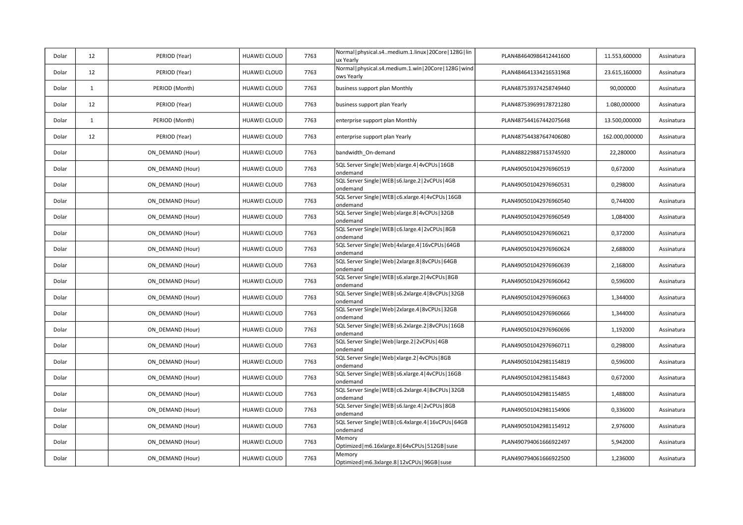| Dolar | 12           | PERIOD (Year)    | <b>HUAWEI CLOUD</b> | 7763 | Normal   physical.s4medium.1.linux   20Core   128G   lin<br>ux Yearly  | PLAN484640986412441600 | 11.553,600000  | Assinatura |
|-------|--------------|------------------|---------------------|------|------------------------------------------------------------------------|------------------------|----------------|------------|
| Dolar | 12           | PERIOD (Year)    | HUAWEI CLOUD        | 7763 | Normal   physical.s4.medium.1.win   20Core   128G   wind<br>ows Yearly | PLAN484641334216531968 | 23.615,160000  | Assinatura |
| Dolar | $\mathbf{1}$ | PERIOD (Month)   | <b>HUAWEI CLOUD</b> | 7763 | business support plan Monthly                                          | PLAN487539374258749440 | 90,000000      | Assinatura |
| Dolar | 12           | PERIOD (Year)    | HUAWEI CLOUD        | 7763 | business support plan Yearly                                           | PLAN487539699178721280 | 1.080,000000   | Assinatura |
| Dolar | $\mathbf{1}$ | PERIOD (Month)   | <b>HUAWEI CLOUD</b> | 7763 | enterprise support plan Monthly                                        | PLAN487544167442075648 | 13.500,000000  | Assinatura |
| Dolar | 12           | PERIOD (Year)    | <b>HUAWEI CLOUD</b> | 7763 | enterprise support plan Yearly                                         | PLAN487544387647406080 | 162.000,000000 | Assinatura |
| Dolar |              | ON DEMAND (Hour) | HUAWEI CLOUD        | 7763 | bandwidth_On-demand                                                    | PLAN488229887153745920 | 22,280000      | Assinatura |
| Dolar |              | ON DEMAND (Hour) | HUAWEI CLOUD        | 7763 | SQL Server Single   Web   xlarge.4   4vCPUs   16GB<br>ondemand         | PLAN490501042976960519 | 0,672000       | Assinatura |
| Dolar |              | ON DEMAND (Hour) | HUAWEI CLOUD        | 7763 | SQL Server Single   WEB   s6.large.2   2vCPUs   4GB<br>ondemand        | PLAN490501042976960531 | 0,298000       | Assinatura |
| Dolar |              | ON_DEMAND (Hour) | HUAWEI CLOUD        | 7763 | SQL Server Single   WEB   c6.xlarge.4   4vCPUs   16GB<br>ondemand      | PLAN490501042976960540 | 0,744000       | Assinatura |
| Dolar |              | ON DEMAND (Hour) | <b>HUAWEI CLOUD</b> | 7763 | SQL Server Single   Web   xlarge.8   4vCPUs   32GB<br>ondemand         | PLAN490501042976960549 | 1,084000       | Assinatura |
| Dolar |              | ON DEMAND (Hour) | HUAWEI CLOUD        | 7763 | SQL Server Single   WEB   c6.large.4   2vCPUs   8GB<br>ondemand        | PLAN490501042976960621 | 0,372000       | Assinatura |
| Dolar |              | ON DEMAND (Hour) | HUAWEI CLOUD        | 7763 | SQL Server Single   Web   4xlarge.4   16vCPUs   64GB<br>ondemand       | PLAN490501042976960624 | 2,688000       | Assinatura |
| Dolar |              | ON DEMAND (Hour) | <b>HUAWEI CLOUD</b> | 7763 | SQL Server Single   Web   2xlarge.8   8vCPUs   64GB<br>ondemand        | PLAN490501042976960639 | 2,168000       | Assinatura |
| Dolar |              | ON DEMAND (Hour) | HUAWEI CLOUD        | 7763 | SQL Server Single   WEB   s6.xlarge.2   4vCPUs   8GB<br>ondemand       | PLAN490501042976960642 | 0,596000       | Assinatura |
| Dolar |              | ON DEMAND (Hour) | HUAWEI CLOUD        | 7763 | SQL Server Single   WEB   s6.2xlarge.4   8vCPUs   32GB<br>ondemand     | PLAN490501042976960663 | 1,344000       | Assinatura |
| Dolar |              | ON DEMAND (Hour) | <b>HUAWEI CLOUD</b> | 7763 | SQL Server Single   Web   2xlarge.4   8vCPUs   32GB<br>ondemand        | PLAN490501042976960666 | 1,344000       | Assinatura |
| Dolar |              | ON DEMAND (Hour) | HUAWEI CLOUD        | 7763 | SQL Server Single   WEB   s6.2xlarge.2   8vCPUs   16GB<br>ondemand     | PLAN490501042976960696 | 1,192000       | Assinatura |
| Dolar |              | ON_DEMAND (Hour) | HUAWEI CLOUD        | 7763 | SQL Server Single   Web   large.2   2vCPUs   4GB<br>ondemand           | PLAN490501042976960711 | 0,298000       | Assinatura |
| Dolar |              | ON_DEMAND (Hour) | <b>HUAWEI CLOUD</b> | 7763 | SQL Server Single   Web   xlarge.2   4vCPUs   8GB<br>ondemand          | PLAN490501042981154819 | 0,596000       | Assinatura |
| Dolar |              | ON DEMAND (Hour) | HUAWEI CLOUD        | 7763 | SQL Server Single   WEB   s6.xlarge.4   4vCPUs   16GB<br>ondemand      | PLAN490501042981154843 | 0,672000       | Assinatura |
| Dolar |              | ON_DEMAND (Hour) | HUAWEI CLOUD        | 7763 | SQL Server Single   WEB   c6.2xlarge.4   8vCPUs   32GB<br>ondemand     | PLAN490501042981154855 | 1,488000       | Assinatura |
| Dolar |              | ON_DEMAND (Hour) | HUAWEI CLOUD        | 7763 | SQL Server Single   WEB   s6.large.4   2vCPUs   8GB<br>ondemand        | PLAN490501042981154906 | 0,336000       | Assinatura |
| Dolar |              | ON DEMAND (Hour) | HUAWEI CLOUD        | 7763 | SQL Server Single   WEB   c6.4xlarge.4   16vCPUs   64GB<br>ondemand    | PLAN490501042981154912 | 2,976000       | Assinatura |
| Dolar |              | ON_DEMAND (Hour) | HUAWEI CLOUD        | 7763 | Memory<br>Optimized   m6.16xlarge.8   64vCPUs   512GB   suse           | PLAN490794061666922497 | 5,942000       | Assinatura |
| Dolar |              | ON_DEMAND (Hour) | HUAWEI CLOUD        | 7763 | Memory<br>Optimized   m6.3xlarge.8   12vCPUs   96GB   suse             | PLAN490794061666922500 | 1,236000       | Assinatura |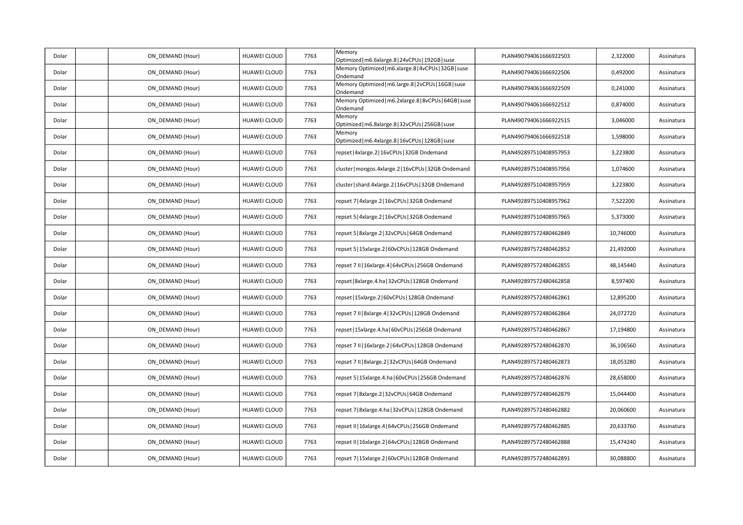| Dolar | ON_DEMAND (Hour) | HUAWEI CLOUD        | 7763 | Memory<br>Optimized   m6.6xlarge.8   24vCPUs   192GB   suse        | PLAN490794061666922503 | 2,322000  | Assinatura |
|-------|------------------|---------------------|------|--------------------------------------------------------------------|------------------------|-----------|------------|
| Dolar | ON DEMAND (Hour) | <b>HUAWEI CLOUD</b> | 7763 | Memory Optimized   m6.xlarge.8   4vCPUs   32GB   suse<br>Ondemand  | PLAN490794061666922506 | 0,492000  | Assinatura |
| Dolar | ON_DEMAND (Hour) | HUAWEI CLOUD        | 7763 | Memory Optimized   m6.large.8   2vCPUs   16GB   suse<br>Ondemand   | PLAN490794061666922509 | 0,241000  | Assinatura |
| Dolar | ON_DEMAND (Hour) | HUAWEI CLOUD        | 7763 | Memory Optimized   m6.2xlarge.8   8vCPUs   64GB   suse<br>Ondemand | PLAN490794061666922512 | 0,874000  | Assinatura |
| Dolar | ON DEMAND (Hour) | HUAWEI CLOUD        | 7763 | Memory<br>Optimized   m6.8xlarge.8   32vCPUs   256GB   suse        | PLAN490794061666922515 | 3,046000  | Assinatura |
| Dolar | ON DEMAND (Hour) | HUAWEI CLOUD        | 7763 | Memory<br>Optimized   m6.4xlarge.8   16vCPUs   128GB   suse        | PLAN490794061666922518 | 1,598000  | Assinatura |
| Dolar | ON_DEMAND (Hour) | HUAWEI CLOUD        | 7763 | repset 4xlarge.2 16vCPUs 32GB Ondemand                             | PLAN492897510408957953 | 3,223800  | Assinatura |
| Dolar | ON DEMAND (Hour) | <b>HUAWEI CLOUD</b> | 7763 | cluster   mongos.4xlarge.2   16vCPUs   32GB Ondemand               | PLAN492897510408957956 | 1,074600  | Assinatura |
| Dolar | ON DEMAND (Hour) | <b>HUAWEI CLOUD</b> | 7763 | cluster   shard.4xlarge.2   16vCPUs   32GB Ondemand                | PLAN492897510408957959 | 3,223800  | Assinatura |
| Dolar | ON_DEMAND (Hour) | HUAWEI CLOUD        | 7763 | repset 7   4xlarge.2   16vCPUs   32GB Ondemand                     | PLAN492897510408957962 | 7,522200  | Assinatura |
| Dolar | ON DEMAND (Hour) | <b>HUAWEI CLOUD</b> | 7763 | repset 5   4xlarge.2   16vCPUs   32GB Ondemand                     | PLAN492897510408957965 | 5,373000  | Assinatura |
| Dolar | ON DEMAND (Hour) | HUAWEI CLOUD        | 7763 | repset 5   8xlarge.2   32vCPUs   64GB Ondemand                     | PLAN492897572480462849 | 10,746000 | Assinatura |
| Dolar | ON DEMAND (Hour) | HUAWEI CLOUD        | 7763 | epset 5   15xlarge.2   60vCPUs   128GB Ondemand                    | PLAN492897572480462852 | 21,492000 | Assinatura |
| Dolar | ON DEMAND (Hour) | <b>HUAWEI CLOUD</b> | 7763 | repset 7 II   16xlarge.4   64vCPUs   256GB Ondemand                | PLAN492897572480462855 | 48,145440 | Assinatura |
| Dolar | ON_DEMAND (Hour) | <b>HUAWEI CLOUD</b> | 7763 | repset   8xlarge.4.ha   32vCPUs   128GB Ondemand                   | PLAN492897572480462858 | 8,597400  | Assinatura |
| Dolar | ON_DEMAND (Hour) | HUAWEI CLOUD        | 7763 | repset   15xlarge.2   60vCPUs   128GB Ondemand                     | PLAN492897572480462861 | 12,895200 | Assinatura |
| Dolar | ON DEMAND (Hour) | <b>HUAWEI CLOUD</b> | 7763 | repset 7 II   8xlarge.4   32vCPUs   128GB Ondemand                 | PLAN492897572480462864 | 24,072720 | Assinatura |
| Dolar | ON DEMAND (Hour) | HUAWEI CLOUD        | 7763 | repset   15xlarge.4.ha   60vCPUs   256GB Ondemand                  | PLAN492897572480462867 | 17,194800 | Assinatura |
| Dolar | ON DEMAND (Hour) | HUAWEI CLOUD        | 7763 | repset 7 II   16xlarge.2   64vCPUs   128GB Ondemand                | PLAN492897572480462870 | 36,106560 | Assinatura |
| Dolar | ON_DEMAND (Hour) | HUAWEI CLOUD        | 7763 | repset 7 II   8xlarge.2   32vCPUs   64GB Ondemand                  | PLAN492897572480462873 | 18,053280 | Assinatura |
| Dolar | ON DEMAND (Hour) | <b>HUAWEI CLOUD</b> | 7763 | epset 5   15xlarge.4.ha   60vCPUs   256GB Ondemand                 | PLAN492897572480462876 | 28,658000 | Assinatura |
| Dolar | ON_DEMAND (Hour) | HUAWEI CLOUD        | 7763 | repset 7   8xlarge.2   32vCPUs   64GB Ondemand                     | PLAN492897572480462879 | 15,044400 | Assinatura |
| Dolar | ON_DEMAND (Hour) | HUAWEI CLOUD        | 7763 | repset 7   8xlarge.4.ha   32vCPUs   128GB Ondemand                 | PLAN492897572480462882 | 20,060600 | Assinatura |
| Dolar | ON DEMAND (Hour) | HUAWEI CLOUD        | 7763 | repset II   16xlarge.4   64vCPUs   256GB Ondemand                  | PLAN492897572480462885 | 20,633760 | Assinatura |
| Dolar | ON DEMAND (Hour) | HUAWEI CLOUD        | 7763 | repset II   16xlarge.2   64vCPUs   128GB Ondemand                  | PLAN492897572480462888 | 15,474240 | Assinatura |
| Dolar | ON DEMAND (Hour) | HUAWEI CLOUD        | 7763 | repset 7   15xlarge.2   60vCPUs   128GB Ondemand                   | PLAN492897572480462891 | 30,088800 | Assinatura |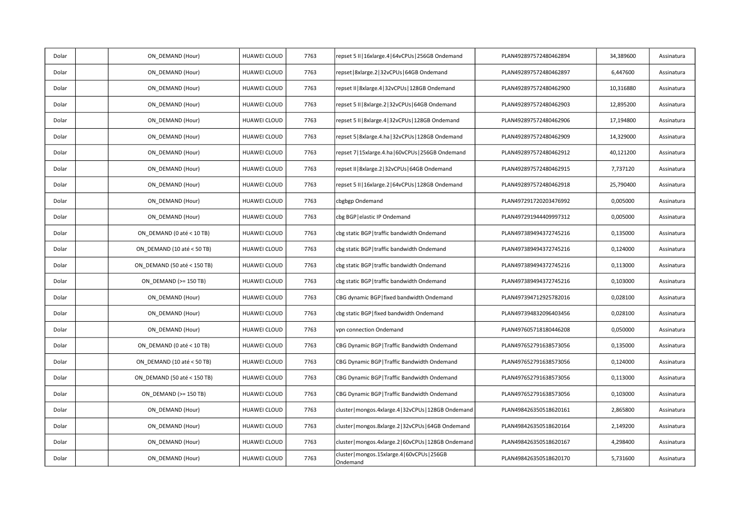| Dolar | ON_DEMAND (Hour)            | HUAWEI CLOUD        | 7763 | repset 5 II   16xlarge.4   64vCPUs   256GB Ondemand       | PLAN492897572480462894 | 34,389600 | Assinatura |
|-------|-----------------------------|---------------------|------|-----------------------------------------------------------|------------------------|-----------|------------|
| Dolar | ON DEMAND (Hour)            | HUAWEI CLOUD        | 7763 | epset   8xlarge.2   32vCPUs   64GB Ondemand               | PLAN492897572480462897 | 6,447600  | Assinatura |
| Dolar | ON DEMAND (Hour)            | HUAWEI CLOUD        | 7763 | epset II   8xlarge.4   32vCPUs   128GB Ondemand           | PLAN492897572480462900 | 10,316880 | Assinatura |
| Dolar | ON_DEMAND (Hour)            | HUAWEI CLOUD        | 7763 | epset 5 II   8xlarge.2   32vCPUs   64GB Ondemand          | PLAN492897572480462903 | 12,895200 | Assinatura |
| Dolar | ON_DEMAND (Hour)            | HUAWEI CLOUD        | 7763 | epset 5 II   8xlarge.4   32vCPUs   128GB Ondemand         | PLAN492897572480462906 | 17,194800 | Assinatura |
| Dolar | ON DEMAND (Hour)            | HUAWEI CLOUD        | 7763 | repset 5   8xlarge.4.ha   32vCPUs   128GB Ondemand        | PLAN492897572480462909 | 14,329000 | Assinatura |
| Dolar | ON DEMAND (Hour)            | HUAWEI CLOUD        | 7763 | repset 7   15xlarge.4.ha   60vCPUs   256GB Ondemand       | PLAN492897572480462912 | 40,121200 | Assinatura |
| Dolar | ON_DEMAND (Hour)            | HUAWEI CLOUD        | 7763 | repset II   8xlarge.2   32vCPUs   64GB Ondemand           | PLAN492897572480462915 | 7,737120  | Assinatura |
| Dolar | ON DEMAND (Hour)            | HUAWEI CLOUD        | 7763 | repset 5 II   16xlarge.2   64vCPUs   128GB Ondemand       | PLAN492897572480462918 | 25,790400 | Assinatura |
| Dolar | ON DEMAND (Hour)            | HUAWEI CLOUD        | 7763 | cbgbgp Ondemand                                           | PLAN497291720203476992 | 0,005000  | Assinatura |
| Dolar | ON DEMAND (Hour)            | HUAWEI CLOUD        | 7763 | cbg BGP   elastic IP Ondemand                             | PLAN497291944409997312 | 0,005000  | Assinatura |
| Dolar | ON_DEMAND (0 até < 10 TB)   | <b>HUAWEI CLOUD</b> | 7763 | cbg static BGP   traffic bandwidth Ondemand               | PLAN497389494372745216 | 0,135000  | Assinatura |
| Dolar | ON_DEMAND (10 até < 50 TB)  | HUAWEI CLOUD        | 7763 | cbg static BGP   traffic bandwidth Ondemand               | PLAN497389494372745216 | 0,124000  | Assinatura |
| Dolar | ON DEMAND (50 até < 150 TB) | <b>HUAWEI CLOUD</b> | 7763 | cbg static BGP traffic bandwidth Ondemand                 | PLAN497389494372745216 | 0,113000  | Assinatura |
| Dolar | ON DEMAND (>= 150 TB)       | HUAWEI CLOUD        | 7763 | cbg static BGP   traffic bandwidth Ondemand               | PLAN497389494372745216 | 0,103000  | Assinatura |
| Dolar | ON_DEMAND (Hour)            | HUAWEI CLOUD        | 7763 | CBG dynamic BGP   fixed bandwidth Ondemand                | PLAN497394712925782016 | 0,028100  | Assinatura |
| Dolar | ON_DEMAND (Hour)            | HUAWEI CLOUD        | 7763 | cbg static BGP   fixed bandwidth Ondemand                 | PLAN497394832096403456 | 0,028100  | Assinatura |
| Dolar | ON DEMAND (Hour)            | HUAWEI CLOUD        | 7763 | vpn connection Ondemand                                   | PLAN497605718180446208 | 0,050000  | Assinatura |
| Dolar | ON_DEMAND (0 até < 10 TB)   | HUAWEI CLOUD        | 7763 | CBG Dynamic BGP   Traffic Bandwidth Ondemand              | PLAN497652791638573056 | 0,135000  | Assinatura |
| Dolar | ON DEMAND (10 até < 50 TB)  | <b>HUAWEI CLOUD</b> | 7763 | CBG Dynamic BGP   Traffic Bandwidth Ondemand              | PLAN497652791638573056 | 0,124000  | Assinatura |
| Dolar | ON_DEMAND (50 até < 150 TB) | HUAWEI CLOUD        | 7763 | CBG Dynamic BGP   Traffic Bandwidth Ondemand              | PLAN497652791638573056 | 0,113000  | Assinatura |
| Dolar | ON DEMAND (>= 150 TB)       | <b>HUAWEI CLOUD</b> | 7763 | CBG Dynamic BGP   Traffic Bandwidth Ondemand              | PLAN497652791638573056 | 0,103000  | Assinatura |
| Dolar | ON DEMAND (Hour)            | HUAWEI CLOUD        | 7763 | cluster   mongos.4xlarge.4   32vCPUs   128GB Ondemand     | PLAN498426350518620161 | 2,865800  | Assinatura |
| Dolar | ON DEMAND (Hour)            | HUAWEI CLOUD        | 7763 | cluster   mongos.8xlarge.2   32vCPUs   64GB Ondemand      | PLAN498426350518620164 | 2,149200  | Assinatura |
| Dolar | ON_DEMAND (Hour)            | HUAWEI CLOUD        | 7763 | cluster   mongos.4xlarge.2   60vCPUs   128GB Ondemand     | PLAN498426350518620167 | 4,298400  | Assinatura |
| Dolar | ON DEMAND (Hour)            | HUAWEI CLOUD        | 7763 | cluster   mongos.15xlarge.4   60vCPUs   256GB<br>Ondemand | PLAN498426350518620170 | 5,731600  | Assinatura |
|       |                             |                     |      |                                                           |                        |           |            |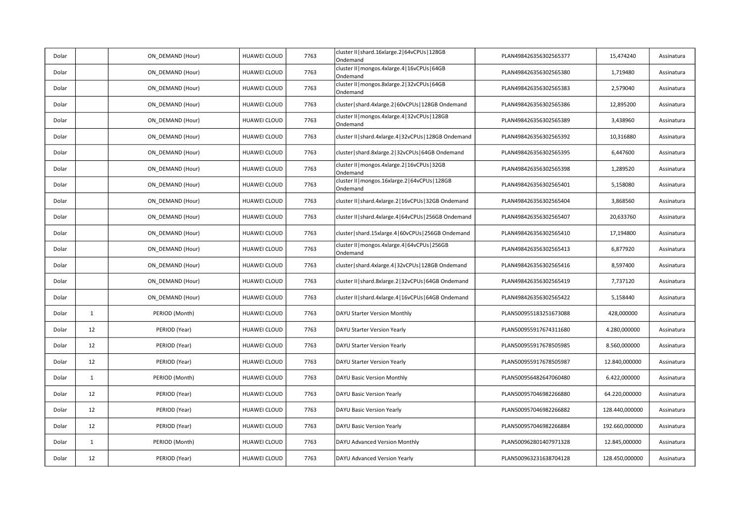| Dolar |              | ON_DEMAND (Hour) | HUAWEI CLOUD        | 7763 | cluster II   shard.16xlarge.2   64vCPUs   128GB<br>Ondemand  | PLAN498426356302565377 | 15,474240      | Assinatura |
|-------|--------------|------------------|---------------------|------|--------------------------------------------------------------|------------------------|----------------|------------|
| Dolar |              | ON DEMAND (Hour) | HUAWEI CLOUD        | 7763 | cluster II   mongos.4xlarge.4   16vCPUs   64GB<br>Ondemand   | PLAN498426356302565380 | 1,719480       | Assinatura |
| Dolar |              | ON DEMAND (Hour) | HUAWEI CLOUD        | 7763 | cluster II   mongos.8xlarge.2   32vCPUs   64GB<br>Ondemand   | PLAN498426356302565383 | 2,579040       | Assinatura |
| Dolar |              | ON DEMAND (Hour) | HUAWEI CLOUD        | 7763 | cluster   shard.4xlarge.2   60vCPUs   128GB Ondemand         | PLAN498426356302565386 | 12,895200      | Assinatura |
| Dolar |              | ON DEMAND (Hour) | HUAWEI CLOUD        | 7763 | cluster II   mongos.4xlarge.4   32vCPUs   128GB<br>Ondemand  | PLAN498426356302565389 | 3,438960       | Assinatura |
| Dolar |              | ON DEMAND (Hour) | <b>HUAWEI CLOUD</b> | 7763 | cluster II   shard.4xlarge.4   32vCPUs   128GB Ondemand      | PLAN498426356302565392 | 10,316880      | Assinatura |
| Dolar |              | ON DEMAND (Hour) | HUAWEI CLOUD        | 7763 | cluster   shard.8xlarge.2   32vCPUs   64GB Ondemand          | PLAN498426356302565395 | 6,447600       | Assinatura |
| Dolar |              | ON DEMAND (Hour) | HUAWEI CLOUD        | 7763 | cluster II   mongos.4xlarge.2   16vCPUs   32GB<br>Ondemand   | PLAN498426356302565398 | 1,289520       | Assinatura |
| Dolar |              | ON DEMAND (Hour) | HUAWEI CLOUD        | 7763 | cluster II   mongos.16xlarge.2   64vCPUs   128GB<br>Ondemand | PLAN498426356302565401 | 5,158080       | Assinatura |
| Dolar |              | ON DEMAND (Hour) | HUAWEI CLOUD        | 7763 | cluster II   shard.4xlarge.2   16vCPUs   32GB Ondemand       | PLAN498426356302565404 | 3,868560       | Assinatura |
| Dolar |              | ON DEMAND (Hour) | HUAWEI CLOUD        | 7763 | cluster II   shard.4xlarge.4   64vCPUs   256GB Ondemand      | PLAN498426356302565407 | 20,633760      | Assinatura |
| Dolar |              | ON_DEMAND (Hour) | <b>HUAWEI CLOUD</b> | 7763 | cluster   shard.15xlarge.4   60vCPUs   256GB Ondemand        | PLAN498426356302565410 | 17,194800      | Assinatura |
| Dolar |              | ON_DEMAND (Hour) | HUAWEI CLOUD        | 7763 | cluster II   mongos.4xlarge.4   64vCPUs   256GB<br>Ondemand  | PLAN498426356302565413 | 6,877920       | Assinatura |
| Dolar |              | ON DEMAND (Hour) | <b>HUAWEI CLOUD</b> | 7763 | cluster   shard.4xlarge.4   32vCPUs   128GB Ondemand         | PLAN498426356302565416 | 8,597400       | Assinatura |
| Dolar |              | ON DEMAND (Hour) | HUAWEI CLOUD        | 7763 | cluster II   shard.8xlarge.2   32vCPUs   64GB Ondemand       | PLAN498426356302565419 | 7,737120       | Assinatura |
| Dolar |              | ON DEMAND (Hour) | HUAWEI CLOUD        | 7763 | cluster II   shard.4xlarge.4   16vCPUs   64GB Ondemand       | PLAN498426356302565422 | 5,158440       | Assinatura |
| Dolar | $\mathbf{1}$ | PERIOD (Month)   | <b>HUAWEI CLOUD</b> | 7763 | DAYU Starter Version Monthly                                 | PLAN500955183251673088 | 428,000000     | Assinatura |
| Dolar | 12           | PERIOD (Year)    | <b>HUAWEI CLOUD</b> | 7763 | DAYU Starter Version Yearly                                  | PLAN500955917674311680 | 4.280,000000   | Assinatura |
| Dolar | 12           | PERIOD (Year)    | HUAWEI CLOUD        | 7763 | DAYU Starter Version Yearly                                  | PLAN500955917678505985 | 8.560,000000   | Assinatura |
| Dolar | 12           | PERIOD (Year)    | HUAWEI CLOUD        | 7763 | DAYU Starter Version Yearly                                  | PLAN500955917678505987 | 12.840,000000  | Assinatura |
| Dolar | $\mathbf{1}$ | PERIOD (Month)   | <b>HUAWEI CLOUD</b> | 7763 | DAYU Basic Version Monthly                                   | PLAN500956482647060480 | 6.422,000000   | Assinatura |
| Dolar | 12           | PERIOD (Year)    | <b>HUAWEI CLOUD</b> | 7763 | DAYU Basic Version Yearly                                    | PLAN500957046982266880 | 64.220,000000  | Assinatura |
| Dolar | 12           | PERIOD (Year)    | HUAWEI CLOUD        | 7763 | DAYU Basic Version Yearly                                    | PLAN500957046982266882 | 128.440,000000 | Assinatura |
| Dolar | 12           | PERIOD (Year)    | HUAWEI CLOUD        | 7763 | DAYU Basic Version Yearly                                    | PLAN500957046982266884 | 192.660,000000 | Assinatura |
| Dolar | $\mathbf{1}$ | PERIOD (Month)   | <b>HUAWEI CLOUD</b> | 7763 | DAYU Advanced Version Monthly                                | PLAN500962801407971328 | 12.845,000000  | Assinatura |
| Dolar | 12           | PERIOD (Year)    | <b>HUAWEI CLOUD</b> | 7763 | DAYU Advanced Version Yearly                                 | PLAN500963231638704128 | 128.450,000000 | Assinatura |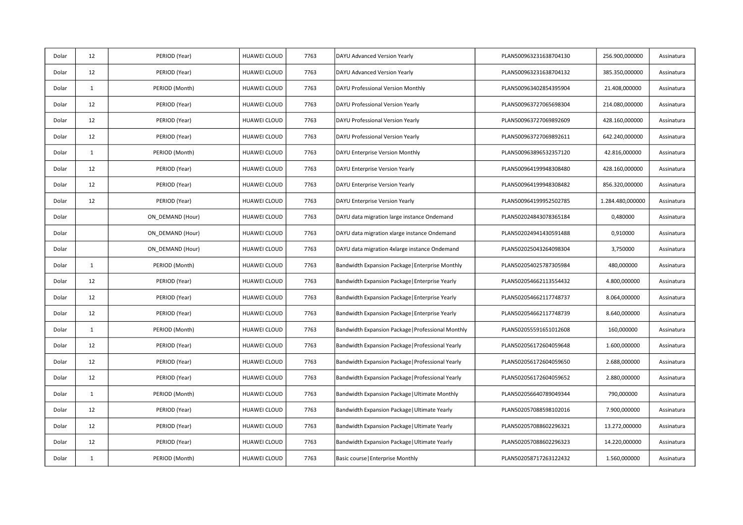| Dolar | 12           | PERIOD (Year)    | HUAWEI CLOUD        | 7763 | DAYU Advanced Version Yearly                       | PLAN500963231638704130 | 256.900,000000   | Assinatura |
|-------|--------------|------------------|---------------------|------|----------------------------------------------------|------------------------|------------------|------------|
| Dolar | 12           | PERIOD (Year)    | HUAWEI CLOUD        | 7763 | DAYU Advanced Version Yearly                       | PLAN500963231638704132 | 385.350,000000   | Assinatura |
| Dolar | $\mathbf{1}$ | PERIOD (Month)   | <b>HUAWEI CLOUD</b> | 7763 | DAYU Professional Version Monthly                  | PLAN500963402854395904 | 21.408,000000    | Assinatura |
| Dolar | 12           | PERIOD (Year)    | HUAWEI CLOUD        | 7763 | DAYU Professional Version Yearly                   | PLAN500963727065698304 | 214.080,000000   | Assinatura |
| Dolar | 12           | PERIOD (Year)    | HUAWEI CLOUD        | 7763 | DAYU Professional Version Yearly                   | PLAN500963727069892609 | 428.160,000000   | Assinatura |
| Dolar | 12           | PERIOD (Year)    | HUAWEI CLOUD        | 7763 | DAYU Professional Version Yearly                   | PLAN500963727069892611 | 642.240,000000   | Assinatura |
| Dolar | 1            | PERIOD (Month)   | HUAWEI CLOUD        | 7763 | DAYU Enterprise Version Monthly                    | PLAN500963896532357120 | 42.816,000000    | Assinatura |
| Dolar | 12           | PERIOD (Year)    | HUAWEI CLOUD        | 7763 | DAYU Enterprise Version Yearly                     | PLAN500964199948308480 | 428.160,000000   | Assinatura |
| Dolar | 12           | PERIOD (Year)    | <b>HUAWEI CLOUD</b> | 7763 | DAYU Enterprise Version Yearly                     | PLAN500964199948308482 | 856.320,000000   | Assinatura |
| Dolar | 12           | PERIOD (Year)    | HUAWEI CLOUD        | 7763 | DAYU Enterprise Version Yearly                     | PLAN500964199952502785 | 1.284.480,000000 | Assinatura |
| Dolar |              | ON_DEMAND (Hour) | HUAWEI CLOUD        | 7763 | DAYU data migration large instance Ondemand        | PLAN502024843078365184 | 0,480000         | Assinatura |
| Dolar |              | ON DEMAND (Hour) | HUAWEI CLOUD        | 7763 | DAYU data migration xlarge instance Ondemand       | PLAN502024941430591488 | 0,910000         | Assinatura |
| Dolar |              | ON DEMAND (Hour) | HUAWEI CLOUD        | 7763 | DAYU data migration 4xlarge instance Ondemand      | PLAN502025043264098304 | 3,750000         | Assinatura |
| Dolar | $\mathbf{1}$ | PERIOD (Month)   | HUAWEI CLOUD        | 7763 | Bandwidth Expansion Package   Enterprise Monthly   | PLAN502054025787305984 | 480,000000       | Assinatura |
| Dolar | 12           | PERIOD (Year)    | HUAWEI CLOUD        | 7763 | Bandwidth Expansion Package   Enterprise Yearly    | PLAN502054662113554432 | 4.800,000000     | Assinatura |
| Dolar | 12           | PERIOD (Year)    | HUAWEI CLOUD        | 7763 | Bandwidth Expansion Package   Enterprise Yearly    | PLAN502054662117748737 | 8.064,000000     | Assinatura |
| Dolar | 12           | PERIOD (Year)    | HUAWEI CLOUD        | 7763 | Bandwidth Expansion Package   Enterprise Yearly    | PLAN502054662117748739 | 8.640,000000     | Assinatura |
| Dolar | $\mathbf{1}$ | PERIOD (Month)   | <b>HUAWEI CLOUD</b> | 7763 | Bandwidth Expansion Package   Professional Monthly | PLAN502055591651012608 | 160,000000       | Assinatura |
| Dolar | 12           | PERIOD (Year)    | HUAWEI CLOUD        | 7763 | Bandwidth Expansion Package   Professional Yearly  | PLAN502056172604059648 | 1.600,000000     | Assinatura |
| Dolar | 12           | PERIOD (Year)    | HUAWEI CLOUD        | 7763 | Bandwidth Expansion Package   Professional Yearly  | PLAN502056172604059650 | 2.688,000000     | Assinatura |
| Dolar | 12           | PERIOD (Year)    | HUAWEI CLOUD        | 7763 | Bandwidth Expansion Package   Professional Yearly  | PLAN502056172604059652 | 2.880,000000     | Assinatura |
| Dolar | $\mathbf{1}$ | PERIOD (Month)   | <b>HUAWEI CLOUD</b> | 7763 | Bandwidth Expansion Package   Ultimate Monthly     | PLAN502056640789049344 | 790,000000       | Assinatura |
| Dolar | 12           | PERIOD (Year)    | HUAWEI CLOUD        | 7763 | Bandwidth Expansion Package   Ultimate Yearly      | PLAN502057088598102016 | 7.900,000000     | Assinatura |
| Dolar | 12           | PERIOD (Year)    | HUAWEI CLOUD        | 7763 | Bandwidth Expansion Package   Ultimate Yearly      | PLAN502057088602296321 | 13.272,000000    | Assinatura |
| Dolar | 12           | PERIOD (Year)    | HUAWEI CLOUD        | 7763 | Bandwidth Expansion Package   Ultimate Yearly      | PLAN502057088602296323 | 14.220,000000    | Assinatura |
| Dolar | 1            | PERIOD (Month)   | <b>HUAWEI CLOUD</b> | 7763 | Basic course   Enterprise Monthly                  | PLAN502058717263122432 | 1.560,000000     | Assinatura |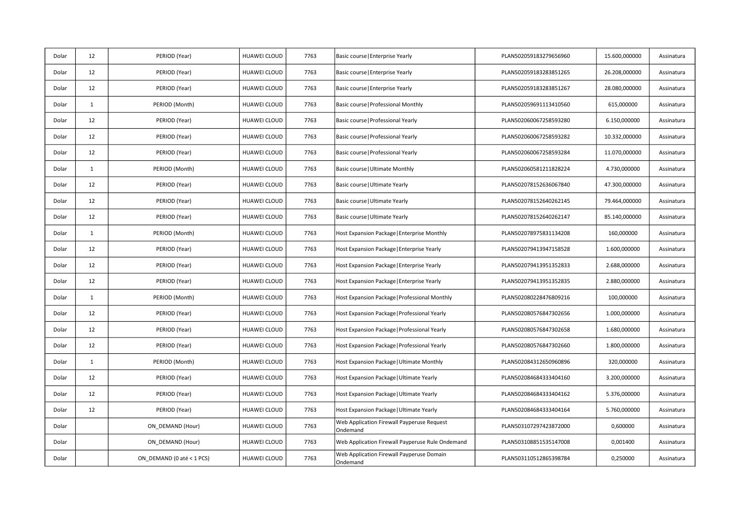| Dolar | 12           | PERIOD (Year)             | HUAWEI CLOUD        | 7763 | Basic course   Enterprise Yearly                       | PLAN502059183279656960 | 15.600,000000 | Assinatura |
|-------|--------------|---------------------------|---------------------|------|--------------------------------------------------------|------------------------|---------------|------------|
| Dolar | 12           | PERIOD (Year)             | HUAWEI CLOUD        | 7763 | Basic course   Enterprise Yearly                       | PLAN502059183283851265 | 26.208,000000 | Assinatura |
| Dolar | 12           | PERIOD (Year)             | <b>HUAWEI CLOUD</b> | 7763 | Basic course   Enterprise Yearly                       | PLAN502059183283851267 | 28.080,000000 | Assinatura |
| Dolar | $\mathbf{1}$ | PERIOD (Month)            | <b>HUAWEI CLOUD</b> | 7763 | Basic course   Professional Monthly                    | PLAN502059691113410560 | 615,000000    | Assinatura |
| Dolar | 12           | PERIOD (Year)             | <b>HUAWEI CLOUD</b> | 7763 | Basic course   Professional Yearly                     | PLAN502060067258593280 | 6.150,000000  | Assinatura |
| Dolar | 12           | PERIOD (Year)             | HUAWEI CLOUD        | 7763 | Basic course   Professional Yearly                     | PLAN502060067258593282 | 10.332,000000 | Assinatura |
| Dolar | 12           | PERIOD (Year)             | HUAWEI CLOUD        | 7763 | Basic course   Professional Yearly                     | PLAN502060067258593284 | 11.070,000000 | Assinatura |
| Dolar | $\mathbf{1}$ | PERIOD (Month)            | <b>HUAWEI CLOUD</b> | 7763 | Basic course   Ultimate Monthly                        | PLAN502060581211828224 | 4.730,000000  | Assinatura |
| Dolar | 12           | PERIOD (Year)             | HUAWEI CLOUD        | 7763 | Basic course   Ultimate Yearly                         | PLAN502078152636067840 | 47.300,000000 | Assinatura |
| Dolar | 12           | PERIOD (Year)             | <b>HUAWEI CLOUD</b> | 7763 | Basic course   Ultimate Yearly                         | PLAN502078152640262145 | 79.464,000000 | Assinatura |
| Dolar | 12           | PERIOD (Year)             | <b>HUAWEI CLOUD</b> | 7763 | Basic course   Ultimate Yearly                         | PLAN502078152640262147 | 85.140,000000 | Assinatura |
| Dolar | $\mathbf{1}$ | PERIOD (Month)            | <b>HUAWEI CLOUD</b> | 7763 | Host Expansion Package   Enterprise Monthly            | PLAN502078975831134208 | 160,000000    | Assinatura |
| Dolar | 12           | PERIOD (Year)             | HUAWEI CLOUD        | 7763 | Host Expansion Package   Enterprise Yearly             | PLAN502079413947158528 | 1.600,000000  | Assinatura |
| Dolar | 12           | PERIOD (Year)             | HUAWEI CLOUD        | 7763 | Host Expansion Package   Enterprise Yearly             | PLAN502079413951352833 | 2.688,000000  | Assinatura |
| Dolar | 12           | PERIOD (Year)             | HUAWEI CLOUD        | 7763 | Host Expansion Package   Enterprise Yearly             | PLAN502079413951352835 | 2.880,000000  | Assinatura |
| Dolar | $\mathbf{1}$ | PERIOD (Month)            | <b>HUAWEI CLOUD</b> | 7763 | Host Expansion Package   Professional Monthly          | PLAN502080228476809216 | 100,000000    | Assinatura |
| Dolar | 12           | PERIOD (Year)             | <b>HUAWEI CLOUD</b> | 7763 | Host Expansion Package   Professional Yearly           | PLAN502080576847302656 | 1.000,000000  | Assinatura |
| Dolar | 12           | PERIOD (Year)             | <b>HUAWEI CLOUD</b> | 7763 | Host Expansion Package   Professional Yearly           | PLAN502080576847302658 | 1.680,000000  | Assinatura |
| Dolar | 12           | PERIOD (Year)             | <b>HUAWEI CLOUD</b> | 7763 | Host Expansion Package   Professional Yearly           | PLAN502080576847302660 | 1.800,000000  | Assinatura |
| Dolar | $\mathbf{1}$ | PERIOD (Month)            | <b>HUAWEI CLOUD</b> | 7763 | Host Expansion Package   Ultimate Monthly              | PLAN502084312650960896 | 320,000000    | Assinatura |
| Dolar | 12           | PERIOD (Year)             | HUAWEI CLOUD        | 7763 | Host Expansion Package   Ultimate Yearly               | PLAN502084684333404160 | 3.200,000000  | Assinatura |
| Dolar | 12           | PERIOD (Year)             | HUAWEI CLOUD        | 7763 | Host Expansion Package   Ultimate Yearly               | PLAN502084684333404162 | 5.376,000000  | Assinatura |
| Dolar | 12           | PERIOD (Year)             | HUAWEI CLOUD        | 7763 | Host Expansion Package   Ultimate Yearly               | PLAN502084684333404164 | 5.760,000000  | Assinatura |
| Dolar |              | ON_DEMAND (Hour)          | HUAWEI CLOUD        | 7763 | Web Application Firewall Payperuse Request<br>Ondemand | PLAN503107297423872000 | 0,600000      | Assinatura |
| Dolar |              | ON DEMAND (Hour)          | HUAWEI CLOUD        | 7763 | Web Application Firewall Payperuse Rule Ondemand       | PLAN503108851535147008 | 0,001400      | Assinatura |
| Dolar |              | ON DEMAND (0 até < 1 PCS) | <b>HUAWEI CLOUD</b> | 7763 | Web Application Firewall Payperuse Domain<br>Ondemand  | PLAN503110512865398784 | 0,250000      | Assinatura |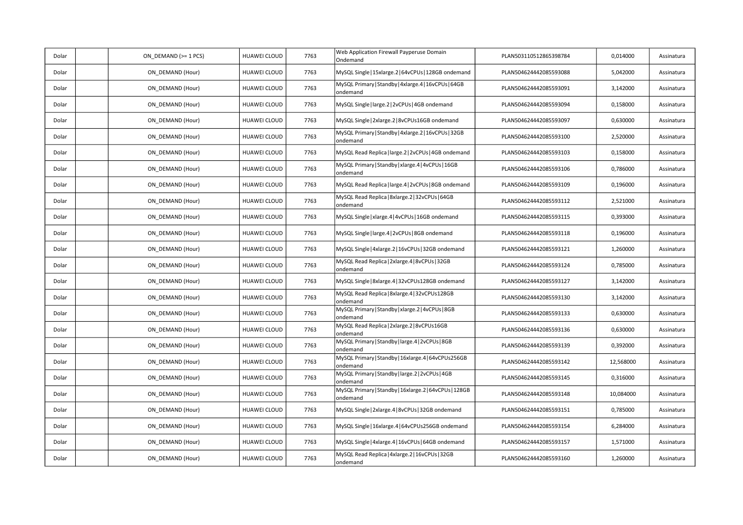| Dolar | ON DEMAND (>= 1 PCS) | HUAWEI CLOUD | 7763 | Web Application Firewall Payperuse Domain<br>Ondemand              | PLAN503110512865398784 | 0,014000  | Assinatura |
|-------|----------------------|--------------|------|--------------------------------------------------------------------|------------------------|-----------|------------|
| Dolar | ON DEMAND (Hour)     | HUAWEI CLOUD | 7763 | MySQL Single   15xlarge.2   64vCPUs   128GB ondemand               | PLAN504624442085593088 | 5,042000  | Assinatura |
| Dolar | ON DEMAND (Hour)     | HUAWEI CLOUD | 7763 | MySQL Primary   Standby   4xlarge.4   16vCPUs   64GB<br>ondemand   | PLAN504624442085593091 | 3,142000  | Assinatura |
| Dolar | ON DEMAND (Hour)     | HUAWEI CLOUD | 7763 | MySQL Single   large.2   2vCPUs   4GB ondemand                     | PLAN504624442085593094 | 0,158000  | Assinatura |
| Dolar | ON_DEMAND (Hour)     | HUAWEI CLOUD | 7763 | MySQL Single   2xlarge.2   8vCPUs16GB ondemand                     | PLAN504624442085593097 | 0,630000  | Assinatura |
| Dolar | ON DEMAND (Hour)     | HUAWEI CLOUD | 7763 | MySQL Primary   Standby   4xlarge.2   16vCPUs   32GB<br>ondemand   | PLAN504624442085593100 | 2,520000  | Assinatura |
| Dolar | ON_DEMAND (Hour)     | HUAWEI CLOUD | 7763 | MySQL Read Replica   large.2   2vCPUs   4GB ondemand               | PLAN504624442085593103 | 0,158000  | Assinatura |
| Dolar | ON DEMAND (Hour)     | HUAWEI CLOUD | 7763 | MySQL Primary   Standby   xlarge.4   4vCPUs   16GB<br>ondemand     | PLAN504624442085593106 | 0,786000  | Assinatura |
| Dolar | ON_DEMAND (Hour)     | HUAWEI CLOUD | 7763 | MySQL Read Replica   large.4   2vCPUs   8GB ondemand               | PLAN504624442085593109 | 0,196000  | Assinatura |
| Dolar | ON DEMAND (Hour)     | HUAWEI CLOUD | 7763 | MySQL Read Replica   8xlarge.2   32vCPUs   64GB<br>ondemand        | PLAN504624442085593112 | 2,521000  | Assinatura |
| Dolar | ON DEMAND (Hour)     | HUAWEI CLOUD | 7763 | MySQL Single   xlarge.4   4vCPUs   16GB ondemand                   | PLAN504624442085593115 | 0,393000  | Assinatura |
| Dolar | ON_DEMAND (Hour)     | HUAWEI CLOUD | 7763 | MySQL Single   large.4   2vCPUs   8GB ondemand                     | PLAN504624442085593118 | 0,196000  | Assinatura |
| Dolar | ON DEMAND (Hour)     | HUAWEI CLOUD | 7763 | MySQL Single   4xlarge.2   16vCPUs   32GB ondemand                 | PLAN504624442085593121 | 1,260000  | Assinatura |
| Dolar | ON_DEMAND (Hour)     | HUAWEI CLOUD | 7763 | MySQL Read Replica   2xlarge.4   8vCPUs   32GB<br>ondemand         | PLAN504624442085593124 | 0,785000  | Assinatura |
| Dolar | ON DEMAND (Hour)     | HUAWEI CLOUD | 7763 | MySQL Single   8xlarge.4   32vCPUs128GB ondemand                   | PLAN504624442085593127 | 3,142000  | Assinatura |
| Dolar | ON DEMAND (Hour)     | HUAWEI CLOUD | 7763 | MySQL Read Replica   8xlarge.4   32vCPUs128GB<br>ondemand          | PLAN504624442085593130 | 3,142000  | Assinatura |
| Dolar | ON DEMAND (Hour)     | HUAWEI CLOUD | 7763 | MySQL Primary   Standby   xlarge.2   4vCPUs   8GB<br>ondemand      | PLAN504624442085593133 | 0,630000  | Assinatura |
| Dolar | ON DEMAND (Hour)     | HUAWEI CLOUD | 7763 | MySQL Read Replica   2xlarge.2   8vCPUs16GB<br>ondemand            | PLAN504624442085593136 | 0,630000  | Assinatura |
| Dolar | ON_DEMAND (Hour)     | HUAWEI CLOUD | 7763 | MySQL Primary   Standby   large.4   2vCPUs   8GB<br>ondemand       | PLAN504624442085593139 | 0,392000  | Assinatura |
| Dolar | ON DEMAND (Hour)     | HUAWEI CLOUD | 7763 | MySQL Primary   Standby   16xlarge.4   64vCPUs256GB<br>ondemand    | PLAN504624442085593142 | 12,568000 | Assinatura |
| Dolar | ON_DEMAND (Hour)     | HUAWEI CLOUD | 7763 | MySQL Primary   Standby   large.2   2vCPUs   4GB<br>ondemand       | PLAN504624442085593145 | 0,316000  | Assinatura |
| Dolar | ON DEMAND (Hour)     | HUAWEI CLOUD | 7763 | MySQL Primary   Standby   16xlarge.2   64vCPUs   128GB<br>ondemand | PLAN504624442085593148 | 10,084000 | Assinatura |
| Dolar | ON DEMAND (Hour)     | HUAWEI CLOUD | 7763 | MySQL Single   2xlarge.4   8vCPUs   32GB ondemand                  | PLAN504624442085593151 | 0,785000  | Assinatura |
| Dolar | ON DEMAND (Hour)     | HUAWEI CLOUD | 7763 | MySQL Single   16xlarge.4   64vCPUs256GB ondemand                  | PLAN504624442085593154 | 6,284000  | Assinatura |
| Dolar | ON DEMAND (Hour)     | HUAWEI CLOUD | 7763 | MySQL Single   4xlarge.4   16vCPUs   64GB ondemand                 | PLAN504624442085593157 | 1,571000  | Assinatura |
| Dolar | ON DEMAND (Hour)     | HUAWEI CLOUD | 7763 | MySQL Read Replica   4xlarge.2   16vCPUs   32GB<br>ondemand        | PLAN504624442085593160 | 1,260000  | Assinatura |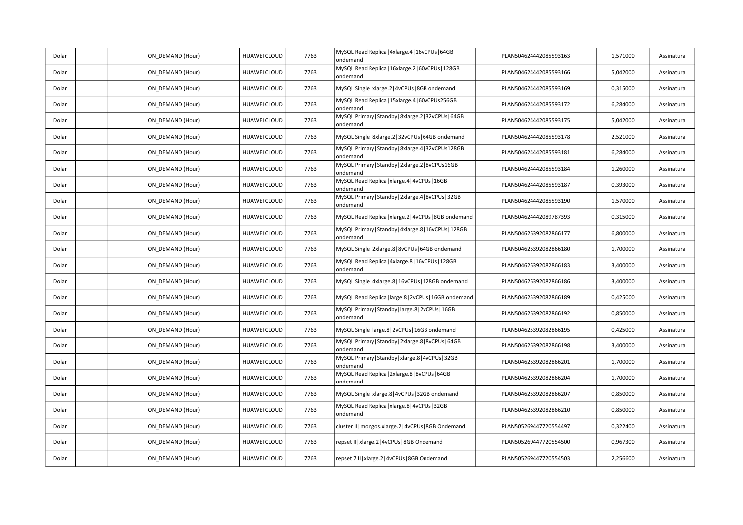| Dolar | ON_DEMAND (Hour) | HUAWEI CLOUD        | 7763 | MySQL Read Replica   4xlarge.4   16vCPUs   64GB<br>ondemand       | PLAN504624442085593163 | 1,571000 | Assinatura |
|-------|------------------|---------------------|------|-------------------------------------------------------------------|------------------------|----------|------------|
| Dolar | ON_DEMAND (Hour) | HUAWEI CLOUD        | 7763 | MySQL Read Replica   16xlarge.2   60vCPUs   128GB<br>ondemand     | PLAN504624442085593166 | 5,042000 | Assinatura |
| Dolar | ON DEMAND (Hour) | HUAWEI CLOUD        | 7763 | MySQL Single   xlarge.2   4vCPUs   8GB ondemand                   | PLAN504624442085593169 | 0,315000 | Assinatura |
| Dolar | ON_DEMAND (Hour) | HUAWEI CLOUD        | 7763 | MySQL Read Replica   15xlarge.4   60vCPUs256GB<br>ondemand        | PLAN504624442085593172 | 6,284000 | Assinatura |
| Dolar | ON DEMAND (Hour) | HUAWEI CLOUD        | 7763 | MySQL Primary   Standby   8xlarge.2   32vCPUs   64GB<br>ondemand  | PLAN504624442085593175 | 5,042000 | Assinatura |
| Dolar | ON_DEMAND (Hour) | HUAWEI CLOUD        | 7763 | MySQL Single   8xlarge.2   32vCPUs   64GB ondemand                | PLAN504624442085593178 | 2,521000 | Assinatura |
| Dolar | ON_DEMAND (Hour) | HUAWEI CLOUD        | 7763 | MySQL Primary   Standby   8xlarge.4   32vCPUs128GB<br>ondemand    | PLAN504624442085593181 | 6,284000 | Assinatura |
| Dolar | ON_DEMAND (Hour) | HUAWEI CLOUD        | 7763 | MySQL Primary   Standby   2xlarge.2   8vCPUs16GB<br>ondemand      | PLAN504624442085593184 | 1,260000 | Assinatura |
| Dolar | ON_DEMAND (Hour) | HUAWEI CLOUD        | 7763 | MySQL Read Replica   xlarge.4   4vCPUs   16GB<br>ondemand         | PLAN504624442085593187 | 0,393000 | Assinatura |
| Dolar | ON_DEMAND (Hour) | HUAWEI CLOUD        | 7763 | MySQL Primary   Standby   2xlarge.4   8vCPUs   32GB<br>ondemand   | PLAN504624442085593190 | 1,570000 | Assinatura |
| Dolar | ON_DEMAND (Hour) | HUAWEI CLOUD        | 7763 | MySQL Read Replica   xlarge.2   4vCPUs   8GB ondemand             | PLAN504624442089787393 | 0,315000 | Assinatura |
| Dolar | ON_DEMAND (Hour) | HUAWEI CLOUD        | 7763 | MySQL Primary   Standby   4xlarge.8   16vCPUs   128GB<br>ondemand | PLAN504625392082866177 | 6,800000 | Assinatura |
| Dolar | ON_DEMAND (Hour) | HUAWEI CLOUD        | 7763 | MySQL Single   2xlarge.8   8vCPUs   64GB ondemand                 | PLAN504625392082866180 | 1,700000 | Assinatura |
| Dolar | ON_DEMAND (Hour) | HUAWEI CLOUD        | 7763 | MySQL Read Replica   4xlarge.8   16vCPUs   128GB<br>ondemand      | PLAN504625392082866183 | 3,400000 | Assinatura |
| Dolar | ON_DEMAND (Hour) | HUAWEI CLOUD        | 7763 | MySQL Single   4xlarge.8   16vCPUs   128GB ondemand               | PLAN504625392082866186 | 3,400000 | Assinatura |
| Dolar | ON DEMAND (Hour) | HUAWEI CLOUD        | 7763 | MySQL Read Replica   large.8   2vCPUs   16GB ondemand             | PLAN504625392082866189 | 0,425000 | Assinatura |
| Dolar | ON DEMAND (Hour) | HUAWEI CLOUD        | 7763 | MySQL Primary   Standby   large.8   2vCPUs   16GB<br>ondemand     | PLAN504625392082866192 | 0,850000 | Assinatura |
| Dolar | ON DEMAND (Hour) | HUAWEI CLOUD        | 7763 | MySQL Single   large.8   2vCPUs   16GB ondemand                   | PLAN504625392082866195 | 0,425000 | Assinatura |
| Dolar | ON_DEMAND (Hour) | HUAWEI CLOUD        | 7763 | MySQL Primary   Standby   2xlarge.8   8vCPUs   64GB<br>ondemand   | PLAN504625392082866198 | 3,400000 | Assinatura |
| Dolar | ON_DEMAND (Hour) | HUAWEI CLOUD        | 7763 | MySQL Primary   Standby   xlarge.8   4vCPUs   32GB<br>ondemand    | PLAN504625392082866201 | 1,700000 | Assinatura |
| Dolar | ON_DEMAND (Hour) | HUAWEI CLOUD        | 7763 | MySQL Read Replica   2xlarge.8   8vCPUs   64GB<br>ondemand        | PLAN504625392082866204 | 1,700000 | Assinatura |
| Dolar | ON_DEMAND (Hour) | HUAWEI CLOUD        | 7763 | MySQL Single   xlarge.8   4vCPUs   32GB ondemand                  | PLAN504625392082866207 | 0,850000 | Assinatura |
| Dolar | ON_DEMAND (Hour) | HUAWEI CLOUD        | 7763 | MySQL Read Replica   xlarge.8   4vCPUs   32GB<br>ondemand         | PLAN504625392082866210 | 0,850000 | Assinatura |
| Dolar | ON_DEMAND (Hour) | HUAWEI CLOUD        | 7763 | cluster II   mongos.xlarge.2   4vCPUs   8GB Ondemand              | PLAN505269447720554497 | 0,322400 | Assinatura |
| Dolar | ON DEMAND (Hour) | <b>HUAWEI CLOUD</b> | 7763 | repset II   xlarge.2   4vCPUs   8GB Ondemand                      | PLAN505269447720554500 | 0,967300 | Assinatura |
| Dolar | ON DEMAND (Hour) | HUAWEI CLOUD        | 7763 | repset 7 II   xlarge.2   4vCPUs   8GB Ondemand                    | PLAN505269447720554503 | 2,256600 | Assinatura |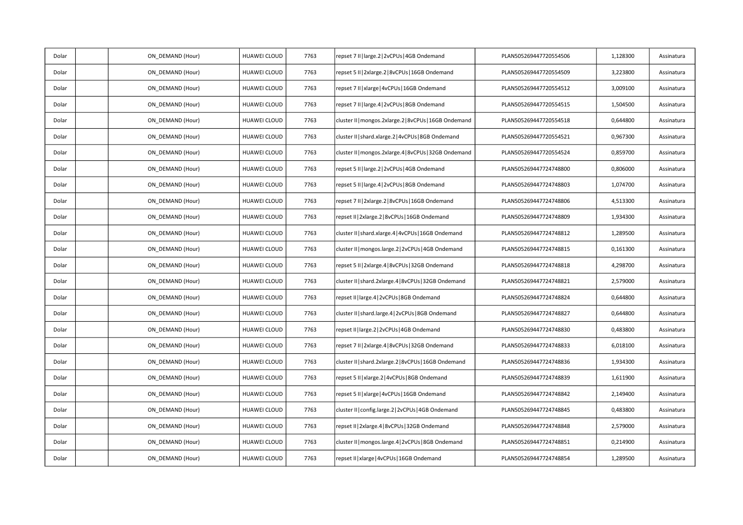| Dolar | ON_DEMAND (Hour) | HUAWEI CLOUD        | 7763 | repset 7 II   large.2   2vCPUs   4GB Ondemand            | PLAN505269447720554506 | 1,128300 | Assinatura |
|-------|------------------|---------------------|------|----------------------------------------------------------|------------------------|----------|------------|
| Dolar | ON_DEMAND (Hour) | HUAWEI CLOUD        | 7763 | repset 5 II   2xlarge.2   8vCPUs   16GB Ondemand         | PLAN505269447720554509 | 3,223800 | Assinatura |
| Dolar | ON_DEMAND (Hour) | HUAWEI CLOUD        | 7763 | repset 7 II   xlarge   4vCPUs   16GB Ondemand            | PLAN505269447720554512 | 3,009100 | Assinatura |
| Dolar | ON DEMAND (Hour) | HUAWEI CLOUD        | 7763 | repset 7 II   large.4   2vCPUs   8GB Ondemand            | PLAN505269447720554515 | 1,504500 | Assinatura |
| Dolar | ON_DEMAND (Hour) | HUAWEI CLOUD        | 7763 | cluster II   mongos.2xlarge.2   8vCPUs   16GB Ondemand   | PLAN505269447720554518 | 0,644800 | Assinatura |
| Dolar | ON_DEMAND (Hour) | HUAWEI CLOUD        | 7763 | cluster II   shard.xlarge.2   4vCPUs   8GB Ondemand      | PLAN505269447720554521 | 0,967300 | Assinatura |
| Dolar | ON DEMAND (Hour) | HUAWEI CLOUD        | 7763 | cluster II   mongos. 2xlarge. 4   8vCPUs   32GB Ondemand | PLAN505269447720554524 | 0,859700 | Assinatura |
| Dolar | ON_DEMAND (Hour) | HUAWEI CLOUD        | 7763 | repset 5 II   large.2   2vCPUs   4GB Ondemand            | PLAN505269447724748800 | 0,806000 | Assinatura |
| Dolar | ON_DEMAND (Hour) | HUAWEI CLOUD        | 7763 | repset 5 II   large.4   2vCPUs   8GB Ondemand            | PLAN505269447724748803 | 1,074700 | Assinatura |
| Dolar | ON_DEMAND (Hour) | HUAWEI CLOUD        | 7763 | repset 7 II   2xlarge.2   8vCPUs   16GB Ondemand         | PLAN505269447724748806 | 4,513300 | Assinatura |
| Dolar | ON_DEMAND (Hour) | HUAWEI CLOUD        | 7763 | repset II   2xlarge.2   8vCPUs   16GB Ondemand           | PLAN505269447724748809 | 1,934300 | Assinatura |
| Dolar | ON_DEMAND (Hour) | HUAWEI CLOUD        | 7763 | cluster II   shard.xlarge.4   4vCPUs   16GB Ondemand     | PLAN505269447724748812 | 1,289500 | Assinatura |
| Dolar | ON DEMAND (Hour) | HUAWEI CLOUD        | 7763 | cluster II   mongos.large.2   2vCPUs   4GB Ondemand      | PLAN505269447724748815 | 0,161300 | Assinatura |
| Dolar | ON_DEMAND (Hour) | HUAWEI CLOUD        | 7763 | repset 5 II   2xlarge.4   8vCPUs   32GB Ondemand         | PLAN505269447724748818 | 4,298700 | Assinatura |
| Dolar | ON_DEMAND (Hour) | HUAWEI CLOUD        | 7763 | cluster II   shard.2xlarge.4   8vCPUs   32GB Ondemand    | PLAN505269447724748821 | 2,579000 | Assinatura |
| Dolar | ON_DEMAND (Hour) | HUAWEI CLOUD        | 7763 | repset II   large.4   2vCPUs   8GB Ondemand              | PLAN505269447724748824 | 0,644800 | Assinatura |
| Dolar | ON_DEMAND (Hour) | HUAWEI CLOUD        | 7763 | cluster II   shard.large.4   2vCPUs   8GB Ondemand       | PLAN505269447724748827 | 0,644800 | Assinatura |
| Dolar | ON_DEMAND (Hour) | HUAWEI CLOUD        | 7763 | repset II   large.2   2vCPUs   4GB Ondemand              | PLAN505269447724748830 | 0,483800 | Assinatura |
| Dolar | ON DEMAND (Hour) | HUAWEI CLOUD        | 7763 | epset 7 II   2xlarge.4   8vCPUs   32GB Ondemand          | PLAN505269447724748833 | 6,018100 | Assinatura |
| Dolar | ON_DEMAND (Hour) | HUAWEI CLOUD        | 7763 | cluster II   shard.2xlarge.2   8vCPUs   16GB Ondemand    | PLAN505269447724748836 | 1,934300 | Assinatura |
| Dolar | ON DEMAND (Hour) | <b>HUAWEI CLOUD</b> | 7763 | epset 5 II   xlarge.2   4vCPUs   8GB Ondemand            | PLAN505269447724748839 | 1,611900 | Assinatura |
| Dolar | ON_DEMAND (Hour) | HUAWEI CLOUD        | 7763 | repset 5 II   xlarge   4vCPUs   16GB Ondemand            | PLAN505269447724748842 | 2,149400 | Assinatura |
| Dolar | ON_DEMAND (Hour) | HUAWEI CLOUD        | 7763 | cluster II   config.large.2   2vCPUs   4GB Ondemand      | PLAN505269447724748845 | 0,483800 | Assinatura |
| Dolar | ON DEMAND (Hour) | HUAWEI CLOUD        | 7763 | repset II   2xlarge.4   8vCPUs   32GB Ondemand           | PLAN505269447724748848 | 2,579000 | Assinatura |
| Dolar | ON_DEMAND (Hour) | HUAWEI CLOUD        | 7763 | cluster II   mongos.large.4   2vCPUs   8GB Ondemand      | PLAN505269447724748851 | 0,214900 | Assinatura |
| Dolar | ON_DEMAND (Hour) | HUAWEI CLOUD        | 7763 | repset II   xlarge   4vCPUs   16GB Ondemand              | PLAN505269447724748854 | 1,289500 | Assinatura |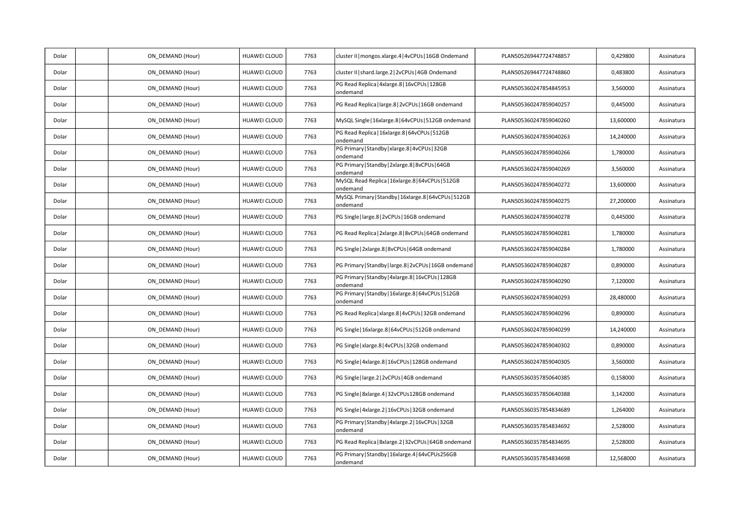| Dolar | ON DEMAND (Hour) | <b>HUAWEI CLOUD</b> | 7763 | cluster II   mongos.xlarge.4   4vCPUs   16GB Ondemand              | PLAN505269447724748857 | 0,429800  | Assinatura |
|-------|------------------|---------------------|------|--------------------------------------------------------------------|------------------------|-----------|------------|
| Dolar | ON_DEMAND (Hour) | <b>HUAWEI CLOUD</b> | 7763 | cluster II   shard.large.2   2vCPUs   4GB Ondemand                 | PLAN505269447724748860 | 0,483800  | Assinatura |
| Dolar | ON_DEMAND (Hour) | HUAWEI CLOUD        | 7763 | PG Read Replica   4xlarge.8   16vCPUs   128GB<br>ondemand          | PLAN505360247854845953 | 3,560000  | Assinatura |
| Dolar | ON DEMAND (Hour) | <b>HUAWEI CLOUD</b> | 7763 | PG Read Replica   large.8   2vCPUs   16GB ondemand                 | PLAN505360247859040257 | 0,445000  | Assinatura |
| Dolar | ON DEMAND (Hour) | HUAWEI CLOUD        | 7763 | MySQL Single   16xlarge.8   64vCPUs   512GB ondemand               | PLAN505360247859040260 | 13,600000 | Assinatura |
| Dolar | ON_DEMAND (Hour) | <b>HUAWEI CLOUD</b> | 7763 | PG Read Replica   16xlarge.8   64vCPUs   512GB<br>ondemand         | PLAN505360247859040263 | 14,240000 | Assinatura |
| Dolar | ON DEMAND (Hour) | <b>HUAWEI CLOUD</b> | 7763 | PG Primary   Standby   xlarge.8   4vCPUs   32GB<br>ondemand        | PLAN505360247859040266 | 1,780000  | Assinatura |
| Dolar | ON DEMAND (Hour) | HUAWEI CLOUD        | 7763 | PG Primary   Standby   2xlarge.8   8vCPUs   64GB<br>ondemand       | PLAN505360247859040269 | 3,560000  | Assinatura |
| Dolar | ON DEMAND (Hour) | <b>HUAWEI CLOUD</b> | 7763 | MySQL Read Replica   16xlarge.8   64vCPUs   512GB<br>ondemand      | PLAN505360247859040272 | 13,600000 | Assinatura |
| Dolar | ON DEMAND (Hour) | HUAWEI CLOUD        | 7763 | MySQL Primary   Standby   16xlarge.8   64vCPUs   512GB<br>ondemand | PLAN505360247859040275 | 27,200000 | Assinatura |
| Dolar | ON_DEMAND (Hour) | <b>HUAWEI CLOUD</b> | 7763 | PG Single   large.8   2vCPUs   16GB ondemand                       | PLAN505360247859040278 | 0,445000  | Assinatura |
| Dolar | ON DEMAND (Hour) | HUAWEI CLOUD        | 7763 | PG Read Replica   2xlarge.8   8vCPUs   64GB ondemand               | PLAN505360247859040281 | 1,780000  | Assinatura |
| Dolar | ON DEMAND (Hour) | HUAWEI CLOUD        | 7763 | PG Single   2xlarge.8   8vCPUs   64GB ondemand                     | PLAN505360247859040284 | 1,780000  | Assinatura |
| Dolar | ON DEMAND (Hour) | <b>HUAWEI CLOUD</b> | 7763 | PG Primary   Standby   large.8   2vCPUs   16GB ondemand            | PLAN505360247859040287 | 0,890000  | Assinatura |
| Dolar | ON DEMAND (Hour) | HUAWEI CLOUD        | 7763 | PG Primary   Standby   4xlarge.8   16vCPUs   128GB<br>ondemand     | PLAN505360247859040290 | 7,120000  | Assinatura |
| Dolar | ON_DEMAND (Hour) | HUAWEI CLOUD        | 7763 | PG Primary   Standby   16xlarge.8   64vCPUs   512GB<br>ondemand    | PLAN505360247859040293 | 28,480000 | Assinatura |
| Dolar | ON DEMAND (Hour) | HUAWEI CLOUD        | 7763 | PG Read Replica   xlarge.8   4vCPUs   32GB ondemand                | PLAN505360247859040296 | 0,890000  | Assinatura |
| Dolar | ON_DEMAND (Hour) | HUAWEI CLOUD        | 7763 | PG Single   16xlarge.8   64vCPUs   512GB ondemand                  | PLAN505360247859040299 | 14,240000 | Assinatura |
| Dolar | ON DEMAND (Hour) | <b>HUAWEI CLOUD</b> | 7763 | PG Single   xlarge.8   4vCPUs   32GB ondemand                      | PLAN505360247859040302 | 0,890000  | Assinatura |
| Dolar | ON DEMAND (Hour) | <b>HUAWEI CLOUD</b> | 7763 | PG Single   4xlarge.8   16vCPUs   128GB ondemand                   | PLAN505360247859040305 | 3,560000  | Assinatura |
| Dolar | ON_DEMAND (Hour) | HUAWEI CLOUD        | 7763 | PG Single   large.2   2vCPUs   4GB ondemand                        | PLAN505360357850640385 | 0,158000  | Assinatura |
| Dolar | ON DEMAND (Hour) | HUAWEI CLOUD        | 7763 | PG Single   8xlarge.4   32vCPUs128GB ondemand                      | PLAN505360357850640388 | 3,142000  | Assinatura |
| Dolar | ON DEMAND (Hour) | HUAWEI CLOUD        | 7763 | PG Single   4xlarge.2   16vCPUs   32GB ondemand                    | PLAN505360357854834689 | 1,264000  | Assinatura |
| Dolar | ON DEMAND (Hour) | HUAWEI CLOUD        | 7763 | PG Primary   Standby   4xlarge.2   16vCPUs   32GB<br>ondemand      | PLAN505360357854834692 | 2,528000  | Assinatura |
| Dolar | ON DEMAND (Hour) | HUAWEI CLOUD        | 7763 | PG Read Replica   8xlarge.2   32vCPUs   64GB ondemand              | PLAN505360357854834695 | 2,528000  | Assinatura |
| Dolar | ON DEMAND (Hour) | HUAWEI CLOUD        | 7763 | PG Primary   Standby   16xlarge.4   64vCPUs256GB<br>ondemand       | PLAN505360357854834698 | 12,568000 | Assinatura |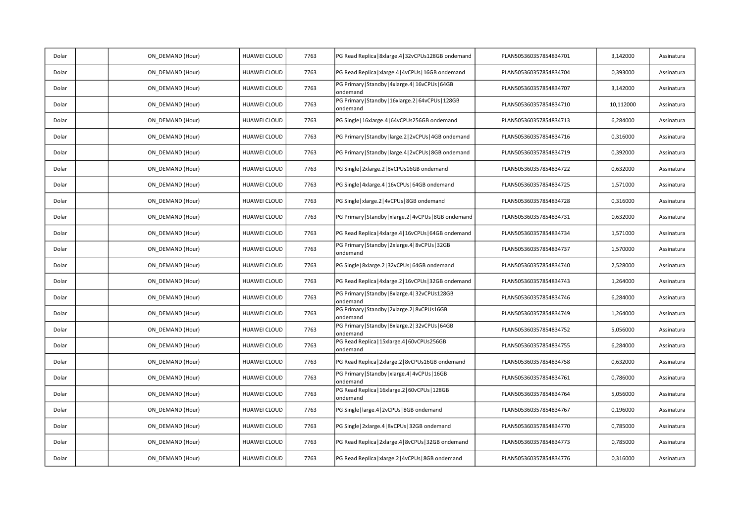| Dolar | ON_DEMAND (Hour) | HUAWEI CLOUD        | 7763 | PG Read Replica   8xlarge.4   32vCPUs128GB ondemand             | PLAN505360357854834701 | 3,142000  | Assinatura |
|-------|------------------|---------------------|------|-----------------------------------------------------------------|------------------------|-----------|------------|
| Dolar | ON DEMAND (Hour) | HUAWEI CLOUD        | 7763 | PG Read Replica   xlarge.4   4vCPUs   16GB ondemand             | PLAN505360357854834704 | 0,393000  | Assinatura |
| Dolar | ON_DEMAND (Hour) | HUAWEI CLOUD        | 7763 | PG Primary   Standby   4xlarge.4   16vCPUs   64GB<br>ondemand   | PLAN505360357854834707 | 3,142000  | Assinatura |
| Dolar | ON_DEMAND (Hour) | HUAWEI CLOUD        | 7763 | PG Primary   Standby   16xlarge.2   64vCPUs   128GB<br>ondemand | PLAN505360357854834710 | 10,112000 | Assinatura |
| Dolar | ON_DEMAND (Hour) | <b>HUAWEI CLOUD</b> | 7763 | PG Single   16xlarge.4   64vCPUs256GB ondemand                  | PLAN505360357854834713 | 6,284000  | Assinatura |
| Dolar | ON DEMAND (Hour) | HUAWEI CLOUD        | 7763 | PG Primary   Standby   large.2   2vCPUs   4GB ondemand          | PLAN505360357854834716 | 0,316000  | Assinatura |
| Dolar | ON_DEMAND (Hour) | HUAWEI CLOUD        | 7763 | PG Primary   Standby   large.4   2vCPUs   8GB ondemand          | PLAN505360357854834719 | 0,392000  | Assinatura |
| Dolar | ON_DEMAND (Hour) | HUAWEI CLOUD        | 7763 | PG Single   2xlarge.2   8vCPUs16GB ondemand                     | PLAN505360357854834722 | 0,632000  | Assinatura |
| Dolar | ON DEMAND (Hour) | HUAWEI CLOUD        | 7763 | PG Single   4xlarge.4   16vCPUs   64GB ondemand                 | PLAN505360357854834725 | 1,571000  | Assinatura |
| Dolar | ON DEMAND (Hour) | HUAWEI CLOUD        | 7763 | PG Single   xlarge.2   4vCPUs   8GB ondemand                    | PLAN505360357854834728 | 0,316000  | Assinatura |
| Dolar | ON_DEMAND (Hour) | HUAWEI CLOUD        | 7763 | PG Primary   Standby   xlarge.2   4vCPUs   8GB ondemand         | PLAN505360357854834731 | 0,632000  | Assinatura |
| Dolar | ON_DEMAND (Hour) | HUAWEI CLOUD        | 7763 | PG Read Replica   4xlarge.4   16vCPUs   64GB ondemand           | PLAN505360357854834734 | 1,571000  | Assinatura |
| Dolar | ON DEMAND (Hour) | HUAWEI CLOUD        | 7763 | PG Primary   Standby   2xlarge.4   8vCPUs   32GB<br>ondemand    | PLAN505360357854834737 | 1,570000  | Assinatura |
| Dolar | ON_DEMAND (Hour) | HUAWEI CLOUD        | 7763 | PG Single   8xlarge.2   32vCPUs   64GB ondemand                 | PLAN505360357854834740 | 2,528000  | Assinatura |
| Dolar | ON_DEMAND (Hour) | HUAWEI CLOUD        | 7763 | PG Read Replica   4xlarge.2   16vCPUs   32GB ondemand           | PLAN505360357854834743 | 1,264000  | Assinatura |
| Dolar | ON DEMAND (Hour) | HUAWEI CLOUD        | 7763 | PG Primary   Standby   8xlarge.4   32vCPUs128GB<br>ondemand     | PLAN505360357854834746 | 6,284000  | Assinatura |
| Dolar | ON DEMAND (Hour) | <b>HUAWEI CLOUD</b> | 7763 | PG Primary   Standby   2xlarge.2   8vCPUs16GB<br>ondemand       | PLAN505360357854834749 | 1,264000  | Assinatura |
| Dolar | ON_DEMAND (Hour) | HUAWEI CLOUD        | 7763 | PG Primary   Standby   8xlarge.2   32vCPUs   64GB<br>ondemand   | PLAN505360357854834752 | 5,056000  | Assinatura |
| Dolar | ON_DEMAND (Hour) | HUAWEI CLOUD        | 7763 | PG Read Replica   15xlarge.4   60vCPUs256GB<br>ondemand         | PLAN505360357854834755 | 6,284000  | Assinatura |
| Dolar | ON DEMAND (Hour) | HUAWEI CLOUD        | 7763 | PG Read Replica   2xlarge.2   8vCPUs16GB ondemand               | PLAN505360357854834758 | 0,632000  | Assinatura |
| Dolar | ON DEMAND (Hour) | HUAWEI CLOUD        | 7763 | PG Primary   Standby   xlarge.4   4vCPUs   16GB<br>ondemand     | PLAN505360357854834761 | 0,786000  | Assinatura |
| Dolar | ON_DEMAND (Hour) | HUAWEI CLOUD        | 7763 | PG Read Replica   16xlarge.2   60vCPUs   128GB<br>ondemand      | PLAN505360357854834764 | 5,056000  | Assinatura |
| Dolar | ON DEMAND (Hour) | HUAWEI CLOUD        | 7763 | PG Single   large.4   2vCPUs   8GB ondemand                     | PLAN505360357854834767 | 0,196000  | Assinatura |
| Dolar | ON DEMAND (Hour) | HUAWEI CLOUD        | 7763 | PG Single   2xlarge.4   8vCPUs   32GB ondemand                  | PLAN505360357854834770 | 0,785000  | Assinatura |
| Dolar | ON DEMAND (Hour) | HUAWEI CLOUD        | 7763 | PG Read Replica   2xlarge.4   8vCPUs   32GB ondemand            | PLAN505360357854834773 | 0,785000  | Assinatura |
| Dolar | ON_DEMAND (Hour) | HUAWEI CLOUD        | 7763 | PG Read Replica   xlarge.2   4vCPUs   8GB ondemand              | PLAN505360357854834776 | 0,316000  | Assinatura |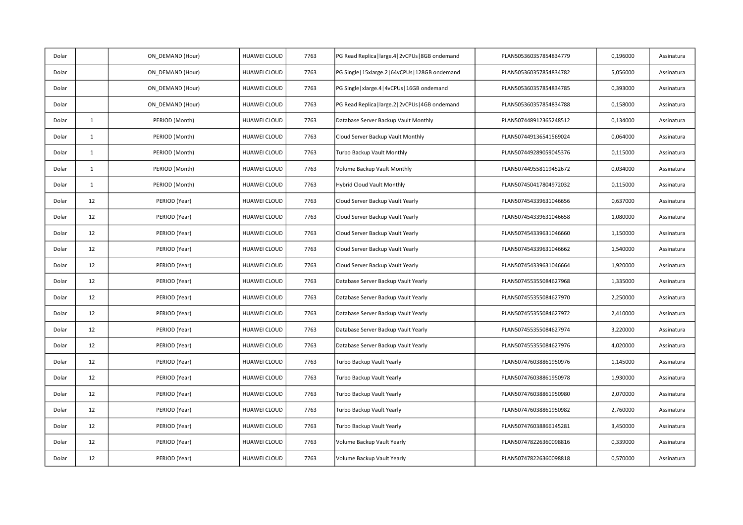| Dolar |              | ON_DEMAND (Hour) | HUAWEI CLOUD        | 7763 | PG Read Replica   large.4   2vCPUs   8GB ondemand | PLAN505360357854834779 | 0,196000 | Assinatura |
|-------|--------------|------------------|---------------------|------|---------------------------------------------------|------------------------|----------|------------|
| Dolar |              | ON DEMAND (Hour) | <b>HUAWEI CLOUD</b> | 7763 | PG Single   15xlarge.2   64vCPUs   128GB ondemand | PLAN505360357854834782 | 5,056000 | Assinatura |
| Dolar |              | ON DEMAND (Hour) | HUAWEI CLOUD        | 7763 | PG Single   xlarge.4   4vCPUs   16GB ondemand     | PLAN505360357854834785 | 0,393000 | Assinatura |
| Dolar |              | ON DEMAND (Hour) | HUAWEI CLOUD        | 7763 | PG Read Replica   large.2   2vCPUs   4GB ondemand | PLAN505360357854834788 | 0,158000 | Assinatura |
| Dolar | $\mathbf{1}$ | PERIOD (Month)   | HUAWEI CLOUD        | 7763 | Database Server Backup Vault Monthly              | PLAN507448912365248512 | 0,134000 | Assinatura |
| Dolar | $\mathbf{1}$ | PERIOD (Month)   | HUAWEI CLOUD        | 7763 | Cloud Server Backup Vault Monthly                 | PLAN507449136541569024 | 0,064000 | Assinatura |
| Dolar | $\mathbf{1}$ | PERIOD (Month)   | HUAWEI CLOUD        | 7763 | Turbo Backup Vault Monthly                        | PLAN507449289059045376 | 0,115000 | Assinatura |
| Dolar | $\mathbf{1}$ | PERIOD (Month)   | <b>HUAWEI CLOUD</b> | 7763 | Volume Backup Vault Monthly                       | PLAN507449558119452672 | 0,034000 | Assinatura |
| Dolar | $\mathbf{1}$ | PERIOD (Month)   | <b>HUAWEI CLOUD</b> | 7763 | Hybrid Cloud Vault Monthly                        | PLAN507450417804972032 | 0,115000 | Assinatura |
| Dolar | 12           | PERIOD (Year)    | HUAWEI CLOUD        | 7763 | Cloud Server Backup Vault Yearly                  | PLAN507454339631046656 | 0,637000 | Assinatura |
| Dolar | 12           | PERIOD (Year)    | HUAWEI CLOUD        | 7763 | Cloud Server Backup Vault Yearly                  | PLAN507454339631046658 | 1,080000 | Assinatura |
| Dolar | 12           | PERIOD (Year)    | <b>HUAWEI CLOUD</b> | 7763 | Cloud Server Backup Vault Yearly                  | PLAN507454339631046660 | 1,150000 | Assinatura |
| Dolar | 12           | PERIOD (Year)    | HUAWEI CLOUD        | 7763 | Cloud Server Backup Vault Yearly                  | PLAN507454339631046662 | 1,540000 | Assinatura |
| Dolar | 12           | PERIOD (Year)    | HUAWEI CLOUD        | 7763 | Cloud Server Backup Vault Yearly                  | PLAN507454339631046664 | 1,920000 | Assinatura |
| Dolar | 12           | PERIOD (Year)    | HUAWEI CLOUD        | 7763 | Database Server Backup Vault Yearly               | PLAN507455355084627968 | 1,335000 | Assinatura |
| Dolar | 12           | PERIOD (Year)    | HUAWEI CLOUD        | 7763 | Database Server Backup Vault Yearly               | PLAN507455355084627970 | 2,250000 | Assinatura |
| Dolar | 12           | PERIOD (Year)    | HUAWEI CLOUD        | 7763 | Database Server Backup Vault Yearly               | PLAN507455355084627972 | 2,410000 | Assinatura |
| Dolar | 12           | PERIOD (Year)    | HUAWEI CLOUD        | 7763 | Database Server Backup Vault Yearly               | PLAN507455355084627974 | 3,220000 | Assinatura |
| Dolar | 12           | PERIOD (Year)    | HUAWEI CLOUD        | 7763 | Database Server Backup Vault Yearly               | PLAN507455355084627976 | 4,020000 | Assinatura |
| Dolar | 12           | PERIOD (Year)    | HUAWEI CLOUD        | 7763 | Turbo Backup Vault Yearly                         | PLAN507476038861950976 | 1,145000 | Assinatura |
| Dolar | 12           | PERIOD (Year)    | HUAWEI CLOUD        | 7763 | Turbo Backup Vault Yearly                         | PLAN507476038861950978 | 1,930000 | Assinatura |
| Dolar | 12           | PERIOD (Year)    | HUAWEI CLOUD        | 7763 | Turbo Backup Vault Yearly                         | PLAN507476038861950980 | 2,070000 | Assinatura |
| Dolar | 12           | PERIOD (Year)    | HUAWEI CLOUD        | 7763 | Turbo Backup Vault Yearly                         | PLAN507476038861950982 | 2,760000 | Assinatura |
| Dolar | 12           | PERIOD (Year)    | HUAWEI CLOUD        | 7763 | Turbo Backup Vault Yearly                         | PLAN507476038866145281 | 3,450000 | Assinatura |
| Dolar | 12           | PERIOD (Year)    | HUAWEI CLOUD        | 7763 | Volume Backup Vault Yearly                        | PLAN507478226360098816 | 0,339000 | Assinatura |
| Dolar | 12           | PERIOD (Year)    | HUAWEI CLOUD        | 7763 | Volume Backup Vault Yearly                        | PLAN507478226360098818 | 0,570000 | Assinatura |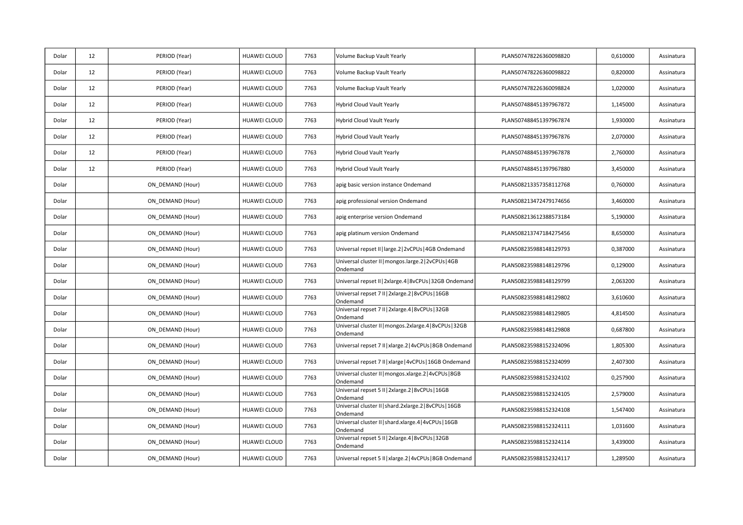| Dolar | 12 | PERIOD (Year)    | HUAWEI CLOUD        | 7763 | Volume Backup Vault Yearly                                          | PLAN507478226360098820 | 0,610000 | Assinatura |
|-------|----|------------------|---------------------|------|---------------------------------------------------------------------|------------------------|----------|------------|
| Dolar | 12 | PERIOD (Year)    | HUAWEI CLOUD        | 7763 | Volume Backup Vault Yearly                                          | PLAN507478226360098822 | 0,820000 | Assinatura |
| Dolar | 12 | PERIOD (Year)    | HUAWEI CLOUD        | 7763 | Volume Backup Vault Yearly                                          | PLAN507478226360098824 | 1,020000 | Assinatura |
| Dolar | 12 | PERIOD (Year)    | HUAWEI CLOUD        | 7763 | Hybrid Cloud Vault Yearly                                           | PLAN507488451397967872 | 1,145000 | Assinatura |
| Dolar | 12 | PERIOD (Year)    | <b>HUAWEI CLOUD</b> | 7763 | Hybrid Cloud Vault Yearly                                           | PLAN507488451397967874 | 1,930000 | Assinatura |
| Dolar | 12 | PERIOD (Year)    | HUAWEI CLOUD        | 7763 | Hybrid Cloud Vault Yearly                                           | PLAN507488451397967876 | 2,070000 | Assinatura |
| Dolar | 12 | PERIOD (Year)    | HUAWEI CLOUD        | 7763 | Hybrid Cloud Vault Yearly                                           | PLAN507488451397967878 | 2,760000 | Assinatura |
| Dolar | 12 | PERIOD (Year)    | <b>HUAWEI CLOUD</b> | 7763 | Hybrid Cloud Vault Yearly                                           | PLAN507488451397967880 | 3,450000 | Assinatura |
| Dolar |    | ON DEMAND (Hour) | HUAWEI CLOUD        | 7763 | apig basic version instance Ondemand                                | PLAN508213357358112768 | 0,760000 | Assinatura |
| Dolar |    | ON DEMAND (Hour) | HUAWEI CLOUD        | 7763 | apig professional version Ondemand                                  | PLAN508213472479174656 | 3,460000 | Assinatura |
| Dolar |    | ON DEMAND (Hour) | HUAWEI CLOUD        | 7763 | apig enterprise version Ondemand                                    | PLAN508213612388573184 | 5,190000 | Assinatura |
| Dolar |    | ON_DEMAND (Hour) | HUAWEI CLOUD        | 7763 | apig platinum version Ondemand                                      | PLAN508213747184275456 | 8,650000 | Assinatura |
| Dolar |    | ON DEMAND (Hour) | <b>HUAWEI CLOUD</b> | 7763 | Universal repset II   large.2   2vCPUs   4GB Ondemand               | PLAN508235988148129793 | 0,387000 | Assinatura |
| Dolar |    | ON DEMAND (Hour) | HUAWEI CLOUD        | 7763 | Universal cluster II   mongos.large.2   2vCPUs   4GB<br>Ondemand    | PLAN508235988148129796 | 0,129000 | Assinatura |
| Dolar |    | ON_DEMAND (Hour) | HUAWEI CLOUD        | 7763 | Universal repset II   2xlarge.4   8vCPUs   32GB Ondemand            | PLAN508235988148129799 | 2,063200 | Assinatura |
| Dolar |    | ON DEMAND (Hour) | HUAWEI CLOUD        | 7763 | Universal repset 7 II   2xlarge.2   8vCPUs   16GB<br>Ondemand       | PLAN508235988148129802 | 3,610600 | Assinatura |
| Dolar |    | ON DEMAND (Hour) | <b>HUAWEI CLOUD</b> | 7763 | Universal repset 7 II   2xlarge.4   8vCPUs   32GB<br>Ondemand       | PLAN508235988148129805 | 4,814500 | Assinatura |
| Dolar |    | ON DEMAND (Hour) | HUAWEI CLOUD        | 7763 | Universal cluster II   mongos.2xlarge.4   8vCPUs   32GB<br>Ondemand | PLAN508235988148129808 | 0,687800 | Assinatura |
| Dolar |    | ON_DEMAND (Hour) | HUAWEI CLOUD        | 7763 | Universal repset 7 II   xlarge.2   4vCPUs   8GB Ondemand            | PLAN508235988152324096 | 1,805300 | Assinatura |
| Dolar |    | ON DEMAND (Hour) | HUAWEI CLOUD        | 7763 | Universal repset 7 II   xlarge   4vCPUs   16GB Ondemand             | PLAN508235988152324099 | 2,407300 | Assinatura |
| Dolar |    | ON DEMAND (Hour) | HUAWEI CLOUD        | 7763 | Universal cluster II   mongos.xlarge.2   4vCPUs   8GB<br>Ondemand   | PLAN508235988152324102 | 0,257900 | Assinatura |
| Dolar |    | ON_DEMAND (Hour) | HUAWEI CLOUD        | 7763 | Universal repset 5 II   2xlarge.2   8vCPUs   16GB<br>Ondemand       | PLAN508235988152324105 | 2,579000 | Assinatura |
| Dolar |    | ON DEMAND (Hour) | HUAWEI CLOUD        | 7763 | Universal cluster II   shard.2xlarge.2   8vCPUs   16GB<br>Ondemand  | PLAN508235988152324108 | 1,547400 | Assinatura |
| Dolar |    | ON DEMAND (Hour) | HUAWEI CLOUD        | 7763 | Universal cluster II   shard.xlarge.4   4vCPUs   16GB<br>Ondemand   | PLAN508235988152324111 | 1,031600 | Assinatura |
| Dolar |    | ON DEMAND (Hour) | HUAWEI CLOUD        | 7763 | Universal repset 5 II   2xlarge.4   8vCPUs   32GB<br>Ondemand       | PLAN508235988152324114 | 3,439000 | Assinatura |
| Dolar |    | ON DEMAND (Hour) | HUAWEI CLOUD        | 7763 | Universal repset 5 II   xlarge.2   4vCPUs   8GB Ondemand            | PLAN508235988152324117 | 1,289500 | Assinatura |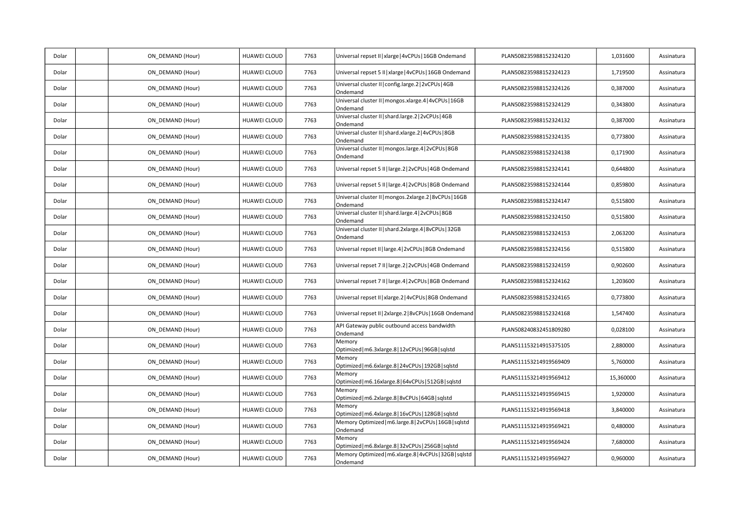| Dolar | ON_DEMAND (Hour) | HUAWEI CLOUD | 7763 | Universal repset II   xlarge   4vCPUs   16GB Ondemand               | PLAN508235988152324120 | 1,031600  | Assinatura |
|-------|------------------|--------------|------|---------------------------------------------------------------------|------------------------|-----------|------------|
| Dolar | ON DEMAND (Hour) | HUAWEI CLOUD | 7763 | Universal repset 5 II   xlarge   4vCPUs   16GB Ondemand             | PLAN508235988152324123 | 1,719500  | Assinatura |
| Dolar | ON_DEMAND (Hour) | HUAWEI CLOUD | 7763 | Universal cluster II   config.large.2   2vCPUs   4GB<br>Ondemand    | PLAN508235988152324126 | 0,387000  | Assinatura |
| Dolar | ON DEMAND (Hour) | HUAWEI CLOUD | 7763 | Universal cluster II   mongos.xlarge.4   4vCPUs   16GB<br>Ondemand  | PLAN508235988152324129 | 0,343800  | Assinatura |
| Dolar | ON_DEMAND (Hour) | HUAWEI CLOUD | 7763 | Universal cluster II   shard.large.2   2vCPUs   4GB<br>Ondemand     | PLAN508235988152324132 | 0,387000  | Assinatura |
| Dolar | ON DEMAND (Hour) | HUAWEI CLOUD | 7763 | Universal cluster II   shard.xlarge.2   4vCPUs   8GB<br>Ondemand    | PLAN508235988152324135 | 0,773800  | Assinatura |
| Dolar | ON DEMAND (Hour) | HUAWEI CLOUD | 7763 | Universal cluster II   mongos.large.4   2vCPUs   8GB<br>Ondemand    | PLAN508235988152324138 | 0,171900  | Assinatura |
| Dolar | ON_DEMAND (Hour) | HUAWEI CLOUD | 7763 | Universal repset 5 II   large.2   2vCPUs   4GB Ondemand             | PLAN508235988152324141 | 0,644800  | Assinatura |
| Dolar | ON DEMAND (Hour) | HUAWEI CLOUD | 7763 | Universal repset 5 II   large.4   2vCPUs   8GB Ondemand             | PLAN508235988152324144 | 0,859800  | Assinatura |
| Dolar | ON DEMAND (Hour) | HUAWEI CLOUD | 7763 | Universal cluster II   mongos.2xlarge.2   8vCPUs   16GB<br>Ondemand | PLAN508235988152324147 | 0,515800  | Assinatura |
| Dolar | ON DEMAND (Hour) | HUAWEI CLOUD | 7763 | Universal cluster II   shard.large.4   2vCPUs   8GB<br>Ondemand     | PLAN508235988152324150 | 0,515800  | Assinatura |
| Dolar | ON_DEMAND (Hour) | HUAWEI CLOUD | 7763 | Universal cluster II   shard.2xlarge.4   8vCPUs   32GB<br>Ondemand  | PLAN508235988152324153 | 2,063200  | Assinatura |
| Dolar | ON DEMAND (Hour) | HUAWEI CLOUD | 7763 | Universal repset II   large.4   2vCPUs   8GB Ondemand               | PLAN508235988152324156 | 0,515800  | Assinatura |
| Dolar | ON DEMAND (Hour) | HUAWEI CLOUD | 7763 | Universal repset 7 II   large.2   2vCPUs   4GB Ondemand             | PLAN508235988152324159 | 0,902600  | Assinatura |
| Dolar | ON DEMAND (Hour) | HUAWEI CLOUD | 7763 | Universal repset 7 II   large.4   2vCPUs   8GB Ondemand             | PLAN508235988152324162 | 1,203600  | Assinatura |
| Dolar | ON DEMAND (Hour) | HUAWEI CLOUD | 7763 | Universal repset II   xlarge.2   4vCPUs   8GB Ondemand              | PLAN508235988152324165 | 0,773800  | Assinatura |
| Dolar | ON DEMAND (Hour) | HUAWEI CLOUD | 7763 | Universal repset II   2xlarge.2   8vCPUs   16GB Ondemand            | PLAN508235988152324168 | 1,547400  | Assinatura |
| Dolar | ON_DEMAND (Hour) | HUAWEI CLOUD | 7763 | API Gateway public outbound access bandwidth<br>Ondemand            | PLAN508240832451809280 | 0,028100  | Assinatura |
| Dolar | ON DEMAND (Hour) | HUAWEI CLOUD | 7763 | Memory<br>Optimized   m6.3xlarge.8   12vCPUs   96GB   sqlstd        | PLAN511153214915375105 | 2,880000  | Assinatura |
| Dolar | ON_DEMAND (Hour) | HUAWEI CLOUD | 7763 | Memory<br>Optimized   m6.6xlarge.8   24vCPUs   192GB   sqlstd       | PLAN511153214919569409 | 5,760000  | Assinatura |
| Dolar | ON_DEMAND (Hour) | HUAWEI CLOUD | 7763 | Memory<br>Optimized   m6.16xlarge.8   64vCPUs   512GB   sqlstd      | PLAN511153214919569412 | 15,360000 | Assinatura |
| Dolar | ON_DEMAND (Hour) | HUAWEI CLOUD | 7763 | Memory<br>Optimized   m6.2xlarge.8   8vCPUs   64GB   sqlstd         | PLAN511153214919569415 | 1,920000  | Assinatura |
| Dolar | ON DEMAND (Hour) | HUAWEI CLOUD | 7763 | Memory<br>Optimized   m6.4xlarge.8   16vCPUs   128GB   sqlstd       | PLAN511153214919569418 | 3,840000  | Assinatura |
| Dolar | ON DEMAND (Hour) | HUAWEI CLOUD | 7763 | Memory Optimized   m6.large.8   2vCPUs   16GB   sqlstd<br>Ondemand  | PLAN511153214919569421 | 0,480000  | Assinatura |
| Dolar | ON_DEMAND (Hour) | HUAWEI CLOUD | 7763 | Memory<br>Optimized   m6.8xlarge.8   32vCPUs   256GB   sqlstd       | PLAN511153214919569424 | 7,680000  | Assinatura |
| Dolar | ON DEMAND (Hour) | HUAWEI CLOUD | 7763 | Memory Optimized   m6.xlarge.8   4vCPUs   32GB   sqlstd<br>Ondemand | PLAN511153214919569427 | 0,960000  | Assinatura |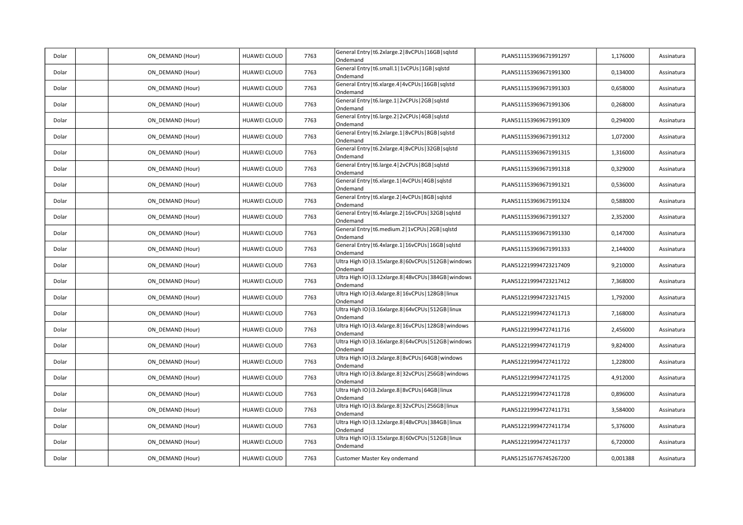| Dolar | ON_DEMAND (Hour) | <b>HUAWEI CLOUD</b> | 7763 | General Entry   t6.2xlarge.2   8vCPUs   16GB   sqlstd<br>Ondemand     | PLAN511153969671991297 | 1,176000 | Assinatura |
|-------|------------------|---------------------|------|-----------------------------------------------------------------------|------------------------|----------|------------|
| Dolar | ON_DEMAND (Hour) | HUAWEI CLOUD        | 7763 | General Entry   t6.small.1   1vCPUs   1GB   sqlstd<br>Ondemand        | PLAN511153969671991300 | 0,134000 | Assinatura |
| Dolar | ON_DEMAND (Hour) | HUAWEI CLOUD        | 7763 | General Entry   t6.xlarge.4   4vCPUs   16GB   sqlstd<br>Ondemand      | PLAN511153969671991303 | 0,658000 | Assinatura |
| Dolar | ON_DEMAND (Hour) | HUAWEI CLOUD        | 7763 | General Entry   t6.large.1   2vCPUs   2GB   sqlstd<br>Ondemand        | PLAN511153969671991306 | 0,268000 | Assinatura |
| Dolar | ON DEMAND (Hour) | <b>HUAWEI CLOUD</b> | 7763 | General Entry   t6.large.2   2vCPUs   4GB   sqlstd<br>Ondemand        | PLAN511153969671991309 | 0,294000 | Assinatura |
| Dolar | ON_DEMAND (Hour) | HUAWEI CLOUD        | 7763 | General Entry   t6.2xlarge.1   8vCPUs   8GB   sqlstd<br>Ondemand      | PLAN511153969671991312 | 1,072000 | Assinatura |
| Dolar | ON_DEMAND (Hour) | HUAWEI CLOUD        | 7763 | General Entry   t6.2xlarge.4   8vCPUs   32GB   sqlstd<br>Ondemand     | PLAN511153969671991315 | 1,316000 | Assinatura |
| Dolar | ON DEMAND (Hour) | HUAWEI CLOUD        | 7763 | General Entry   t6.large.4   2vCPUs   8GB   sqlstd<br>Ondemand        | PLAN511153969671991318 | 0,329000 | Assinatura |
| Dolar | ON DEMAND (Hour) | HUAWEI CLOUD        | 7763 | General Entry   t6.xlarge.1   4vCPUs   4GB   sqlstd<br>Ondemand       | PLAN511153969671991321 | 0,536000 | Assinatura |
| Dolar | ON_DEMAND (Hour) | HUAWEI CLOUD        | 7763 | General Entry   t6.xlarge.2   4vCPUs   8GB   sqlstd<br>Ondemand       | PLAN511153969671991324 | 0,588000 | Assinatura |
| Dolar | ON DEMAND (Hour) | <b>HUAWEI CLOUD</b> | 7763 | General Entry   t6.4xlarge.2   16vCPUs   32GB   sqlstd<br>Ondemand    | PLAN511153969671991327 | 2,352000 | Assinatura |
| Dolar | ON_DEMAND (Hour) | HUAWEI CLOUD        | 7763 | General Entry   t6.medium.2   1vCPUs   2GB   sqlstd<br>Ondemand       | PLAN511153969671991330 | 0,147000 | Assinatura |
| Dolar | ON_DEMAND (Hour) | HUAWEI CLOUD        | 7763 | General Entry   t6.4xlarge.1   16vCPUs   16GB   sqlstd<br>Ondemand    | PLAN511153969671991333 | 2,144000 | Assinatura |
| Dolar | ON DEMAND (Hour) | <b>HUAWEI CLOUD</b> | 7763 | Ultra High IO   i3.15xlarge.8   60vCPUs   512GB   windows<br>Ondemand | PLAN512219994723217409 | 9,210000 | Assinatura |
| Dolar | ON DEMAND (Hour) | HUAWEI CLOUD        | 7763 | Ultra High IO   i3.12xlarge.8   48vCPUs   384GB   windows<br>Ondemand | PLAN512219994723217412 | 7,368000 | Assinatura |
| Dolar | ON_DEMAND (Hour) | HUAWEI CLOUD        | 7763 | Ultra High IO   i3.4xlarge.8   16vCPUs   128GB   linux<br>Ondemand    | PLAN512219994723217415 | 1,792000 | Assinatura |
| Dolar | ON DEMAND (Hour) | HUAWEI CLOUD        | 7763 | Ultra High IO   i3.16xlarge.8   64vCPUs   512GB   linux<br>Ondemand   | PLAN512219994727411713 | 7,168000 | Assinatura |
| Dolar | ON DEMAND (Hour) | HUAWEI CLOUD        | 7763 | Ultra High IO   i3.4xlarge.8   16vCPUs   128GB   windows<br>Ondemand  | PLAN512219994727411716 | 2,456000 | Assinatura |
| Dolar | ON_DEMAND (Hour) | HUAWEI CLOUD        | 7763 | Ultra High IO   i3.16xlarge.8   64vCPUs   512GB   windows<br>Ondemand | PLAN512219994727411719 | 9,824000 | Assinatura |
| Dolar | ON_DEMAND (Hour) | <b>HUAWEI CLOUD</b> | 7763 | Ultra High IO   i3.2xlarge.8   8vCPUs   64GB   windows<br>Ondemand    | PLAN512219994727411722 | 1,228000 | Assinatura |
| Dolar | ON DEMAND (Hour) | HUAWEI CLOUD        | 7763 | Ultra High IO   i3.8xlarge.8   32vCPUs   256GB   windows<br>Ondemand  | PLAN512219994727411725 | 4,912000 | Assinatura |
| Dolar | ON_DEMAND (Hour) | HUAWEI CLOUD        | 7763 | Ultra High IO   i3.2xlarge.8   8vCPUs   64GB   linux<br>Ondemand      | PLAN512219994727411728 | 0,896000 | Assinatura |
| Dolar | ON_DEMAND (Hour) | HUAWEI CLOUD        | 7763 | Ultra High IO   i3.8xlarge.8   32vCPUs   256GB   linux<br>Ondemand    | PLAN512219994727411731 | 3,584000 | Assinatura |
| Dolar | ON DEMAND (Hour) | HUAWEI CLOUD        | 7763 | Ultra High IO   i3.12xlarge.8   48vCPUs   384GB   linux<br>Ondemand   | PLAN512219994727411734 | 5,376000 | Assinatura |
| Dolar | ON_DEMAND (Hour) | HUAWEI CLOUD        | 7763 | Ultra High IO   i3.15xlarge.8   60vCPUs   512GB   linux<br>Ondemand   | PLAN512219994727411737 | 6,720000 | Assinatura |
| Dolar | ON_DEMAND (Hour) | HUAWEI CLOUD        | 7763 | Customer Master Key ondemand                                          | PLAN512516776745267200 | 0,001388 | Assinatura |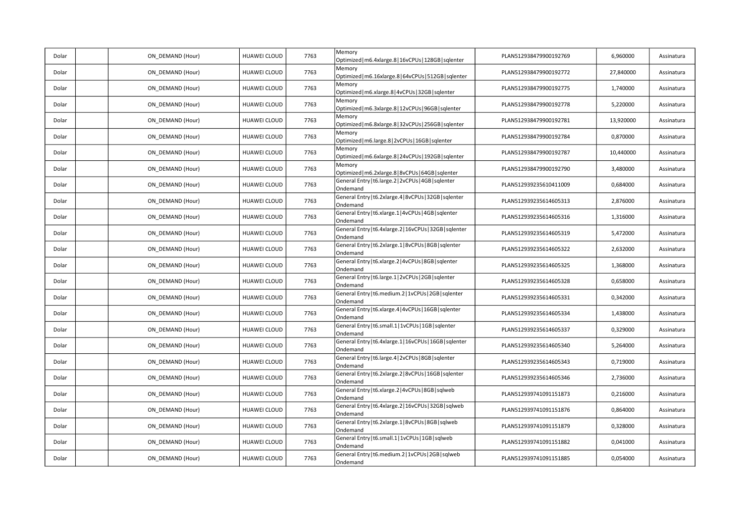| Dolar | ON_DEMAND (Hour) | HUAWEI CLOUD        | 7763 | Memory<br>Optimized   m6.4xlarge.8   16vCPUs   128GB   sqlenter      | PLAN512938479900192769 | 6,960000  | Assinatura |
|-------|------------------|---------------------|------|----------------------------------------------------------------------|------------------------|-----------|------------|
| Dolar | ON DEMAND (Hour) | <b>HUAWEI CLOUD</b> | 7763 | Memory<br>Optimized   m6.16xlarge.8   64vCPUs   512GB   sqlenter     | PLAN512938479900192772 | 27,840000 | Assinatura |
| Dolar | ON DEMAND (Hour) | HUAWEI CLOUD        | 7763 | Memory<br>Optimized   m6.xlarge.8   4vCPUs   32GB   sqlenter         | PLAN512938479900192775 | 1,740000  | Assinatura |
| Dolar | ON DEMAND (Hour) | <b>HUAWEI CLOUD</b> | 7763 | Memory<br>Optimized   m6.3xlarge.8   12vCPUs   96GB   sqlenter       | PLAN512938479900192778 | 5,220000  | Assinatura |
| Dolar | ON_DEMAND (Hour) | HUAWEI CLOUD        | 7763 | Memory<br>Optimized   m6.8xlarge.8   32vCPUs   256GB   sqlenter      | PLAN512938479900192781 | 13,920000 | Assinatura |
| Dolar | ON DEMAND (Hour) | <b>HUAWEI CLOUD</b> | 7763 | Memory<br>Optimized   m6.large.8   2vCPUs   16GB   sqlenter          | PLAN512938479900192784 | 0,870000  | Assinatura |
| Dolar | ON DEMAND (Hour) | HUAWEI CLOUD        | 7763 | Memory<br>Optimized   m6.6xlarge.8   24vCPUs   192GB   sqlenter      | PLAN512938479900192787 | 10,440000 | Assinatura |
| Dolar | ON_DEMAND (Hour) | HUAWEI CLOUD        | 7763 | Memory<br>Optimized   m6.2xlarge.8   8vCPUs   64GB   sqlenter        | PLAN512938479900192790 | 3,480000  | Assinatura |
| Dolar | ON DEMAND (Hour) | HUAWEI CLOUD        | 7763 | General Entry   t6.large.2   2vCPUs   4GB   sqlenter<br>Ondemand     | PLAN512939235610411009 | 0,684000  | Assinatura |
| Dolar | ON DEMAND (Hour) | <b>HUAWEI CLOUD</b> | 7763 | General Entry   t6.2xlarge.4   8vCPUs   32GB   sqlenter<br>Ondemand  | PLAN512939235614605313 | 2,876000  | Assinatura |
| Dolar | ON DEMAND (Hour) | HUAWEI CLOUD        | 7763 | General Entry   t6.xlarge.1   4vCPUs   4GB   sqlenter<br>Ondemand    | PLAN512939235614605316 | 1,316000  | Assinatura |
| Dolar | ON_DEMAND (Hour) | <b>HUAWEI CLOUD</b> | 7763 | General Entry   t6.4xlarge.2   16vCPUs   32GB   sqlenter<br>Ondemand | PLAN512939235614605319 | 5,472000  | Assinatura |
| Dolar | ON_DEMAND (Hour) | HUAWEI CLOUD        | 7763 | General Entry   t6.2xlarge.1   8vCPUs   8GB   sqlenter<br>Ondemand   | PLAN512939235614605322 | 2,632000  | Assinatura |
| Dolar | ON DEMAND (Hour) | <b>HUAWEI CLOUD</b> | 7763 | General Entry   t6.xlarge.2   4vCPUs   8GB   sqlenter<br>Ondemand    | PLAN512939235614605325 | 1,368000  | Assinatura |
| Dolar | ON DEMAND (Hour) | HUAWEI CLOUD        | 7763 | General Entry   t6.large.1   2vCPUs   2GB   sqlenter<br>Ondemand     | PLAN512939235614605328 | 0,658000  | Assinatura |
| Dolar | ON DEMAND (Hour) | HUAWEI CLOUD        | 7763 | General Entry   t6.medium.2   1vCPUs   2GB   sqlenter<br>Ondemand    | PLAN512939235614605331 | 0,342000  | Assinatura |
| Dolar | ON_DEMAND (Hour) | HUAWEI CLOUD        | 7763 | General Entry   t6.xlarge.4   4vCPUs   16GB   sqlenter<br>Ondemand   | PLAN512939235614605334 | 1,438000  | Assinatura |
| Dolar | ON DEMAND (Hour) | <b>HUAWEI CLOUD</b> | 7763 | General Entry   t6.small.1   1vCPUs   1GB   sqlenter<br>Ondemand     | PLAN512939235614605337 | 0,329000  | Assinatura |
| Dolar | ON DEMAND (Hour) | HUAWEI CLOUD        | 7763 | General Entry   t6.4xlarge.1   16vCPUs   16GB   sqlenter<br>Ondemand | PLAN512939235614605340 | 5,264000  | Assinatura |
| Dolar | ON DEMAND (Hour) | <b>HUAWEI CLOUD</b> | 7763 | General Entry   t6.large.4   2vCPUs   8GB   sqlenter<br>Ondemand     | PLAN512939235614605343 | 0,719000  | Assinatura |
| Dolar | ON_DEMAND (Hour) | HUAWEI CLOUD        | 7763 | General Entry   t6.2xlarge.2   8vCPUs   16GB   sqlenter<br>Ondemand  | PLAN512939235614605346 | 2,736000  | Assinatura |
| Dolar | ON DEMAND (Hour) | <b>HUAWEI CLOUD</b> | 7763 | General Entry   t6.xlarge.2   4vCPUs   8GB   sqlweb<br>Ondemand      | PLAN512939741091151873 | 0,216000  | Assinatura |
| Dolar | ON DEMAND (Hour) | HUAWEI CLOUD        | 7763 | General Entry   t6.4xlarge.2   16vCPUs   32GB   sqlweb<br>Ondemand   | PLAN512939741091151876 | 0,864000  | Assinatura |
| Dolar | ON DEMAND (Hour) | HUAWEI CLOUD        | 7763 | General Entry   t6.2xlarge.1   8vCPUs   8GB   sqlweb<br>Ondemand     | PLAN512939741091151879 | 0,328000  | Assinatura |
| Dolar | ON_DEMAND (Hour) | HUAWEI CLOUD        | 7763 | General Entry   t6.small.1   1vCPUs   1GB   sqlweb<br>Ondemand       | PLAN512939741091151882 | 0,041000  | Assinatura |
| Dolar | ON DEMAND (Hour) | <b>HUAWEI CLOUD</b> | 7763 | General Entry   t6.medium.2   1vCPUs   2GB   sqlweb<br>Ondemand      | PLAN512939741091151885 | 0,054000  | Assinatura |
|       |                  |                     |      |                                                                      |                        |           |            |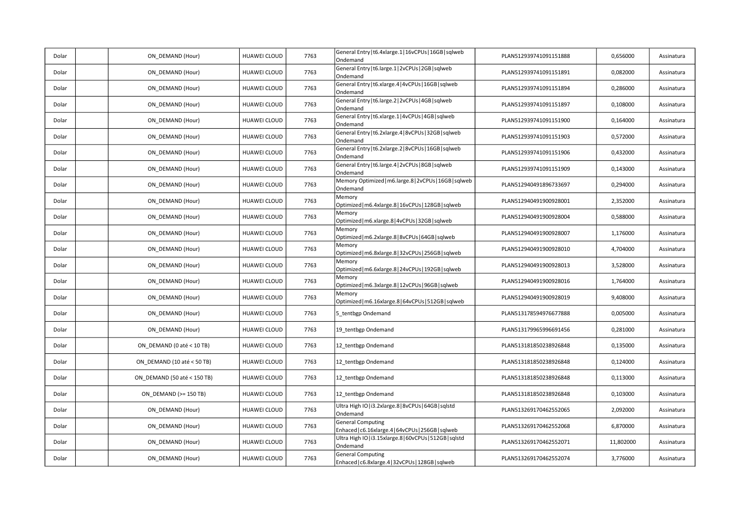| Dolar | ON DEMAND (Hour)            | HUAWEI CLOUD | 7763 | General Entry   t6.4xlarge.1   16vCPUs   16GB   sqlweb<br>Ondemand             | PLAN512939741091151888 | 0,656000  | Assinatura |
|-------|-----------------------------|--------------|------|--------------------------------------------------------------------------------|------------------------|-----------|------------|
| Dolar | ON_DEMAND (Hour)            | HUAWEI CLOUD | 7763 | General Entry   t6.large.1   2vCPUs   2GB   sqlweb<br>Ondemand                 | PLAN512939741091151891 | 0,082000  | Assinatura |
| Dolar | ON_DEMAND (Hour)            | HUAWEI CLOUD | 7763 | General Entry   t6.xlarge.4   4vCPUs   16GB   sqlweb<br>Ondemand               | PLAN512939741091151894 | 0,286000  | Assinatura |
| Dolar | ON_DEMAND (Hour)            | HUAWEI CLOUD | 7763 | General Entry   t6.large.2   2vCPUs   4GB   sqlweb<br>Ondemand                 | PLAN512939741091151897 | 0,108000  | Assinatura |
| Dolar | ON_DEMAND (Hour)            | HUAWEI CLOUD | 7763 | General Entry   t6.xlarge.1   4vCPUs   4GB   sqlweb<br>Ondemand                | PLAN512939741091151900 | 0,164000  | Assinatura |
| Dolar | ON_DEMAND (Hour)            | HUAWEI CLOUD | 7763 | General Entry   t6.2xlarge.4   8vCPUs   32GB   sqlweb<br>Ondemand              | PLAN512939741091151903 | 0,572000  | Assinatura |
| Dolar | ON DEMAND (Hour)            | HUAWEI CLOUD | 7763 | General Entry   t6.2xlarge.2   8vCPUs   16GB   sqlweb<br>Ondemand              | PLAN512939741091151906 | 0,432000  | Assinatura |
| Dolar | ON_DEMAND (Hour)            | HUAWEI CLOUD | 7763 | General Entry   t6.large.4   2vCPUs   8GB   sqlweb<br>Ondemand                 | PLAN512939741091151909 | 0,143000  | Assinatura |
| Dolar | ON_DEMAND (Hour)            | HUAWEI CLOUD | 7763 | Memory Optimized   m6.large.8   2vCPUs   16GB   sqlweb<br>Ondemand             | PLAN512940491896733697 | 0,294000  | Assinatura |
| Dolar | ON_DEMAND (Hour)            | HUAWEI CLOUD | 7763 | Memory<br>Optimized   m6.4xlarge.8   16vCPUs   128GB   sqlweb                  | PLAN512940491900928001 | 2,352000  | Assinatura |
| Dolar | ON_DEMAND (Hour)            | HUAWEI CLOUD | 7763 | Memory<br>Optimized   m6.xlarge.8   4vCPUs   32GB   sqlweb                     | PLAN512940491900928004 | 0,588000  | Assinatura |
| Dolar | ON_DEMAND (Hour)            | HUAWEI CLOUD | 7763 | Memory<br>Optimized   m6.2xlarge.8   8vCPUs   64GB   sqlweb                    | PLAN512940491900928007 | 1,176000  | Assinatura |
| Dolar | ON_DEMAND (Hour)            | HUAWEI CLOUD | 7763 | Memory<br>Optimized   m6.8xlarge.8   32vCPUs   256GB   sqlweb                  | PLAN512940491900928010 | 4,704000  | Assinatura |
| Dolar | ON_DEMAND (Hour)            | HUAWEI CLOUD | 7763 | Memory<br>Optimized   m6.6xlarge.8   24vCPUs   192GB   sqlweb                  | PLAN512940491900928013 | 3,528000  | Assinatura |
| Dolar | ON_DEMAND (Hour)            | HUAWEI CLOUD | 7763 | Memory<br>Optimized   m6.3xlarge.8   12vCPUs   96GB   sqlweb                   | PLAN512940491900928016 | 1,764000  | Assinatura |
| Dolar | ON_DEMAND (Hour)            | HUAWEI CLOUD | 7763 | Memory<br>Optimized   m6.16xlarge.8   64vCPUs   512GB   sqlweb                 | PLAN512940491900928019 | 9,408000  | Assinatura |
| Dolar | ON_DEMAND (Hour)            | HUAWEI CLOUD | 7763 | 5_tentbgp Ondemand                                                             | PLAN513178594976677888 | 0,005000  | Assinatura |
| Dolar | ON_DEMAND (Hour)            | HUAWEI CLOUD | 7763 | 19_tentbgp Ondemand                                                            | PLAN513179965996691456 | 0,281000  | Assinatura |
| Dolar | ON_DEMAND (0 até < 10 TB)   | HUAWEI CLOUD | 7763 | 12_tentbgp Ondemand                                                            | PLAN513181850238926848 | 0,135000  | Assinatura |
| Dolar | ON_DEMAND (10 até < 50 TB)  | HUAWEI CLOUD | 7763 | 12_tentbgp Ondemand                                                            | PLAN513181850238926848 | 0,124000  | Assinatura |
| Dolar | ON_DEMAND (50 até < 150 TB) | HUAWEI CLOUD | 7763 | 12_tentbgp Ondemand                                                            | PLAN513181850238926848 | 0,113000  | Assinatura |
| Dolar | ON_DEMAND (>= 150 TB)       | HUAWEI CLOUD | 7763 | 12_tentbgp Ondemand                                                            | PLAN513181850238926848 | 0,103000  | Assinatura |
| Dolar | ON_DEMAND (Hour)            | HUAWEI CLOUD | 7763 | Ultra High IO   i3.2xlarge.8   8vCPUs   64GB   sqlstd<br>Ondemand              | PLAN513269170462552065 | 2,092000  | Assinatura |
| Dolar | ON_DEMAND (Hour)            | HUAWEI CLOUD | 7763 | <b>General Computing</b><br>Enhaced   c6.16xlarge.4   64vCPUs   256GB   sqlweb | PLAN513269170462552068 | 6,870000  | Assinatura |
| Dolar | ON_DEMAND (Hour)            | HUAWEI CLOUD | 7763 | Ultra High IO   i3.15xlarge.8   60vCPUs   512GB   sqlstd<br>Ondemand           | PLAN513269170462552071 | 11,802000 | Assinatura |
| Dolar | ON_DEMAND (Hour)            | HUAWEI CLOUD | 7763 | <b>General Computing</b><br>Enhaced   c6.8xlarge.4   32vCPUs   128GB   sqlweb  | PLAN513269170462552074 | 3,776000  | Assinatura |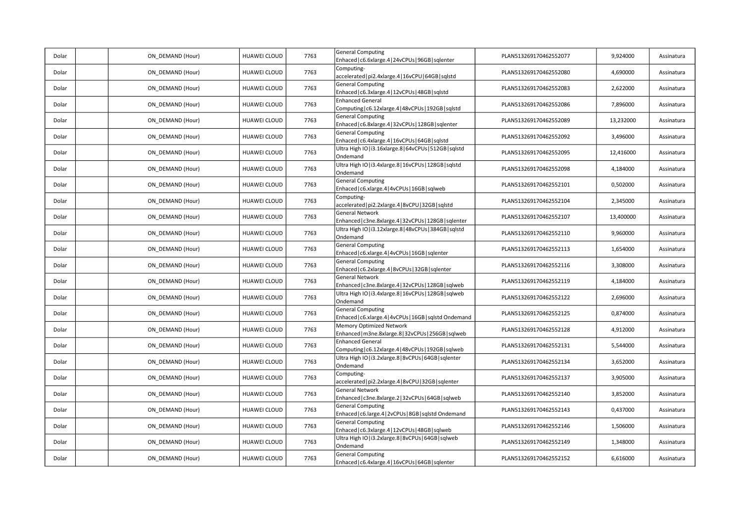| Dolar | ON_DEMAND (Hour) | HUAWEI CLOUD | 7763 | <b>General Computing</b><br>Enhaced   c6.6xlarge.4   24vCPUs   96GB   sqlenter      | PLAN513269170462552077 | 9,924000  | Assinatura |
|-------|------------------|--------------|------|-------------------------------------------------------------------------------------|------------------------|-----------|------------|
| Dolar | ON DEMAND (Hour) | HUAWEI CLOUD | 7763 | Computing-<br>accelerated   pi2.4xlarge.4   16vCPU   64GB   sqlstd                  | PLAN513269170462552080 | 4,690000  | Assinatura |
| Dolar | ON_DEMAND (Hour) | HUAWEI CLOUD | 7763 | <b>General Computing</b><br>Enhaced   c6.3xlarge.4   12vCPUs   48GB   sqlstd        | PLAN513269170462552083 | 2,622000  | Assinatura |
| Dolar | ON DEMAND (Hour) | HUAWEI CLOUD | 7763 | <b>Enhanced General</b><br>Computing   c6.12xlarge.4   48vCPUs   192GB   sqlstd     | PLAN513269170462552086 | 7,896000  | Assinatura |
| Dolar | ON_DEMAND (Hour) | HUAWEI CLOUD | 7763 | <b>General Computing</b><br>Enhaced   c6.8xlarge.4   32vCPUs   128GB   sqlenter     | PLAN513269170462552089 | 13,232000 | Assinatura |
| Dolar | ON DEMAND (Hour) | HUAWEI CLOUD | 7763 | <b>General Computing</b><br>Enhaced   c6.4xlarge.4   16vCPUs   64GB   sqlstd        | PLAN513269170462552092 | 3,496000  | Assinatura |
| Dolar | ON_DEMAND (Hour) | HUAWEI CLOUD | 7763 | Ultra High IO   i3.16xlarge.8   64vCPUs   512GB   sqlstd<br>Ondemand                | PLAN513269170462552095 | 12,416000 | Assinatura |
| Dolar | ON_DEMAND (Hour) | HUAWEI CLOUD | 7763 | Ultra High IO   i3.4xlarge.8   16vCPUs   128GB   sqlstd<br>Ondemand                 | PLAN513269170462552098 | 4,184000  | Assinatura |
| Dolar | ON_DEMAND (Hour) | HUAWEI CLOUD | 7763 | <b>General Computing</b><br>Enhaced   c6.xlarge.4   4vCPUs   16GB   sqlweb          | PLAN513269170462552101 | 0,502000  | Assinatura |
| Dolar | ON DEMAND (Hour) | HUAWEI CLOUD | 7763 | Computing-<br>accelerated   pi2.2xlarge.4   8vCPU   32GB   sqlstd                   | PLAN513269170462552104 | 2,345000  | Assinatura |
| Dolar | ON DEMAND (Hour) | HUAWEI CLOUD | 7763 | General Network<br>Enhanced   c3ne.8xlarge.4   32vCPUs   128GB   sqlenter           | PLAN513269170462552107 | 13,400000 | Assinatura |
| Dolar | ON_DEMAND (Hour) | HUAWEI CLOUD | 7763 | Ultra High IO   i3.12xlarge.8   48vCPUs   384GB   sqlstd<br>Ondemand                | PLAN513269170462552110 | 9,960000  | Assinatura |
| Dolar | ON DEMAND (Hour) | HUAWEI CLOUD | 7763 | <b>General Computing</b><br>Enhaced   c6.xlarge.4   4vCPUs   16GB   sqlenter        | PLAN513269170462552113 | 1,654000  | Assinatura |
| Dolar | ON DEMAND (Hour) | HUAWEI CLOUD | 7763 | <b>General Computing</b><br>Enhaced   c6.2xlarge.4   8vCPUs   32GB   sqlenter       | PLAN513269170462552116 | 3,308000  | Assinatura |
| Dolar | ON DEMAND (Hour) | HUAWEI CLOUD | 7763 | General Network<br>Enhanced   c3ne.8xlarge.4   32vCPUs   128GB   sqlweb             | PLAN513269170462552119 | 4,184000  | Assinatura |
| Dolar | ON DEMAND (Hour) | HUAWEI CLOUD | 7763 | Ultra High IO   i3.4xlarge.8   16vCPUs   128GB   sqlweb<br>Ondemand                 | PLAN513269170462552122 | 2,696000  | Assinatura |
| Dolar | ON DEMAND (Hour) | HUAWEI CLOUD | 7763 | <b>General Computing</b><br>Enhaced   c6.xlarge.4   4vCPUs   16GB   sqlstd Ondemand | PLAN513269170462552125 | 0,874000  | Assinatura |
| Dolar | ON_DEMAND (Hour) | HUAWEI CLOUD | 7763 | Memory Optimized Network<br>Enhanced   m3ne.8xlarge.8   32vCPUs   256GB   sqlweb    | PLAN513269170462552128 | 4,912000  | Assinatura |
| Dolar | ON DEMAND (Hour) | HUAWEI CLOUD | 7763 | <b>Enhanced General</b><br>Computing   c6.12xlarge.4   48vCPUs   192GB   sqlweb     | PLAN513269170462552131 | 5,544000  | Assinatura |
| Dolar | ON_DEMAND (Hour) | HUAWEI CLOUD | 7763 | Ultra High IO   i3.2xlarge.8   8vCPUs   64GB   sqlenter<br>Ondemand                 | PLAN513269170462552134 | 3,652000  | Assinatura |
| Dolar | ON_DEMAND (Hour) | HUAWEI CLOUD | 7763 | Computing-<br>accelerated   pi2.2xlarge.4   8vCPU   32GB   sqlenter                 | PLAN513269170462552137 | 3,905000  | Assinatura |
| Dolar | ON_DEMAND (Hour) | HUAWEI CLOUD | 7763 | General Network<br>Enhanced   c3ne.8xlarge.2   32vCPUs   64GB   sqlweb              | PLAN513269170462552140 | 3,852000  | Assinatura |
| Dolar | ON DEMAND (Hour) | HUAWEI CLOUD | 7763 | <b>General Computing</b><br>Enhaced   c6.large.4   2vCPUs   8GB   sqlstd Ondemand   | PLAN513269170462552143 | 0,437000  | Assinatura |
| Dolar | ON DEMAND (Hour) | HUAWEI CLOUD | 7763 | <b>General Computing</b><br>Enhaced   c6.3xlarge.4   12vCPUs   48GB   sqlweb        | PLAN513269170462552146 | 1,506000  | Assinatura |
| Dolar | ON_DEMAND (Hour) | HUAWEI CLOUD | 7763 | Ultra High IO   i3.2xlarge.8   8vCPUs   64GB   sqlweb<br>Ondemand                   | PLAN513269170462552149 | 1,348000  | Assinatura |
| Dolar | ON_DEMAND (Hour) | HUAWEI CLOUD | 7763 | <b>General Computing</b><br>Enhaced   c6.4xlarge.4   16vCPUs   64GB   sqlenter      | PLAN513269170462552152 | 6,616000  | Assinatura |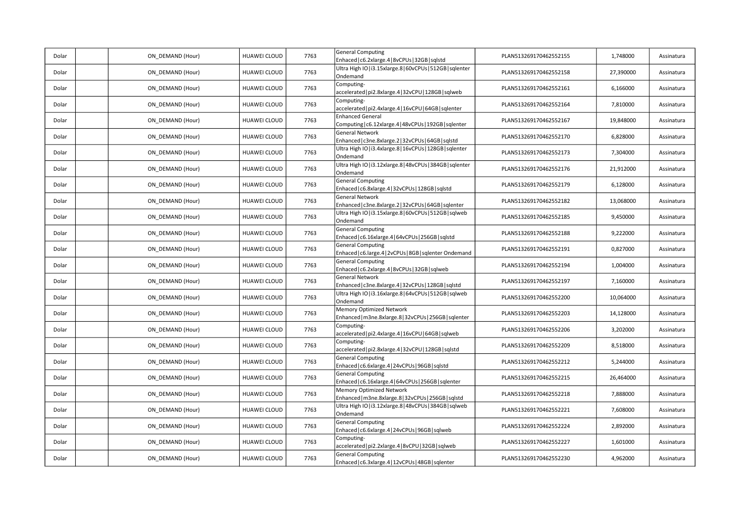| Dolar | ON_DEMAND (Hour) | HUAWEI CLOUD | 7763 | <b>General Computing</b><br>Enhaced   c6.2xlarge.4   8vCPUs   32GB   sqlstd         | PLAN513269170462552155 | 1,748000  | Assinatura |
|-------|------------------|--------------|------|-------------------------------------------------------------------------------------|------------------------|-----------|------------|
| Dolar | ON_DEMAND (Hour) | HUAWEI CLOUD | 7763 | Ultra High IO   i3.15xlarge.8   60vCPUs   512GB   sqlenter<br>Ondemand              | PLAN513269170462552158 | 27,390000 | Assinatura |
| Dolar | ON DEMAND (Hour) | HUAWEI CLOUD | 7763 | Computing-<br>accelerated   pi2.8xlarge.4   32vCPU   128GB   sqlweb                 | PLAN513269170462552161 | 6,166000  | Assinatura |
| Dolar | ON DEMAND (Hour) | HUAWEI CLOUD | 7763 | Computing-<br>accelerated   pi2.4xlarge.4   16vCPU   64GB   sqlenter                | PLAN513269170462552164 | 7,810000  | Assinatura |
| Dolar | ON_DEMAND (Hour) | HUAWEI CLOUD | 7763 | <b>Enhanced General</b><br>Computing   c6.12xlarge.4   48vCPUs   192GB   sqlenter   | PLAN513269170462552167 | 19,848000 | Assinatura |
| Dolar | ON DEMAND (Hour) | HUAWEI CLOUD | 7763 | General Network<br>Enhanced   c3ne.8xlarge.2   32vCPUs   64GB   sqlstd              | PLAN513269170462552170 | 6,828000  | Assinatura |
| Dolar | ON DEMAND (Hour) | HUAWEI CLOUD | 7763 | Ultra High IO   i3.4xlarge.8   16vCPUs   128GB   sqlenter<br>Ondemand               | PLAN513269170462552173 | 7,304000  | Assinatura |
| Dolar | ON DEMAND (Hour) | HUAWEI CLOUD | 7763 | Ultra High IO   i3.12xlarge.8   48vCPUs   384GB   sqlenter<br>Ondemand              | PLAN513269170462552176 | 21,912000 | Assinatura |
| Dolar | ON DEMAND (Hour) | HUAWEI CLOUD | 7763 | <b>General Computing</b><br>Enhaced   c6.8xlarge.4   32vCPUs   128GB   sqlstd       | PLAN513269170462552179 | 6,128000  | Assinatura |
| Dolar | ON_DEMAND (Hour) | HUAWEI CLOUD | 7763 | <b>General Network</b><br>Enhanced   c3ne.8xlarge.2   32vCPUs   64GB   sqlenter     | PLAN513269170462552182 | 13,068000 | Assinatura |
| Dolar | ON_DEMAND (Hour) | HUAWEI CLOUD | 7763 | Ultra High IO   i3.15xlarge.8   60vCPUs   512GB   sqlweb<br>Ondemand                | PLAN513269170462552185 | 9,450000  | Assinatura |
| Dolar | ON DEMAND (Hour) | HUAWEI CLOUD | 7763 | <b>General Computing</b><br>Enhaced   c6.16xlarge.4   64vCPUs   256GB   sqlstd      | PLAN513269170462552188 | 9,222000  | Assinatura |
| Dolar | ON DEMAND (Hour) | HUAWEI CLOUD | 7763 | <b>General Computing</b><br>Enhaced   c6.large.4   2vCPUs   8GB   sqlenter Ondemand | PLAN513269170462552191 | 0,827000  | Assinatura |
| Dolar | ON_DEMAND (Hour) | HUAWEI CLOUD | 7763 | <b>General Computing</b><br>Enhaced   c6.2xlarge.4   8vCPUs   32GB   sqlweb         | PLAN513269170462552194 | 1,004000  | Assinatura |
| Dolar | ON_DEMAND (Hour) | HUAWEI CLOUD | 7763 | General Network<br>Enhanced   c3ne.8xlarge.4   32vCPUs   128GB   sqlstd             | PLAN513269170462552197 | 7,160000  | Assinatura |
| Dolar | ON_DEMAND (Hour) | HUAWEI CLOUD | 7763 | Ultra High IO   i3.16xlarge.8   64vCPUs   512GB   sqlweb<br>Ondemand                | PLAN513269170462552200 | 10,064000 | Assinatura |
| Dolar | ON DEMAND (Hour) | HUAWEI CLOUD | 7763 | Memory Optimized Network<br>Enhanced   m3ne.8xlarge.8   32vCPUs   256GB   sqlenter  | PLAN513269170462552203 | 14,128000 | Assinatura |
| Dolar | ON DEMAND (Hour) | HUAWEI CLOUD | 7763 | Computing-<br>accelerated   pi2.4xlarge.4   16vCPU   64GB   sqlweb                  | PLAN513269170462552206 | 3,202000  | Assinatura |
| Dolar | ON_DEMAND (Hour) | HUAWEI CLOUD | 7763 | Computing-<br>accelerated   pi2.8xlarge.4   32vCPU   128GB   sqlstd                 | PLAN513269170462552209 | 8,518000  | Assinatura |
| Dolar | ON_DEMAND (Hour) | HUAWEI CLOUD | 7763 | <b>General Computing</b><br>Enhaced   c6.6xlarge.4   24vCPUs   96GB   sqlstd        | PLAN513269170462552212 | 5,244000  | Assinatura |
| Dolar | ON_DEMAND (Hour) | HUAWEI CLOUD | 7763 | <b>General Computing</b><br>Enhaced   c6.16xlarge.4   64vCPUs   256GB   sqlenter    | PLAN513269170462552215 | 26,464000 | Assinatura |
| Dolar | ON_DEMAND (Hour) | HUAWEI CLOUD | 7763 | Memory Optimized Network<br>Enhanced   m3ne.8xlarge.8   32vCPUs   256GB   sqlstd    | PLAN513269170462552218 | 7,888000  | Assinatura |
| Dolar | ON DEMAND (Hour) | HUAWEI CLOUD | 7763 | Ultra High IO   i3.12xlarge.8   48vCPUs   384GB   sqlweb<br>Ondemand                | PLAN513269170462552221 | 7,608000  | Assinatura |
| Dolar | ON_DEMAND (Hour) | HUAWEI CLOUD | 7763 | <b>General Computing</b><br>Enhaced   c6.6xlarge.4   24vCPUs   96GB   sqlweb        | PLAN513269170462552224 | 2,892000  | Assinatura |
| Dolar | ON_DEMAND (Hour) | HUAWEI CLOUD | 7763 | Computing-<br>accelerated   pi2.2xlarge.4   8vCPU   32GB   sqlweb                   | PLAN513269170462552227 | 1,601000  | Assinatura |
| Dolar | ON_DEMAND (Hour) | HUAWEI CLOUD | 7763 | <b>General Computing</b><br>Enhaced   c6.3xlarge.4   12vCPUs   48GB   sqlenter      | PLAN513269170462552230 | 4,962000  | Assinatura |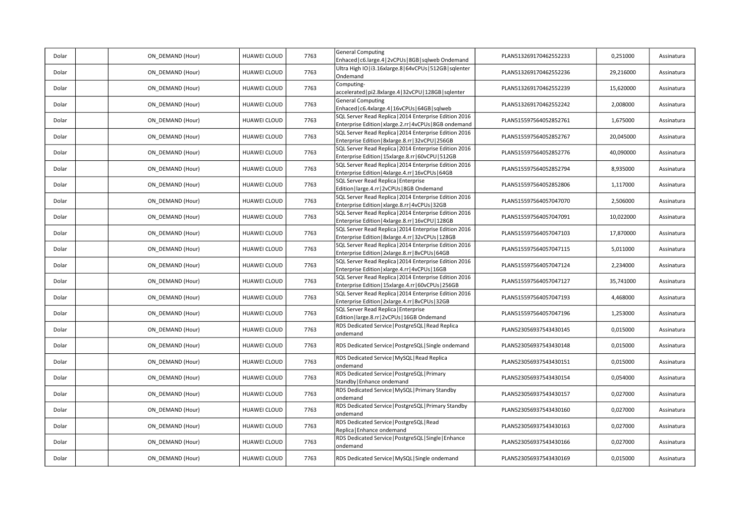| Dolar | ON DEMAND (Hour) | HUAWEI CLOUD        | 7763 | <b>General Computing</b><br>Enhaced   c6.large.4   2vCPUs   8GB   sqlweb Ondemand                                  | PLAN513269170462552233 | 0,251000  | Assinatura |
|-------|------------------|---------------------|------|--------------------------------------------------------------------------------------------------------------------|------------------------|-----------|------------|
| Dolar | ON DEMAND (Hour) | <b>HUAWEI CLOUD</b> | 7763 | Ultra High IO   i3.16xlarge.8   64vCPUs   512GB   sqlenter<br>Ondemand                                             | PLAN513269170462552236 | 29,216000 | Assinatura |
| Dolar | ON DEMAND (Hour) | HUAWEI CLOUD        | 7763 | Computing-<br>accelerated   pi2.8xlarge.4   32vCPU   128GB   sqlenter                                              | PLAN513269170462552239 | 15,620000 | Assinatura |
| Dolar | ON DEMAND (Hour) | HUAWEI CLOUD        | 7763 | <b>General Computing</b><br>Enhaced   c6.4xlarge.4   16vCPUs   64GB   sqlweb                                       | PLAN513269170462552242 | 2,008000  | Assinatura |
| Dolar | ON DEMAND (Hour) | HUAWEI CLOUD        | 7763 | SQL Server Read Replica   2014 Enterprise Edition 2016<br>Enterprise Edition   xlarge.2.rr   4vCPUs   8GB ondemand | PLAN515597564052852761 | 1,675000  | Assinatura |
| Dolar | ON DEMAND (Hour) | HUAWEI CLOUD        | 7763 | SQL Server Read Replica   2014 Enterprise Edition 2016<br>Enterprise Edition   8xlarge.8.rr   32vCPU   256GB       | PLAN515597564052852767 | 20,045000 | Assinatura |
| Dolar | ON DEMAND (Hour) | <b>HUAWEI CLOUD</b> | 7763 | SQL Server Read Replica   2014 Enterprise Edition 2016<br>Enterprise Edition   15xlarge.8.rr   60vCPU   512GB      | PLAN515597564052852776 | 40,090000 | Assinatura |
| Dolar | ON DEMAND (Hour) | HUAWEI CLOUD        | 7763 | SQL Server Read Replica   2014 Enterprise Edition 2016<br>Enterprise Edition   4xlarge. 4.rr   16vCPUs   64GB      | PLAN515597564052852794 | 8,935000  | Assinatura |
| Dolar | ON DEMAND (Hour) | HUAWEI CLOUD        | 7763 | SQL Server Read Replica   Enterprise<br>Edition   large.4.rr   2vCPUs   8GB Ondemand                               | PLAN515597564052852806 | 1,117000  | Assinatura |
| Dolar | ON DEMAND (Hour) | HUAWEI CLOUD        | 7763 | SQL Server Read Replica   2014 Enterprise Edition 2016<br>Enterprise Edition   xlarge.8.rr   4vCPUs   32GB         | PLAN515597564057047070 | 2,506000  | Assinatura |
| Dolar | ON DEMAND (Hour) | HUAWEI CLOUD        | 7763 | SQL Server Read Replica   2014 Enterprise Edition 2016<br>Enterprise Edition   4xlarge.8.rr   16vCPU   128GB       | PLAN515597564057047091 | 10,022000 | Assinatura |
| Dolar | ON DEMAND (Hour) | HUAWEI CLOUD        | 7763 | SQL Server Read Replica   2014 Enterprise Edition 2016<br>Enterprise Edition   8xlarge.4.rr   32vCPUs   128GB      | PLAN515597564057047103 | 17,870000 | Assinatura |
| Dolar | ON DEMAND (Hour) | <b>HUAWEI CLOUD</b> | 7763 | SQL Server Read Replica   2014 Enterprise Edition 2016<br>Enterprise Edition   2xlarge.8.rr   8vCPUs   64GB        | PLAN515597564057047115 | 5,011000  | Assinatura |
| Dolar | ON DEMAND (Hour) | HUAWEI CLOUD        | 7763 | SQL Server Read Replica   2014 Enterprise Edition 2016<br>Enterprise Edition   xlarge.4.rr   4vCPUs   16GB         | PLAN515597564057047124 | 2,234000  | Assinatura |
| Dolar | ON DEMAND (Hour) | HUAWEI CLOUD        | 7763 | SQL Server Read Replica   2014 Enterprise Edition 2016<br>Enterprise Edition   15xlarge.4.rr   60vCPUs   256GB     | PLAN515597564057047127 | 35,741000 | Assinatura |
| Dolar | ON DEMAND (Hour) | HUAWEI CLOUD        | 7763 | SQL Server Read Replica   2014 Enterprise Edition 2016<br>Enterprise Edition   2xlarge.4.rr   8vCPUs   32GB        | PLAN515597564057047193 | 4,468000  | Assinatura |
| Dolar | ON DEMAND (Hour) | HUAWEI CLOUD        | 7763 | SQL Server Read Replica   Enterprise<br>Edition   large.8.rr   2vCPUs   16GB Ondemand                              | PLAN515597564057047196 | 1,253000  | Assinatura |
| Dolar | ON DEMAND (Hour) | HUAWEI CLOUD        | 7763 | RDS Dedicated Service   PostgreSQL   Read Replica<br>ondemand                                                      | PLAN523056937543430145 | 0,015000  | Assinatura |
| Dolar | ON DEMAND (Hour) | HUAWEI CLOUD        | 7763 | RDS Dedicated Service   PostgreSQL   Single ondemand                                                               | PLAN523056937543430148 | 0,015000  | Assinatura |
| Dolar | ON DEMAND (Hour) | HUAWEI CLOUD        | 7763 | RDS Dedicated Service   MySQL   Read Replica<br>ondemand                                                           | PLAN523056937543430151 | 0,015000  | Assinatura |
| Dolar | ON_DEMAND (Hour) | <b>HUAWEI CLOUD</b> | 7763 | RDS Dedicated Service   PostgreSQL   Primary<br>Standby   Enhance ondemand                                         | PLAN523056937543430154 | 0,054000  | Assinatura |
| Dolar | ON DEMAND (Hour) | HUAWEI CLOUD        | 7763 | RDS Dedicated Service   MySQL   Primary Standby<br>ondemand                                                        | PLAN523056937543430157 | 0,027000  | Assinatura |
| Dolar | ON DEMAND (Hour) | HUAWEI CLOUD        | 7763 | RDS Dedicated Service   PostgreSQL   Primary Standby<br>ondemand                                                   | PLAN523056937543430160 | 0,027000  | Assinatura |
| Dolar | ON DEMAND (Hour) | HUAWEI CLOUD        | 7763 | RDS Dedicated Service   PostgreSQL   Read<br>Replica   Enhance ondemand                                            | PLAN523056937543430163 | 0,027000  | Assinatura |
| Dolar | ON DEMAND (Hour) | HUAWEI CLOUD        | 7763 | RDS Dedicated Service   PostgreSQL   Single   Enhance<br>ondemand                                                  | PLAN523056937543430166 | 0,027000  | Assinatura |
| Dolar | ON DEMAND (Hour) | <b>HUAWEI CLOUD</b> | 7763 | RDS Dedicated Service   MySQL   Single ondemand                                                                    | PLAN523056937543430169 | 0,015000  | Assinatura |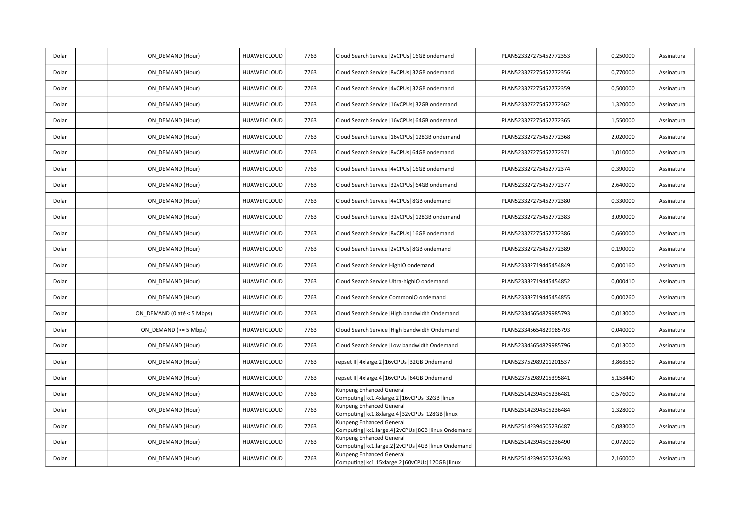| Dolar | ON_DEMAND (Hour)           | HUAWEI CLOUD        | 7763 | Cloud Search Service   2vCPUs   16GB ondemand                                       | PLAN523327275452772353 | 0,250000 | Assinatura |
|-------|----------------------------|---------------------|------|-------------------------------------------------------------------------------------|------------------------|----------|------------|
| Dolar | ON DEMAND (Hour)           | HUAWEI CLOUD        | 7763 | Cloud Search Service   8vCPUs   32GB ondemand                                       | PLAN523327275452772356 | 0,770000 | Assinatura |
| Dolar | ON DEMAND (Hour)           | HUAWEI CLOUD        | 7763 | Cloud Search Service   4vCPUs   32GB ondemand                                       | PLAN523327275452772359 | 0,500000 | Assinatura |
| Dolar | ON_DEMAND (Hour)           | HUAWEI CLOUD        | 7763 | Cloud Search Service   16vCPUs   32GB ondemand                                      | PLAN523327275452772362 | 1,320000 | Assinatura |
| Dolar | ON DEMAND (Hour)           | <b>HUAWEI CLOUD</b> | 7763 | Cloud Search Service   16vCPUs   64GB ondemand                                      | PLAN523327275452772365 | 1,550000 | Assinatura |
| Dolar | ON DEMAND (Hour)           | HUAWEI CLOUD        | 7763 | Cloud Search Service   16vCPUs   128GB ondemand                                     | PLAN523327275452772368 | 2,020000 | Assinatura |
| Dolar | ON DEMAND (Hour)           | <b>HUAWEI CLOUD</b> | 7763 | Cloud Search Service   8vCPUs   64GB ondemand                                       | PLAN523327275452772371 | 1,010000 | Assinatura |
| Dolar | ON DEMAND (Hour)           | HUAWEI CLOUD        | 7763 | Cloud Search Service   4vCPUs   16GB ondemand                                       | PLAN523327275452772374 | 0,390000 | Assinatura |
| Dolar | ON DEMAND (Hour)           | HUAWEI CLOUD        | 7763 | Cloud Search Service   32vCPUs   64GB ondemand                                      | PLAN523327275452772377 | 2,640000 | Assinatura |
| Dolar | ON DEMAND (Hour)           | HUAWEI CLOUD        | 7763 | Cloud Search Service   4vCPUs   8GB ondemand                                        | PLAN523327275452772380 | 0,330000 | Assinatura |
| Dolar | ON DEMAND (Hour)           | HUAWEI CLOUD        | 7763 | Cloud Search Service   32vCPUs   128GB ondemand                                     | PLAN523327275452772383 | 3,090000 | Assinatura |
| Dolar | ON DEMAND (Hour)           | HUAWEI CLOUD        | 7763 | Cloud Search Service   8vCPUs   16GB ondemand                                       | PLAN523327275452772386 | 0,660000 | Assinatura |
| Dolar | ON DEMAND (Hour)           | HUAWEI CLOUD        | 7763 | Cloud Search Service   2vCPUs   8GB ondemand                                        | PLAN523327275452772389 | 0,190000 | Assinatura |
| Dolar | ON DEMAND (Hour)           | HUAWEI CLOUD        | 7763 | Cloud Search Service HighIO ondemand                                                | PLAN523332719445454849 | 0,000160 | Assinatura |
| Dolar | ON_DEMAND (Hour)           | HUAWEI CLOUD        | 7763 | Cloud Search Service Ultra-highIO ondemand                                          | PLAN523332719445454852 | 0,000410 | Assinatura |
| Dolar | ON DEMAND (Hour)           | HUAWEI CLOUD        | 7763 | Cloud Search Service CommonIO ondemand                                              | PLAN523332719445454855 | 0,000260 | Assinatura |
| Dolar | ON DEMAND (0 até < 5 Mbps) | <b>HUAWEI CLOUD</b> | 7763 | Cloud Search Service   High bandwidth Ondemand                                      | PLAN523345654829985793 | 0,013000 | Assinatura |
| Dolar | ON DEMAND (>= 5 Mbps)      | HUAWEI CLOUD        | 7763 | Cloud Search Service   High bandwidth Ondemand                                      | PLAN523345654829985793 | 0,040000 | Assinatura |
| Dolar | ON DEMAND (Hour)           | HUAWEI CLOUD        | 7763 | Cloud Search Service   Low bandwidth Ondemand                                       | PLAN523345654829985796 | 0,013000 | Assinatura |
| Dolar | ON DEMAND (Hour)           | HUAWEI CLOUD        | 7763 | repset II   4xlarge.2   16vCPUs   32GB Ondemand                                     | PLAN523752989211201537 | 3,868560 | Assinatura |
| Dolar | ON DEMAND (Hour)           | HUAWEI CLOUD        | 7763 | repset II   4xlarge.4   16vCPUs   64GB Ondemand                                     | PLAN523752989215395841 | 5,158440 | Assinatura |
| Dolar | ON DEMAND (Hour)           | HUAWEI CLOUD        | 7763 | Kunpeng Enhanced General<br>Computing   kc1.4xlarge.2   16vCPUs   32GB   linux      | PLAN525142394505236481 | 0,576000 | Assinatura |
| Dolar | ON_DEMAND (Hour)           | HUAWEI CLOUD        | 7763 | Kunpeng Enhanced General<br>Computing   kc1.8xlarge.4   32vCPUs   128GB   linux     | PLAN525142394505236484 | 1,328000 | Assinatura |
| Dolar | ON DEMAND (Hour)           | HUAWEI CLOUD        | 7763 | Kunpeng Enhanced General<br>Computing   kc1.large.4   2vCPUs   8GB   linux Ondemand | PLAN525142394505236487 | 0,083000 | Assinatura |
| Dolar | ON DEMAND (Hour)           | HUAWEI CLOUD        | 7763 | Kunpeng Enhanced General<br>Computing   kc1.large.2   2vCPUs   4GB   linux Ondemand | PLAN525142394505236490 | 0,072000 | Assinatura |
| Dolar | ON DEMAND (Hour)           | HUAWEI CLOUD        | 7763 | Kunpeng Enhanced General<br>Computing   kc1.15xlarge.2   60vCPUs   120GB   linux    | PLAN525142394505236493 | 2,160000 | Assinatura |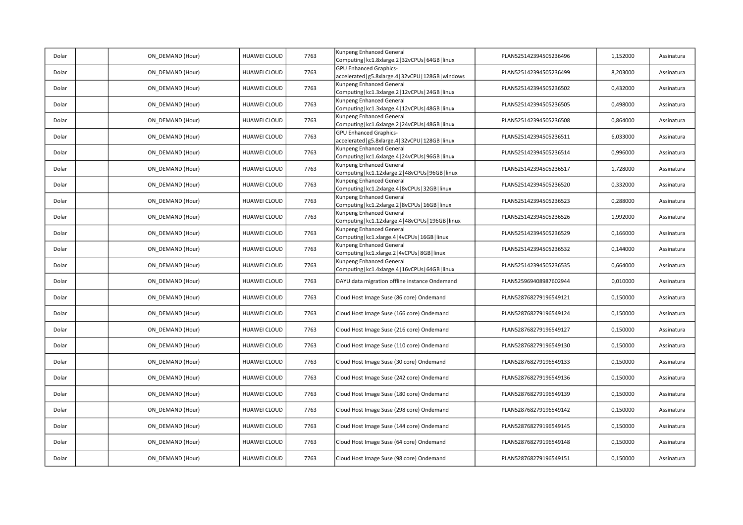| Dolar | ON DEMAND (Hour) | HUAWEI CLOUD        | 7763 | Kunpeng Enhanced General<br>Computing   kc1.8xlarge.2   32vCPUs   64GB   linux         | PLAN525142394505236496 | 1,152000 | Assinatura |
|-------|------------------|---------------------|------|----------------------------------------------------------------------------------------|------------------------|----------|------------|
| Dolar | ON DEMAND (Hour) | <b>HUAWEI CLOUD</b> | 7763 | <b>GPU Enhanced Graphics-</b><br>accelerated   g5.8xlarge.4   32vCPU   128GB   windows | PLAN525142394505236499 | 8,203000 | Assinatura |
| Dolar | ON DEMAND (Hour) | HUAWEI CLOUD        | 7763 | Kunpeng Enhanced General<br>Computing   kc1.3xlarge.2   12vCPUs   24GB   linux         | PLAN525142394505236502 | 0,432000 | Assinatura |
| Dolar | ON DEMAND (Hour) | HUAWEI CLOUD        | 7763 | Kunpeng Enhanced General<br>Computing   kc1.3xlarge.4   12vCPUs   48GB   linux         | PLAN525142394505236505 | 0,498000 | Assinatura |
| Dolar | ON DEMAND (Hour) | HUAWEI CLOUD        | 7763 | Kunpeng Enhanced General<br>Computing   kc1.6xlarge.2   24vCPUs   48GB   linux         | PLAN525142394505236508 | 0,864000 | Assinatura |
| Dolar | ON DEMAND (Hour) | <b>HUAWEI CLOUD</b> | 7763 | <b>GPU Enhanced Graphics-</b><br>accelerated   g5.8xlarge.4   32vCPU   128GB   linux   | PLAN525142394505236511 | 6,033000 | Assinatura |
| Dolar | ON DEMAND (Hour) | <b>HUAWEI CLOUD</b> | 7763 | Kunpeng Enhanced General<br>Computing   kc1.6xlarge.4   24vCPUs   96GB   linux         | PLAN525142394505236514 | 0,996000 | Assinatura |
| Dolar | ON DEMAND (Hour) | HUAWEI CLOUD        | 7763 | Kunpeng Enhanced General<br>Computing   kc1.12xlarge.2   48vCPUs   96GB   linux        | PLAN525142394505236517 | 1,728000 | Assinatura |
| Dolar | ON DEMAND (Hour) | HUAWEI CLOUD        | 7763 | Kunpeng Enhanced General<br>Computing   kc1.2xlarge.4   8vCPUs   32GB   linux          | PLAN525142394505236520 | 0,332000 | Assinatura |
| Dolar | ON_DEMAND (Hour) | <b>HUAWEI CLOUD</b> | 7763 | Kunpeng Enhanced General<br>Computing   kc1.2xlarge.2   8vCPUs   16GB   linux          | PLAN525142394505236523 | 0,288000 | Assinatura |
| Dolar | ON DEMAND (Hour) | <b>HUAWEI CLOUD</b> | 7763 | Kunpeng Enhanced General<br>Computing   kc1.12xlarge.4   48vCPUs   196GB   linux       | PLAN525142394505236526 | 1,992000 | Assinatura |
| Dolar | ON DEMAND (Hour) | HUAWEI CLOUD        | 7763 | Kunpeng Enhanced General<br>Computing   kc1.xlarge.4   4vCPUs   16GB   linux           | PLAN525142394505236529 | 0,166000 | Assinatura |
| Dolar | ON DEMAND (Hour) | HUAWEI CLOUD        | 7763 | Kunpeng Enhanced General<br>Computing   kc1.xlarge.2   4vCPUs   8GB   linux            | PLAN525142394505236532 | 0,144000 | Assinatura |
| Dolar | ON_DEMAND (Hour) | <b>HUAWEI CLOUD</b> | 7763 | Kunpeng Enhanced General<br>Computing   kc1.4xlarge.4   16vCPUs   64GB   linux         | PLAN525142394505236535 | 0,664000 | Assinatura |
| Dolar | ON DEMAND (Hour) | <b>HUAWEI CLOUD</b> | 7763 | DAYU data migration offline instance Ondemand                                          | PLAN525969408987602944 | 0,010000 | Assinatura |
| Dolar | ON DEMAND (Hour) | HUAWEI CLOUD        | 7763 | Cloud Host Image Suse (86 core) Ondemand                                               | PLAN528768279196549121 | 0,150000 | Assinatura |
| Dolar | ON DEMAND (Hour) | HUAWEI CLOUD        | 7763 | Cloud Host Image Suse (166 core) Ondemand                                              | PLAN528768279196549124 | 0,150000 | Assinatura |
| Dolar | ON DEMAND (Hour) | HUAWEI CLOUD        | 7763 | Cloud Host Image Suse (216 core) Ondemand                                              | PLAN528768279196549127 | 0,150000 | Assinatura |
| Dolar | ON DEMAND (Hour) | HUAWEI CLOUD        | 7763 | Cloud Host Image Suse (110 core) Ondemand                                              | PLAN528768279196549130 | 0,150000 | Assinatura |
| Dolar | ON DEMAND (Hour) | HUAWEI CLOUD        | 7763 | Cloud Host Image Suse (30 core) Ondemand                                               | PLAN528768279196549133 | 0,150000 | Assinatura |
| Dolar | ON DEMAND (Hour) | HUAWEI CLOUD        | 7763 | Cloud Host Image Suse (242 core) Ondemand                                              | PLAN528768279196549136 | 0,150000 | Assinatura |
| Dolar | ON_DEMAND (Hour) | HUAWEI CLOUD        | 7763 | Cloud Host Image Suse (180 core) Ondemand                                              | PLAN528768279196549139 | 0,150000 | Assinatura |
| Dolar | ON DEMAND (Hour) | HUAWEI CLOUD        | 7763 | Cloud Host Image Suse (298 core) Ondemand                                              | PLAN528768279196549142 | 0,150000 | Assinatura |
| Dolar | ON DEMAND (Hour) | HUAWEI CLOUD        | 7763 | Cloud Host Image Suse (144 core) Ondemand                                              | PLAN528768279196549145 | 0,150000 | Assinatura |
| Dolar | ON DEMAND (Hour) | HUAWEI CLOUD        | 7763 | Cloud Host Image Suse (64 core) Ondemand                                               | PLAN528768279196549148 | 0,150000 | Assinatura |
| Dolar | ON DEMAND (Hour) | HUAWEI CLOUD        | 7763 | Cloud Host Image Suse (98 core) Ondemand                                               | PLAN528768279196549151 | 0,150000 | Assinatura |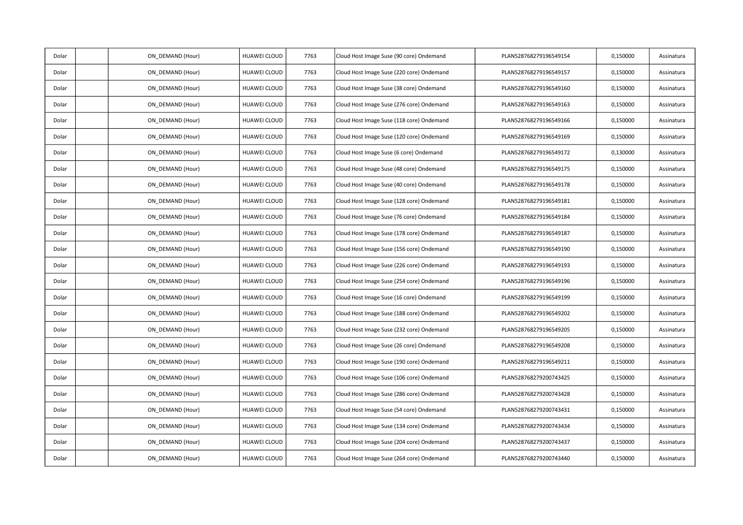| Dolar | ON_DEMAND (Hour) | HUAWEI CLOUD        | 7763 | Cloud Host Image Suse (90 core) Ondemand  | PLAN528768279196549154 | 0,150000 | Assinatura |
|-------|------------------|---------------------|------|-------------------------------------------|------------------------|----------|------------|
| Dolar | ON DEMAND (Hour) | HUAWEI CLOUD        | 7763 | Cloud Host Image Suse (220 core) Ondemand | PLAN528768279196549157 | 0,150000 | Assinatura |
| Dolar | ON DEMAND (Hour) | HUAWEI CLOUD        | 7763 | Cloud Host Image Suse (38 core) Ondemand  | PLAN528768279196549160 | 0,150000 | Assinatura |
| Dolar | ON_DEMAND (Hour) | <b>HUAWEI CLOUD</b> | 7763 | Cloud Host Image Suse (276 core) Ondemand | PLAN528768279196549163 | 0,150000 | Assinatura |
| Dolar | ON_DEMAND (Hour) | <b>HUAWEI CLOUD</b> | 7763 | Cloud Host Image Suse (118 core) Ondemand | PLAN528768279196549166 | 0,150000 | Assinatura |
| Dolar | ON DEMAND (Hour) | <b>HUAWEI CLOUD</b> | 7763 | Cloud Host Image Suse (120 core) Ondemand | PLAN528768279196549169 | 0,150000 | Assinatura |
| Dolar | ON_DEMAND (Hour) | <b>HUAWEI CLOUD</b> | 7763 | Cloud Host Image Suse (6 core) Ondemand   | PLAN528768279196549172 | 0,130000 | Assinatura |
| Dolar | ON_DEMAND (Hour) | <b>HUAWEI CLOUD</b> | 7763 | Cloud Host Image Suse (48 core) Ondemand  | PLAN528768279196549175 | 0,150000 | Assinatura |
| Dolar | ON DEMAND (Hour) | HUAWEI CLOUD        | 7763 | Cloud Host Image Suse (40 core) Ondemand  | PLAN528768279196549178 | 0,150000 | Assinatura |
| Dolar | ON DEMAND (Hour) | <b>HUAWEI CLOUD</b> | 7763 | Cloud Host Image Suse (128 core) Ondemand | PLAN528768279196549181 | 0,150000 | Assinatura |
| Dolar | ON_DEMAND (Hour) | <b>HUAWEI CLOUD</b> | 7763 | Cloud Host Image Suse (76 core) Ondemand  | PLAN528768279196549184 | 0,150000 | Assinatura |
| Dolar | ON_DEMAND (Hour) | HUAWEI CLOUD        | 7763 | Cloud Host Image Suse (178 core) Ondemand | PLAN528768279196549187 | 0,150000 | Assinatura |
| Dolar | ON DEMAND (Hour) | <b>HUAWEI CLOUD</b> | 7763 | Cloud Host Image Suse (156 core) Ondemand | PLAN528768279196549190 | 0,150000 | Assinatura |
| Dolar | ON_DEMAND (Hour) | HUAWEI CLOUD        | 7763 | Cloud Host Image Suse (226 core) Ondemand | PLAN528768279196549193 | 0,150000 | Assinatura |
| Dolar | ON_DEMAND (Hour) | HUAWEI CLOUD        | 7763 | Cloud Host Image Suse (254 core) Ondemand | PLAN528768279196549196 | 0,150000 | Assinatura |
| Dolar | ON DEMAND (Hour) | <b>HUAWEI CLOUD</b> | 7763 | Cloud Host Image Suse (16 core) Ondemand  | PLAN528768279196549199 | 0,150000 | Assinatura |
| Dolar | ON DEMAND (Hour) | <b>HUAWEI CLOUD</b> | 7763 | Cloud Host Image Suse (188 core) Ondemand | PLAN528768279196549202 | 0,150000 | Assinatura |
| Dolar | ON_DEMAND (Hour) | <b>HUAWEI CLOUD</b> | 7763 | Cloud Host Image Suse (232 core) Ondemand | PLAN528768279196549205 | 0,150000 | Assinatura |
| Dolar | ON_DEMAND (Hour) | HUAWEI CLOUD        | 7763 | Cloud Host Image Suse (26 core) Ondemand  | PLAN528768279196549208 | 0,150000 | Assinatura |
| Dolar | ON DEMAND (Hour) | HUAWEI CLOUD        | 7763 | Cloud Host Image Suse (190 core) Ondemand | PLAN528768279196549211 | 0,150000 | Assinatura |
| Dolar | ON DEMAND (Hour) | <b>HUAWEI CLOUD</b> | 7763 | Cloud Host Image Suse (106 core) Ondemand | PLAN528768279200743425 | 0,150000 | Assinatura |
| Dolar | ON_DEMAND (Hour) | HUAWEI CLOUD        | 7763 | Cloud Host Image Suse (286 core) Ondemand | PLAN528768279200743428 | 0,150000 | Assinatura |
| Dolar | ON DEMAND (Hour) | <b>HUAWEI CLOUD</b> | 7763 | Cloud Host Image Suse (54 core) Ondemand  | PLAN528768279200743431 | 0,150000 | Assinatura |
| Dolar | ON DEMAND (Hour) | HUAWEI CLOUD        | 7763 | Cloud Host Image Suse (134 core) Ondemand | PLAN528768279200743434 | 0,150000 | Assinatura |
| Dolar | ON DEMAND (Hour) | <b>HUAWEI CLOUD</b> | 7763 | Cloud Host Image Suse (204 core) Ondemand | PLAN528768279200743437 | 0,150000 | Assinatura |
| Dolar | ON DEMAND (Hour) | <b>HUAWEI CLOUD</b> | 7763 | Cloud Host Image Suse (264 core) Ondemand | PLAN528768279200743440 | 0,150000 | Assinatura |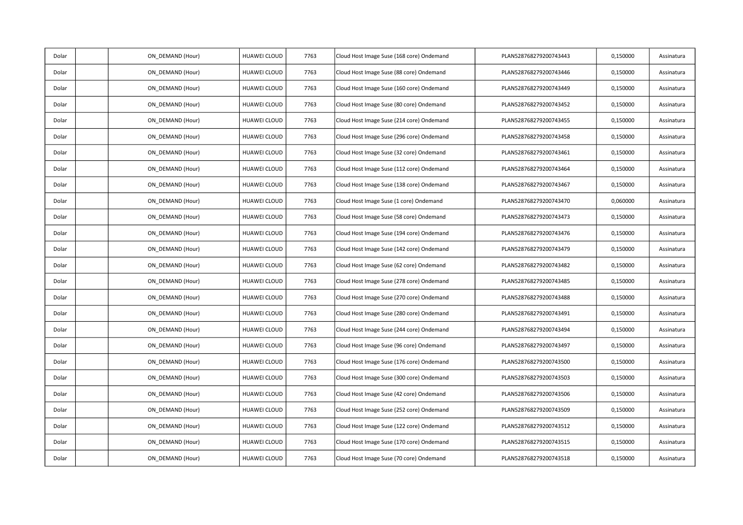| Dolar | ON_DEMAND (Hour) | HUAWEI CLOUD        | 7763 | Cloud Host Image Suse (168 core) Ondemand | PLAN528768279200743443 | 0,150000 | Assinatura |
|-------|------------------|---------------------|------|-------------------------------------------|------------------------|----------|------------|
| Dolar | ON DEMAND (Hour) | HUAWEI CLOUD        | 7763 | Cloud Host Image Suse (88 core) Ondemand  | PLAN528768279200743446 | 0,150000 | Assinatura |
| Dolar | ON DEMAND (Hour) | HUAWEI CLOUD        | 7763 | Cloud Host Image Suse (160 core) Ondemand | PLAN528768279200743449 | 0,150000 | Assinatura |
| Dolar | ON_DEMAND (Hour) | <b>HUAWEI CLOUD</b> | 7763 | Cloud Host Image Suse (80 core) Ondemand  | PLAN528768279200743452 | 0,150000 | Assinatura |
| Dolar | ON_DEMAND (Hour) | HUAWEI CLOUD        | 7763 | Cloud Host Image Suse (214 core) Ondemand | PLAN528768279200743455 | 0,150000 | Assinatura |
| Dolar | ON DEMAND (Hour) | <b>HUAWEI CLOUD</b> | 7763 | Cloud Host Image Suse (296 core) Ondemand | PLAN528768279200743458 | 0,150000 | Assinatura |
| Dolar | ON_DEMAND (Hour) | <b>HUAWEI CLOUD</b> | 7763 | Cloud Host Image Suse (32 core) Ondemand  | PLAN528768279200743461 | 0,150000 | Assinatura |
| Dolar | ON_DEMAND (Hour) | <b>HUAWEI CLOUD</b> | 7763 | Cloud Host Image Suse (112 core) Ondemand | PLAN528768279200743464 | 0,150000 | Assinatura |
| Dolar | ON DEMAND (Hour) | HUAWEI CLOUD        | 7763 | Cloud Host Image Suse (138 core) Ondemand | PLAN528768279200743467 | 0,150000 | Assinatura |
| Dolar | ON DEMAND (Hour) | <b>HUAWEI CLOUD</b> | 7763 | Cloud Host Image Suse (1 core) Ondemand   | PLAN528768279200743470 | 0,060000 | Assinatura |
| Dolar | ON_DEMAND (Hour) | <b>HUAWEI CLOUD</b> | 7763 | Cloud Host Image Suse (58 core) Ondemand  | PLAN528768279200743473 | 0,150000 | Assinatura |
| Dolar | ON_DEMAND (Hour) | HUAWEI CLOUD        | 7763 | Cloud Host Image Suse (194 core) Ondemand | PLAN528768279200743476 | 0,150000 | Assinatura |
| Dolar | ON DEMAND (Hour) | <b>HUAWEI CLOUD</b> | 7763 | Cloud Host Image Suse (142 core) Ondemand | PLAN528768279200743479 | 0,150000 | Assinatura |
| Dolar | ON_DEMAND (Hour) | HUAWEI CLOUD        | 7763 | Cloud Host Image Suse (62 core) Ondemand  | PLAN528768279200743482 | 0,150000 | Assinatura |
| Dolar | ON_DEMAND (Hour) | HUAWEI CLOUD        | 7763 | Cloud Host Image Suse (278 core) Ondemand | PLAN528768279200743485 | 0,150000 | Assinatura |
| Dolar | ON DEMAND (Hour) | <b>HUAWEI CLOUD</b> | 7763 | Cloud Host Image Suse (270 core) Ondemand | PLAN528768279200743488 | 0,150000 | Assinatura |
| Dolar | ON DEMAND (Hour) | <b>HUAWEI CLOUD</b> | 7763 | Cloud Host Image Suse (280 core) Ondemand | PLAN528768279200743491 | 0,150000 | Assinatura |
| Dolar | ON_DEMAND (Hour) | <b>HUAWEI CLOUD</b> | 7763 | Cloud Host Image Suse (244 core) Ondemand | PLAN528768279200743494 | 0,150000 | Assinatura |
| Dolar | ON_DEMAND (Hour) | HUAWEI CLOUD        | 7763 | Cloud Host Image Suse (96 core) Ondemand  | PLAN528768279200743497 | 0,150000 | Assinatura |
| Dolar | ON DEMAND (Hour) | HUAWEI CLOUD        | 7763 | Cloud Host Image Suse (176 core) Ondemand | PLAN528768279200743500 | 0,150000 | Assinatura |
| Dolar | ON DEMAND (Hour) | <b>HUAWEI CLOUD</b> | 7763 | Cloud Host Image Suse (300 core) Ondemand | PLAN528768279200743503 | 0,150000 | Assinatura |
| Dolar | ON_DEMAND (Hour) | HUAWEI CLOUD        | 7763 | Cloud Host Image Suse (42 core) Ondemand  | PLAN528768279200743506 | 0,150000 | Assinatura |
| Dolar | ON DEMAND (Hour) | <b>HUAWEI CLOUD</b> | 7763 | Cloud Host Image Suse (252 core) Ondemand | PLAN528768279200743509 | 0,150000 | Assinatura |
| Dolar | ON DEMAND (Hour) | HUAWEI CLOUD        | 7763 | Cloud Host Image Suse (122 core) Ondemand | PLAN528768279200743512 | 0,150000 | Assinatura |
| Dolar | ON DEMAND (Hour) | <b>HUAWEI CLOUD</b> | 7763 | Cloud Host Image Suse (170 core) Ondemand | PLAN528768279200743515 | 0,150000 | Assinatura |
| Dolar | ON DEMAND (Hour) | <b>HUAWEI CLOUD</b> | 7763 | Cloud Host Image Suse (70 core) Ondemand  | PLAN528768279200743518 | 0,150000 | Assinatura |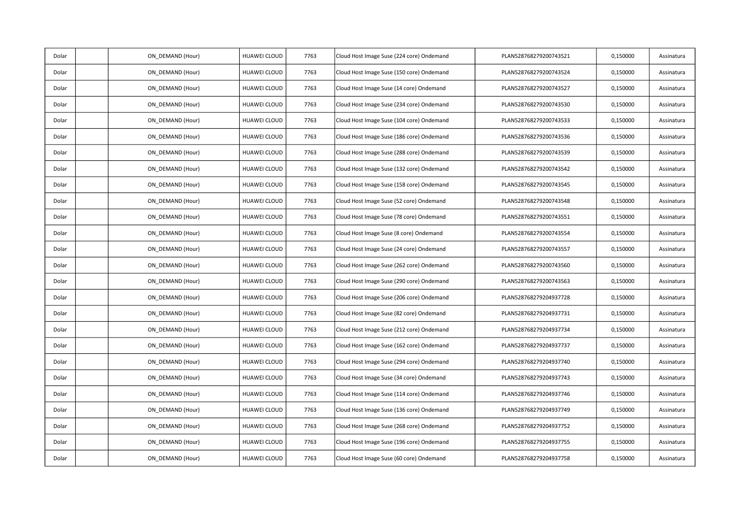| Dolar | ON_DEMAND (Hour) | HUAWEI CLOUD        | 7763 | Cloud Host Image Suse (224 core) Ondemand | PLAN528768279200743521 | 0,150000 | Assinatura |
|-------|------------------|---------------------|------|-------------------------------------------|------------------------|----------|------------|
| Dolar | ON DEMAND (Hour) | HUAWEI CLOUD        | 7763 | Cloud Host Image Suse (150 core) Ondemand | PLAN528768279200743524 | 0,150000 | Assinatura |
| Dolar | ON DEMAND (Hour) | HUAWEI CLOUD        | 7763 | Cloud Host Image Suse (14 core) Ondemand  | PLAN528768279200743527 | 0,150000 | Assinatura |
| Dolar | ON_DEMAND (Hour) | <b>HUAWEI CLOUD</b> | 7763 | Cloud Host Image Suse (234 core) Ondemand | PLAN528768279200743530 | 0,150000 | Assinatura |
| Dolar | ON_DEMAND (Hour) | HUAWEI CLOUD        | 7763 | Cloud Host Image Suse (104 core) Ondemand | PLAN528768279200743533 | 0,150000 | Assinatura |
| Dolar | ON DEMAND (Hour) | <b>HUAWEI CLOUD</b> | 7763 | Cloud Host Image Suse (186 core) Ondemand | PLAN528768279200743536 | 0,150000 | Assinatura |
| Dolar | ON_DEMAND (Hour) | <b>HUAWEI CLOUD</b> | 7763 | Cloud Host Image Suse (288 core) Ondemand | PLAN528768279200743539 | 0,150000 | Assinatura |
| Dolar | ON_DEMAND (Hour) | <b>HUAWEI CLOUD</b> | 7763 | Cloud Host Image Suse (132 core) Ondemand | PLAN528768279200743542 | 0,150000 | Assinatura |
| Dolar | ON DEMAND (Hour) | HUAWEI CLOUD        | 7763 | Cloud Host Image Suse (158 core) Ondemand | PLAN528768279200743545 | 0,150000 | Assinatura |
| Dolar | ON DEMAND (Hour) | <b>HUAWEI CLOUD</b> | 7763 | Cloud Host Image Suse (52 core) Ondemand  | PLAN528768279200743548 | 0,150000 | Assinatura |
| Dolar | ON_DEMAND (Hour) | <b>HUAWEI CLOUD</b> | 7763 | Cloud Host Image Suse (78 core) Ondemand  | PLAN528768279200743551 | 0,150000 | Assinatura |
| Dolar | ON_DEMAND (Hour) | HUAWEI CLOUD        | 7763 | Cloud Host Image Suse (8 core) Ondemand   | PLAN528768279200743554 | 0,150000 | Assinatura |
| Dolar | ON DEMAND (Hour) | <b>HUAWEI CLOUD</b> | 7763 | Cloud Host Image Suse (24 core) Ondemand  | PLAN528768279200743557 | 0,150000 | Assinatura |
| Dolar | ON_DEMAND (Hour) | HUAWEI CLOUD        | 7763 | Cloud Host Image Suse (262 core) Ondemand | PLAN528768279200743560 | 0,150000 | Assinatura |
| Dolar | ON_DEMAND (Hour) | HUAWEI CLOUD        | 7763 | Cloud Host Image Suse (290 core) Ondemand | PLAN528768279200743563 | 0,150000 | Assinatura |
| Dolar | ON DEMAND (Hour) | <b>HUAWEI CLOUD</b> | 7763 | Cloud Host Image Suse (206 core) Ondemand | PLAN528768279204937728 | 0,150000 | Assinatura |
| Dolar | ON DEMAND (Hour) | <b>HUAWEI CLOUD</b> | 7763 | Cloud Host Image Suse (82 core) Ondemand  | PLAN528768279204937731 | 0,150000 | Assinatura |
| Dolar | ON_DEMAND (Hour) | <b>HUAWEI CLOUD</b> | 7763 | Cloud Host Image Suse (212 core) Ondemand | PLAN528768279204937734 | 0,150000 | Assinatura |
| Dolar | ON_DEMAND (Hour) | HUAWEI CLOUD        | 7763 | Cloud Host Image Suse (162 core) Ondemand | PLAN528768279204937737 | 0,150000 | Assinatura |
| Dolar | ON DEMAND (Hour) | HUAWEI CLOUD        | 7763 | Cloud Host Image Suse (294 core) Ondemand | PLAN528768279204937740 | 0,150000 | Assinatura |
| Dolar | ON DEMAND (Hour) | <b>HUAWEI CLOUD</b> | 7763 | Cloud Host Image Suse (34 core) Ondemand  | PLAN528768279204937743 | 0,150000 | Assinatura |
| Dolar | ON_DEMAND (Hour) | HUAWEI CLOUD        | 7763 | Cloud Host Image Suse (114 core) Ondemand | PLAN528768279204937746 | 0,150000 | Assinatura |
| Dolar | ON DEMAND (Hour) | <b>HUAWEI CLOUD</b> | 7763 | Cloud Host Image Suse (136 core) Ondemand | PLAN528768279204937749 | 0,150000 | Assinatura |
| Dolar | ON DEMAND (Hour) | HUAWEI CLOUD        | 7763 | Cloud Host Image Suse (268 core) Ondemand | PLAN528768279204937752 | 0,150000 | Assinatura |
| Dolar | ON DEMAND (Hour) | <b>HUAWEI CLOUD</b> | 7763 | Cloud Host Image Suse (196 core) Ondemand | PLAN528768279204937755 | 0,150000 | Assinatura |
| Dolar | ON DEMAND (Hour) | <b>HUAWEI CLOUD</b> | 7763 | Cloud Host Image Suse (60 core) Ondemand  | PLAN528768279204937758 | 0,150000 | Assinatura |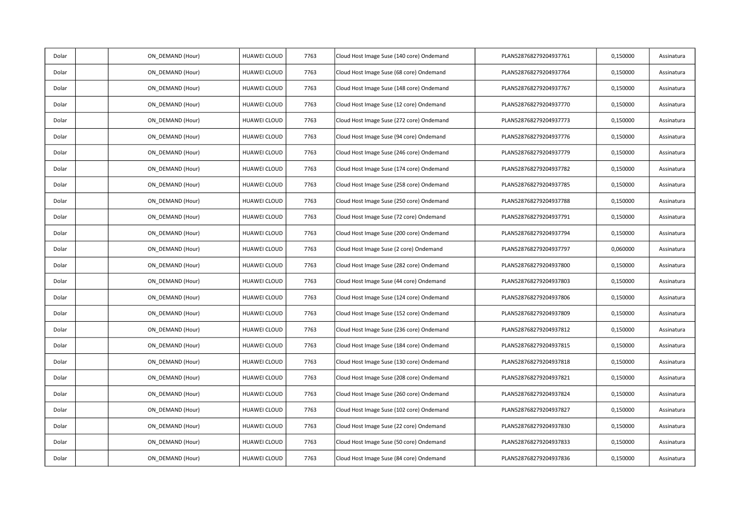| Dolar | ON_DEMAND (Hour) | HUAWEI CLOUD        | 7763 | Cloud Host Image Suse (140 core) Ondemand | PLAN528768279204937761 | 0,150000 | Assinatura |
|-------|------------------|---------------------|------|-------------------------------------------|------------------------|----------|------------|
| Dolar | ON DEMAND (Hour) | HUAWEI CLOUD        | 7763 | Cloud Host Image Suse (68 core) Ondemand  | PLAN528768279204937764 | 0,150000 | Assinatura |
| Dolar | ON DEMAND (Hour) | HUAWEI CLOUD        | 7763 | Cloud Host Image Suse (148 core) Ondemand | PLAN528768279204937767 | 0,150000 | Assinatura |
| Dolar | ON DEMAND (Hour) | <b>HUAWEI CLOUD</b> | 7763 | Cloud Host Image Suse (12 core) Ondemand  | PLAN528768279204937770 | 0,150000 | Assinatura |
| Dolar | ON_DEMAND (Hour) | HUAWEI CLOUD        | 7763 | Cloud Host Image Suse (272 core) Ondemand | PLAN528768279204937773 | 0,150000 | Assinatura |
| Dolar | ON DEMAND (Hour) | HUAWEI CLOUD        | 7763 | Cloud Host Image Suse (94 core) Ondemand  | PLAN528768279204937776 | 0,150000 | Assinatura |
| Dolar | ON_DEMAND (Hour) | <b>HUAWEI CLOUD</b> | 7763 | Cloud Host Image Suse (246 core) Ondemand | PLAN528768279204937779 | 0,150000 | Assinatura |
| Dolar | ON_DEMAND (Hour) | <b>HUAWEI CLOUD</b> | 7763 | Cloud Host Image Suse (174 core) Ondemand | PLAN528768279204937782 | 0,150000 | Assinatura |
| Dolar | ON_DEMAND (Hour) | <b>HUAWEI CLOUD</b> | 7763 | Cloud Host Image Suse (258 core) Ondemand | PLAN528768279204937785 | 0,150000 | Assinatura |
| Dolar | ON DEMAND (Hour) | <b>HUAWEI CLOUD</b> | 7763 | Cloud Host Image Suse (250 core) Ondemand | PLAN528768279204937788 | 0,150000 | Assinatura |
| Dolar | ON DEMAND (Hour) | <b>HUAWEI CLOUD</b> | 7763 | Cloud Host Image Suse (72 core) Ondemand  | PLAN528768279204937791 | 0,150000 | Assinatura |
| Dolar | ON_DEMAND (Hour) | HUAWEI CLOUD        | 7763 | Cloud Host Image Suse (200 core) Ondemand | PLAN528768279204937794 | 0,150000 | Assinatura |
| Dolar | ON DEMAND (Hour) | <b>HUAWEI CLOUD</b> | 7763 | Cloud Host Image Suse (2 core) Ondemand   | PLAN528768279204937797 | 0,060000 | Assinatura |
| Dolar | ON DEMAND (Hour) | HUAWEI CLOUD        | 7763 | Cloud Host Image Suse (282 core) Ondemand | PLAN528768279204937800 | 0,150000 | Assinatura |
| Dolar | ON DEMAND (Hour) | <b>HUAWEI CLOUD</b> | 7763 | Cloud Host Image Suse (44 core) Ondemand  | PLAN528768279204937803 | 0,150000 | Assinatura |
| Dolar | ON_DEMAND (Hour) | HUAWEI CLOUD        | 7763 | Cloud Host Image Suse (124 core) Ondemand | PLAN528768279204937806 | 0,150000 | Assinatura |
| Dolar | ON DEMAND (Hour) | <b>HUAWEI CLOUD</b> | 7763 | Cloud Host Image Suse (152 core) Ondemand | PLAN528768279204937809 | 0,150000 | Assinatura |
| Dolar | ON_DEMAND (Hour) | <b>HUAWEI CLOUD</b> | 7763 | Cloud Host Image Suse (236 core) Ondemand | PLAN528768279204937812 | 0,150000 | Assinatura |
| Dolar | ON DEMAND (Hour) | <b>HUAWEI CLOUD</b> | 7763 | Cloud Host Image Suse (184 core) Ondemand | PLAN528768279204937815 | 0,150000 | Assinatura |
| Dolar | ON DEMAND (Hour) | HUAWEI CLOUD        | 7763 | Cloud Host Image Suse (130 core) Ondemand | PLAN528768279204937818 | 0,150000 | Assinatura |
| Dolar | ON_DEMAND (Hour) | HUAWEI CLOUD        | 7763 | Cloud Host Image Suse (208 core) Ondemand | PLAN528768279204937821 | 0,150000 | Assinatura |
| Dolar | ON_DEMAND (Hour) | <b>HUAWEI CLOUD</b> | 7763 | Cloud Host Image Suse (260 core) Ondemand | PLAN528768279204937824 | 0,150000 | Assinatura |
| Dolar | ON DEMAND (Hour) | <b>HUAWEI CLOUD</b> | 7763 | Cloud Host Image Suse (102 core) Ondemand | PLAN528768279204937827 | 0,150000 | Assinatura |
| Dolar | ON DEMAND (Hour) | <b>HUAWEI CLOUD</b> | 7763 | Cloud Host Image Suse (22 core) Ondemand  | PLAN528768279204937830 | 0,150000 | Assinatura |
| Dolar | ON_DEMAND (Hour) | <b>HUAWEI CLOUD</b> | 7763 | Cloud Host Image Suse (50 core) Ondemand  | PLAN528768279204937833 | 0,150000 | Assinatura |
| Dolar | ON DEMAND (Hour) | <b>HUAWEI CLOUD</b> | 7763 | Cloud Host Image Suse (84 core) Ondemand  | PLAN528768279204937836 | 0,150000 | Assinatura |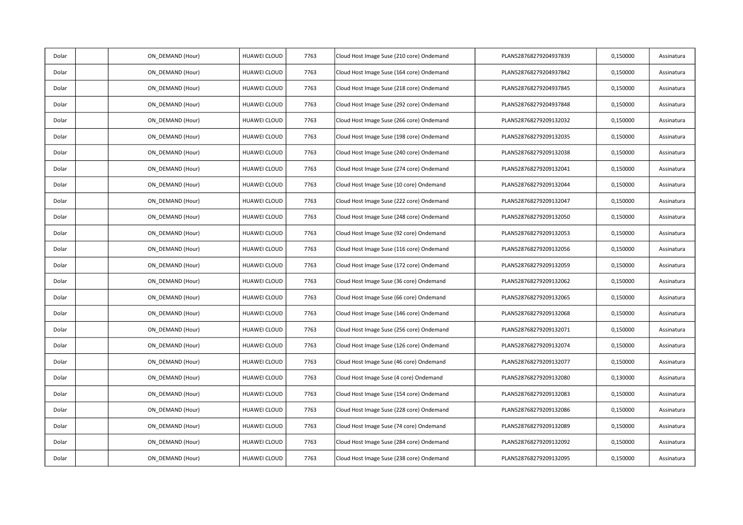| Dolar | ON_DEMAND (Hour) | HUAWEI CLOUD        | 7763 | Cloud Host Image Suse (210 core) Ondemand | PLAN528768279204937839 | 0,150000 | Assinatura |
|-------|------------------|---------------------|------|-------------------------------------------|------------------------|----------|------------|
| Dolar | ON DEMAND (Hour) | HUAWEI CLOUD        | 7763 | Cloud Host Image Suse (164 core) Ondemand | PLAN528768279204937842 | 0,150000 | Assinatura |
| Dolar | ON DEMAND (Hour) | HUAWEI CLOUD        | 7763 | Cloud Host Image Suse (218 core) Ondemand | PLAN528768279204937845 | 0,150000 | Assinatura |
| Dolar | ON_DEMAND (Hour) | <b>HUAWEI CLOUD</b> | 7763 | Cloud Host Image Suse (292 core) Ondemand | PLAN528768279204937848 | 0,150000 | Assinatura |
| Dolar | ON_DEMAND (Hour) | HUAWEI CLOUD        | 7763 | Cloud Host Image Suse (266 core) Ondemand | PLAN528768279209132032 | 0,150000 | Assinatura |
| Dolar | ON DEMAND (Hour) | <b>HUAWEI CLOUD</b> | 7763 | Cloud Host Image Suse (198 core) Ondemand | PLAN528768279209132035 | 0,150000 | Assinatura |
| Dolar | ON_DEMAND (Hour) | <b>HUAWEI CLOUD</b> | 7763 | Cloud Host Image Suse (240 core) Ondemand | PLAN528768279209132038 | 0,150000 | Assinatura |
| Dolar | ON_DEMAND (Hour) | <b>HUAWEI CLOUD</b> | 7763 | Cloud Host Image Suse (274 core) Ondemand | PLAN528768279209132041 | 0,150000 | Assinatura |
| Dolar | ON DEMAND (Hour) | HUAWEI CLOUD        | 7763 | Cloud Host Image Suse (10 core) Ondemand  | PLAN528768279209132044 | 0,150000 | Assinatura |
| Dolar | ON DEMAND (Hour) | <b>HUAWEI CLOUD</b> | 7763 | Cloud Host Image Suse (222 core) Ondemand | PLAN528768279209132047 | 0,150000 | Assinatura |
| Dolar | ON_DEMAND (Hour) | <b>HUAWEI CLOUD</b> | 7763 | Cloud Host Image Suse (248 core) Ondemand | PLAN528768279209132050 | 0,150000 | Assinatura |
| Dolar | ON_DEMAND (Hour) | HUAWEI CLOUD        | 7763 | Cloud Host Image Suse (92 core) Ondemand  | PLAN528768279209132053 | 0,150000 | Assinatura |
| Dolar | ON DEMAND (Hour) | <b>HUAWEI CLOUD</b> | 7763 | Cloud Host Image Suse (116 core) Ondemand | PLAN528768279209132056 | 0,150000 | Assinatura |
| Dolar | ON_DEMAND (Hour) | HUAWEI CLOUD        | 7763 | Cloud Host Image Suse (172 core) Ondemand | PLAN528768279209132059 | 0,150000 | Assinatura |
| Dolar | ON_DEMAND (Hour) | HUAWEI CLOUD        | 7763 | Cloud Host Image Suse (36 core) Ondemand  | PLAN528768279209132062 | 0,150000 | Assinatura |
| Dolar | ON DEMAND (Hour) | <b>HUAWEI CLOUD</b> | 7763 | Cloud Host Image Suse (66 core) Ondemand  | PLAN528768279209132065 | 0,150000 | Assinatura |
| Dolar | ON DEMAND (Hour) | <b>HUAWEI CLOUD</b> | 7763 | Cloud Host Image Suse (146 core) Ondemand | PLAN528768279209132068 | 0,150000 | Assinatura |
| Dolar | ON_DEMAND (Hour) | <b>HUAWEI CLOUD</b> | 7763 | Cloud Host Image Suse (256 core) Ondemand | PLAN528768279209132071 | 0,150000 | Assinatura |
| Dolar | ON_DEMAND (Hour) | HUAWEI CLOUD        | 7763 | Cloud Host Image Suse (126 core) Ondemand | PLAN528768279209132074 | 0,150000 | Assinatura |
| Dolar | ON DEMAND (Hour) | HUAWEI CLOUD        | 7763 | Cloud Host Image Suse (46 core) Ondemand  | PLAN528768279209132077 | 0,150000 | Assinatura |
| Dolar | ON DEMAND (Hour) | <b>HUAWEI CLOUD</b> | 7763 | Cloud Host Image Suse (4 core) Ondemand   | PLAN528768279209132080 | 0,130000 | Assinatura |
| Dolar | ON_DEMAND (Hour) | HUAWEI CLOUD        | 7763 | Cloud Host Image Suse (154 core) Ondemand | PLAN528768279209132083 | 0,150000 | Assinatura |
| Dolar | ON DEMAND (Hour) | <b>HUAWEI CLOUD</b> | 7763 | Cloud Host Image Suse (228 core) Ondemand | PLAN528768279209132086 | 0,150000 | Assinatura |
| Dolar | ON DEMAND (Hour) | HUAWEI CLOUD        | 7763 | Cloud Host Image Suse (74 core) Ondemand  | PLAN528768279209132089 | 0,150000 | Assinatura |
| Dolar | ON DEMAND (Hour) | <b>HUAWEI CLOUD</b> | 7763 | Cloud Host Image Suse (284 core) Ondemand | PLAN528768279209132092 | 0,150000 | Assinatura |
| Dolar | ON DEMAND (Hour) | <b>HUAWEI CLOUD</b> | 7763 | Cloud Host Image Suse (238 core) Ondemand | PLAN528768279209132095 | 0,150000 | Assinatura |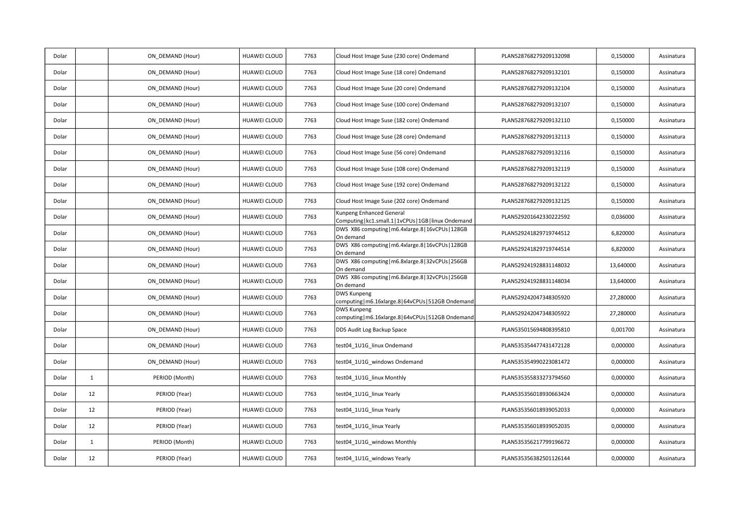| Dolar |              | ON_DEMAND (Hour) | HUAWEI CLOUD        | 7763 | Cloud Host Image Suse (230 core) Ondemand                                           | PLAN528768279209132098 | 0,150000  | Assinatura |
|-------|--------------|------------------|---------------------|------|-------------------------------------------------------------------------------------|------------------------|-----------|------------|
| Dolar |              | ON DEMAND (Hour) | HUAWEI CLOUD        | 7763 | Cloud Host Image Suse (18 core) Ondemand                                            | PLAN528768279209132101 | 0,150000  | Assinatura |
| Dolar |              | ON DEMAND (Hour) | HUAWEI CLOUD        | 7763 | Cloud Host Image Suse (20 core) Ondemand                                            | PLAN528768279209132104 | 0,150000  | Assinatura |
| Dolar |              | ON DEMAND (Hour) | HUAWEI CLOUD        | 7763 | Cloud Host Image Suse (100 core) Ondemand                                           | PLAN528768279209132107 | 0,150000  | Assinatura |
| Dolar |              | ON DEMAND (Hour) | HUAWEI CLOUD        | 7763 | Cloud Host Image Suse (182 core) Ondemand                                           | PLAN528768279209132110 | 0,150000  | Assinatura |
| Dolar |              | ON DEMAND (Hour) | HUAWEI CLOUD        | 7763 | Cloud Host Image Suse (28 core) Ondemand                                            | PLAN528768279209132113 | 0,150000  | Assinatura |
| Dolar |              | ON DEMAND (Hour) | HUAWEI CLOUD        | 7763 | Cloud Host Image Suse (56 core) Ondemand                                            | PLAN528768279209132116 | 0,150000  | Assinatura |
| Dolar |              | ON_DEMAND (Hour) | HUAWEI CLOUD        | 7763 | Cloud Host Image Suse (108 core) Ondemand                                           | PLAN528768279209132119 | 0,150000  | Assinatura |
| Dolar |              | ON DEMAND (Hour) | HUAWEI CLOUD        | 7763 | Cloud Host Image Suse (192 core) Ondemand                                           | PLAN528768279209132122 | 0,150000  | Assinatura |
| Dolar |              | ON DEMAND (Hour) | HUAWEI CLOUD        | 7763 | Cloud Host Image Suse (202 core) Ondemand                                           | PLAN528768279209132125 | 0,150000  | Assinatura |
| Dolar |              | ON DEMAND (Hour) | HUAWEI CLOUD        | 7763 | Kunpeng Enhanced General<br>Computing   kc1.small.1   1vCPUs   1GB   linux Ondemand | PLAN529201642330222592 | 0,036000  | Assinatura |
| Dolar |              | ON DEMAND (Hour) | <b>HUAWEI CLOUD</b> | 7763 | DWS X86 computing   m6.4xlarge.8   16vCPUs   128GB<br>On demand                     | PLAN529241829719744512 | 6,820000  | Assinatura |
| Dolar |              | ON_DEMAND (Hour) | HUAWEI CLOUD        | 7763 | DWS X86 computing   m6.4xlarge.8   16vCPUs   128GB<br>On demand                     | PLAN529241829719744514 | 6,820000  | Assinatura |
| Dolar |              | ON DEMAND (Hour) | <b>HUAWEI CLOUD</b> | 7763 | DWS X86 computing   m6.8xlarge.8   32vCPUs   256GB<br>On demand                     | PLAN529241928831148032 | 13,640000 | Assinatura |
| Dolar |              | ON DEMAND (Hour) | HUAWEI CLOUD        | 7763 | DWS X86 computing   m6.8xlarge.8   32vCPUs   256GB<br>On demand                     | PLAN529241928831148034 | 13,640000 | Assinatura |
| Dolar |              | ON DEMAND (Hour) | HUAWEI CLOUD        | 7763 | DWS Kunpeng<br>computing   m6.16xlarge.8   64vCPUs   512GB Ondemand                 | PLAN529242047348305920 | 27,280000 | Assinatura |
| Dolar |              | ON_DEMAND (Hour) | HUAWEI CLOUD        | 7763 | <b>DWS Kunpeng</b><br>computing   m6.16xlarge.8   64vCPUs   512GB Ondemand          | PLAN529242047348305922 | 27,280000 | Assinatura |
| Dolar |              | ON DEMAND (Hour) | HUAWEI CLOUD        | 7763 | DDS Audit Log Backup Space                                                          | PLAN535015694808395810 | 0,001700  | Assinatura |
| Dolar |              | ON DEMAND (Hour) | HUAWEI CLOUD        | 7763 | test04 1U1G linux Ondemand                                                          | PLAN535354477431472128 | 0,000000  | Assinatura |
| Dolar |              | ON DEMAND (Hour) | HUAWEI CLOUD        | 7763 | test04 1U1G windows Ondemand                                                        | PLAN535354990223081472 | 0,000000  | Assinatura |
| Dolar | $\mathbf{1}$ | PERIOD (Month)   | HUAWEI CLOUD        | 7763 | test04_1U1G_linux Monthly                                                           | PLAN535355833273794560 | 0,000000  | Assinatura |
| Dolar | 12           | PERIOD (Year)    | HUAWEI CLOUD        | 7763 | test04 1U1G linux Yearly                                                            | PLAN535356018930663424 | 0,000000  | Assinatura |
| Dolar | 12           | PERIOD (Year)    | HUAWEI CLOUD        | 7763 | test04_1U1G_linux Yearly                                                            | PLAN535356018939052033 | 0,000000  | Assinatura |
| Dolar | 12           | PERIOD (Year)    | HUAWEI CLOUD        | 7763 | test04_1U1G_linux Yearly                                                            | PLAN535356018939052035 | 0,000000  | Assinatura |
| Dolar | $\mathbf{1}$ | PERIOD (Month)   | HUAWEI CLOUD        | 7763 | test04_1U1G_windows Monthly                                                         | PLAN535356217799196672 | 0,000000  | Assinatura |
| Dolar | 12           | PERIOD (Year)    | HUAWEI CLOUD        | 7763 | test04 1U1G windows Yearly                                                          | PLAN535356382501126144 | 0,000000  | Assinatura |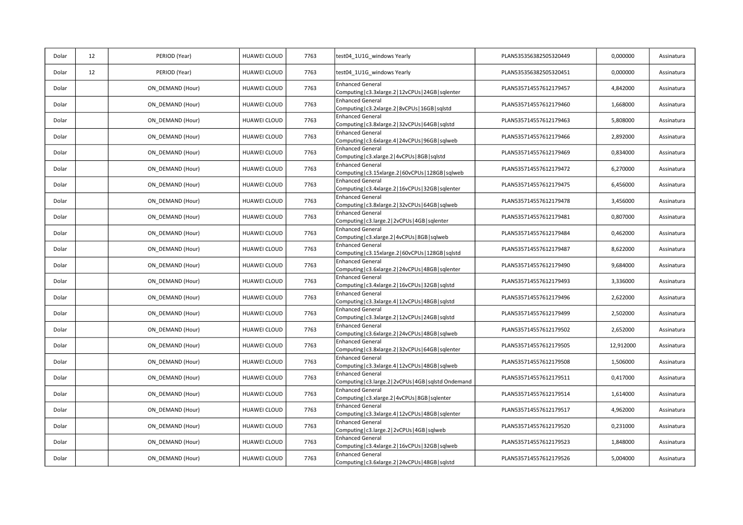| Dolar | 12 | PERIOD (Year)    | HUAWEI CLOUD | 7763 | test04_1U1G_windows Yearly                                                         | PLAN535356382505320449 | 0,000000  | Assinatura |
|-------|----|------------------|--------------|------|------------------------------------------------------------------------------------|------------------------|-----------|------------|
| Dolar | 12 | PERIOD (Year)    | HUAWEI CLOUD | 7763 | test04_1U1G_windows Yearly                                                         | PLAN535356382505320451 | 0,000000  | Assinatura |
| Dolar |    | ON_DEMAND (Hour) | HUAWEI CLOUD | 7763 | <b>Enhanced General</b><br>Computing   c3.3xlarge.2   12vCPUs   24GB   sqlenter    | PLAN535714557612179457 | 4,842000  | Assinatura |
| Dolar |    | ON_DEMAND (Hour) | HUAWEI CLOUD | 7763 | <b>Enhanced General</b><br>Computing   c3.2xlarge.2   8vCPUs   16GB   sqlstd       | PLAN535714557612179460 | 1,668000  | Assinatura |
| Dolar |    | ON DEMAND (Hour) | HUAWEI CLOUD | 7763 | <b>Enhanced General</b><br>Computing   c3.8xlarge.2   32vCPUs   64GB   sqlstd      | PLAN535714557612179463 | 5,808000  | Assinatura |
| Dolar |    | ON_DEMAND (Hour) | HUAWEI CLOUD | 7763 | <b>Enhanced General</b><br>Computing   c3.6xlarge.4   24vCPUs   96GB   sqlweb      | PLAN535714557612179466 | 2,892000  | Assinatura |
| Dolar |    | ON_DEMAND (Hour) | HUAWEI CLOUD | 7763 | <b>Enhanced General</b><br>Computing   c3.xlarge.2   4vCPUs   8GB   sqlstd         | PLAN535714557612179469 | 0,834000  | Assinatura |
| Dolar |    | ON_DEMAND (Hour) | HUAWEI CLOUD | 7763 | <b>Enhanced General</b><br>Computing   c3.15xlarge.2   60vCPUs   128GB   sqlweb    | PLAN535714557612179472 | 6,270000  | Assinatura |
| Dolar |    | ON DEMAND (Hour) | HUAWEI CLOUD | 7763 | <b>Enhanced General</b><br>Computing   c3.4xlarge.2   16vCPUs   32GB   sqlenter    | PLAN535714557612179475 | 6,456000  | Assinatura |
| Dolar |    | ON_DEMAND (Hour) | HUAWEI CLOUD | 7763 | <b>Enhanced General</b><br>Computing   c3.8xlarge.2   32vCPUs   64GB   sqlweb      | PLAN535714557612179478 | 3,456000  | Assinatura |
| Dolar |    | ON_DEMAND (Hour) | HUAWEI CLOUD | 7763 | <b>Enhanced General</b><br>Computing   c3.large.2   2vCPUs   4GB   sqlenter        | PLAN535714557612179481 | 0,807000  | Assinatura |
| Dolar |    | ON_DEMAND (Hour) | HUAWEI CLOUD | 7763 | <b>Enhanced General</b><br>Computing   c3.xlarge.2   4vCPUs   8GB   sqlweb         | PLAN535714557612179484 | 0,462000  | Assinatura |
| Dolar |    | ON DEMAND (Hour) | HUAWEI CLOUD | 7763 | <b>Enhanced General</b><br>Computing   c3.15xlarge.2   60vCPUs   128GB   sqlstd    | PLAN535714557612179487 | 8,622000  | Assinatura |
| Dolar |    | ON_DEMAND (Hour) | HUAWEI CLOUD | 7763 | <b>Enhanced General</b><br>Computing   c3.6xlarge.2   24vCPUs   48GB   sqlenter    | PLAN535714557612179490 | 9,684000  | Assinatura |
| Dolar |    | ON_DEMAND (Hour) | HUAWEI CLOUD | 7763 | <b>Enhanced General</b><br>Computing   c3.4xlarge.2   16vCPUs   32GB   sqlstd      | PLAN535714557612179493 | 3,336000  | Assinatura |
| Dolar |    | ON DEMAND (Hour) | HUAWEI CLOUD | 7763 | <b>Enhanced General</b><br>Computing   c3.3xlarge.4   12vCPUs   48GB   sqlstd      | PLAN535714557612179496 | 2,622000  | Assinatura |
| Dolar |    | ON_DEMAND (Hour) | HUAWEI CLOUD | 7763 | <b>Enhanced General</b><br>Computing   c3.3xlarge.2   12vCPUs   24GB   sqlstd      | PLAN535714557612179499 | 2,502000  | Assinatura |
| Dolar |    | ON_DEMAND (Hour) | HUAWEI CLOUD | 7763 | <b>Enhanced General</b><br>Computing   c3.6xlarge.2   24vCPUs   48GB   sqlweb      | PLAN535714557612179502 | 2,652000  | Assinatura |
| Dolar |    | ON_DEMAND (Hour) | HUAWEI CLOUD | 7763 | <b>Enhanced General</b><br>Computing   c3.8xlarge.2   32vCPUs   64GB   sqlenter    | PLAN535714557612179505 | 12,912000 | Assinatura |
| Dolar |    | ON_DEMAND (Hour) | HUAWEI CLOUD | 7763 | <b>Enhanced General</b><br>Computing   c3.3xlarge.4   12vCPUs   48GB   sqlweb      | PLAN535714557612179508 | 1,506000  | Assinatura |
| Dolar |    | ON_DEMAND (Hour) | HUAWEI CLOUD | 7763 | <b>Enhanced General</b><br>Computing   c3.large.2   2vCPUs   4GB   sqlstd Ondemand | PLAN535714557612179511 | 0,417000  | Assinatura |
| Dolar |    | ON_DEMAND (Hour) | HUAWEI CLOUD | 7763 | <b>Enhanced General</b><br>Computing   c3.xlarge.2   4vCPUs   8GB   sqlenter       | PLAN535714557612179514 | 1,614000  | Assinatura |
| Dolar |    | ON DEMAND (Hour) | HUAWEI CLOUD | 7763 | <b>Enhanced General</b><br>Computing   c3.3xlarge.4   12vCPUs   48GB   sqlenter    | PLAN535714557612179517 | 4,962000  | Assinatura |
| Dolar |    | ON_DEMAND (Hour) | HUAWEI CLOUD | 7763 | <b>Enhanced General</b><br>Computing   c3.large.2   2vCPUs   4GB   sqlweb          | PLAN535714557612179520 | 0,231000  | Assinatura |
| Dolar |    | ON_DEMAND (Hour) | HUAWEI CLOUD | 7763 | <b>Enhanced General</b><br>Computing   c3.4xlarge.2   16vCPUs   32GB   sqlweb      | PLAN535714557612179523 | 1,848000  | Assinatura |
| Dolar |    | ON_DEMAND (Hour) | HUAWEI CLOUD | 7763 | <b>Enhanced General</b><br>Computing   c3.6xlarge.2   24vCPUs   48GB   sqlstd      | PLAN535714557612179526 | 5,004000  | Assinatura |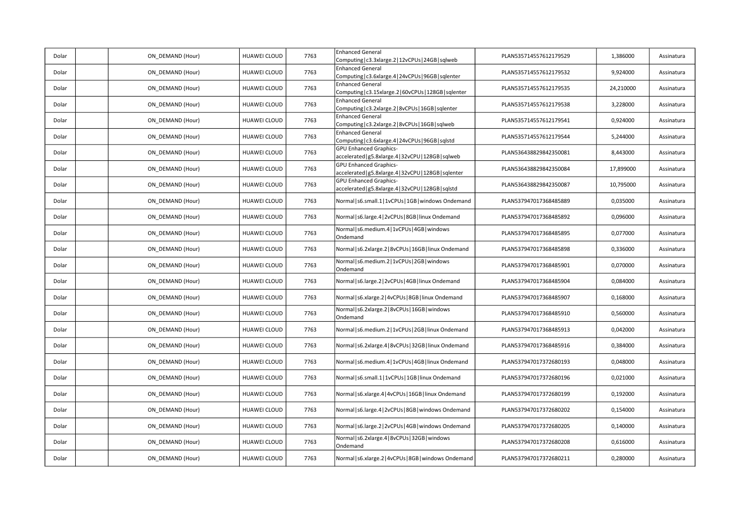| Dolar | ON DEMAND (Hour) | HUAWEI CLOUD        | 7763 | <b>Enhanced General</b><br>Computing   c3.3xlarge.2   12vCPUs   24GB   sqlweb           | PLAN535714557612179529 | 1,386000  | Assinatura |
|-------|------------------|---------------------|------|-----------------------------------------------------------------------------------------|------------------------|-----------|------------|
| Dolar | ON DEMAND (Hour) | <b>HUAWEI CLOUD</b> | 7763 | <b>Enhanced General</b><br>Computing   c3.6xlarge.4   24vCPUs   96GB   sqlenter         | PLAN535714557612179532 | 9,924000  | Assinatura |
| Dolar | ON DEMAND (Hour) | HUAWEI CLOUD        | 7763 | <b>Enhanced General</b><br>Computing   c3.15xlarge.2   60vCPUs   128GB   sqlenter       | PLAN535714557612179535 | 24,210000 | Assinatura |
| Dolar | ON DEMAND (Hour) | HUAWEI CLOUD        | 7763 | <b>Enhanced General</b><br>Computing   c3.2xlarge.2   8vCPUs   16GB   sqlenter          | PLAN535714557612179538 | 3,228000  | Assinatura |
| Dolar | ON DEMAND (Hour) | HUAWEI CLOUD        | 7763 | <b>Enhanced General</b><br>Computing   c3.2xlarge.2   8vCPUs   16GB   sqlweb            | PLAN535714557612179541 | 0,924000  | Assinatura |
| Dolar | ON DEMAND (Hour) | <b>HUAWEI CLOUD</b> | 7763 | <b>Enhanced General</b><br>Computing   c3.6xlarge.4   24vCPUs   96GB   sqlstd           | PLAN535714557612179544 | 5,244000  | Assinatura |
| Dolar | ON DEMAND (Hour) | <b>HUAWEI CLOUD</b> | 7763 | <b>GPU Enhanced Graphics-</b><br>accelerated   g5.8xlarge.4   32vCPU   128GB   sqlweb   | PLAN536438829842350081 | 8,443000  | Assinatura |
| Dolar | ON DEMAND (Hour) | HUAWEI CLOUD        | 7763 | <b>GPU Enhanced Graphics-</b><br>accelerated   g5.8xlarge.4   32vCPU   128GB   sqlenter | PLAN536438829842350084 | 17,899000 | Assinatura |
| Dolar | ON DEMAND (Hour) | HUAWEI CLOUD        | 7763 | <b>GPU Enhanced Graphics-</b><br>accelerated   g5.8xlarge.4   32vCPU   128GB   sqlstd   | PLAN536438829842350087 | 10,795000 | Assinatura |
| Dolar | ON_DEMAND (Hour) | <b>HUAWEI CLOUD</b> | 7763 | Normal   s6.small.1   1vCPUs   1GB   windows Ondemand                                   | PLAN537947017368485889 | 0,035000  | Assinatura |
| Dolar | ON DEMAND (Hour) | <b>HUAWEI CLOUD</b> | 7763 | Normal   s6.large.4   2vCPUs   8GB   linux Ondemand                                     | PLAN537947017368485892 | 0,096000  | Assinatura |
| Dolar | ON DEMAND (Hour) | HUAWEI CLOUD        | 7763 | Normal   s6.medium.4   1vCPUs   4GB   windows<br>Ondemand                               | PLAN537947017368485895 | 0,077000  | Assinatura |
| Dolar | ON DEMAND (Hour) | HUAWEI CLOUD        | 7763 | Normal   s6.2xlarge.2   8vCPUs   16GB   linux Ondemand                                  | PLAN537947017368485898 | 0,336000  | Assinatura |
| Dolar | ON_DEMAND (Hour) | <b>HUAWEI CLOUD</b> | 7763 | Normal   s6.medium.2   1vCPUs   2GB   windows<br>Ondemand                               | PLAN537947017368485901 | 0,070000  | Assinatura |
| Dolar | ON DEMAND (Hour) | <b>HUAWEI CLOUD</b> | 7763 | Normal   s6.large.2   2vCPUs   4GB   linux Ondemand                                     | PLAN537947017368485904 | 0,084000  | Assinatura |
| Dolar | ON DEMAND (Hour) | HUAWEI CLOUD        | 7763 | Normal   s6.xlarge.2   4vCPUs   8GB   linux Ondemand                                    | PLAN537947017368485907 | 0,168000  | Assinatura |
| Dolar | ON DEMAND (Hour) | HUAWEI CLOUD        | 7763 | Normal   s6.2xlarge.2   8vCPUs   16GB   windows<br>Ondemand                             | PLAN537947017368485910 | 0,560000  | Assinatura |
| Dolar | ON_DEMAND (Hour) | HUAWEI CLOUD        | 7763 | Normal   s6.medium.2   1vCPUs   2GB   linux Ondemand                                    | PLAN537947017368485913 | 0,042000  | Assinatura |
| Dolar | ON DEMAND (Hour) | HUAWEI CLOUD        | 7763 | Normal   s6.2xlarge.4   8vCPUs   32GB   linux Ondemand                                  | PLAN537947017368485916 | 0,384000  | Assinatura |
| Dolar | ON DEMAND (Hour) | HUAWEI CLOUD        | 7763 | Normal   s6.medium.4   1vCPUs   4GB   linux Ondemand                                    | PLAN537947017372680193 | 0,048000  | Assinatura |
| Dolar | ON DEMAND (Hour) | HUAWEI CLOUD        | 7763 | Normal   s6.small.1   1vCPUs   1GB   linux Ondemand                                     | PLAN537947017372680196 | 0,021000  | Assinatura |
| Dolar | ON_DEMAND (Hour) | HUAWEI CLOUD        | 7763 | Normal   s6.xlarge.4   4vCPUs   16GB   linux Ondemand                                   | PLAN537947017372680199 | 0,192000  | Assinatura |
| Dolar | ON DEMAND (Hour) | <b>HUAWEI CLOUD</b> | 7763 | Normal   s6.large.4   2vCPUs   8GB   windows Ondemand                                   | PLAN537947017372680202 | 0,154000  | Assinatura |
| Dolar | ON DEMAND (Hour) | <b>HUAWEI CLOUD</b> | 7763 | Normal   s6.large.2   2vCPUs   4GB   windows Ondemand                                   | PLAN537947017372680205 | 0,140000  | Assinatura |
| Dolar | ON DEMAND (Hour) | HUAWEI CLOUD        | 7763 | Normal   s6.2xlarge.4   8vCPUs   32GB   windows<br>Ondemand                             | PLAN537947017372680208 | 0,616000  | Assinatura |
| Dolar | ON DEMAND (Hour) | HUAWEI CLOUD        | 7763 | Normal   s6.xlarge.2   4vCPUs   8GB   windows Ondemand                                  | PLAN537947017372680211 | 0,280000  | Assinatura |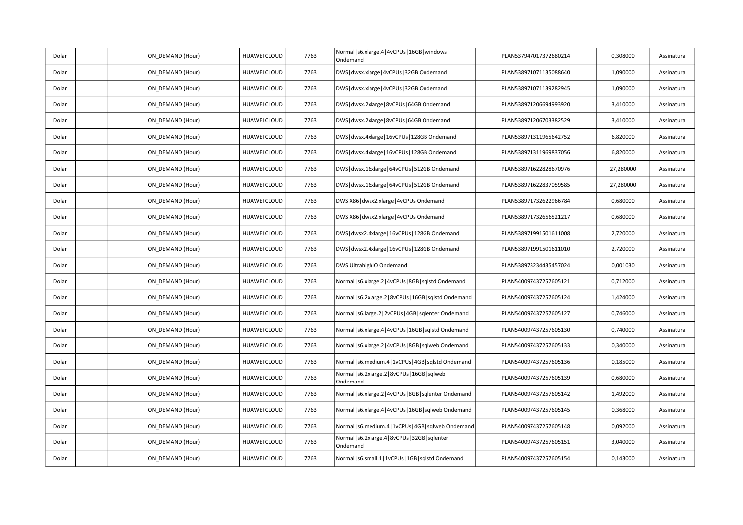| Dolar | ON_DEMAND (Hour) | HUAWEI CLOUD        | 7763 | Normal   s6.xlarge.4   4vCPUs   16GB   windows<br>Ondemand   | PLAN537947017372680214 | 0,308000  | Assinatura |
|-------|------------------|---------------------|------|--------------------------------------------------------------|------------------------|-----------|------------|
| Dolar | ON DEMAND (Hour) | HUAWEI CLOUD        | 7763 | DWS   dwsx.xlarge   4vCPUs   32GB Ondemand                   | PLAN538971071135088640 | 1,090000  | Assinatura |
| Dolar | ON_DEMAND (Hour) | HUAWEI CLOUD        | 7763 | DWS   dwsx.xlarge   4vCPUs   32GB Ondemand                   | PLAN538971071139282945 | 1,090000  | Assinatura |
| Dolar | ON_DEMAND (Hour) | HUAWEI CLOUD        | 7763 | DWS   dwsx.2xlarge   8vCPUs   64GB Ondemand                  | PLAN538971206694993920 | 3,410000  | Assinatura |
| Dolar | ON_DEMAND (Hour) | <b>HUAWEI CLOUD</b> | 7763 | DWS dwsx.2xlarge   8vCPUs   64GB Ondemand                    | PLAN538971206703382529 | 3,410000  | Assinatura |
| Dolar | ON DEMAND (Hour) | HUAWEI CLOUD        | 7763 | DWS   dwsx.4xlarge   16vCPUs   128GB Ondemand                | PLAN538971311965642752 | 6,820000  | Assinatura |
| Dolar | ON_DEMAND (Hour) | HUAWEI CLOUD        | 7763 | DWS   dwsx.4xlarge   16vCPUs   128GB Ondemand                | PLAN538971311969837056 | 6,820000  | Assinatura |
| Dolar | ON_DEMAND (Hour) | HUAWEI CLOUD        | 7763 | DWS   dwsx.16xlarge   64vCPUs   512GB Ondemand               | PLAN538971622828670976 | 27,280000 | Assinatura |
| Dolar | ON DEMAND (Hour) | HUAWEI CLOUD        | 7763 | DWS dwsx.16xlarge   64vCPUs   512GB Ondemand                 | PLAN538971622837059585 | 27,280000 | Assinatura |
| Dolar | ON_DEMAND (Hour) | <b>HUAWEI CLOUD</b> | 7763 | DWS X86 dwsx2.xlarge   4vCPUs Ondemand                       | PLAN538971732622966784 | 0,680000  | Assinatura |
| Dolar | ON_DEMAND (Hour) | HUAWEI CLOUD        | 7763 | DWS X86 dwsx2.xlarge   4vCPUs Ondemand                       | PLAN538971732656521217 | 0,680000  | Assinatura |
| Dolar | ON_DEMAND (Hour) | HUAWEI CLOUD        | 7763 | DWS   dwsx2.4xlarge   16vCPUs   128GB Ondemand               | PLAN538971991501611008 | 2,720000  | Assinatura |
| Dolar | ON DEMAND (Hour) | HUAWEI CLOUD        | 7763 | DWS   dwsx2.4xlarge   16vCPUs   128GB Ondemand               | PLAN538971991501611010 | 2,720000  | Assinatura |
| Dolar | ON_DEMAND (Hour) | HUAWEI CLOUD        | 7763 | DWS UltrahighIO Ondemand                                     | PLAN538973234435457024 | 0,001030  | Assinatura |
| Dolar | ON_DEMAND (Hour) | HUAWEI CLOUD        | 7763 | Normal   s6.xlarge.2   4vCPUs   8GB   sqlstd Ondemand        | PLAN540097437257605121 | 0,712000  | Assinatura |
| Dolar | ON DEMAND (Hour) | HUAWEI CLOUD        | 7763 | Normal   s6.2xlarge.2   8vCPUs   16GB   sqlstd Ondemand      | PLAN540097437257605124 | 1,424000  | Assinatura |
| Dolar | ON DEMAND (Hour) | HUAWEI CLOUD        | 7763 | Normal   s6.large.2   2vCPUs   4GB   sqlenter Ondemand       | PLAN540097437257605127 | 0,746000  | Assinatura |
| Dolar | ON_DEMAND (Hour) | HUAWEI CLOUD        | 7763 | Normal   s6.xlarge.4   4vCPUs   16GB   sqlstd Ondemand       | PLAN540097437257605130 | 0,740000  | Assinatura |
| Dolar | ON_DEMAND (Hour) | HUAWEI CLOUD        | 7763 | Normal   s6.xlarge.2   4vCPUs   8GB   sqlweb Ondemand        | PLAN540097437257605133 | 0,340000  | Assinatura |
| Dolar | ON DEMAND (Hour) | HUAWEI CLOUD        | 7763 | Normal   s6.medium.4   1vCPUs   4GB   sqlstd Ondemand        | PLAN540097437257605136 | 0,185000  | Assinatura |
| Dolar | ON_DEMAND (Hour) | HUAWEI CLOUD        | 7763 | Normal   s6.2xlarge.2   8vCPUs   16GB   sqlweb<br>Ondemand   | PLAN540097437257605139 | 0,680000  | Assinatura |
| Dolar | ON_DEMAND (Hour) | HUAWEI CLOUD        | 7763 | Normal   s6.xlarge.2   4vCPUs   8GB   sqlenter Ondemand      | PLAN540097437257605142 | 1,492000  | Assinatura |
| Dolar | ON DEMAND (Hour) | HUAWEI CLOUD        | 7763 | Normal   s6.xlarge.4   4vCPUs   16GB   sqlweb Ondemand       | PLAN540097437257605145 | 0,368000  | Assinatura |
| Dolar | ON DEMAND (Hour) | HUAWEI CLOUD        | 7763 | Normal   s6. medium. 4   1vCPUs   4GB   sqlweb Ondemand      | PLAN540097437257605148 | 0,092000  | Assinatura |
| Dolar | ON_DEMAND (Hour) | HUAWEI CLOUD        | 7763 | Normal   s6.2xlarge.4   8vCPUs   32GB   sqlenter<br>Ondemand | PLAN540097437257605151 | 3,040000  | Assinatura |
| Dolar | ON_DEMAND (Hour) | HUAWEI CLOUD        | 7763 | Normal   s6.small.1   1vCPUs   1GB   sqlstd Ondemand         | PLAN540097437257605154 | 0,143000  | Assinatura |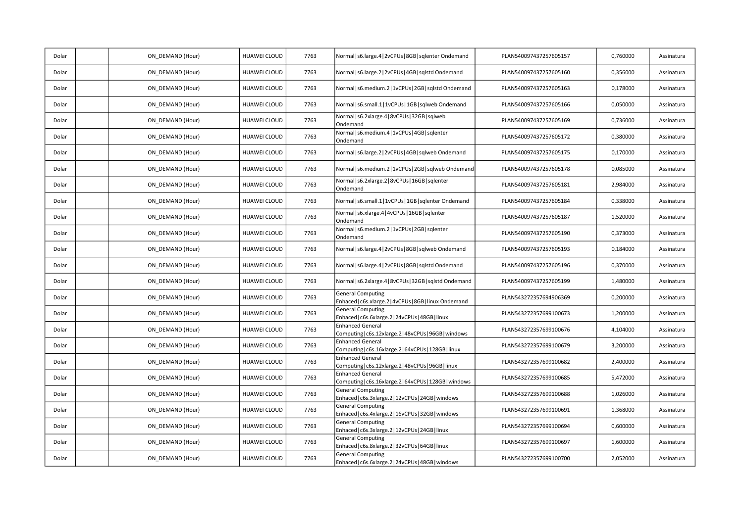| Dolar | ON_DEMAND (Hour) | HUAWEI CLOUD        | 7763 | Normal   s6.large.4   2vCPUs   8GB   sqlenter Ondemand                             | PLAN540097437257605157 | 0,760000 | Assinatura |
|-------|------------------|---------------------|------|------------------------------------------------------------------------------------|------------------------|----------|------------|
| Dolar | ON DEMAND (Hour) | HUAWEI CLOUD        | 7763 | Normal   s6.large.2   2vCPUs   4GB   sqlstd Ondemand                               | PLAN540097437257605160 | 0,356000 | Assinatura |
| Dolar | ON_DEMAND (Hour) | HUAWEI CLOUD        | 7763 | Normal   s6.medium.2   1vCPUs   2GB   sqlstd Ondemand                              | PLAN540097437257605163 | 0,178000 | Assinatura |
| Dolar | ON_DEMAND (Hour) | HUAWEI CLOUD        | 7763 | Normal   s6.small.1   1vCPUs   1GB   sqlweb Ondemand                               | PLAN540097437257605166 | 0,050000 | Assinatura |
| Dolar | ON_DEMAND (Hour) | <b>HUAWEI CLOUD</b> | 7763 | Normal   s6.2xlarge.4   8vCPUs   32GB   sqlweb<br>Ondemand                         | PLAN540097437257605169 | 0,736000 | Assinatura |
| Dolar | ON DEMAND (Hour) | HUAWEI CLOUD        | 7763 | Normal s6.medium.4 1vCPUs 4GB sqlenter<br>Ondemand                                 | PLAN540097437257605172 | 0,380000 | Assinatura |
| Dolar | ON_DEMAND (Hour) | HUAWEI CLOUD        | 7763 | Normal   s6.large.2   2vCPUs   4GB   sqlweb Ondemand                               | PLAN540097437257605175 | 0,170000 | Assinatura |
| Dolar | ON_DEMAND (Hour) | HUAWEI CLOUD        | 7763 | Normal   s6.medium.2   1vCPUs   2GB   sqlweb Ondemand                              | PLAN540097437257605178 | 0,085000 | Assinatura |
| Dolar | ON DEMAND (Hour) | HUAWEI CLOUD        | 7763 | Normal   s6.2xlarge.2   8vCPUs   16GB   sqlenter<br>Ondemand                       | PLAN540097437257605181 | 2,984000 | Assinatura |
| Dolar | ON DEMAND (Hour) | HUAWEI CLOUD        | 7763 | Normal   s6.small.1   1vCPUs   1GB   sqlenter Ondemand                             | PLAN540097437257605184 | 0,338000 | Assinatura |
| Dolar | ON_DEMAND (Hour) | HUAWEI CLOUD        | 7763 | Normal   s6.xlarge.4   4vCPUs   16GB   sqlenter<br>Ondemand                        | PLAN540097437257605187 | 1,520000 | Assinatura |
| Dolar | ON_DEMAND (Hour) | HUAWEI CLOUD        | 7763 | Normal s6.medium.2 1vCPUs 2GB sqlenter<br>Ondemand                                 | PLAN540097437257605190 | 0,373000 | Assinatura |
| Dolar | ON DEMAND (Hour) | HUAWEI CLOUD        | 7763 | Normal   s6.large.4   2vCPUs   8GB   sqlweb Ondemand                               | PLAN540097437257605193 | 0,184000 | Assinatura |
| Dolar | ON_DEMAND (Hour) | HUAWEI CLOUD        | 7763 | Normal   s6.large.4   2vCPUs   8GB   sqlstd Ondemand                               | PLAN540097437257605196 | 0,370000 | Assinatura |
| Dolar | ON_DEMAND (Hour) | HUAWEI CLOUD        | 7763 | Normal   s6.2xlarge.4   8vCPUs   32GB   sqlstd Ondemand                            | PLAN540097437257605199 | 1,480000 | Assinatura |
| Dolar | ON DEMAND (Hour) | <b>HUAWEI CLOUD</b> | 7763 | <b>General Computing</b><br>Enhaced   c6s.xlarge.2   4vCPUs   8GB   linux Ondemand | PLAN543272357694906369 | 0,200000 | Assinatura |
| Dolar | ON DEMAND (Hour) | HUAWEI CLOUD        | 7763 | <b>General Computing</b><br>Enhaced   c6s.6xlarge.2   24vCPUs   48GB   linux       | PLAN543272357699100673 | 1,200000 | Assinatura |
| Dolar | ON_DEMAND (Hour) | HUAWEI CLOUD        | 7763 | <b>Enhanced General</b><br>Computing   c6s.12xlarge.2   48vCPUs   96GB   windows   | PLAN543272357699100676 | 4,104000 | Assinatura |
| Dolar | ON_DEMAND (Hour) | HUAWEI CLOUD        | 7763 | <b>Enhanced General</b><br>Computing   c6s.16xlarge.2   64vCPUs   128GB   linux    | PLAN543272357699100679 | 3,200000 | Assinatura |
| Dolar | ON DEMAND (Hour) | HUAWEI CLOUD        | 7763 | <b>Enhanced General</b><br>Computing   c6s.12xlarge.2   48vCPUs   96GB   linux     | PLAN543272357699100682 | 2,400000 | Assinatura |
| Dolar | ON DEMAND (Hour) | HUAWEI CLOUD        | 7763 | <b>Enhanced General</b><br>Computing   c6s.16xlarge.2   64vCPUs   128GB   windows  | PLAN543272357699100685 | 5,472000 | Assinatura |
| Dolar | ON_DEMAND (Hour) | HUAWEI CLOUD        | 7763 | <b>General Computing</b><br>Enhaced   c6s.3xlarge.2   12vCPUs   24GB   windows     | PLAN543272357699100688 | 1,026000 | Assinatura |
| Dolar | ON DEMAND (Hour) | HUAWEI CLOUD        | 7763 | <b>General Computing</b><br>Enhaced   c6s.4xlarge.2   16vCPUs   32GB   windows     | PLAN543272357699100691 | 1,368000 | Assinatura |
| Dolar | ON DEMAND (Hour) | HUAWEI CLOUD        | 7763 | <b>General Computing</b><br>Enhaced   c6s.3xlarge.2   12vCPUs   24GB   linux       | PLAN543272357699100694 | 0,600000 | Assinatura |
| Dolar | ON_DEMAND (Hour) | HUAWEI CLOUD        | 7763 | <b>General Computing</b><br>Enhaced   c6s.8xlarge.2   32vCPUs   64GB   linux       | PLAN543272357699100697 | 1,600000 | Assinatura |
| Dolar | ON_DEMAND (Hour) | HUAWEI CLOUD        | 7763 | <b>General Computing</b><br>Enhaced   c6s.6xlarge.2   24vCPUs   48GB   windows     | PLAN543272357699100700 | 2,052000 | Assinatura |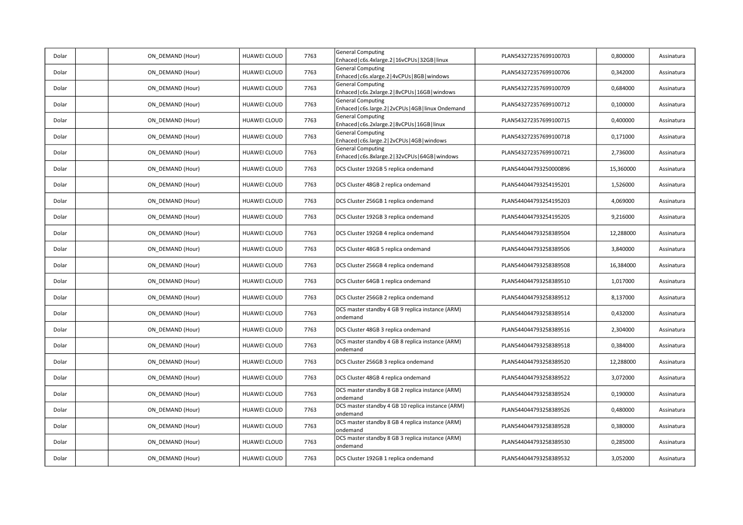| Dolar | ON DEMAND (Hour) | HUAWEI CLOUD        | 7763 | <b>General Computing</b><br>Enhaced   c6s.4xlarge.2   16vCPUs   32GB   linux      | PLAN543272357699100703 | 0,800000  | Assinatura |
|-------|------------------|---------------------|------|-----------------------------------------------------------------------------------|------------------------|-----------|------------|
| Dolar | ON DEMAND (Hour) | <b>HUAWEI CLOUD</b> | 7763 | <b>General Computing</b><br>Enhaced   c6s.xlarge.2   4vCPUs   8GB   windows       | PLAN543272357699100706 | 0,342000  | Assinatura |
| Dolar | ON DEMAND (Hour) | HUAWEI CLOUD        | 7763 | <b>General Computing</b><br>Enhaced   c6s.2xlarge.2   8vCPUs   16GB   windows     | PLAN543272357699100709 | 0,684000  | Assinatura |
| Dolar | ON DEMAND (Hour) | HUAWEI CLOUD        | 7763 | <b>General Computing</b><br>Enhaced   c6s.large.2   2vCPUs   4GB   linux Ondemand | PLAN543272357699100712 | 0,100000  | Assinatura |
| Dolar | ON DEMAND (Hour) | HUAWEI CLOUD        | 7763 | <b>General Computing</b><br>Enhaced   c6s.2xlarge.2   8vCPUs   16GB   linux       | PLAN543272357699100715 | 0,400000  | Assinatura |
| Dolar | ON DEMAND (Hour) | HUAWEI CLOUD        | 7763 | <b>General Computing</b><br>Enhaced   c6s.large.2   2vCPUs   4GB   windows        | PLAN543272357699100718 | 0,171000  | Assinatura |
| Dolar | ON DEMAND (Hour) | <b>HUAWEI CLOUD</b> | 7763 | <b>General Computing</b><br>Enhaced   c6s.8xlarge.2   32vCPUs   64GB   windows    | PLAN543272357699100721 | 2,736000  | Assinatura |
| Dolar | ON DEMAND (Hour) | HUAWEI CLOUD        | 7763 | DCS Cluster 192GB 5 replica ondemand                                              | PLAN544044793250000896 | 15,360000 | Assinatura |
| Dolar | ON DEMAND (Hour) | HUAWEI CLOUD        | 7763 | DCS Cluster 48GB 2 replica ondemand                                               | PLAN544044793254195201 | 1,526000  | Assinatura |
| Dolar | ON DEMAND (Hour) | HUAWEI CLOUD        | 7763 | DCS Cluster 256GB 1 replica ondemand                                              | PLAN544044793254195203 | 4,069000  | Assinatura |
| Dolar | ON DEMAND (Hour) | HUAWEI CLOUD        | 7763 | DCS Cluster 192GB 3 replica ondemand                                              | PLAN544044793254195205 | 9,216000  | Assinatura |
| Dolar | ON DEMAND (Hour) | <b>HUAWEI CLOUD</b> | 7763 | DCS Cluster 192GB 4 replica ondemand                                              | PLAN544044793258389504 | 12,288000 | Assinatura |
| Dolar | ON_DEMAND (Hour) | <b>HUAWEI CLOUD</b> | 7763 | DCS Cluster 48GB 5 replica ondemand                                               | PLAN544044793258389506 | 3,840000  | Assinatura |
| Dolar | ON DEMAND (Hour) | HUAWEI CLOUD        | 7763 | DCS Cluster 256GB 4 replica ondemand                                              | PLAN544044793258389508 | 16,384000 | Assinatura |
| Dolar | ON DEMAND (Hour) | HUAWEI CLOUD        | 7763 | DCS Cluster 64GB 1 replica ondemand                                               | PLAN544044793258389510 | 1,017000  | Assinatura |
| Dolar | ON DEMAND (Hour) | HUAWEI CLOUD        | 7763 | DCS Cluster 256GB 2 replica ondemand                                              | PLAN544044793258389512 | 8,137000  | Assinatura |
| Dolar | ON DEMAND (Hour) | <b>HUAWEI CLOUD</b> | 7763 | DCS master standby 4 GB 9 replica instance (ARM)<br>ondemand                      | PLAN544044793258389514 | 0,432000  | Assinatura |
| Dolar | ON DEMAND (Hour) | <b>HUAWEI CLOUD</b> | 7763 | DCS Cluster 48GB 3 replica ondemand                                               | PLAN544044793258389516 | 2,304000  | Assinatura |
| Dolar | ON DEMAND (Hour) | HUAWEI CLOUD        | 7763 | DCS master standby 4 GB 8 replica instance (ARM)<br>ondemand                      | PLAN544044793258389518 | 0,384000  | Assinatura |
| Dolar | ON DEMAND (Hour) | <b>HUAWEI CLOUD</b> | 7763 | DCS Cluster 256GB 3 replica ondemand                                              | PLAN544044793258389520 | 12,288000 | Assinatura |
| Dolar | ON_DEMAND (Hour) | <b>HUAWEI CLOUD</b> | 7763 | DCS Cluster 48GB 4 replica ondemand                                               | PLAN544044793258389522 | 3,072000  | Assinatura |
| Dolar | ON DEMAND (Hour) | <b>HUAWEI CLOUD</b> | 7763 | DCS master standby 8 GB 2 replica instance (ARM)<br>ondemand                      | PLAN544044793258389524 | 0,190000  | Assinatura |
| Dolar | ON DEMAND (Hour) | HUAWEI CLOUD        | 7763 | DCS master standby 4 GB 10 replica instance (ARM)<br>ondemand                     | PLAN544044793258389526 | 0,480000  | Assinatura |
| Dolar | ON DEMAND (Hour) | HUAWEI CLOUD        | 7763 | DCS master standby 8 GB 4 replica instance (ARM)<br>ondemand                      | PLAN544044793258389528 | 0,380000  | Assinatura |
| Dolar | ON_DEMAND (Hour) | HUAWEI CLOUD        | 7763 | DCS master standby 8 GB 3 replica instance (ARM)<br>ondemand                      | PLAN544044793258389530 | 0,285000  | Assinatura |
| Dolar | ON DEMAND (Hour) | <b>HUAWEI CLOUD</b> | 7763 | DCS Cluster 192GB 1 replica ondemand                                              | PLAN544044793258389532 | 3,052000  | Assinatura |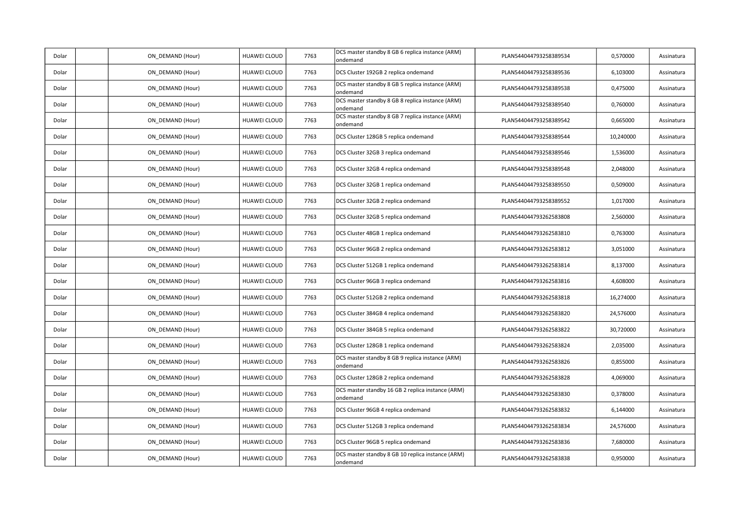| Dolar | ON DEMAND (Hour) | HUAWEI CLOUD        | 7763 | DCS master standby 8 GB 6 replica instance (ARM)<br>ondemand  | PLAN544044793258389534 | 0,570000  | Assinatura |
|-------|------------------|---------------------|------|---------------------------------------------------------------|------------------------|-----------|------------|
| Dolar | ON_DEMAND (Hour) | <b>HUAWEI CLOUD</b> | 7763 | DCS Cluster 192GB 2 replica ondemand                          | PLAN544044793258389536 | 6,103000  | Assinatura |
| Dolar | ON DEMAND (Hour) | <b>HUAWEI CLOUD</b> | 7763 | DCS master standby 8 GB 5 replica instance (ARM)<br>ondemand  | PLAN544044793258389538 | 0,475000  | Assinatura |
| Dolar | ON DEMAND (Hour) | <b>HUAWEI CLOUD</b> | 7763 | DCS master standby 8 GB 8 replica instance (ARM)<br>ondemand  | PLAN544044793258389540 | 0,760000  | Assinatura |
| Dolar | ON DEMAND (Hour) | HUAWEI CLOUD        | 7763 | DCS master standby 8 GB 7 replica instance (ARM)<br>ondemand  | PLAN544044793258389542 | 0,665000  | Assinatura |
| Dolar | ON DEMAND (Hour) | HUAWEI CLOUD        | 7763 | DCS Cluster 128GB 5 replica ondemand                          | PLAN544044793258389544 | 10,240000 | Assinatura |
| Dolar | ON DEMAND (Hour) | HUAWEI CLOUD        | 7763 | DCS Cluster 32GB 3 replica ondemand                           | PLAN544044793258389546 | 1,536000  | Assinatura |
| Dolar | ON DEMAND (Hour) | <b>HUAWEI CLOUD</b> | 7763 | DCS Cluster 32GB 4 replica ondemand                           | PLAN544044793258389548 | 2,048000  | Assinatura |
| Dolar | ON DEMAND (Hour) | HUAWEI CLOUD        | 7763 | DCS Cluster 32GB 1 replica ondemand                           | PLAN544044793258389550 | 0,509000  | Assinatura |
| Dolar | ON DEMAND (Hour) | <b>HUAWEI CLOUD</b> | 7763 | DCS Cluster 32GB 2 replica ondemand                           | PLAN544044793258389552 | 1,017000  | Assinatura |
| Dolar | ON DEMAND (Hour) | HUAWEI CLOUD        | 7763 | DCS Cluster 32GB 5 replica ondemand                           | PLAN544044793262583808 | 2,560000  | Assinatura |
| Dolar | ON_DEMAND (Hour) | HUAWEI CLOUD        | 7763 | DCS Cluster 48GB 1 replica ondemand                           | PLAN544044793262583810 | 0,763000  | Assinatura |
| Dolar | ON_DEMAND (Hour) | HUAWEI CLOUD        | 7763 | DCS Cluster 96GB 2 replica ondemand                           | PLAN544044793262583812 | 3,051000  | Assinatura |
| Dolar | ON DEMAND (Hour) | HUAWEI CLOUD        | 7763 | DCS Cluster 512GB 1 replica ondemand                          | PLAN544044793262583814 | 8,137000  | Assinatura |
| Dolar | ON DEMAND (Hour) | HUAWEI CLOUD        | 7763 | DCS Cluster 96GB 3 replica ondemand                           | PLAN544044793262583816 | 4,608000  | Assinatura |
| Dolar | ON DEMAND (Hour) | HUAWEI CLOUD        | 7763 | DCS Cluster 512GB 2 replica ondemand                          | PLAN544044793262583818 | 16,274000 | Assinatura |
| Dolar | ON DEMAND (Hour) | HUAWEI CLOUD        | 7763 | DCS Cluster 384GB 4 replica ondemand                          | PLAN544044793262583820 | 24,576000 | Assinatura |
| Dolar | ON DEMAND (Hour) | HUAWEI CLOUD        | 7763 | DCS Cluster 384GB 5 replica ondemand                          | PLAN544044793262583822 | 30,720000 | Assinatura |
| Dolar | ON_DEMAND (Hour) | HUAWEI CLOUD        | 7763 | DCS Cluster 128GB 1 replica ondemand                          | PLAN544044793262583824 | 2,035000  | Assinatura |
| Dolar | ON DEMAND (Hour) | <b>HUAWEI CLOUD</b> | 7763 | DCS master standby 8 GB 9 replica instance (ARM)<br>ondemand  | PLAN544044793262583826 | 0,855000  | Assinatura |
| Dolar | ON DEMAND (Hour) | HUAWEI CLOUD        | 7763 | DCS Cluster 128GB 2 replica ondemand                          | PLAN544044793262583828 | 4,069000  | Assinatura |
| Dolar | ON DEMAND (Hour) | HUAWEI CLOUD        | 7763 | DCS master standby 16 GB 2 replica instance (ARM)<br>ondemand | PLAN544044793262583830 | 0,378000  | Assinatura |
| Dolar | ON DEMAND (Hour) | HUAWEI CLOUD        | 7763 | DCS Cluster 96GB 4 replica ondemand                           | PLAN544044793262583832 | 6,144000  | Assinatura |
| Dolar | ON DEMAND (Hour) | HUAWEI CLOUD        | 7763 | DCS Cluster 512GB 3 replica ondemand                          | PLAN544044793262583834 | 24,576000 | Assinatura |
| Dolar | ON_DEMAND (Hour) | <b>HUAWEI CLOUD</b> | 7763 | DCS Cluster 96GB 5 replica ondemand                           | PLAN544044793262583836 | 7,680000  | Assinatura |
| Dolar | ON DEMAND (Hour) | HUAWEI CLOUD        | 7763 | DCS master standby 8 GB 10 replica instance (ARM)<br>ondemand | PLAN544044793262583838 | 0,950000  | Assinatura |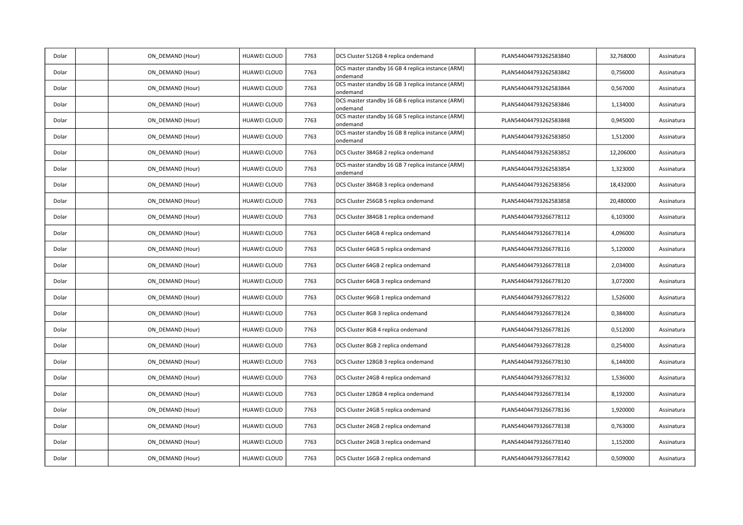| Dolar | ON_DEMAND (Hour) | HUAWEI CLOUD        | 7763 | DCS Cluster 512GB 4 replica ondemand                          | PLAN544044793262583840 | 32,768000 | Assinatura |
|-------|------------------|---------------------|------|---------------------------------------------------------------|------------------------|-----------|------------|
| Dolar | ON DEMAND (Hour) | HUAWEI CLOUD        | 7763 | DCS master standby 16 GB 4 replica instance (ARM)<br>ondemand | PLAN544044793262583842 | 0,756000  | Assinatura |
| Dolar | ON DEMAND (Hour) | HUAWEI CLOUD        | 7763 | DCS master standby 16 GB 3 replica instance (ARM)<br>ondemand | PLAN544044793262583844 | 0,567000  | Assinatura |
| Dolar | ON DEMAND (Hour) | HUAWEI CLOUD        | 7763 | DCS master standby 16 GB 6 replica instance (ARM)<br>ondemand | PLAN544044793262583846 | 1,134000  | Assinatura |
| Dolar | ON_DEMAND (Hour) | HUAWEI CLOUD        | 7763 | DCS master standby 16 GB 5 replica instance (ARM)<br>ondemand | PLAN544044793262583848 | 0,945000  | Assinatura |
| Dolar | ON_DEMAND (Hour) | HUAWEI CLOUD        | 7763 | DCS master standby 16 GB 8 replica instance (ARM)<br>ondemand | PLAN544044793262583850 | 1,512000  | Assinatura |
| Dolar | ON DEMAND (Hour) | HUAWEI CLOUD        | 7763 | DCS Cluster 384GB 2 replica ondemand                          | PLAN544044793262583852 | 12,206000 | Assinatura |
| Dolar | ON DEMAND (Hour) | HUAWEI CLOUD        | 7763 | DCS master standby 16 GB 7 replica instance (ARM)<br>ondemand | PLAN544044793262583854 | 1,323000  | Assinatura |
| Dolar | ON DEMAND (Hour) | HUAWEI CLOUD        | 7763 | DCS Cluster 384GB 3 replica ondemand                          | PLAN544044793262583856 | 18,432000 | Assinatura |
| Dolar | ON DEMAND (Hour) | HUAWEI CLOUD        | 7763 | DCS Cluster 256GB 5 replica ondemand                          | PLAN544044793262583858 | 20,480000 | Assinatura |
| Dolar | ON DEMAND (Hour) | HUAWEI CLOUD        | 7763 | DCS Cluster 384GB 1 replica ondemand                          | PLAN544044793266778112 | 6,103000  | Assinatura |
| Dolar | ON DEMAND (Hour) | <b>HUAWEI CLOUD</b> | 7763 | DCS Cluster 64GB 4 replica ondemand                           | PLAN544044793266778114 | 4,096000  | Assinatura |
| Dolar | ON DEMAND (Hour) | HUAWEI CLOUD        | 7763 | DCS Cluster 64GB 5 replica ondemand                           | PLAN544044793266778116 | 5,120000  | Assinatura |
| Dolar | ON_DEMAND (Hour) | HUAWEI CLOUD        | 7763 | DCS Cluster 64GB 2 replica ondemand                           | PLAN544044793266778118 | 2,034000  | Assinatura |
| Dolar | ON_DEMAND (Hour) | <b>HUAWEI CLOUD</b> | 7763 | DCS Cluster 64GB 3 replica ondemand                           | PLAN544044793266778120 | 3,072000  | Assinatura |
| Dolar | ON_DEMAND (Hour) | HUAWEI CLOUD        | 7763 | DCS Cluster 96GB 1 replica ondemand                           | PLAN544044793266778122 | 1,526000  | Assinatura |
| Dolar | ON DEMAND (Hour) | HUAWEI CLOUD        | 7763 | DCS Cluster 8GB 3 replica ondemand                            | PLAN544044793266778124 | 0,384000  | Assinatura |
| Dolar | ON DEMAND (Hour) | HUAWEI CLOUD        | 7763 | DCS Cluster 8GB 4 replica ondemand                            | PLAN544044793266778126 | 0,512000  | Assinatura |
| Dolar | ON_DEMAND (Hour) | HUAWEI CLOUD        | 7763 | DCS Cluster 8GB 2 replica ondemand                            | PLAN544044793266778128 | 0,254000  | Assinatura |
| Dolar | ON DEMAND (Hour) | HUAWEI CLOUD        | 7763 | DCS Cluster 128GB 3 replica ondemand                          | PLAN544044793266778130 | 6,144000  | Assinatura |
| Dolar | ON DEMAND (Hour) | HUAWEI CLOUD        | 7763 | DCS Cluster 24GB 4 replica ondemand                           | PLAN544044793266778132 | 1,536000  | Assinatura |
| Dolar | ON DEMAND (Hour) | <b>HUAWEI CLOUD</b> | 7763 | DCS Cluster 128GB 4 replica ondemand                          | PLAN544044793266778134 | 8,192000  | Assinatura |
| Dolar | ON DEMAND (Hour) | HUAWEI CLOUD        | 7763 | DCS Cluster 24GB 5 replica ondemand                           | PLAN544044793266778136 | 1,920000  | Assinatura |
| Dolar | ON DEMAND (Hour) | HUAWEI CLOUD        | 7763 | DCS Cluster 24GB 2 replica ondemand                           | PLAN544044793266778138 | 0,763000  | Assinatura |
| Dolar | ON_DEMAND (Hour) | HUAWEI CLOUD        | 7763 | DCS Cluster 24GB 3 replica ondemand                           | PLAN544044793266778140 | 1,152000  | Assinatura |
| Dolar | ON DEMAND (Hour) | HUAWEI CLOUD        | 7763 | DCS Cluster 16GB 2 replica ondemand                           | PLAN544044793266778142 | 0,509000  | Assinatura |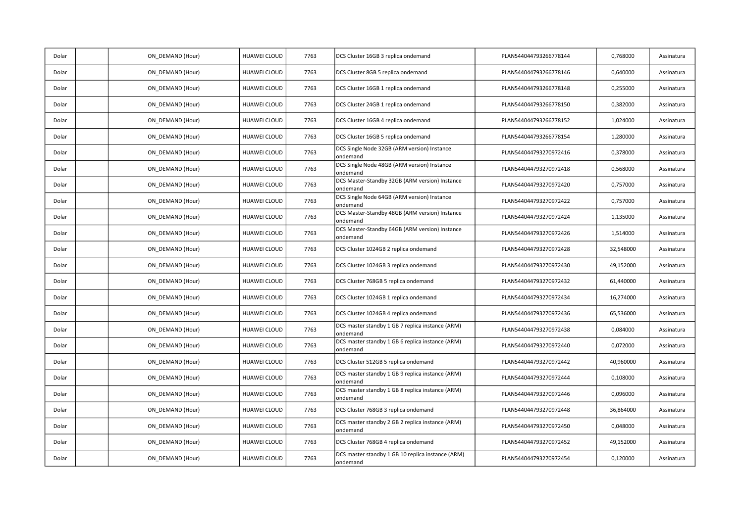| Dolar | ON DEMAND (Hour) | HUAWEI CLOUD        | 7763 | DCS Cluster 16GB 3 replica ondemand                           | PLAN544044793266778144 | 0,768000  | Assinatura |
|-------|------------------|---------------------|------|---------------------------------------------------------------|------------------------|-----------|------------|
| Dolar | ON DEMAND (Hour) | HUAWEI CLOUD        | 7763 | DCS Cluster 8GB 5 replica ondemand                            | PLAN544044793266778146 | 0,640000  | Assinatura |
| Dolar | ON DEMAND (Hour) | HUAWEI CLOUD        | 7763 | DCS Cluster 16GB 1 replica ondemand                           | PLAN544044793266778148 | 0,255000  | Assinatura |
| Dolar | ON DEMAND (Hour) | HUAWEI CLOUD        | 7763 | DCS Cluster 24GB 1 replica ondemand                           | PLAN544044793266778150 | 0,382000  | Assinatura |
| Dolar | ON DEMAND (Hour) | HUAWEI CLOUD        | 7763 | DCS Cluster 16GB 4 replica ondemand                           | PLAN544044793266778152 | 1,024000  | Assinatura |
| Dolar | ON_DEMAND (Hour) | HUAWEI CLOUD        | 7763 | DCS Cluster 16GB 5 replica ondemand                           | PLAN544044793266778154 | 1,280000  | Assinatura |
| Dolar | ON DEMAND (Hour) | HUAWEI CLOUD        | 7763 | DCS Single Node 32GB (ARM version) Instance<br>ondemand       | PLAN544044793270972416 | 0,378000  | Assinatura |
| Dolar | ON DEMAND (Hour) | HUAWEI CLOUD        | 7763 | DCS Single Node 48GB (ARM version) Instance<br>ondemand       | PLAN544044793270972418 | 0,568000  | Assinatura |
| Dolar | ON DEMAND (Hour) | HUAWEI CLOUD        | 7763 | DCS Master-Standby 32GB (ARM version) Instance<br>ondemand    | PLAN544044793270972420 | 0,757000  | Assinatura |
| Dolar | ON_DEMAND (Hour) | HUAWEI CLOUD        | 7763 | DCS Single Node 64GB (ARM version) Instance<br>ondemand       | PLAN544044793270972422 | 0,757000  | Assinatura |
| Dolar | ON_DEMAND (Hour) | HUAWEI CLOUD        | 7763 | DCS Master-Standby 48GB (ARM version) Instance<br>ondemand    | PLAN544044793270972424 | 1,135000  | Assinatura |
| Dolar | ON DEMAND (Hour) | <b>HUAWEI CLOUD</b> | 7763 | DCS Master-Standby 64GB (ARM version) Instance<br>ondemand    | PLAN544044793270972426 | 1,514000  | Assinatura |
| Dolar | ON DEMAND (Hour) | HUAWEI CLOUD        | 7763 | DCS Cluster 1024GB 2 replica ondemand                         | PLAN544044793270972428 | 32,548000 | Assinatura |
| Dolar | ON_DEMAND (Hour) | HUAWEI CLOUD        | 7763 | DCS Cluster 1024GB 3 replica ondemand                         | PLAN544044793270972430 | 49,152000 | Assinatura |
| Dolar | ON_DEMAND (Hour) | HUAWEI CLOUD        | 7763 | DCS Cluster 768GB 5 replica ondemand                          | PLAN544044793270972432 | 61,440000 | Assinatura |
| Dolar | ON DEMAND (Hour) | HUAWEI CLOUD        | 7763 | DCS Cluster 1024GB 1 replica ondemand                         | PLAN544044793270972434 | 16,274000 | Assinatura |
| Dolar | ON DEMAND (Hour) | HUAWEI CLOUD        | 7763 | DCS Cluster 1024GB 4 replica ondemand                         | PLAN544044793270972436 | 65,536000 | Assinatura |
| Dolar | ON DEMAND (Hour) | HUAWEI CLOUD        | 7763 | DCS master standby 1 GB 7 replica instance (ARM)<br>ondemand  | PLAN544044793270972438 | 0,084000  | Assinatura |
| Dolar | ON_DEMAND (Hour) | HUAWEI CLOUD        | 7763 | DCS master standby 1 GB 6 replica instance (ARM)<br>ondemand  | PLAN544044793270972440 | 0,072000  | Assinatura |
| Dolar | ON DEMAND (Hour) | HUAWEI CLOUD        | 7763 | DCS Cluster 512GB 5 replica ondemand                          | PLAN544044793270972442 | 40,960000 | Assinatura |
| Dolar | ON_DEMAND (Hour) | HUAWEI CLOUD        | 7763 | DCS master standby 1 GB 9 replica instance (ARM)<br>ondemand  | PLAN544044793270972444 | 0,108000  | Assinatura |
| Dolar | ON DEMAND (Hour) | HUAWEI CLOUD        | 7763 | DCS master standby 1 GB 8 replica instance (ARM)<br>ondemand  | PLAN544044793270972446 | 0,096000  | Assinatura |
| Dolar | ON DEMAND (Hour) | HUAWEI CLOUD        | 7763 | DCS Cluster 768GB 3 replica ondemand                          | PLAN544044793270972448 | 36,864000 | Assinatura |
| Dolar | ON DEMAND (Hour) | HUAWEI CLOUD        | 7763 | DCS master standby 2 GB 2 replica instance (ARM)<br>ondemand  | PLAN544044793270972450 | 0,048000  | Assinatura |
| Dolar | ON_DEMAND (Hour) | HUAWEI CLOUD        | 7763 | DCS Cluster 768GB 4 replica ondemand                          | PLAN544044793270972452 | 49,152000 | Assinatura |
| Dolar | ON DEMAND (Hour) | HUAWEI CLOUD        | 7763 | DCS master standby 1 GB 10 replica instance (ARM)<br>ondemand | PLAN544044793270972454 | 0,120000  | Assinatura |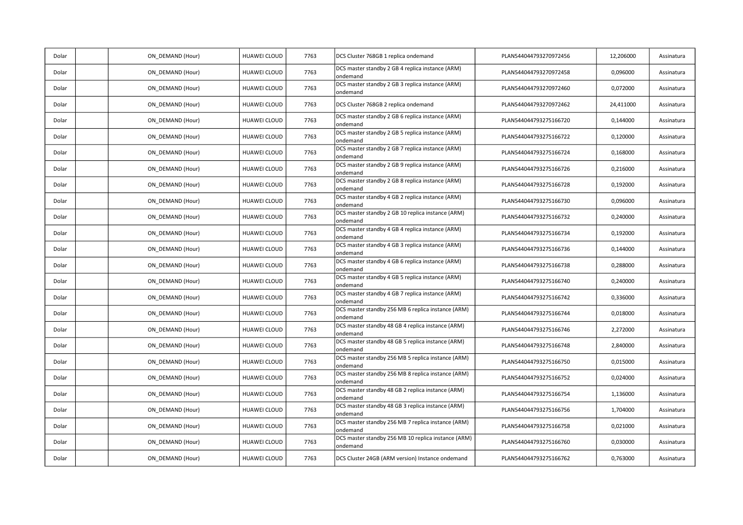| Dolar | ON_DEMAND (Hour) | HUAWEI CLOUD        | 7763 | DCS Cluster 768GB 1 replica ondemand                            | PLAN544044793270972456 | 12,206000 | Assinatura |
|-------|------------------|---------------------|------|-----------------------------------------------------------------|------------------------|-----------|------------|
| Dolar | ON DEMAND (Hour) | HUAWEI CLOUD        | 7763 | DCS master standby 2 GB 4 replica instance (ARM)<br>ondemand    | PLAN544044793270972458 | 0,096000  | Assinatura |
| Dolar | ON_DEMAND (Hour) | HUAWEI CLOUD        | 7763 | DCS master standby 2 GB 3 replica instance (ARM)<br>ondemand    | PLAN544044793270972460 | 0,072000  | Assinatura |
| Dolar | ON_DEMAND (Hour) | HUAWEI CLOUD        | 7763 | DCS Cluster 768GB 2 replica ondemand                            | PLAN544044793270972462 | 24,411000 | Assinatura |
| Dolar | ON DEMAND (Hour) | <b>HUAWEI CLOUD</b> | 7763 | DCS master standby 2 GB 6 replica instance (ARM)<br>ondemand    | PLAN544044793275166720 | 0,144000  | Assinatura |
| Dolar | ON DEMAND (Hour) | HUAWEI CLOUD        | 7763 | DCS master standby 2 GB 5 replica instance (ARM)<br>ondemand    | PLAN544044793275166722 | 0,120000  | Assinatura |
| Dolar | ON DEMAND (Hour) | HUAWEI CLOUD        | 7763 | DCS master standby 2 GB 7 replica instance (ARM)<br>ondemand    | PLAN544044793275166724 | 0,168000  | Assinatura |
| Dolar | ON_DEMAND (Hour) | HUAWEI CLOUD        | 7763 | DCS master standby 2 GB 9 replica instance (ARM)<br>ondemand    | PLAN544044793275166726 | 0,216000  | Assinatura |
| Dolar | ON DEMAND (Hour) | HUAWEI CLOUD        | 7763 | DCS master standby 2 GB 8 replica instance (ARM)<br>ondemand    | PLAN544044793275166728 | 0,192000  | Assinatura |
| Dolar | ON_DEMAND (Hour) | HUAWEI CLOUD        | 7763 | DCS master standby 4 GB 2 replica instance (ARM)<br>ondemand    | PLAN544044793275166730 | 0,096000  | Assinatura |
| Dolar | ON DEMAND (Hour) | HUAWEI CLOUD        | 7763 | DCS master standby 2 GB 10 replica instance (ARM)<br>ondemand   | PLAN544044793275166732 | 0,240000  | Assinatura |
| Dolar | ON_DEMAND (Hour) | <b>HUAWEI CLOUD</b> | 7763 | DCS master standby 4 GB 4 replica instance (ARM)<br>ondemand    | PLAN544044793275166734 | 0,192000  | Assinatura |
| Dolar | ON DEMAND (Hour) | HUAWEI CLOUD        | 7763 | DCS master standby 4 GB 3 replica instance (ARM)<br>ondemand    | PLAN544044793275166736 | 0,144000  | Assinatura |
| Dolar | ON_DEMAND (Hour) | HUAWEI CLOUD        | 7763 | DCS master standby 4 GB 6 replica instance (ARM)<br>ondemand    | PLAN544044793275166738 | 0,288000  | Assinatura |
| Dolar | ON_DEMAND (Hour) | HUAWEI CLOUD        | 7763 | DCS master standby 4 GB 5 replica instance (ARM)<br>ondemand    | PLAN544044793275166740 | 0,240000  | Assinatura |
| Dolar | ON DEMAND (Hour) | HUAWEI CLOUD        | 7763 | DCS master standby 4 GB 7 replica instance (ARM)<br>ondemand    | PLAN544044793275166742 | 0,336000  | Assinatura |
| Dolar | ON DEMAND (Hour) | HUAWEI CLOUD        | 7763 | DCS master standby 256 MB 6 replica instance (ARM)<br>ondemand  | PLAN544044793275166744 | 0,018000  | Assinatura |
| Dolar | ON_DEMAND (Hour) | HUAWEI CLOUD        | 7763 | DCS master standby 48 GB 4 replica instance (ARM)<br>ondemand   | PLAN544044793275166746 | 2,272000  | Assinatura |
| Dolar | ON_DEMAND (Hour) | HUAWEI CLOUD        | 7763 | DCS master standby 48 GB 5 replica instance (ARM)<br>ondemand   | PLAN544044793275166748 | 2,840000  | Assinatura |
| Dolar | ON DEMAND (Hour) | HUAWEI CLOUD        | 7763 | DCS master standby 256 MB 5 replica instance (ARM)<br>ondemand  | PLAN544044793275166750 | 0,015000  | Assinatura |
| Dolar | ON_DEMAND (Hour) | HUAWEI CLOUD        | 7763 | DCS master standby 256 MB 8 replica instance (ARM)<br>ondemand  | PLAN544044793275166752 | 0,024000  | Assinatura |
| Dolar | ON_DEMAND (Hour) | HUAWEI CLOUD        | 7763 | DCS master standby 48 GB 2 replica instance (ARM)<br>ondemand   | PLAN544044793275166754 | 1,136000  | Assinatura |
| Dolar | ON DEMAND (Hour) | HUAWEI CLOUD        | 7763 | DCS master standby 48 GB 3 replica instance (ARM)<br>ondemand   | PLAN544044793275166756 | 1,704000  | Assinatura |
| Dolar | ON DEMAND (Hour) | <b>HUAWEI CLOUD</b> | 7763 | DCS master standby 256 MB 7 replica instance (ARM)<br>ondemand  | PLAN544044793275166758 | 0,021000  | Assinatura |
| Dolar | ON_DEMAND (Hour) | HUAWEI CLOUD        | 7763 | DCS master standby 256 MB 10 replica instance (ARM)<br>ondemand | PLAN544044793275166760 | 0,030000  | Assinatura |
| Dolar | ON DEMAND (Hour) | HUAWEI CLOUD        | 7763 | DCS Cluster 24GB (ARM version) Instance ondemand                | PLAN544044793275166762 | 0,763000  | Assinatura |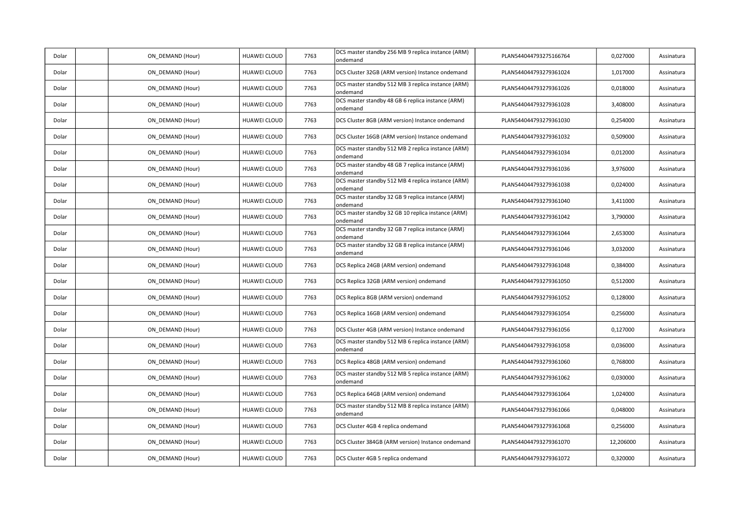| Dolar | ON_DEMAND (Hour) | HUAWEI CLOUD        | 7763 | DCS master standby 256 MB 9 replica instance (ARM)<br>ondemand | PLAN544044793275166764 | 0,027000  | Assinatura |
|-------|------------------|---------------------|------|----------------------------------------------------------------|------------------------|-----------|------------|
| Dolar | ON DEMAND (Hour) | HUAWEI CLOUD        | 7763 | DCS Cluster 32GB (ARM version) Instance ondemand               | PLAN544044793279361024 | 1,017000  | Assinatura |
| Dolar | ON_DEMAND (Hour) | HUAWEI CLOUD        | 7763 | DCS master standby 512 MB 3 replica instance (ARM)<br>ondemand | PLAN544044793279361026 | 0,018000  | Assinatura |
| Dolar | ON_DEMAND (Hour) | HUAWEI CLOUD        | 7763 | DCS master standby 48 GB 6 replica instance (ARM)<br>ondemand  | PLAN544044793279361028 | 3,408000  | Assinatura |
| Dolar | ON_DEMAND (Hour) | HUAWEI CLOUD        | 7763 | DCS Cluster 8GB (ARM version) Instance ondemand                | PLAN544044793279361030 | 0,254000  | Assinatura |
| Dolar | ON DEMAND (Hour) | HUAWEI CLOUD        | 7763 | DCS Cluster 16GB (ARM version) Instance ondemand               | PLAN544044793279361032 | 0,509000  | Assinatura |
| Dolar | ON_DEMAND (Hour) | HUAWEI CLOUD        | 7763 | DCS master standby 512 MB 2 replica instance (ARM)<br>ondemand | PLAN544044793279361034 | 0,012000  | Assinatura |
| Dolar | ON_DEMAND (Hour) | HUAWEI CLOUD        | 7763 | DCS master standby 48 GB 7 replica instance (ARM)<br>ondemand  | PLAN544044793279361036 | 3,976000  | Assinatura |
| Dolar | ON_DEMAND (Hour) | HUAWEI CLOUD        | 7763 | DCS master standby 512 MB 4 replica instance (ARM)<br>ondemand | PLAN544044793279361038 | 0,024000  | Assinatura |
| Dolar | ON DEMAND (Hour) | HUAWEI CLOUD        | 7763 | DCS master standby 32 GB 9 replica instance (ARM)<br>ondemand  | PLAN544044793279361040 | 3,411000  | Assinatura |
| Dolar | ON DEMAND (Hour) | HUAWEI CLOUD        | 7763 | DCS master standby 32 GB 10 replica instance (ARM)<br>ondemand | PLAN544044793279361042 | 3,790000  | Assinatura |
| Dolar | ON_DEMAND (Hour) | HUAWEI CLOUD        | 7763 | DCS master standby 32 GB 7 replica instance (ARM)<br>ondemand  | PLAN544044793279361044 | 2,653000  | Assinatura |
| Dolar | ON DEMAND (Hour) | HUAWEI CLOUD        | 7763 | DCS master standby 32 GB 8 replica instance (ARM)<br>ondemand  | PLAN544044793279361046 | 3,032000  | Assinatura |
| Dolar | ON DEMAND (Hour) | HUAWEI CLOUD        | 7763 | DCS Replica 24GB (ARM version) ondemand                        | PLAN544044793279361048 | 0,384000  | Assinatura |
| Dolar | ON DEMAND (Hour) | HUAWEI CLOUD        | 7763 | DCS Replica 32GB (ARM version) ondemand                        | PLAN544044793279361050 | 0,512000  | Assinatura |
| Dolar | ON_DEMAND (Hour) | HUAWEI CLOUD        | 7763 | DCS Replica 8GB (ARM version) ondemand                         | PLAN544044793279361052 | 0,128000  | Assinatura |
| Dolar | ON DEMAND (Hour) | <b>HUAWEI CLOUD</b> | 7763 | DCS Replica 16GB (ARM version) ondemand                        | PLAN544044793279361054 | 0,256000  | Assinatura |
| Dolar | ON_DEMAND (Hour) | HUAWEI CLOUD        | 7763 | DCS Cluster 4GB (ARM version) Instance ondemand                | PLAN544044793279361056 | 0,127000  | Assinatura |
| Dolar | ON DEMAND (Hour) | HUAWEI CLOUD        | 7763 | DCS master standby 512 MB 6 replica instance (ARM)<br>ondemand | PLAN544044793279361058 | 0,036000  | Assinatura |
| Dolar | ON_DEMAND (Hour) | HUAWEI CLOUD        | 7763 | DCS Replica 48GB (ARM version) ondemand                        | PLAN544044793279361060 | 0,768000  | Assinatura |
| Dolar | ON_DEMAND (Hour) | HUAWEI CLOUD        | 7763 | DCS master standby 512 MB 5 replica instance (ARM)<br>ondemand | PLAN544044793279361062 | 0,030000  | Assinatura |
| Dolar | ON_DEMAND (Hour) | HUAWEI CLOUD        | 7763 | DCS Replica 64GB (ARM version) ondemand                        | PLAN544044793279361064 | 1,024000  | Assinatura |
| Dolar | ON DEMAND (Hour) | HUAWEI CLOUD        | 7763 | DCS master standby 512 MB 8 replica instance (ARM)<br>ondemand | PLAN544044793279361066 | 0,048000  | Assinatura |
| Dolar | ON DEMAND (Hour) | HUAWEI CLOUD        | 7763 | DCS Cluster 4GB 4 replica ondemand                             | PLAN544044793279361068 | 0,256000  | Assinatura |
| Dolar | ON_DEMAND (Hour) | HUAWEI CLOUD        | 7763 | DCS Cluster 384GB (ARM version) Instance ondemand              | PLAN544044793279361070 | 12,206000 | Assinatura |
| Dolar | ON_DEMAND (Hour) | HUAWEI CLOUD        | 7763 | DCS Cluster 4GB 5 replica ondemand                             | PLAN544044793279361072 | 0,320000  | Assinatura |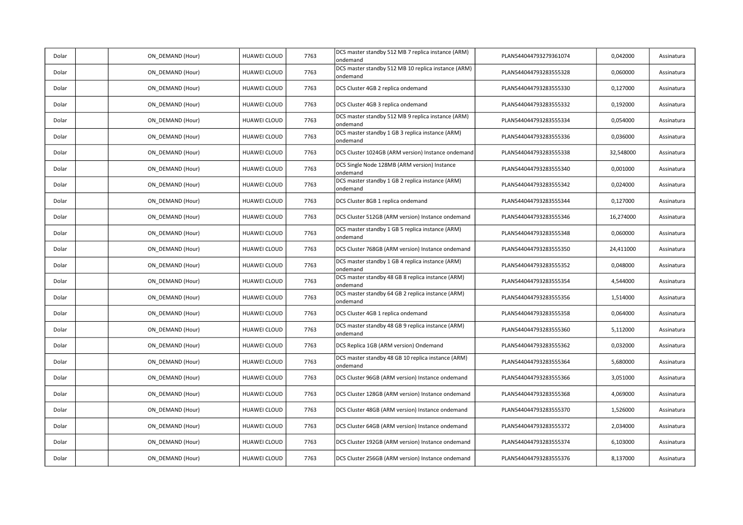| Dolar | ON_DEMAND (Hour) | HUAWEI CLOUD        | 7763 | DCS master standby 512 MB 7 replica instance (ARM)<br>ondemand  | PLAN544044793279361074 | 0,042000  | Assinatura |
|-------|------------------|---------------------|------|-----------------------------------------------------------------|------------------------|-----------|------------|
| Dolar | ON DEMAND (Hour) | HUAWEI CLOUD        | 7763 | DCS master standby 512 MB 10 replica instance (ARM)<br>ondemand | PLAN544044793283555328 | 0,060000  | Assinatura |
| Dolar | ON DEMAND (Hour) | HUAWEI CLOUD        | 7763 | DCS Cluster 4GB 2 replica ondemand                              | PLAN544044793283555330 | 0,127000  | Assinatura |
| Dolar | ON DEMAND (Hour) | HUAWEI CLOUD        | 7763 | DCS Cluster 4GB 3 replica ondemand                              | PLAN544044793283555332 | 0,192000  | Assinatura |
| Dolar | ON_DEMAND (Hour) | HUAWEI CLOUD        | 7763 | DCS master standby 512 MB 9 replica instance (ARM)<br>ondemand  | PLAN544044793283555334 | 0,054000  | Assinatura |
| Dolar | ON_DEMAND (Hour) | HUAWEI CLOUD        | 7763 | DCS master standby 1 GB 3 replica instance (ARM)<br>ondemand    | PLAN544044793283555336 | 0,036000  | Assinatura |
| Dolar | ON DEMAND (Hour) | HUAWEI CLOUD        | 7763 | DCS Cluster 1024GB (ARM version) Instance ondemand              | PLAN544044793283555338 | 32,548000 | Assinatura |
| Dolar | ON DEMAND (Hour) | HUAWEI CLOUD        | 7763 | DCS Single Node 128MB (ARM version) Instance<br>ondemand        | PLAN544044793283555340 | 0,001000  | Assinatura |
| Dolar | ON DEMAND (Hour) | HUAWEI CLOUD        | 7763 | DCS master standby 1 GB 2 replica instance (ARM)<br>ondemand    | PLAN544044793283555342 | 0,024000  | Assinatura |
| Dolar | ON_DEMAND (Hour) | HUAWEI CLOUD        | 7763 | DCS Cluster 8GB 1 replica ondemand                              | PLAN544044793283555344 | 0,127000  | Assinatura |
| Dolar | ON DEMAND (Hour) | HUAWEI CLOUD        | 7763 | DCS Cluster 512GB (ARM version) Instance ondemand               | PLAN544044793283555346 | 16,274000 | Assinatura |
| Dolar | ON DEMAND (Hour) | HUAWEI CLOUD        | 7763 | DCS master standby 1 GB 5 replica instance (ARM)<br>ondemand    | PLAN544044793283555348 | 0,060000  | Assinatura |
| Dolar | ON DEMAND (Hour) | HUAWEI CLOUD        | 7763 | DCS Cluster 768GB (ARM version) Instance ondemand               | PLAN544044793283555350 | 24,411000 | Assinatura |
| Dolar | ON_DEMAND (Hour) | HUAWEI CLOUD        | 7763 | DCS master standby 1 GB 4 replica instance (ARM)<br>ondemand    | PLAN544044793283555352 | 0,048000  | Assinatura |
| Dolar | ON_DEMAND (Hour) | HUAWEI CLOUD        | 7763 | DCS master standby 48 GB 8 replica instance (ARM)<br>ondemand   | PLAN544044793283555354 | 4,544000  | Assinatura |
| Dolar | ON_DEMAND (Hour) | HUAWEI CLOUD        | 7763 | DCS master standby 64 GB 2 replica instance (ARM)<br>ondemand   | PLAN544044793283555356 | 1,514000  | Assinatura |
| Dolar | ON DEMAND (Hour) | HUAWEI CLOUD        | 7763 | DCS Cluster 4GB 1 replica ondemand                              | PLAN544044793283555358 | 0,064000  | Assinatura |
| Dolar | ON DEMAND (Hour) | HUAWEI CLOUD        | 7763 | DCS master standby 48 GB 9 replica instance (ARM)<br>ondemand   | PLAN544044793283555360 | 5,112000  | Assinatura |
| Dolar | ON_DEMAND (Hour) | HUAWEI CLOUD        | 7763 | DCS Replica 1GB (ARM version) Ondemand                          | PLAN544044793283555362 | 0,032000  | Assinatura |
| Dolar | ON DEMAND (Hour) | HUAWEI CLOUD        | 7763 | DCS master standby 48 GB 10 replica instance (ARM)<br>ondemand  | PLAN544044793283555364 | 5,680000  | Assinatura |
| Dolar | ON DEMAND (Hour) | HUAWEI CLOUD        | 7763 | DCS Cluster 96GB (ARM version) Instance ondemand                | PLAN544044793283555366 | 3,051000  | Assinatura |
| Dolar | ON DEMAND (Hour) | <b>HUAWEI CLOUD</b> | 7763 | DCS Cluster 128GB (ARM version) Instance ondemand               | PLAN544044793283555368 | 4,069000  | Assinatura |
| Dolar | ON DEMAND (Hour) | HUAWEI CLOUD        | 7763 | DCS Cluster 48GB (ARM version) Instance ondemand                | PLAN544044793283555370 | 1,526000  | Assinatura |
| Dolar | ON DEMAND (Hour) | HUAWEI CLOUD        | 7763 | DCS Cluster 64GB (ARM version) Instance ondemand                | PLAN544044793283555372 | 2,034000  | Assinatura |
| Dolar | ON_DEMAND (Hour) | HUAWEI CLOUD        | 7763 | DCS Cluster 192GB (ARM version) Instance ondemand               | PLAN544044793283555374 | 6,103000  | Assinatura |
| Dolar | ON DEMAND (Hour) | HUAWEI CLOUD        | 7763 | DCS Cluster 256GB (ARM version) Instance ondemand               | PLAN544044793283555376 | 8,137000  | Assinatura |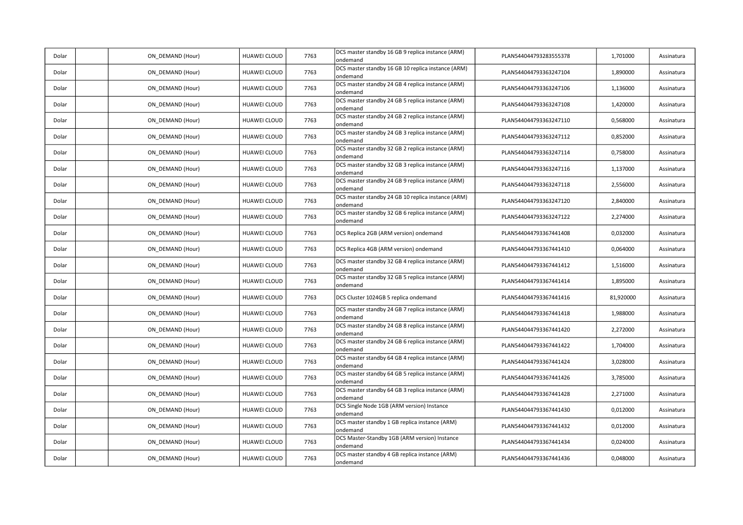| Dolar | ON_DEMAND (Hour) | HUAWEI CLOUD        | 7763 | DCS master standby 16 GB 9 replica instance (ARM)<br>ondemand  | PLAN544044793283555378 | 1,701000  | Assinatura |
|-------|------------------|---------------------|------|----------------------------------------------------------------|------------------------|-----------|------------|
| Dolar | ON DEMAND (Hour) | HUAWEI CLOUD        | 7763 | DCS master standby 16 GB 10 replica instance (ARM)<br>ondemand | PLAN544044793363247104 | 1,890000  | Assinatura |
| Dolar | ON_DEMAND (Hour) | HUAWEI CLOUD        | 7763 | DCS master standby 24 GB 4 replica instance (ARM)<br>ondemand  | PLAN544044793363247106 | 1,136000  | Assinatura |
| Dolar | ON DEMAND (Hour) | HUAWEI CLOUD        | 7763 | DCS master standby 24 GB 5 replica instance (ARM)<br>ondemand  | PLAN544044793363247108 | 1,420000  | Assinatura |
| Dolar | ON_DEMAND (Hour) | HUAWEI CLOUD        | 7763 | DCS master standby 24 GB 2 replica instance (ARM)<br>ondemand  | PLAN544044793363247110 | 0,568000  | Assinatura |
| Dolar | ON_DEMAND (Hour) | HUAWEI CLOUD        | 7763 | DCS master standby 24 GB 3 replica instance (ARM)<br>ondemand  | PLAN544044793363247112 | 0,852000  | Assinatura |
| Dolar | ON DEMAND (Hour) | HUAWEI CLOUD        | 7763 | DCS master standby 32 GB 2 replica instance (ARM)<br>ondemand  | PLAN544044793363247114 | 0,758000  | Assinatura |
| Dolar | ON DEMAND (Hour) | HUAWEI CLOUD        | 7763 | DCS master standby 32 GB 3 replica instance (ARM)<br>ondemand  | PLAN544044793363247116 | 1,137000  | Assinatura |
| Dolar | ON DEMAND (Hour) | HUAWEI CLOUD        | 7763 | DCS master standby 24 GB 9 replica instance (ARM)<br>ondemand  | PLAN544044793363247118 | 2,556000  | Assinatura |
| Dolar | ON_DEMAND (Hour) | HUAWEI CLOUD        | 7763 | DCS master standby 24 GB 10 replica instance (ARM)<br>ondemand | PLAN544044793363247120 | 2,840000  | Assinatura |
| Dolar | ON_DEMAND (Hour) | HUAWEI CLOUD        | 7763 | DCS master standby 32 GB 6 replica instance (ARM)<br>ondemand  | PLAN544044793363247122 | 2,274000  | Assinatura |
| Dolar | ON DEMAND (Hour) | HUAWEI CLOUD        | 7763 | DCS Replica 2GB (ARM version) ondemand                         | PLAN544044793367441408 | 0,032000  | Assinatura |
| Dolar | ON DEMAND (Hour) | HUAWEI CLOUD        | 7763 | DCS Replica 4GB (ARM version) ondemand                         | PLAN544044793367441410 | 0,064000  | Assinatura |
| Dolar | ON_DEMAND (Hour) | HUAWEI CLOUD        | 7763 | DCS master standby 32 GB 4 replica instance (ARM)<br>ondemand  | PLAN544044793367441412 | 1,516000  | Assinatura |
| Dolar | ON_DEMAND (Hour) | HUAWEI CLOUD        | 7763 | DCS master standby 32 GB 5 replica instance (ARM)<br>ondemand  | PLAN544044793367441414 | 1,895000  | Assinatura |
| Dolar | ON_DEMAND (Hour) | HUAWEI CLOUD        | 7763 | DCS Cluster 1024GB 5 replica ondemand                          | PLAN544044793367441416 | 81,920000 | Assinatura |
| Dolar | ON DEMAND (Hour) | HUAWEI CLOUD        | 7763 | DCS master standby 24 GB 7 replica instance (ARM)<br>ondemand  | PLAN544044793367441418 | 1,988000  | Assinatura |
| Dolar | ON DEMAND (Hour) | HUAWEI CLOUD        | 7763 | DCS master standby 24 GB 8 replica instance (ARM)<br>ondemand  | PLAN544044793367441420 | 2,272000  | Assinatura |
| Dolar | ON_DEMAND (Hour) | HUAWEI CLOUD        | 7763 | DCS master standby 24 GB 6 replica instance (ARM)<br>ondemand  | PLAN544044793367441422 | 1,704000  | Assinatura |
| Dolar | ON_DEMAND (Hour) | HUAWEI CLOUD        | 7763 | DCS master standby 64 GB 4 replica instance (ARM)<br>ondemand  | PLAN544044793367441424 | 3,028000  | Assinatura |
| Dolar | ON DEMAND (Hour) | HUAWEI CLOUD        | 7763 | DCS master standby 64 GB 5 replica instance (ARM)<br>ondemand  | PLAN544044793367441426 | 3,785000  | Assinatura |
| Dolar | ON DEMAND (Hour) | <b>HUAWEI CLOUD</b> | 7763 | DCS master standby 64 GB 3 replica instance (ARM)<br>ondemand  | PLAN544044793367441428 | 2,271000  | Assinatura |
| Dolar | ON DEMAND (Hour) | HUAWEI CLOUD        | 7763 | DCS Single Node 1GB (ARM version) Instance<br>ondemand         | PLAN544044793367441430 | 0,012000  | Assinatura |
| Dolar | ON DEMAND (Hour) | HUAWEI CLOUD        | 7763 | DCS master standby 1 GB replica instance (ARM)<br>ondemand     | PLAN544044793367441432 | 0,012000  | Assinatura |
| Dolar | ON_DEMAND (Hour) | HUAWEI CLOUD        | 7763 | DCS Master-Standby 1GB (ARM version) Instance<br>ondemand      | PLAN544044793367441434 | 0,024000  | Assinatura |
| Dolar | ON DEMAND (Hour) | HUAWEI CLOUD        | 7763 | DCS master standby 4 GB replica instance (ARM)<br>ondemand     | PLAN544044793367441436 | 0,048000  | Assinatura |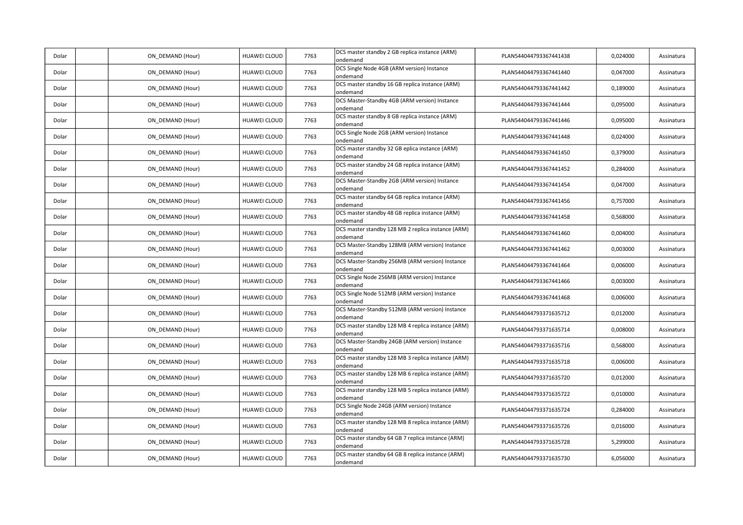| Dolar | ON_DEMAND (Hour) | HUAWEI CLOUD        | 7763 | DCS master standby 2 GB replica instance (ARM)<br>ondemand     | PLAN544044793367441438 | 0,024000 | Assinatura |
|-------|------------------|---------------------|------|----------------------------------------------------------------|------------------------|----------|------------|
| Dolar | ON DEMAND (Hour) | HUAWEI CLOUD        | 7763 | DCS Single Node 4GB (ARM version) Instance<br>ondemand         | PLAN544044793367441440 | 0,047000 | Assinatura |
| Dolar | ON_DEMAND (Hour) | HUAWEI CLOUD        | 7763 | DCS master standby 16 GB replica instance (ARM)<br>ondemand    | PLAN544044793367441442 | 0,189000 | Assinatura |
| Dolar | ON DEMAND (Hour) | HUAWEI CLOUD        | 7763 | DCS Master-Standby 4GB (ARM version) Instance<br>ondemand      | PLAN544044793367441444 | 0,095000 | Assinatura |
| Dolar | ON_DEMAND (Hour) | HUAWEI CLOUD        | 7763 | DCS master standby 8 GB replica instance (ARM)<br>ondemand     | PLAN544044793367441446 | 0,095000 | Assinatura |
| Dolar | ON_DEMAND (Hour) | HUAWEI CLOUD        | 7763 | DCS Single Node 2GB (ARM version) Instance<br>ondemand         | PLAN544044793367441448 | 0,024000 | Assinatura |
| Dolar | ON DEMAND (Hour) | HUAWEI CLOUD        | 7763 | DCS master standby 32 GB eplica instance (ARM)<br>ondemand     | PLAN544044793367441450 | 0,379000 | Assinatura |
| Dolar | ON DEMAND (Hour) | HUAWEI CLOUD        | 7763 | DCS master standby 24 GB replica instance (ARM)<br>ondemand    | PLAN544044793367441452 | 0,284000 | Assinatura |
| Dolar | ON DEMAND (Hour) | HUAWEI CLOUD        | 7763 | DCS Master-Standby 2GB (ARM version) Instance<br>ondemand      | PLAN544044793367441454 | 0,047000 | Assinatura |
| Dolar | ON_DEMAND (Hour) | HUAWEI CLOUD        | 7763 | DCS master standby 64 GB replica instance (ARM)<br>ondemand    | PLAN544044793367441456 | 0,757000 | Assinatura |
| Dolar | ON_DEMAND (Hour) | HUAWEI CLOUD        | 7763 | DCS master standby 48 GB replica instance (ARM)<br>ondemand    | PLAN544044793367441458 | 0,568000 | Assinatura |
| Dolar | ON DEMAND (Hour) | HUAWEI CLOUD        | 7763 | DCS master standby 128 MB 2 replica instance (ARM)<br>ondemand | PLAN544044793367441460 | 0,004000 | Assinatura |
| Dolar | ON DEMAND (Hour) | HUAWEI CLOUD        | 7763 | DCS Master-Standby 128MB (ARM version) Instance<br>ondemand    | PLAN544044793367441462 | 0,003000 | Assinatura |
| Dolar | ON_DEMAND (Hour) | HUAWEI CLOUD        | 7763 | DCS Master-Standby 256MB (ARM version) Instance<br>ondemand    | PLAN544044793367441464 | 0,006000 | Assinatura |
| Dolar | ON_DEMAND (Hour) | <b>HUAWEI CLOUD</b> | 7763 | DCS Single Node 256MB (ARM version) Instance<br>ondemand       | PLAN544044793367441466 | 0,003000 | Assinatura |
| Dolar | ON_DEMAND (Hour) | HUAWEI CLOUD        | 7763 | DCS Single Node 512MB (ARM version) Instance<br>ondemand       | PLAN544044793367441468 | 0,006000 | Assinatura |
| Dolar | ON DEMAND (Hour) | HUAWEI CLOUD        | 7763 | DCS Master-Standby 512MB (ARM version) Instance<br>ondemand    | PLAN544044793371635712 | 0,012000 | Assinatura |
| Dolar | ON_DEMAND (Hour) | HUAWEI CLOUD        | 7763 | DCS master standby 128 MB 4 replica instance (ARM)<br>ondemand | PLAN544044793371635714 | 0,008000 | Assinatura |
| Dolar | ON_DEMAND (Hour) | HUAWEI CLOUD        | 7763 | DCS Master-Standby 24GB (ARM version) Instance<br>ondemand     | PLAN544044793371635716 | 0,568000 | Assinatura |
| Dolar | ON_DEMAND (Hour) | HUAWEI CLOUD        | 7763 | DCS master standby 128 MB 3 replica instance (ARM)<br>ondemand | PLAN544044793371635718 | 0,006000 | Assinatura |
| Dolar | ON DEMAND (Hour) | HUAWEI CLOUD        | 7763 | DCS master standby 128 MB 6 replica instance (ARM)<br>ondemand | PLAN544044793371635720 | 0,012000 | Assinatura |
| Dolar | ON DEMAND (Hour) | <b>HUAWEI CLOUD</b> | 7763 | DCS master standby 128 MB 5 replica instance (ARM)<br>ondemand | PLAN544044793371635722 | 0,010000 | Assinatura |
| Dolar | ON DEMAND (Hour) | HUAWEI CLOUD        | 7763 | DCS Single Node 24GB (ARM version) Instance<br>ondemand        | PLAN544044793371635724 | 0,284000 | Assinatura |
| Dolar | ON DEMAND (Hour) | <b>HUAWEI CLOUD</b> | 7763 | DCS master standby 128 MB 8 replica instance (ARM)<br>ondemand | PLAN544044793371635726 | 0,016000 | Assinatura |
| Dolar | ON_DEMAND (Hour) | HUAWEI CLOUD        | 7763 | DCS master standby 64 GB 7 replica instance (ARM)<br>ondemand  | PLAN544044793371635728 | 5,299000 | Assinatura |
| Dolar | ON DEMAND (Hour) | HUAWEI CLOUD        | 7763 | DCS master standby 64 GB 8 replica instance (ARM)<br>ondemand  | PLAN544044793371635730 | 6,056000 | Assinatura |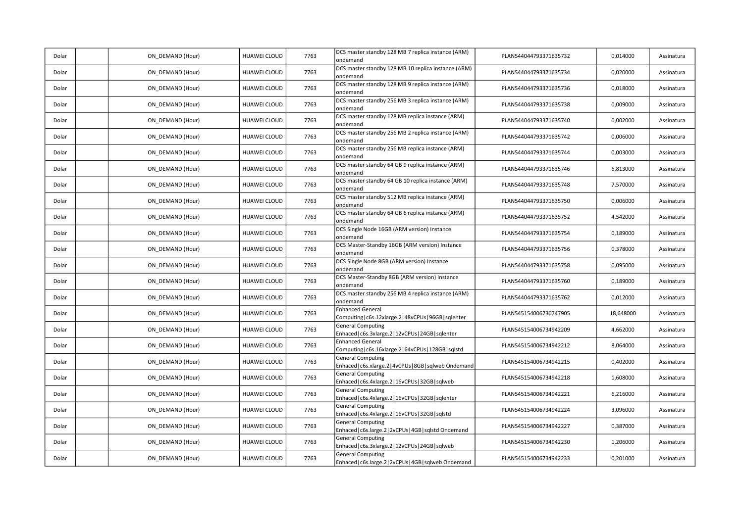| Dolar | ON_DEMAND (Hour) | HUAWEI CLOUD        | 7763 | DCS master standby 128 MB 7 replica instance (ARM)<br>ondemand                      | PLAN544044793371635732 | 0,014000  | Assinatura |
|-------|------------------|---------------------|------|-------------------------------------------------------------------------------------|------------------------|-----------|------------|
| Dolar | ON DEMAND (Hour) | HUAWEI CLOUD        | 7763 | DCS master standby 128 MB 10 replica instance (ARM)<br>ondemand                     | PLAN544044793371635734 | 0,020000  | Assinatura |
| Dolar | ON_DEMAND (Hour) | HUAWEI CLOUD        | 7763 | DCS master standby 128 MB 9 replica instance (ARM)<br>ondemand                      | PLAN544044793371635736 | 0,018000  | Assinatura |
| Dolar | ON_DEMAND (Hour) | HUAWEI CLOUD        | 7763 | DCS master standby 256 MB 3 replica instance (ARM)<br>ondemand                      | PLAN544044793371635738 | 0,009000  | Assinatura |
| Dolar | ON_DEMAND (Hour) | <b>HUAWEI CLOUD</b> | 7763 | DCS master standby 128 MB replica instance (ARM)<br>ondemand                        | PLAN544044793371635740 | 0,002000  | Assinatura |
| Dolar | ON DEMAND (Hour) | HUAWEI CLOUD        | 7763 | DCS master standby 256 MB 2 replica instance (ARM)<br>ondemand                      | PLAN544044793371635742 | 0,006000  | Assinatura |
| Dolar | ON_DEMAND (Hour) | HUAWEI CLOUD        | 7763 | DCS master standby 256 MB replica instance (ARM)<br>ondemand                        | PLAN544044793371635744 | 0,003000  | Assinatura |
| Dolar | ON DEMAND (Hour) | HUAWEI CLOUD        | 7763 | DCS master standby 64 GB 9 replica instance (ARM)<br>ondemand                       | PLAN544044793371635746 | 6,813000  | Assinatura |
| Dolar | ON DEMAND (Hour) | HUAWEI CLOUD        | 7763 | DCS master standby 64 GB 10 replica instance (ARM)<br>ondemand                      | PLAN544044793371635748 | 7,570000  | Assinatura |
| Dolar | ON_DEMAND (Hour) | HUAWEI CLOUD        | 7763 | DCS master standby 512 MB replica instance (ARM)<br>ondemand                        | PLAN544044793371635750 | 0,006000  | Assinatura |
| Dolar | ON DEMAND (Hour) | HUAWEI CLOUD        | 7763 | DCS master standby 64 GB 6 replica instance (ARM)<br>ondemand                       | PLAN544044793371635752 | 4,542000  | Assinatura |
| Dolar | ON_DEMAND (Hour) | HUAWEI CLOUD        | 7763 | DCS Single Node 16GB (ARM version) Instance<br>ondemand                             | PLAN544044793371635754 | 0,189000  | Assinatura |
| Dolar | ON_DEMAND (Hour) | HUAWEI CLOUD        | 7763 | DCS Master-Standby 16GB (ARM version) Instance<br>ondemand                          | PLAN544044793371635756 | 0,378000  | Assinatura |
| Dolar | ON DEMAND (Hour) | HUAWEI CLOUD        | 7763 | DCS Single Node 8GB (ARM version) Instance<br>ondemand                              | PLAN544044793371635758 | 0,095000  | Assinatura |
| Dolar | ON_DEMAND (Hour) | HUAWEI CLOUD        | 7763 | DCS Master-Standby 8GB (ARM version) Instance<br>ondemand                           | PLAN544044793371635760 | 0,189000  | Assinatura |
| Dolar | ON_DEMAND (Hour) | HUAWEI CLOUD        | 7763 | DCS master standby 256 MB 4 replica instance (ARM)<br>ondemand                      | PLAN544044793371635762 | 0,012000  | Assinatura |
| Dolar | ON_DEMAND (Hour) | HUAWEI CLOUD        | 7763 | <b>Enhanced General</b><br>Computing   c6s.12xlarge.2   48vCPUs   96GB   sqlenter   | PLAN545154006730747905 | 18,648000 | Assinatura |
| Dolar | ON DEMAND (Hour) | HUAWEI CLOUD        | 7763 | <b>General Computing</b><br>Enhaced   c6s.3xlarge.2   12vCPUs   24GB   sqlenter     | PLAN545154006734942209 | 4,662000  | Assinatura |
| Dolar | ON_DEMAND (Hour) | HUAWEI CLOUD        | 7763 | <b>Enhanced General</b><br>Computing   c6s.16xlarge.2   64vCPUs   128GB   sqlstd    | PLAN545154006734942212 | 8,064000  | Assinatura |
| Dolar | ON_DEMAND (Hour) | HUAWEI CLOUD        | 7763 | <b>General Computing</b><br>Enhaced   c6s.xlarge.2   4vCPUs   8GB   sqlweb Ondemand | PLAN545154006734942215 | 0,402000  | Assinatura |
| Dolar | ON DEMAND (Hour) | HUAWEI CLOUD        | 7763 | <b>General Computing</b><br>Enhaced   c6s.4xlarge.2   16vCPUs   32GB   sqlweb       | PLAN545154006734942218 | 1,608000  | Assinatura |
| Dolar | ON_DEMAND (Hour) | HUAWEI CLOUD        | 7763 | <b>General Computing</b><br>Enhaced   c6s.4xlarge.2   16vCPUs   32GB   sqlenter     | PLAN545154006734942221 | 6,216000  | Assinatura |
| Dolar | ON_DEMAND (Hour) | HUAWEI CLOUD        | 7763 | <b>General Computing</b><br>Enhaced   c6s.4xlarge.2   16vCPUs   32GB   sqlstd       | PLAN545154006734942224 | 3,096000  | Assinatura |
| Dolar | ON DEMAND (Hour) | HUAWEI CLOUD        | 7763 | <b>General Computing</b><br>Enhaced   c6s.large.2   2vCPUs   4GB   sqlstd Ondemand  | PLAN545154006734942227 | 0,387000  | Assinatura |
| Dolar | ON_DEMAND (Hour) | HUAWEI CLOUD        | 7763 | <b>General Computing</b><br>Enhaced   c6s.3xlarge.2   12vCPUs   24GB   sqlweb       | PLAN545154006734942230 | 1,206000  | Assinatura |
| Dolar | ON_DEMAND (Hour) | HUAWEI CLOUD        | 7763 | <b>General Computing</b><br>Enhaced   c6s.large.2   2vCPUs   4GB   sqlweb Ondemand  | PLAN545154006734942233 | 0,201000  | Assinatura |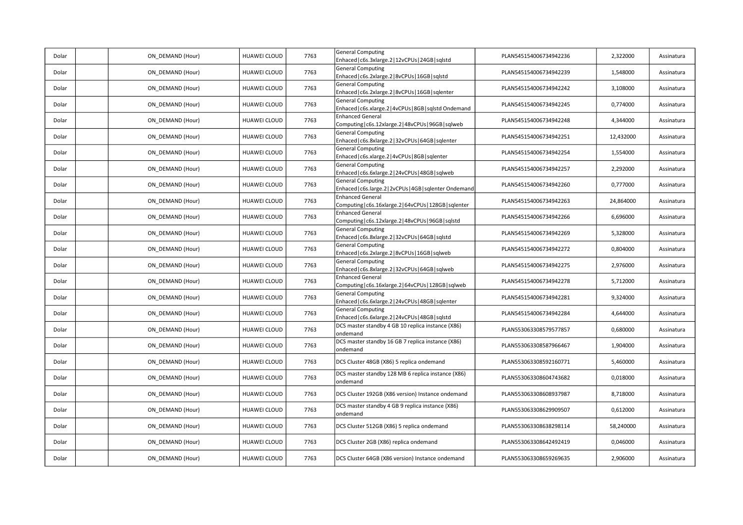| Dolar | ON_DEMAND (Hour) | HUAWEI CLOUD | 7763 | <b>General Computing</b><br>Enhaced   c6s.3xlarge.2   12vCPUs   24GB   sqlstd        | PLAN545154006734942236 | 2,322000  | Assinatura |
|-------|------------------|--------------|------|--------------------------------------------------------------------------------------|------------------------|-----------|------------|
| Dolar | ON_DEMAND (Hour) | HUAWEI CLOUD | 7763 | <b>General Computing</b><br>Enhaced   c6s.2xlarge.2   8vCPUs   16GB   sqlstd         | PLAN545154006734942239 | 1,548000  | Assinatura |
| Dolar | ON DEMAND (Hour) | HUAWEI CLOUD | 7763 | <b>General Computing</b><br>Enhaced   c6s.2xlarge.2   8vCPUs   16GB   sqlenter       | PLAN545154006734942242 | 3,108000  | Assinatura |
| Dolar | ON DEMAND (Hour) | HUAWEI CLOUD | 7763 | <b>General Computing</b><br>Enhaced   c6s.xlarge.2   4vCPUs   8GB   sqlstd Ondemand  | PLAN545154006734942245 | 0,774000  | Assinatura |
| Dolar | ON_DEMAND (Hour) | HUAWEI CLOUD | 7763 | <b>Enhanced General</b><br>Computing   c6s.12xlarge.2   48vCPUs   96GB   sqlweb      | PLAN545154006734942248 | 4,344000  | Assinatura |
| Dolar | ON DEMAND (Hour) | HUAWEI CLOUD | 7763 | <b>General Computing</b><br>Enhaced   c6s.8xlarge.2   32vCPUs   64GB   sqlenter      | PLAN545154006734942251 | 12,432000 | Assinatura |
| Dolar | ON_DEMAND (Hour) | HUAWEI CLOUD | 7763 | <b>General Computing</b><br>Enhaced   c6s.xlarge.2   4vCPUs   8GB   sqlenter         | PLAN545154006734942254 | 1,554000  | Assinatura |
| Dolar | ON_DEMAND (Hour) | HUAWEI CLOUD | 7763 | <b>General Computing</b><br>Enhaced   c6s.6xlarge.2   24vCPUs   48GB   sqlweb        | PLAN545154006734942257 | 2,292000  | Assinatura |
| Dolar | ON DEMAND (Hour) | HUAWEI CLOUD | 7763 | <b>General Computing</b><br>Enhaced   c6s.large.2   2vCPUs   4GB   sqlenter Ondemand | PLAN545154006734942260 | 0,777000  | Assinatura |
| Dolar | ON_DEMAND (Hour) | HUAWEI CLOUD | 7763 | <b>Enhanced General</b><br>Computing   c6s.16xlarge.2   64vCPUs   128GB   sqlenter   | PLAN545154006734942263 | 24,864000 | Assinatura |
| Dolar | ON DEMAND (Hour) | HUAWEI CLOUD | 7763 | <b>Enhanced General</b><br>Computing   c6s.12xlarge.2   48vCPUs   96GB   sqlstd      | PLAN545154006734942266 | 6,696000  | Assinatura |
| Dolar | ON_DEMAND (Hour) | HUAWEI CLOUD | 7763 | <b>General Computing</b><br>Enhaced   c6s.8xlarge.2   32vCPUs   64GB   sqlstd        | PLAN545154006734942269 | 5,328000  | Assinatura |
| Dolar | ON DEMAND (Hour) | HUAWEI CLOUD | 7763 | <b>General Computing</b><br>Enhaced   c6s.2xlarge.2   8vCPUs   16GB   sqlweb         | PLAN545154006734942272 | 0,804000  | Assinatura |
| Dolar | ON_DEMAND (Hour) | HUAWEI CLOUD | 7763 | <b>General Computing</b><br>Enhaced   c6s.8xlarge.2   32vCPUs   64GB   sqlweb        | PLAN545154006734942275 | 2,976000  | Assinatura |
| Dolar | ON DEMAND (Hour) | HUAWEI CLOUD | 7763 | <b>Enhanced General</b><br>Computing   c6s.16xlarge.2   64vCPUs   128GB   sqlweb     | PLAN545154006734942278 | 5,712000  | Assinatura |
| Dolar | ON DEMAND (Hour) | HUAWEI CLOUD | 7763 | <b>General Computing</b><br>Enhaced   c6s.6xlarge.2   24vCPUs   48GB   sqlenter      | PLAN545154006734942281 | 9,324000  | Assinatura |
| Dolar | ON DEMAND (Hour) | HUAWEI CLOUD | 7763 | <b>General Computing</b><br>Enhaced   c6s.6xlarge.2   24vCPUs   48GB   sqlstd        | PLAN545154006734942284 | 4,644000  | Assinatura |
| Dolar | ON_DEMAND (Hour) | HUAWEI CLOUD | 7763 | DCS master standby 4 GB 10 replica instance (X86)<br>ondemand                        | PLAN553063308579577857 | 0,680000  | Assinatura |
| Dolar | ON_DEMAND (Hour) | HUAWEI CLOUD | 7763 | DCS master standby 16 GB 7 replica instance (X86)<br>ondemand                        | PLAN553063308587966467 | 1,904000  | Assinatura |
| Dolar | ON DEMAND (Hour) | HUAWEI CLOUD | 7763 | DCS Cluster 48GB (X86) 5 replica ondemand                                            | PLAN553063308592160771 | 5,460000  | Assinatura |
| Dolar | ON_DEMAND (Hour) | HUAWEI CLOUD | 7763 | DCS master standby 128 MB 6 replica instance (X86)<br>ondemand                       | PLAN553063308604743682 | 0,018000  | Assinatura |
| Dolar | ON DEMAND (Hour) | HUAWEI CLOUD | 7763 | DCS Cluster 192GB (X86 version) Instance ondemand                                    | PLAN553063308608937987 | 8,718000  | Assinatura |
| Dolar | ON_DEMAND (Hour) | HUAWEI CLOUD | 7763 | DCS master standby 4 GB 9 replica instance (X86)<br>ondemand                         | PLAN553063308629909507 | 0,612000  | Assinatura |
| Dolar | ON_DEMAND (Hour) | HUAWEI CLOUD | 7763 | DCS Cluster 512GB (X86) 5 replica ondemand                                           | PLAN553063308638298114 | 58,240000 | Assinatura |
| Dolar | ON_DEMAND (Hour) | HUAWEI CLOUD | 7763 | DCS Cluster 2GB (X86) replica ondemand                                               | PLAN553063308642492419 | 0,046000  | Assinatura |
| Dolar | ON DEMAND (Hour) | HUAWEI CLOUD | 7763 | DCS Cluster 64GB (X86 version) Instance ondemand                                     | PLAN553063308659269635 | 2,906000  | Assinatura |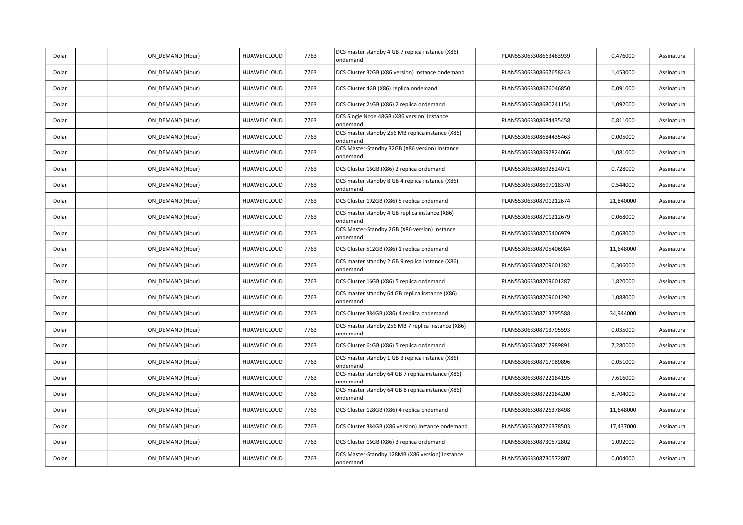| Dolar | ON_DEMAND (Hour) | HUAWEI CLOUD        | 7763 | DCS master standby 4 GB 7 replica instance (X86)<br>ondemand   | PLAN553063308663463939 | 0,476000  | Assinatura |
|-------|------------------|---------------------|------|----------------------------------------------------------------|------------------------|-----------|------------|
| Dolar | ON_DEMAND (Hour) | HUAWEI CLOUD        | 7763 | DCS Cluster 32GB (X86 version) Instance ondemand               | PLAN553063308667658243 | 1,453000  | Assinatura |
| Dolar | ON_DEMAND (Hour) | HUAWEI CLOUD        | 7763 | DCS Cluster 4GB (X86) replica ondemand                         | PLAN553063308676046850 | 0,091000  | Assinatura |
| Dolar | ON DEMAND (Hour) | HUAWEI CLOUD        | 7763 | DCS Cluster 24GB (X86) 2 replica ondemand                      | PLAN553063308680241154 | 1,092000  | Assinatura |
| Dolar | ON DEMAND (Hour) | HUAWEI CLOUD        | 7763 | DCS Single Node 48GB (X86 version) Instance<br>ondemand        | PLAN553063308684435458 | 0,811000  | Assinatura |
| Dolar | ON DEMAND (Hour) | HUAWEI CLOUD        | 7763 | DCS master standby 256 MB replica instance (X86)<br>ondemand   | PLAN553063308684435463 | 0,005000  | Assinatura |
| Dolar | ON DEMAND (Hour) | HUAWEI CLOUD        | 7763 | DCS Master-Standby 32GB (X86 version) Instance<br>ondemand     | PLAN553063308692824066 | 1,081000  | Assinatura |
| Dolar | ON DEMAND (Hour) | HUAWEI CLOUD        | 7763 | DCS Cluster 16GB (X86) 2 replica ondemand                      | PLAN553063308692824071 | 0,728000  | Assinatura |
| Dolar | ON DEMAND (Hour) | HUAWEI CLOUD        | 7763 | DCS master standby 8 GB 4 replica instance (X86)<br>ondemand   | PLAN553063308697018370 | 0,544000  | Assinatura |
| Dolar | ON_DEMAND (Hour) | HUAWEI CLOUD        | 7763 | DCS Cluster 192GB (X86) 5 replica ondemand                     | PLAN553063308701212674 | 21,840000 | Assinatura |
| Dolar | ON DEMAND (Hour) | HUAWEI CLOUD        | 7763 | DCS master standby 4 GB replica instance (X86)<br>ondemand     | PLAN553063308701212679 | 0,068000  | Assinatura |
| Dolar | ON DEMAND (Hour) | <b>HUAWEI CLOUD</b> | 7763 | DCS Master-Standby 2GB (X86 version) Instance<br>ondemand      | PLAN553063308705406979 | 0,068000  | Assinatura |
| Dolar | ON DEMAND (Hour) | HUAWEI CLOUD        | 7763 | DCS Cluster 512GB (X86) 1 replica ondemand                     | PLAN553063308705406984 | 11,648000 | Assinatura |
| Dolar | ON_DEMAND (Hour) | HUAWEI CLOUD        | 7763 | DCS master standby 2 GB 9 replica instance (X86)<br>ondemand   | PLAN553063308709601282 | 0,306000  | Assinatura |
| Dolar | ON_DEMAND (Hour) | HUAWEI CLOUD        | 7763 | DCS Cluster 16GB (X86) 5 replica ondemand                      | PLAN553063308709601287 | 1,820000  | Assinatura |
| Dolar | ON_DEMAND (Hour) | HUAWEI CLOUD        | 7763 | DCS master standby 64 GB replica instance (X86)<br>ondemand    | PLAN553063308709601292 | 1,088000  | Assinatura |
| Dolar | ON_DEMAND (Hour) | HUAWEI CLOUD        | 7763 | DCS Cluster 384GB (X86) 4 replica ondemand                     | PLAN553063308713795588 | 34,944000 | Assinatura |
| Dolar | ON DEMAND (Hour) | HUAWEI CLOUD        | 7763 | DCS master standby 256 MB 7 replica instance (X86)<br>ondemand | PLAN553063308713795593 | 0,035000  | Assinatura |
| Dolar | ON DEMAND (Hour) | <b>HUAWEI CLOUD</b> | 7763 | DCS Cluster 64GB (X86) 5 replica ondemand                      | PLAN553063308717989891 | 7,280000  | Assinatura |
| Dolar | ON DEMAND (Hour) | HUAWEI CLOUD        | 7763 | DCS master standby 1 GB 3 replica instance (X86)<br>ondemand   | PLAN553063308717989896 | 0,051000  | Assinatura |
| Dolar | ON DEMAND (Hour) | HUAWEI CLOUD        | 7763 | DCS master standby 64 GB 7 replica instance (X86)<br>ondemand  | PLAN553063308722184195 | 7,616000  | Assinatura |
| Dolar | ON_DEMAND (Hour) | HUAWEI CLOUD        | 7763 | DCS master standby 64 GB 8 replica instance (X86)<br>ondemand  | PLAN553063308722184200 | 8,704000  | Assinatura |
| Dolar | ON DEMAND (Hour) | HUAWEI CLOUD        | 7763 | DCS Cluster 128GB (X86) 4 replica ondemand                     | PLAN553063308726378498 | 11,648000 | Assinatura |
| Dolar | ON_DEMAND (Hour) | HUAWEI CLOUD        | 7763 | DCS Cluster 384GB (X86 version) Instance ondemand              | PLAN553063308726378503 | 17,437000 | Assinatura |
| Dolar | ON DEMAND (Hour) | HUAWEI CLOUD        | 7763 | DCS Cluster 16GB (X86) 3 replica ondemand                      | PLAN553063308730572802 | 1,092000  | Assinatura |
| Dolar | ON DEMAND (Hour) | HUAWEI CLOUD        | 7763 | DCS Master-Standby 128MB (X86 version) Instance<br>ondemand    | PLAN553063308730572807 | 0,004000  | Assinatura |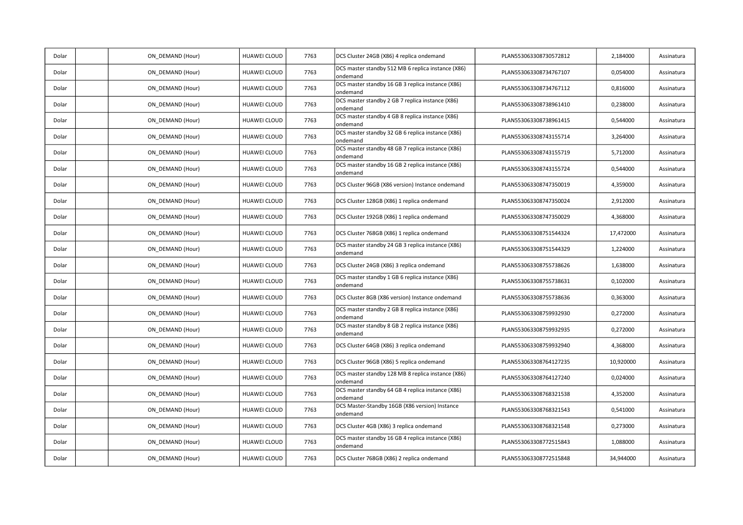| Dolar | ON_DEMAND (Hour) | HUAWEI CLOUD        | 7763 | DCS Cluster 24GB (X86) 4 replica ondemand                      | PLAN553063308730572812 | 2,184000  | Assinatura |
|-------|------------------|---------------------|------|----------------------------------------------------------------|------------------------|-----------|------------|
| Dolar | ON DEMAND (Hour) | <b>HUAWEI CLOUD</b> | 7763 | DCS master standby 512 MB 6 replica instance (X86)<br>ondemand | PLAN553063308734767107 | 0,054000  | Assinatura |
| Dolar | ON DEMAND (Hour) | HUAWEI CLOUD        | 7763 | DCS master standby 16 GB 3 replica instance (X86)<br>ondemand  | PLAN553063308734767112 | 0,816000  | Assinatura |
| Dolar | ON DEMAND (Hour) | HUAWEI CLOUD        | 7763 | DCS master standby 2 GB 7 replica instance (X86)<br>ondemand   | PLAN553063308738961410 | 0,238000  | Assinatura |
| Dolar | ON DEMAND (Hour) | <b>HUAWEI CLOUD</b> | 7763 | DCS master standby 4 GB 8 replica instance (X86)<br>ondemand   | PLAN553063308738961415 | 0,544000  | Assinatura |
| Dolar | ON DEMAND (Hour) | HUAWEI CLOUD        | 7763 | DCS master standby 32 GB 6 replica instance (X86)<br>ondemand  | PLAN553063308743155714 | 3,264000  | Assinatura |
| Dolar | ON DEMAND (Hour) | HUAWEI CLOUD        | 7763 | DCS master standby 48 GB 7 replica instance (X86)<br>ondemand  | PLAN553063308743155719 | 5,712000  | Assinatura |
| Dolar | ON_DEMAND (Hour) | HUAWEI CLOUD        | 7763 | DCS master standby 16 GB 2 replica instance (X86)<br>ondemand  | PLAN553063308743155724 | 0,544000  | Assinatura |
| Dolar | ON DEMAND (Hour) | <b>HUAWEI CLOUD</b> | 7763 | DCS Cluster 96GB (X86 version) Instance ondemand               | PLAN553063308747350019 | 4,359000  | Assinatura |
| Dolar | ON DEMAND (Hour) | HUAWEI CLOUD        | 7763 | DCS Cluster 128GB (X86) 1 replica ondemand                     | PLAN553063308747350024 | 2,912000  | Assinatura |
| Dolar | ON DEMAND (Hour) | HUAWEI CLOUD        | 7763 | DCS Cluster 192GB (X86) 1 replica ondemand                     | PLAN553063308747350029 | 4,368000  | Assinatura |
| Dolar | ON_DEMAND (Hour) | <b>HUAWEI CLOUD</b> | 7763 | DCS Cluster 768GB (X86) 1 replica ondemand                     | PLAN553063308751544324 | 17,472000 | Assinatura |
| Dolar | ON DEMAND (Hour) | <b>HUAWEI CLOUD</b> | 7763 | DCS master standby 24 GB 3 replica instance (X86)<br>ondemand  | PLAN553063308751544329 | 1,224000  | Assinatura |
| Dolar | ON_DEMAND (Hour) | HUAWEI CLOUD        | 7763 | DCS Cluster 24GB (X86) 3 replica ondemand                      | PLAN553063308755738626 | 1,638000  | Assinatura |
| Dolar | ON DEMAND (Hour) | HUAWEI CLOUD        | 7763 | DCS master standby 1 GB 6 replica instance (X86)<br>ondemand   | PLAN553063308755738631 | 0,102000  | Assinatura |
| Dolar | ON DEMAND (Hour) | <b>HUAWEI CLOUD</b> | 7763 | DCS Cluster 8GB (X86 version) Instance ondemand                | PLAN553063308755738636 | 0,363000  | Assinatura |
| Dolar | ON DEMAND (Hour) | HUAWEI CLOUD        | 7763 | DCS master standby 2 GB 8 replica instance (X86)<br>ondemand   | PLAN553063308759932930 | 0,272000  | Assinatura |
| Dolar | ON_DEMAND (Hour) | <b>HUAWEI CLOUD</b> | 7763 | DCS master standby 8 GB 2 replica instance (X86)<br>ondemand   | PLAN553063308759932935 | 0,272000  | Assinatura |
| Dolar | ON_DEMAND (Hour) | <b>HUAWEI CLOUD</b> | 7763 | DCS Cluster 64GB (X86) 3 replica ondemand                      | PLAN553063308759932940 | 4,368000  | Assinatura |
| Dolar | ON DEMAND (Hour) | <b>HUAWEI CLOUD</b> | 7763 | DCS Cluster 96GB (X86) 5 replica ondemand                      | PLAN553063308764127235 | 10,920000 | Assinatura |
| Dolar | ON DEMAND (Hour) | HUAWEI CLOUD        | 7763 | DCS master standby 128 MB 8 replica instance (X86)<br>ondemand | PLAN553063308764127240 | 0,024000  | Assinatura |
| Dolar | ON_DEMAND (Hour) | HUAWEI CLOUD        | 7763 | DCS master standby 64 GB 4 replica instance (X86)<br>ondemand  | PLAN553063308768321538 | 4,352000  | Assinatura |
| Dolar | ON DEMAND (Hour) | HUAWEI CLOUD        | 7763 | DCS Master-Standby 16GB (X86 version) Instance<br>ondemand     | PLAN553063308768321543 | 0,541000  | Assinatura |
| Dolar | ON DEMAND (Hour) | HUAWEI CLOUD        | 7763 | DCS Cluster 4GB (X86) 3 replica ondemand                       | PLAN553063308768321548 | 0,273000  | Assinatura |
| Dolar | ON_DEMAND (Hour) | HUAWEI CLOUD        | 7763 | DCS master standby 16 GB 4 replica instance (X86)<br>ondemand  | PLAN553063308772515843 | 1,088000  | Assinatura |
| Dolar | ON DEMAND (Hour) | <b>HUAWEI CLOUD</b> | 7763 | DCS Cluster 768GB (X86) 2 replica ondemand                     | PLAN553063308772515848 | 34,944000 | Assinatura |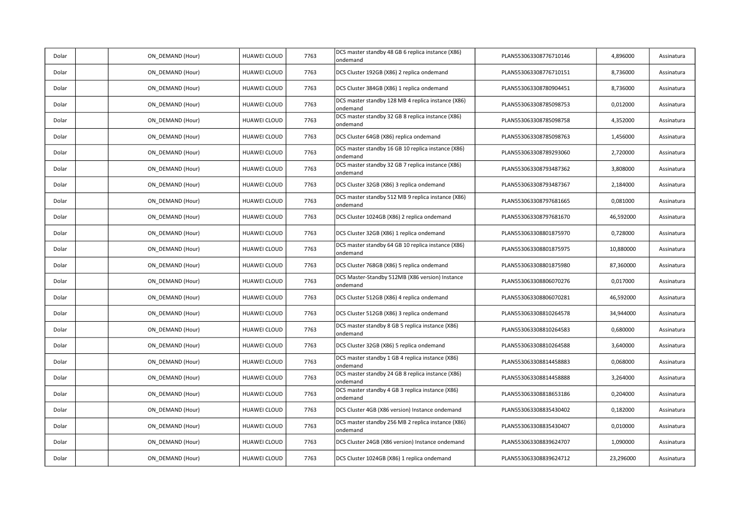| Dolar | ON_DEMAND (Hour) | HUAWEI CLOUD        | 7763 | DCS master standby 48 GB 6 replica instance (X86)<br>ondemand  | PLAN553063308776710146 | 4,896000  | Assinatura |
|-------|------------------|---------------------|------|----------------------------------------------------------------|------------------------|-----------|------------|
| Dolar | ON DEMAND (Hour) | HUAWEI CLOUD        | 7763 | DCS Cluster 192GB (X86) 2 replica ondemand                     | PLAN553063308776710151 | 8,736000  | Assinatura |
| Dolar | ON_DEMAND (Hour) | HUAWEI CLOUD        | 7763 | DCS Cluster 384GB (X86) 1 replica ondemand                     | PLAN553063308780904451 | 8,736000  | Assinatura |
| Dolar | ON DEMAND (Hour) | HUAWEI CLOUD        | 7763 | DCS master standby 128 MB 4 replica instance (X86)<br>ondemand | PLAN553063308785098753 | 0,012000  | Assinatura |
| Dolar | ON_DEMAND (Hour) | HUAWEI CLOUD        | 7763 | DCS master standby 32 GB 8 replica instance (X86)<br>ondemand  | PLAN553063308785098758 | 4,352000  | Assinatura |
| Dolar | ON DEMAND (Hour) | HUAWEI CLOUD        | 7763 | DCS Cluster 64GB (X86) replica ondemand                        | PLAN553063308785098763 | 1,456000  | Assinatura |
| Dolar | ON_DEMAND (Hour) | HUAWEI CLOUD        | 7763 | DCS master standby 16 GB 10 replica instance (X86)<br>ondemand | PLAN553063308789293060 | 2,720000  | Assinatura |
| Dolar | ON_DEMAND (Hour) | HUAWEI CLOUD        | 7763 | DCS master standby 32 GB 7 replica instance (X86)<br>ondemand  | PLAN553063308793487362 | 3,808000  | Assinatura |
| Dolar | ON_DEMAND (Hour) | HUAWEI CLOUD        | 7763 | DCS Cluster 32GB (X86) 3 replica ondemand                      | PLAN553063308793487367 | 2,184000  | Assinatura |
| Dolar | ON DEMAND (Hour) | HUAWEI CLOUD        | 7763 | DCS master standby 512 MB 9 replica instance (X86)<br>ondemand | PLAN553063308797681665 | 0,081000  | Assinatura |
| Dolar | ON DEMAND (Hour) | HUAWEI CLOUD        | 7763 | DCS Cluster 1024GB (X86) 2 replica ondemand                    | PLAN553063308797681670 | 46,592000 | Assinatura |
| Dolar | ON_DEMAND (Hour) | HUAWEI CLOUD        | 7763 | DCS Cluster 32GB (X86) 1 replica ondemand                      | PLAN553063308801875970 | 0,728000  | Assinatura |
| Dolar | ON DEMAND (Hour) | HUAWEI CLOUD        | 7763 | DCS master standby 64 GB 10 replica instance (X86)<br>ondemand | PLAN553063308801875975 | 10,880000 | Assinatura |
| Dolar | ON DEMAND (Hour) | HUAWEI CLOUD        | 7763 | DCS Cluster 768GB (X86) 5 replica ondemand                     | PLAN553063308801875980 | 87,360000 | Assinatura |
| Dolar | ON DEMAND (Hour) | HUAWEI CLOUD        | 7763 | DCS Master-Standby 512MB (X86 version) Instance<br>ondemand    | PLAN553063308806070276 | 0,017000  | Assinatura |
| Dolar | ON_DEMAND (Hour) | HUAWEI CLOUD        | 7763 | DCS Cluster 512GB (X86) 4 replica ondemand                     | PLAN553063308806070281 | 46,592000 | Assinatura |
| Dolar | ON DEMAND (Hour) | <b>HUAWEI CLOUD</b> | 7763 | DCS Cluster 512GB (X86) 3 replica ondemand                     | PLAN553063308810264578 | 34,944000 | Assinatura |
| Dolar | ON_DEMAND (Hour) | HUAWEI CLOUD        | 7763 | DCS master standby 8 GB 5 replica instance (X86)<br>ondemand   | PLAN553063308810264583 | 0,680000  | Assinatura |
| Dolar | ON DEMAND (Hour) | HUAWEI CLOUD        | 7763 | DCS Cluster 32GB (X86) 5 replica ondemand                      | PLAN553063308810264588 | 3,640000  | Assinatura |
| Dolar | ON_DEMAND (Hour) | HUAWEI CLOUD        | 7763 | DCS master standby 1 GB 4 replica instance (X86)<br>ondemand   | PLAN553063308814458883 | 0,068000  | Assinatura |
| Dolar | ON_DEMAND (Hour) | HUAWEI CLOUD        | 7763 | DCS master standby 24 GB 8 replica instance (X86)<br>ondemand  | PLAN553063308814458888 | 3,264000  | Assinatura |
| Dolar | ON_DEMAND (Hour) | HUAWEI CLOUD        | 7763 | DCS master standby 4 GB 3 replica instance (X86)<br>ondemand   | PLAN553063308818653186 | 0,204000  | Assinatura |
| Dolar | ON DEMAND (Hour) | HUAWEI CLOUD        | 7763 | DCS Cluster 4GB (X86 version) Instance ondemand                | PLAN553063308835430402 | 0,182000  | Assinatura |
| Dolar | ON DEMAND (Hour) | HUAWEI CLOUD        | 7763 | DCS master standby 256 MB 2 replica instance (X86)<br>ondemand | PLAN553063308835430407 | 0,010000  | Assinatura |
| Dolar | ON_DEMAND (Hour) | HUAWEI CLOUD        | 7763 | DCS Cluster 24GB (X86 version) Instance ondemand               | PLAN553063308839624707 | 1,090000  | Assinatura |
| Dolar | ON DEMAND (Hour) | HUAWEI CLOUD        | 7763 | DCS Cluster 1024GB (X86) 1 replica ondemand                    | PLAN553063308839624712 | 23,296000 | Assinatura |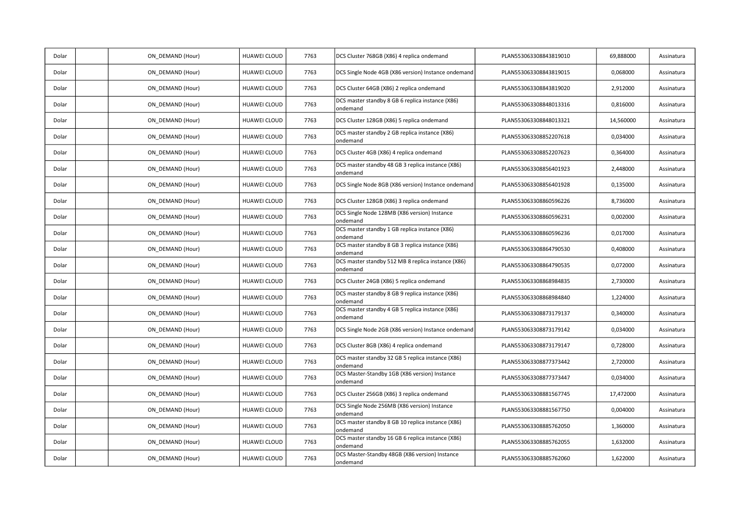| Dolar | ON_DEMAND (Hour) | HUAWEI CLOUD        | 7763 | DCS Cluster 768GB (X86) 4 replica ondemand                     | PLAN553063308843819010 | 69,888000 | Assinatura |
|-------|------------------|---------------------|------|----------------------------------------------------------------|------------------------|-----------|------------|
| Dolar | ON DEMAND (Hour) | HUAWEI CLOUD        | 7763 | DCS Single Node 4GB (X86 version) Instance ondemand            | PLAN553063308843819015 | 0,068000  | Assinatura |
| Dolar | ON DEMAND (Hour) | HUAWEI CLOUD        | 7763 | DCS Cluster 64GB (X86) 2 replica ondemand                      | PLAN553063308843819020 | 2,912000  | Assinatura |
| Dolar | ON_DEMAND (Hour) | HUAWEI CLOUD        | 7763 | DCS master standby 8 GB 6 replica instance (X86)<br>ondemand   | PLAN553063308848013316 | 0,816000  | Assinatura |
| Dolar | ON_DEMAND (Hour) | HUAWEI CLOUD        | 7763 | DCS Cluster 128GB (X86) 5 replica ondemand                     | PLAN553063308848013321 | 14,560000 | Assinatura |
| Dolar | ON DEMAND (Hour) | HUAWEI CLOUD        | 7763 | DCS master standby 2 GB replica instance (X86)<br>ondemand     | PLAN553063308852207618 | 0,034000  | Assinatura |
| Dolar | ON DEMAND (Hour) | HUAWEI CLOUD        | 7763 | DCS Cluster 4GB (X86) 4 replica ondemand                       | PLAN553063308852207623 | 0,364000  | Assinatura |
| Dolar | ON_DEMAND (Hour) | HUAWEI CLOUD        | 7763 | DCS master standby 48 GB 3 replica instance (X86)<br>ondemand  | PLAN553063308856401923 | 2,448000  | Assinatura |
| Dolar | ON DEMAND (Hour) | HUAWEI CLOUD        | 7763 | DCS Single Node 8GB (X86 version) Instance ondemand            | PLAN553063308856401928 | 0,135000  | Assinatura |
| Dolar | ON DEMAND (Hour) | HUAWEI CLOUD        | 7763 | DCS Cluster 128GB (X86) 3 replica ondemand                     | PLAN553063308860596226 | 8,736000  | Assinatura |
| Dolar | ON DEMAND (Hour) | HUAWEI CLOUD        | 7763 | DCS Single Node 128MB (X86 version) Instance<br>ondemand       | PLAN553063308860596231 | 0,002000  | Assinatura |
| Dolar | ON_DEMAND (Hour) | <b>HUAWEI CLOUD</b> | 7763 | DCS master standby 1 GB replica instance (X86)<br>ondemand     | PLAN553063308860596236 | 0,017000  | Assinatura |
| Dolar | ON_DEMAND (Hour) | HUAWEI CLOUD        | 7763 | DCS master standby 8 GB 3 replica instance (X86)<br>ondemand   | PLAN553063308864790530 | 0,408000  | Assinatura |
| Dolar | ON DEMAND (Hour) | <b>HUAWEI CLOUD</b> | 7763 | DCS master standby 512 MB 8 replica instance (X86)<br>ondemand | PLAN553063308864790535 | 0,072000  | Assinatura |
| Dolar | ON DEMAND (Hour) | HUAWEI CLOUD        | 7763 | DCS Cluster 24GB (X86) 5 replica ondemand                      | PLAN553063308868984835 | 2,730000  | Assinatura |
| Dolar | ON DEMAND (Hour) | HUAWEI CLOUD        | 7763 | DCS master standby 8 GB 9 replica instance (X86)<br>ondemand   | PLAN553063308868984840 | 1,224000  | Assinatura |
| Dolar | ON_DEMAND (Hour) | HUAWEI CLOUD        | 7763 | DCS master standby 4 GB 5 replica instance (X86)<br>ondemand   | PLAN553063308873179137 | 0,340000  | Assinatura |
| Dolar | ON DEMAND (Hour) | HUAWEI CLOUD        | 7763 | DCS Single Node 2GB (X86 version) Instance ondemand            | PLAN553063308873179142 | 0,034000  | Assinatura |
| Dolar | ON DEMAND (Hour) | HUAWEI CLOUD        | 7763 | DCS Cluster 8GB (X86) 4 replica ondemand                       | PLAN553063308873179147 | 0,728000  | Assinatura |
| Dolar | ON DEMAND (Hour) | HUAWEI CLOUD        | 7763 | DCS master standby 32 GB 5 replica instance (X86)<br>ondemand  | PLAN553063308877373442 | 2,720000  | Assinatura |
| Dolar | ON_DEMAND (Hour) | HUAWEI CLOUD        | 7763 | DCS Master-Standby 1GB (X86 version) Instance<br>ondemand      | PLAN553063308877373447 | 0,034000  | Assinatura |
| Dolar | ON DEMAND (Hour) | <b>HUAWEI CLOUD</b> | 7763 | DCS Cluster 256GB (X86) 3 replica ondemand                     | PLAN553063308881567745 | 17,472000 | Assinatura |
| Dolar | ON DEMAND (Hour) | HUAWEI CLOUD        | 7763 | DCS Single Node 256MB (X86 version) Instance<br>ondemand       | PLAN553063308881567750 | 0,004000  | Assinatura |
| Dolar | ON DEMAND (Hour) | HUAWEI CLOUD        | 7763 | DCS master standby 8 GB 10 replica instance (X86)<br>ondemand  | PLAN553063308885762050 | 1,360000  | Assinatura |
| Dolar | ON_DEMAND (Hour) | HUAWEI CLOUD        | 7763 | DCS master standby 16 GB 6 replica instance (X86)<br>ondemand  | PLAN553063308885762055 | 1,632000  | Assinatura |
| Dolar | ON DEMAND (Hour) | HUAWEI CLOUD        | 7763 | DCS Master-Standby 48GB (X86 version) Instance<br>ondemand     | PLAN553063308885762060 | 1,622000  | Assinatura |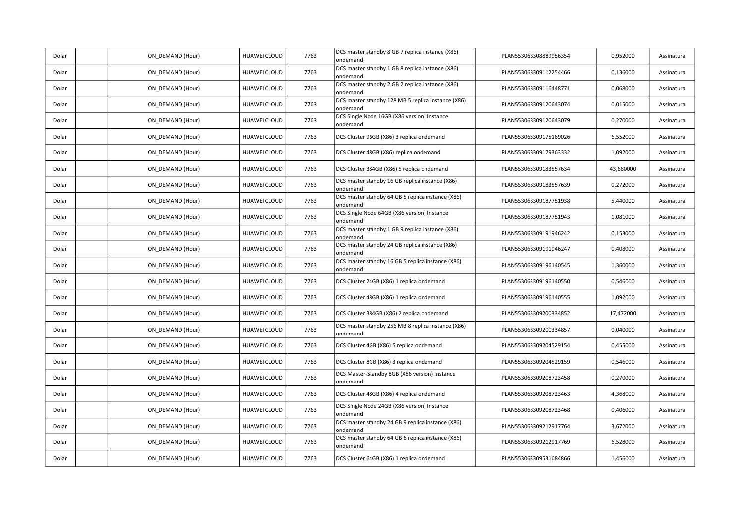| Dolar | ON_DEMAND (Hour) | HUAWEI CLOUD        | 7763 | DCS master standby 8 GB 7 replica instance (X86)<br>ondemand   | PLAN553063308889956354 | 0,952000  | Assinatura |
|-------|------------------|---------------------|------|----------------------------------------------------------------|------------------------|-----------|------------|
| Dolar | ON DEMAND (Hour) | HUAWEI CLOUD        | 7763 | DCS master standby 1 GB 8 replica instance (X86)<br>ondemand   | PLAN553063309112254466 | 0,136000  | Assinatura |
| Dolar | ON_DEMAND (Hour) | HUAWEI CLOUD        | 7763 | DCS master standby 2 GB 2 replica instance (X86)<br>ondemand   | PLAN553063309116448771 | 0,068000  | Assinatura |
| Dolar | ON_DEMAND (Hour) | HUAWEI CLOUD        | 7763 | DCS master standby 128 MB 5 replica instance (X86)<br>ondemand | PLAN553063309120643074 | 0,015000  | Assinatura |
| Dolar | ON DEMAND (Hour) | <b>HUAWEI CLOUD</b> | 7763 | DCS Single Node 16GB (X86 version) Instance<br>ondemand        | PLAN553063309120643079 | 0,270000  | Assinatura |
| Dolar | ON DEMAND (Hour) | HUAWEI CLOUD        | 7763 | DCS Cluster 96GB (X86) 3 replica ondemand                      | PLAN553063309175169026 | 6,552000  | Assinatura |
| Dolar | ON_DEMAND (Hour) | HUAWEI CLOUD        | 7763 | DCS Cluster 48GB (X86) replica ondemand                        | PLAN553063309179363332 | 1,092000  | Assinatura |
| Dolar | ON DEMAND (Hour) | HUAWEI CLOUD        | 7763 | DCS Cluster 384GB (X86) 5 replica ondemand                     | PLAN553063309183557634 | 43,680000 | Assinatura |
| Dolar | ON DEMAND (Hour) | HUAWEI CLOUD        | 7763 | DCS master standby 16 GB replica instance (X86)<br>ondemand    | PLAN553063309183557639 | 0,272000  | Assinatura |
| Dolar | ON_DEMAND (Hour) | HUAWEI CLOUD        | 7763 | DCS master standby 64 GB 5 replica instance (X86)<br>ondemand  | PLAN553063309187751938 | 5,440000  | Assinatura |
| Dolar | ON DEMAND (Hour) | HUAWEI CLOUD        | 7763 | DCS Single Node 64GB (X86 version) Instance<br>ondemand        | PLAN553063309187751943 | 1,081000  | Assinatura |
| Dolar | ON DEMAND (Hour) | HUAWEI CLOUD        | 7763 | DCS master standby 1 GB 9 replica instance (X86)<br>ondemand   | PLAN553063309191946242 | 0,153000  | Assinatura |
| Dolar | ON DEMAND (Hour) | HUAWEI CLOUD        | 7763 | DCS master standby 24 GB replica instance (X86)<br>ondemand    | PLAN553063309191946247 | 0,408000  | Assinatura |
| Dolar | ON DEMAND (Hour) | HUAWEI CLOUD        | 7763 | DCS master standby 16 GB 5 replica instance (X86)<br>ondemand  | PLAN553063309196140545 | 1,360000  | Assinatura |
| Dolar | ON_DEMAND (Hour) | HUAWEI CLOUD        | 7763 | DCS Cluster 24GB (X86) 1 replica ondemand                      | PLAN553063309196140550 | 0,546000  | Assinatura |
| Dolar | ON_DEMAND (Hour) | HUAWEI CLOUD        | 7763 | DCS Cluster 48GB (X86) 1 replica ondemand                      | PLAN553063309196140555 | 1,092000  | Assinatura |
| Dolar | ON_DEMAND (Hour) | HUAWEI CLOUD        | 7763 | DCS Cluster 384GB (X86) 2 replica ondemand                     | PLAN553063309200334852 | 17,472000 | Assinatura |
| Dolar | ON DEMAND (Hour) | HUAWEI CLOUD        | 7763 | DCS master standby 256 MB 8 replica instance (X86)<br>ondemand | PLAN553063309200334857 | 0,040000  | Assinatura |
| Dolar | ON DEMAND (Hour) | HUAWEI CLOUD        | 7763 | DCS Cluster 4GB (X86) 5 replica ondemand                       | PLAN553063309204529154 | 0,455000  | Assinatura |
| Dolar | ON_DEMAND (Hour) | HUAWEI CLOUD        | 7763 | DCS Cluster 8GB (X86) 3 replica ondemand                       | PLAN553063309204529159 | 0,546000  | Assinatura |
| Dolar | ON DEMAND (Hour) | HUAWEI CLOUD        | 7763 | DCS Master-Standby 8GB (X86 version) Instance<br>ondemand      | PLAN553063309208723458 | 0,270000  | Assinatura |
| Dolar | ON_DEMAND (Hour) | HUAWEI CLOUD        | 7763 | DCS Cluster 48GB (X86) 4 replica ondemand                      | PLAN553063309208723463 | 4,368000  | Assinatura |
| Dolar | ON_DEMAND (Hour) | HUAWEI CLOUD        | 7763 | DCS Single Node 24GB (X86 version) Instance<br>ondemand        | PLAN553063309208723468 | 0,406000  | Assinatura |
| Dolar | ON DEMAND (Hour) | HUAWEI CLOUD        | 7763 | DCS master standby 24 GB 9 replica instance (X86)<br>ondemand  | PLAN553063309212917764 | 3,672000  | Assinatura |
| Dolar | ON DEMAND (Hour) | HUAWEI CLOUD        | 7763 | DCS master standby 64 GB 6 replica instance (X86)<br>ondemand  | PLAN553063309212917769 | 6,528000  | Assinatura |
| Dolar | ON DEMAND (Hour) | HUAWEI CLOUD        | 7763 | DCS Cluster 64GB (X86) 1 replica ondemand                      | PLAN553063309531684866 | 1,456000  | Assinatura |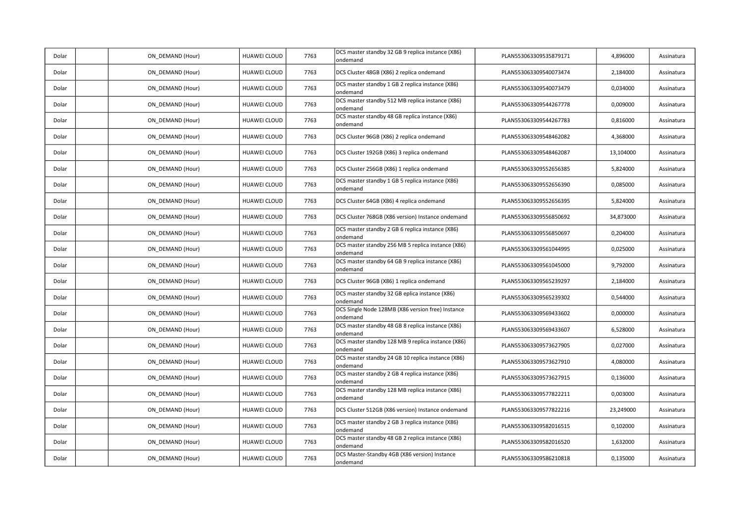| Dolar | ON_DEMAND (Hour) | HUAWEI CLOUD        | 7763 | DCS master standby 32 GB 9 replica instance (X86)<br>ondemand  | PLAN553063309535879171 | 4,896000  | Assinatura |
|-------|------------------|---------------------|------|----------------------------------------------------------------|------------------------|-----------|------------|
| Dolar | ON DEMAND (Hour) | HUAWEI CLOUD        | 7763 | DCS Cluster 48GB (X86) 2 replica ondemand                      | PLAN553063309540073474 | 2,184000  | Assinatura |
| Dolar | ON_DEMAND (Hour) | HUAWEI CLOUD        | 7763 | DCS master standby 1 GB 2 replica instance (X86)<br>ondemand   | PLAN553063309540073479 | 0,034000  | Assinatura |
| Dolar | ON DEMAND (Hour) | HUAWEI CLOUD        | 7763 | DCS master standby 512 MB replica instance (X86)<br>ondemand   | PLAN553063309544267778 | 0,009000  | Assinatura |
| Dolar | ON_DEMAND (Hour) | HUAWEI CLOUD        | 7763 | DCS master standby 48 GB replica instance (X86)<br>ondemand    | PLAN553063309544267783 | 0,816000  | Assinatura |
| Dolar | ON_DEMAND (Hour) | HUAWEI CLOUD        | 7763 | DCS Cluster 96GB (X86) 2 replica ondemand                      | PLAN553063309548462082 | 4,368000  | Assinatura |
| Dolar | ON DEMAND (Hour) | HUAWEI CLOUD        | 7763 | DCS Cluster 192GB (X86) 3 replica ondemand                     | PLAN553063309548462087 | 13,104000 | Assinatura |
| Dolar | ON DEMAND (Hour) | HUAWEI CLOUD        | 7763 | DCS Cluster 256GB (X86) 1 replica ondemand                     | PLAN553063309552656385 | 5,824000  | Assinatura |
| Dolar | ON DEMAND (Hour) | HUAWEI CLOUD        | 7763 | DCS master standby 1 GB 5 replica instance (X86)<br>ondemand   | PLAN553063309552656390 | 0,085000  | Assinatura |
| Dolar | ON_DEMAND (Hour) | HUAWEI CLOUD        | 7763 | DCS Cluster 64GB (X86) 4 replica ondemand                      | PLAN553063309552656395 | 5,824000  | Assinatura |
| Dolar | ON_DEMAND (Hour) | HUAWEI CLOUD        | 7763 | DCS Cluster 768GB (X86 version) Instance ondemand              | PLAN553063309556850692 | 34,873000 | Assinatura |
| Dolar | ON_DEMAND (Hour) | HUAWEI CLOUD        | 7763 | DCS master standby 2 GB 6 replica instance (X86)<br>ondemand   | PLAN553063309556850697 | 0,204000  | Assinatura |
| Dolar | ON DEMAND (Hour) | HUAWEI CLOUD        | 7763 | DCS master standby 256 MB 5 replica instance (X86)<br>ondemand | PLAN553063309561044995 | 0,025000  | Assinatura |
| Dolar | ON_DEMAND (Hour) | HUAWEI CLOUD        | 7763 | DCS master standby 64 GB 9 replica instance (X86)<br>ondemand  | PLAN553063309561045000 | 9,792000  | Assinatura |
| Dolar | ON_DEMAND (Hour) | <b>HUAWEI CLOUD</b> | 7763 | DCS Cluster 96GB (X86) 1 replica ondemand                      | PLAN553063309565239297 | 2,184000  | Assinatura |
| Dolar | ON_DEMAND (Hour) | HUAWEI CLOUD        | 7763 | DCS master standby 32 GB eplica instance (X86)<br>ondemand     | PLAN553063309565239302 | 0,544000  | Assinatura |
| Dolar | ON DEMAND (Hour) | HUAWEI CLOUD        | 7763 | DCS Single Node 128MB (X86 version free) Instance<br>ondemand  | PLAN553063309569433602 | 0,000000  | Assinatura |
| Dolar | ON DEMAND (Hour) | HUAWEI CLOUD        | 7763 | DCS master standby 48 GB 8 replica instance (X86)<br>ondemand  | PLAN553063309569433607 | 6,528000  | Assinatura |
| Dolar | ON_DEMAND (Hour) | HUAWEI CLOUD        | 7763 | DCS master standby 128 MB 9 replica instance (X86)<br>ondemand | PLAN553063309573627905 | 0,027000  | Assinatura |
| Dolar | ON DEMAND (Hour) | HUAWEI CLOUD        | 7763 | DCS master standby 24 GB 10 replica instance (X86)<br>ondemand | PLAN553063309573627910 | 4,080000  | Assinatura |
| Dolar | ON DEMAND (Hour) | HUAWEI CLOUD        | 7763 | DCS master standby 2 GB 4 replica instance (X86)<br>ondemand   | PLAN553063309573627915 | 0,136000  | Assinatura |
| Dolar | ON DEMAND (Hour) | <b>HUAWEI CLOUD</b> | 7763 | DCS master standby 128 MB replica instance (X86)<br>ondemand   | PLAN553063309577822211 | 0,003000  | Assinatura |
| Dolar | ON DEMAND (Hour) | HUAWEI CLOUD        | 7763 | DCS Cluster 512GB (X86 version) Instance ondemand              | PLAN553063309577822216 | 23,249000 | Assinatura |
| Dolar | ON DEMAND (Hour) | HUAWEI CLOUD        | 7763 | DCS master standby 2 GB 3 replica instance (X86)<br>ondemand   | PLAN553063309582016515 | 0,102000  | Assinatura |
| Dolar | ON_DEMAND (Hour) | HUAWEI CLOUD        | 7763 | DCS master standby 48 GB 2 replica instance (X86)<br>ondemand  | PLAN553063309582016520 | 1,632000  | Assinatura |
| Dolar | ON DEMAND (Hour) | HUAWEI CLOUD        | 7763 | DCS Master-Standby 4GB (X86 version) Instance<br>ondemand      | PLAN553063309586210818 | 0,135000  | Assinatura |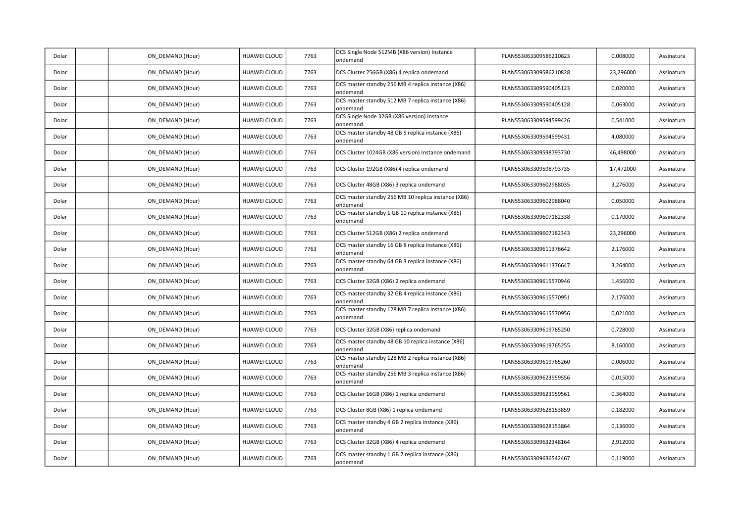| Dolar | ON_DEMAND (Hour) | HUAWEI CLOUD        | 7763 | DCS Single Node 512MB (X86 version) Instance<br>ondemand        | PLAN553063309586210823 | 0,008000  | Assinatura |
|-------|------------------|---------------------|------|-----------------------------------------------------------------|------------------------|-----------|------------|
| Dolar | ON DEMAND (Hour) | HUAWEI CLOUD        | 7763 | DCS Cluster 256GB (X86) 4 replica ondemand                      | PLAN553063309586210828 | 23,296000 | Assinatura |
| Dolar | ON DEMAND (Hour) | HUAWEI CLOUD        | 7763 | DCS master standby 256 MB 4 replica instance (X86)<br>ondemand  | PLAN553063309590405123 | 0,020000  | Assinatura |
| Dolar | ON DEMAND (Hour) | HUAWEI CLOUD        | 7763 | DCS master standby 512 MB 7 replica instance (X86)<br>ondemand  | PLAN553063309590405128 | 0,063000  | Assinatura |
| Dolar | ON_DEMAND (Hour) | HUAWEI CLOUD        | 7763 | DCS Single Node 32GB (X86 version) Instance<br>ondemand         | PLAN553063309594599426 | 0,541000  | Assinatura |
| Dolar | ON_DEMAND (Hour) | HUAWEI CLOUD        | 7763 | DCS master standby 48 GB 5 replica instance (X86)<br>ondemand   | PLAN553063309594599431 | 4,080000  | Assinatura |
| Dolar | ON DEMAND (Hour) | HUAWEI CLOUD        | 7763 | DCS Cluster 1024GB (X86 version) Instance ondemand              | PLAN553063309598793730 | 46,498000 | Assinatura |
| Dolar | ON DEMAND (Hour) | HUAWEI CLOUD        | 7763 | DCS Cluster 192GB (X86) 4 replica ondemand                      | PLAN553063309598793735 | 17,472000 | Assinatura |
| Dolar | ON DEMAND (Hour) | HUAWEI CLOUD        | 7763 | DCS Cluster 48GB (X86) 3 replica ondemand                       | PLAN553063309602988035 | 3,276000  | Assinatura |
| Dolar | ON_DEMAND (Hour) | HUAWEI CLOUD        | 7763 | DCS master standby 256 MB 10 replica instance (X86)<br>ondemand | PLAN553063309602988040 | 0,050000  | Assinatura |
| Dolar | ON DEMAND (Hour) | HUAWEI CLOUD        | 7763 | DCS master standby 1 GB 10 replica instance (X86)<br>ondemand   | PLAN553063309607182338 | 0,170000  | Assinatura |
| Dolar | ON DEMAND (Hour) | HUAWEI CLOUD        | 7763 | DCS Cluster 512GB (X86) 2 replica ondemand                      | PLAN553063309607182343 | 23,296000 | Assinatura |
| Dolar | ON DEMAND (Hour) | HUAWEI CLOUD        | 7763 | DCS master standby 16 GB 8 replica instance (X86)<br>ondemand   | PLAN553063309611376642 | 2,176000  | Assinatura |
| Dolar | ON_DEMAND (Hour) | HUAWEI CLOUD        | 7763 | DCS master standby 64 GB 3 replica instance (X86)<br>ondemand   | PLAN553063309611376647 | 3,264000  | Assinatura |
| Dolar | ON_DEMAND (Hour) | HUAWEI CLOUD        | 7763 | DCS Cluster 32GB (X86) 2 replica ondemand                       | PLAN553063309615570946 | 1,456000  | Assinatura |
| Dolar | ON_DEMAND (Hour) | HUAWEI CLOUD        | 7763 | DCS master standby 32 GB 4 replica instance (X86)<br>ondemand   | PLAN553063309615570951 | 2,176000  | Assinatura |
| Dolar | ON DEMAND (Hour) | HUAWEI CLOUD        | 7763 | DCS master standby 128 MB 7 replica instance (X86)<br>ondemand  | PLAN553063309615570956 | 0,021000  | Assinatura |
| Dolar | ON DEMAND (Hour) | HUAWEI CLOUD        | 7763 | DCS Cluster 32GB (X86) replica ondemand                         | PLAN553063309619765250 | 0,728000  | Assinatura |
| Dolar | ON_DEMAND (Hour) | HUAWEI CLOUD        | 7763 | DCS master standby 48 GB 10 replica instance (X86)<br>ondemand  | PLAN553063309619765255 | 8,160000  | Assinatura |
| Dolar | ON DEMAND (Hour) | HUAWEI CLOUD        | 7763 | DCS master standby 128 MB 2 replica instance (X86)<br>ondemand  | PLAN553063309619765260 | 0,006000  | Assinatura |
| Dolar | ON DEMAND (Hour) | <b>HUAWEI CLOUD</b> | 7763 | DCS master standby 256 MB 3 replica instance (X86)<br>ondemand  | PLAN553063309623959556 | 0,015000  | Assinatura |
| Dolar | ON DEMAND (Hour) | <b>HUAWEI CLOUD</b> | 7763 | DCS Cluster 16GB (X86) 1 replica ondemand                       | PLAN553063309623959561 | 0,364000  | Assinatura |
| Dolar | ON DEMAND (Hour) | HUAWEI CLOUD        | 7763 | DCS Cluster 8GB (X86) 1 replica ondemand                        | PLAN553063309628153859 | 0,182000  | Assinatura |
| Dolar | ON DEMAND (Hour) | HUAWEI CLOUD        | 7763 | DCS master standby 4 GB 2 replica instance (X86)<br>ondemand    | PLAN553063309628153864 | 0,136000  | Assinatura |
| Dolar | ON_DEMAND (Hour) | HUAWEI CLOUD        | 7763 | DCS Cluster 32GB (X86) 4 replica ondemand                       | PLAN553063309632348164 | 2,912000  | Assinatura |
| Dolar | ON DEMAND (Hour) | HUAWEI CLOUD        | 7763 | DCS master standby 1 GB 7 replica instance (X86)<br>ondemand    | PLAN553063309636542467 | 0,119000  | Assinatura |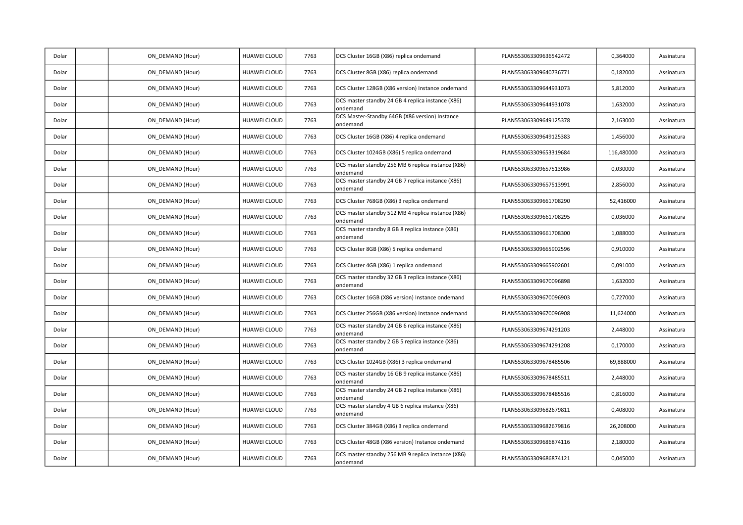| Dolar | ON_DEMAND (Hour) | HUAWEI CLOUD        | 7763 | DCS Cluster 16GB (X86) replica ondemand                        | PLAN553063309636542472 | 0,364000   | Assinatura |
|-------|------------------|---------------------|------|----------------------------------------------------------------|------------------------|------------|------------|
| Dolar | ON_DEMAND (Hour) | HUAWEI CLOUD        | 7763 | DCS Cluster 8GB (X86) replica ondemand                         | PLAN553063309640736771 | 0,182000   | Assinatura |
| Dolar | ON DEMAND (Hour) | HUAWEI CLOUD        | 7763 | DCS Cluster 128GB (X86 version) Instance ondemand              | PLAN553063309644931073 | 5,812000   | Assinatura |
| Dolar | ON DEMAND (Hour) | HUAWEI CLOUD        | 7763 | DCS master standby 24 GB 4 replica instance (X86)<br>ondemand  | PLAN553063309644931078 | 1,632000   | Assinatura |
| Dolar | ON DEMAND (Hour) | HUAWEI CLOUD        | 7763 | DCS Master-Standby 64GB (X86 version) Instance<br>ondemand     | PLAN553063309649125378 | 2,163000   | Assinatura |
| Dolar | ON_DEMAND (Hour) | HUAWEI CLOUD        | 7763 | DCS Cluster 16GB (X86) 4 replica ondemand                      | PLAN553063309649125383 | 1,456000   | Assinatura |
| Dolar | ON_DEMAND (Hour) | HUAWEI CLOUD        | 7763 | DCS Cluster 1024GB (X86) 5 replica ondemand                    | PLAN553063309653319684 | 116,480000 | Assinatura |
| Dolar | ON_DEMAND (Hour) | HUAWEI CLOUD        | 7763 | DCS master standby 256 MB 6 replica instance (X86)<br>ondemand | PLAN553063309657513986 | 0,030000   | Assinatura |
| Dolar | ON DEMAND (Hour) | HUAWEI CLOUD        | 7763 | DCS master standby 24 GB 7 replica instance (X86)<br>ondemand  | PLAN553063309657513991 | 2,856000   | Assinatura |
| Dolar | ON DEMAND (Hour) | HUAWEI CLOUD        | 7763 | DCS Cluster 768GB (X86) 3 replica ondemand                     | PLAN553063309661708290 | 52,416000  | Assinatura |
| Dolar | ON DEMAND (Hour) | HUAWEI CLOUD        | 7763 | DCS master standby 512 MB 4 replica instance (X86)<br>ondemand | PLAN553063309661708295 | 0,036000   | Assinatura |
| Dolar | ON_DEMAND (Hour) | HUAWEI CLOUD        | 7763 | DCS master standby 8 GB 8 replica instance (X86)<br>ondemand   | PLAN553063309661708300 | 1,088000   | Assinatura |
| Dolar | ON_DEMAND (Hour) | HUAWEI CLOUD        | 7763 | DCS Cluster 8GB (X86) 5 replica ondemand                       | PLAN553063309665902596 | 0,910000   | Assinatura |
| Dolar | ON DEMAND (Hour) | <b>HUAWEI CLOUD</b> | 7763 | DCS Cluster 4GB (X86) 1 replica ondemand                       | PLAN553063309665902601 | 0,091000   | Assinatura |
| Dolar | ON DEMAND (Hour) | HUAWEI CLOUD        | 7763 | DCS master standby 32 GB 3 replica instance (X86)<br>ondemand  | PLAN553063309670096898 | 1,632000   | Assinatura |
| Dolar | ON DEMAND (Hour) | HUAWEI CLOUD        | 7763 | DCS Cluster 16GB (X86 version) Instance ondemand               | PLAN553063309670096903 | 0,727000   | Assinatura |
| Dolar | ON DEMAND (Hour) | <b>HUAWEI CLOUD</b> | 7763 | DCS Cluster 256GB (X86 version) Instance ondemand              | PLAN553063309670096908 | 11,624000  | Assinatura |
| Dolar | ON DEMAND (Hour) | HUAWEI CLOUD        | 7763 | DCS master standby 24 GB 6 replica instance (X86)<br>ondemand  | PLAN553063309674291203 | 2,448000   | Assinatura |
| Dolar | ON_DEMAND (Hour) | HUAWEI CLOUD        | 7763 | DCS master standby 2 GB 5 replica instance (X86)<br>ondemand   | PLAN553063309674291208 | 0,170000   | Assinatura |
| Dolar | ON DEMAND (Hour) | <b>HUAWEI CLOUD</b> | 7763 | DCS Cluster 1024GB (X86) 3 replica ondemand                    | PLAN553063309678485506 | 69,888000  | Assinatura |
| Dolar | ON_DEMAND (Hour) | <b>HUAWEI CLOUD</b> | 7763 | DCS master standby 16 GB 9 replica instance (X86)<br>ondemand  | PLAN553063309678485511 | 2,448000   | Assinatura |
| Dolar | ON DEMAND (Hour) | HUAWEI CLOUD        | 7763 | DCS master standby 24 GB 2 replica instance (X86)<br>ondemand  | PLAN553063309678485516 | 0,816000   | Assinatura |
| Dolar | ON DEMAND (Hour) | HUAWEI CLOUD        | 7763 | DCS master standby 4 GB 6 replica instance (X86)<br>ondemand   | PLAN553063309682679811 | 0,408000   | Assinatura |
| Dolar | ON_DEMAND (Hour) | HUAWEI CLOUD        | 7763 | DCS Cluster 384GB (X86) 3 replica ondemand                     | PLAN553063309682679816 | 26,208000  | Assinatura |
| Dolar | ON_DEMAND (Hour) | HUAWEI CLOUD        | 7763 | DCS Cluster 48GB (X86 version) Instance ondemand               | PLAN553063309686874116 | 2,180000   | Assinatura |
| Dolar | ON DEMAND (Hour) | HUAWEI CLOUD        | 7763 | DCS master standby 256 MB 9 replica instance (X86)<br>ondemand | PLAN553063309686874121 | 0,045000   | Assinatura |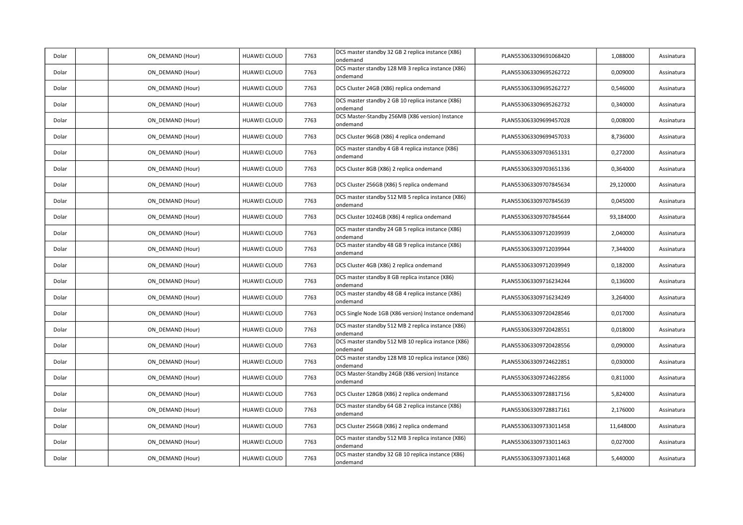| Dolar | ON_DEMAND (Hour) | HUAWEI CLOUD        | 7763 | DCS master standby 32 GB 2 replica instance (X86)<br>ondemand   | PLAN553063309691068420 | 1,088000  | Assinatura |
|-------|------------------|---------------------|------|-----------------------------------------------------------------|------------------------|-----------|------------|
| Dolar | ON DEMAND (Hour) | HUAWEI CLOUD        | 7763 | DCS master standby 128 MB 3 replica instance (X86)<br>ondemand  | PLAN553063309695262722 | 0,009000  | Assinatura |
| Dolar | ON DEMAND (Hour) | HUAWEI CLOUD        | 7763 | DCS Cluster 24GB (X86) replica ondemand                         | PLAN553063309695262727 | 0,546000  | Assinatura |
| Dolar | ON DEMAND (Hour) | HUAWEI CLOUD        | 7763 | DCS master standby 2 GB 10 replica instance (X86)<br>ondemand   | PLAN553063309695262732 | 0,340000  | Assinatura |
| Dolar | ON_DEMAND (Hour) | HUAWEI CLOUD        | 7763 | DCS Master-Standby 256MB (X86 version) Instance<br>ondemand     | PLAN553063309699457028 | 0,008000  | Assinatura |
| Dolar | ON_DEMAND (Hour) | HUAWEI CLOUD        | 7763 | DCS Cluster 96GB (X86) 4 replica ondemand                       | PLAN553063309699457033 | 8,736000  | Assinatura |
| Dolar | ON DEMAND (Hour) | HUAWEI CLOUD        | 7763 | DCS master standby 4 GB 4 replica instance (X86)<br>ondemand    | PLAN553063309703651331 | 0,272000  | Assinatura |
| Dolar | ON DEMAND (Hour) | HUAWEI CLOUD        | 7763 | DCS Cluster 8GB (X86) 2 replica ondemand                        | PLAN553063309703651336 | 0,364000  | Assinatura |
| Dolar | ON DEMAND (Hour) | HUAWEI CLOUD        | 7763 | DCS Cluster 256GB (X86) 5 replica ondemand                      | PLAN553063309707845634 | 29,120000 | Assinatura |
| Dolar | ON_DEMAND (Hour) | HUAWEI CLOUD        | 7763 | DCS master standby 512 MB 5 replica instance (X86)<br>ondemand  | PLAN553063309707845639 | 0,045000  | Assinatura |
| Dolar | ON DEMAND (Hour) | HUAWEI CLOUD        | 7763 | DCS Cluster 1024GB (X86) 4 replica ondemand                     | PLAN553063309707845644 | 93,184000 | Assinatura |
| Dolar | ON DEMAND (Hour) | <b>HUAWEI CLOUD</b> | 7763 | DCS master standby 24 GB 5 replica instance (X86)<br>ondemand   | PLAN553063309712039939 | 2,040000  | Assinatura |
| Dolar | ON DEMAND (Hour) | HUAWEI CLOUD        | 7763 | DCS master standby 48 GB 9 replica instance (X86)<br>ondemand   | PLAN553063309712039944 | 7,344000  | Assinatura |
| Dolar | ON_DEMAND (Hour) | HUAWEI CLOUD        | 7763 | DCS Cluster 4GB (X86) 2 replica ondemand                        | PLAN553063309712039949 | 0,182000  | Assinatura |
| Dolar | ON_DEMAND (Hour) | HUAWEI CLOUD        | 7763 | DCS master standby 8 GB replica instance (X86)<br>ondemand      | PLAN553063309716234244 | 0,136000  | Assinatura |
| Dolar | ON_DEMAND (Hour) | HUAWEI CLOUD        | 7763 | DCS master standby 48 GB 4 replica instance (X86)<br>ondemand   | PLAN553063309716234249 | 3,264000  | Assinatura |
| Dolar | ON DEMAND (Hour) | HUAWEI CLOUD        | 7763 | DCS Single Node 1GB (X86 version) Instance ondemand             | PLAN553063309720428546 | 0,017000  | Assinatura |
| Dolar | ON DEMAND (Hour) | HUAWEI CLOUD        | 7763 | DCS master standby 512 MB 2 replica instance (X86)<br>ondemand  | PLAN553063309720428551 | 0,018000  | Assinatura |
| Dolar | ON_DEMAND (Hour) | HUAWEI CLOUD        | 7763 | DCS master standby 512 MB 10 replica instance (X86)<br>ondemand | PLAN553063309720428556 | 0,090000  | Assinatura |
| Dolar | ON DEMAND (Hour) | HUAWEI CLOUD        | 7763 | DCS master standby 128 MB 10 replica instance (X86)<br>ondemand | PLAN553063309724622851 | 0,030000  | Assinatura |
| Dolar | ON DEMAND (Hour) | <b>HUAWEI CLOUD</b> | 7763 | DCS Master-Standby 24GB (X86 version) Instance<br>ondemand      | PLAN553063309724622856 | 0,811000  | Assinatura |
| Dolar | ON DEMAND (Hour) | <b>HUAWEI CLOUD</b> | 7763 | DCS Cluster 128GB (X86) 2 replica ondemand                      | PLAN553063309728817156 | 5,824000  | Assinatura |
| Dolar | ON DEMAND (Hour) | HUAWEI CLOUD        | 7763 | DCS master standby 64 GB 2 replica instance (X86)<br>ondemand   | PLAN553063309728817161 | 2,176000  | Assinatura |
| Dolar | ON DEMAND (Hour) | HUAWEI CLOUD        | 7763 | DCS Cluster 256GB (X86) 2 replica ondemand                      | PLAN553063309733011458 | 11,648000 | Assinatura |
| Dolar | ON_DEMAND (Hour) | HUAWEI CLOUD        | 7763 | DCS master standby 512 MB 3 replica instance (X86)<br>ondemand  | PLAN553063309733011463 | 0,027000  | Assinatura |
| Dolar | ON DEMAND (Hour) | HUAWEI CLOUD        | 7763 | DCS master standby 32 GB 10 replica instance (X86)<br>ondemand  | PLAN553063309733011468 | 5,440000  | Assinatura |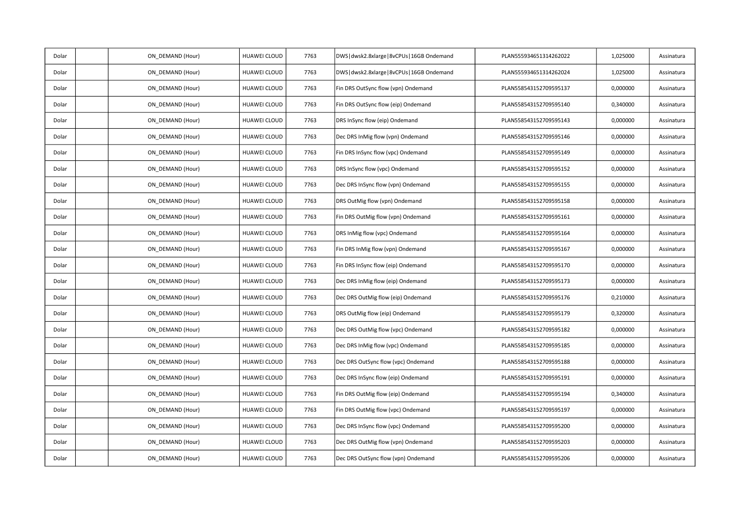| Dolar | ON_DEMAND (Hour) | HUAWEI CLOUD        | 7763 | DWS   dwsk2.8xlarge   8vCPUs   16GB Ondemand | PLAN555934651314262022 | 1,025000 | Assinatura |
|-------|------------------|---------------------|------|----------------------------------------------|------------------------|----------|------------|
| Dolar | ON_DEMAND (Hour) | HUAWEI CLOUD        | 7763 | DWS   dwsk2.8xlarge   8vCPUs   16GB Ondemand | PLAN555934651314262024 | 1,025000 | Assinatura |
| Dolar | ON_DEMAND (Hour) | HUAWEI CLOUD        | 7763 | Fin DRS OutSync flow (vpn) Ondemand          | PLAN558543152709595137 | 0,000000 | Assinatura |
| Dolar | ON_DEMAND (Hour) | HUAWEI CLOUD        | 7763 | Fin DRS OutSync flow (eip) Ondemand          | PLAN558543152709595140 | 0,340000 | Assinatura |
| Dolar | ON DEMAND (Hour) | <b>HUAWEI CLOUD</b> | 7763 | DRS InSync flow (eip) Ondemand               | PLAN558543152709595143 | 0,000000 | Assinatura |
| Dolar | ON_DEMAND (Hour) | HUAWEI CLOUD        | 7763 | Dec DRS InMig flow (vpn) Ondemand            | PLAN558543152709595146 | 0,000000 | Assinatura |
| Dolar | ON_DEMAND (Hour) | HUAWEI CLOUD        | 7763 | Fin DRS InSync flow (vpc) Ondemand           | PLAN558543152709595149 | 0,000000 | Assinatura |
| Dolar | ON_DEMAND (Hour) | HUAWEI CLOUD        | 7763 | DRS InSync flow (vpc) Ondemand               | PLAN558543152709595152 | 0,000000 | Assinatura |
| Dolar | ON DEMAND (Hour) | HUAWEI CLOUD        | 7763 | Dec DRS InSync flow (vpn) Ondemand           | PLAN558543152709595155 | 0,000000 | Assinatura |
| Dolar | ON_DEMAND (Hour) | HUAWEI CLOUD        | 7763 | DRS OutMig flow (vpn) Ondemand               | PLAN558543152709595158 | 0,000000 | Assinatura |
| Dolar | ON_DEMAND (Hour) | <b>HUAWEI CLOUD</b> | 7763 | Fin DRS OutMig flow (vpn) Ondemand           | PLAN558543152709595161 | 0,000000 | Assinatura |
| Dolar | ON_DEMAND (Hour) | HUAWEI CLOUD        | 7763 | DRS InMig flow (vpc) Ondemand                | PLAN558543152709595164 | 0,000000 | Assinatura |
| Dolar | ON DEMAND (Hour) | HUAWEI CLOUD        | 7763 | Fin DRS InMig flow (vpn) Ondemand            | PLAN558543152709595167 | 0,000000 | Assinatura |
| Dolar | ON_DEMAND (Hour) | HUAWEI CLOUD        | 7763 | Fin DRS InSync flow (eip) Ondemand           | PLAN558543152709595170 | 0,000000 | Assinatura |
| Dolar | ON_DEMAND (Hour) | HUAWEI CLOUD        | 7763 | Dec DRS InMig flow (eip) Ondemand            | PLAN558543152709595173 | 0,000000 | Assinatura |
| Dolar | ON DEMAND (Hour) | HUAWEI CLOUD        | 7763 | Dec DRS OutMig flow (eip) Ondemand           | PLAN558543152709595176 | 0,210000 | Assinatura |
| Dolar | ON DEMAND (Hour) | <b>HUAWEI CLOUD</b> | 7763 | DRS OutMig flow (eip) Ondemand               | PLAN558543152709595179 | 0,320000 | Assinatura |
| Dolar | ON_DEMAND (Hour) | HUAWEI CLOUD        | 7763 | Dec DRS OutMig flow (vpc) Ondemand           | PLAN558543152709595182 | 0,000000 | Assinatura |
| Dolar | ON_DEMAND (Hour) | HUAWEI CLOUD        | 7763 | Dec DRS InMig flow (vpc) Ondemand            | PLAN558543152709595185 | 0,000000 | Assinatura |
| Dolar | ON_DEMAND (Hour) | HUAWEI CLOUD        | 7763 | Dec DRS OutSync flow (vpc) Ondemand          | PLAN558543152709595188 | 0,000000 | Assinatura |
| Dolar | ON_DEMAND (Hour) | HUAWEI CLOUD        | 7763 | Dec DRS InSync flow (eip) Ondemand           | PLAN558543152709595191 | 0,000000 | Assinatura |
| Dolar | ON_DEMAND (Hour) | HUAWEI CLOUD        | 7763 | Fin DRS OutMig flow (eip) Ondemand           | PLAN558543152709595194 | 0,340000 | Assinatura |
| Dolar | ON DEMAND (Hour) | HUAWEI CLOUD        | 7763 | Fin DRS OutMig flow (vpc) Ondemand           | PLAN558543152709595197 | 0,000000 | Assinatura |
| Dolar | ON DEMAND (Hour) | HUAWEI CLOUD        | 7763 | Dec DRS InSync flow (vpc) Ondemand           | PLAN558543152709595200 | 0,000000 | Assinatura |
| Dolar | ON_DEMAND (Hour) | HUAWEI CLOUD        | 7763 | Dec DRS OutMig flow (vpn) Ondemand           | PLAN558543152709595203 | 0,000000 | Assinatura |
| Dolar | ON_DEMAND (Hour) | <b>HUAWEI CLOUD</b> | 7763 | Dec DRS OutSync flow (vpn) Ondemand          | PLAN558543152709595206 | 0,000000 | Assinatura |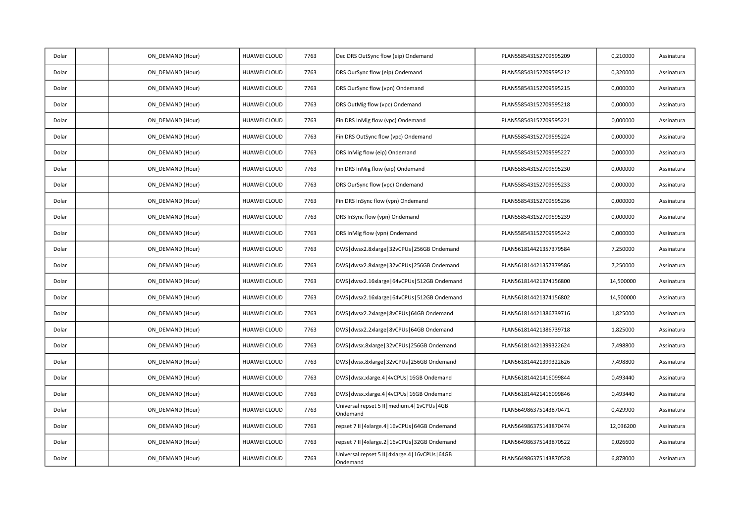| Dolar | ON_DEMAND (Hour) | HUAWEI CLOUD | 7763 | Dec DRS OutSync flow (eip) Ondemand                            | PLAN558543152709595209 | 0,210000  | Assinatura |
|-------|------------------|--------------|------|----------------------------------------------------------------|------------------------|-----------|------------|
| Dolar | ON_DEMAND (Hour) | HUAWEI CLOUD | 7763 | DRS OurSync flow (eip) Ondemand                                | PLAN558543152709595212 | 0,320000  | Assinatura |
| Dolar | ON_DEMAND (Hour) | HUAWEI CLOUD | 7763 | DRS OurSync flow (vpn) Ondemand                                | PLAN558543152709595215 | 0,000000  | Assinatura |
| Dolar | ON_DEMAND (Hour) | HUAWEI CLOUD | 7763 | DRS OutMig flow (vpc) Ondemand                                 | PLAN558543152709595218 | 0,000000  | Assinatura |
| Dolar | ON DEMAND (Hour) | HUAWEI CLOUD | 7763 | Fin DRS InMig flow (vpc) Ondemand                              | PLAN558543152709595221 | 0,000000  | Assinatura |
| Dolar | ON_DEMAND (Hour) | HUAWEI CLOUD | 7763 | Fin DRS OutSync flow (vpc) Ondemand                            | PLAN558543152709595224 | 0,000000  | Assinatura |
| Dolar | ON_DEMAND (Hour) | HUAWEI CLOUD | 7763 | DRS InMig flow (eip) Ondemand                                  | PLAN558543152709595227 | 0,000000  | Assinatura |
| Dolar | ON_DEMAND (Hour) | HUAWEI CLOUD | 7763 | Fin DRS InMig flow (eip) Ondemand                              | PLAN558543152709595230 | 0,000000  | Assinatura |
| Dolar | ON DEMAND (Hour) | HUAWEI CLOUD | 7763 | DRS OurSync flow (vpc) Ondemand                                | PLAN558543152709595233 | 0,000000  | Assinatura |
| Dolar | ON_DEMAND (Hour) | HUAWEI CLOUD | 7763 | Fin DRS InSync flow (vpn) Ondemand                             | PLAN558543152709595236 | 0,000000  | Assinatura |
| Dolar | ON_DEMAND (Hour) | HUAWEI CLOUD | 7763 | DRS InSync flow (vpn) Ondemand                                 | PLAN558543152709595239 | 0,000000  | Assinatura |
| Dolar | ON_DEMAND (Hour) | HUAWEI CLOUD | 7763 | DRS InMig flow (vpn) Ondemand                                  | PLAN558543152709595242 | 0,000000  | Assinatura |
| Dolar | ON DEMAND (Hour) | HUAWEI CLOUD | 7763 | DWS   dwsx2.8xlarge   32vCPUs   256GB Ondemand                 | PLAN561814421357379584 | 7,250000  | Assinatura |
| Dolar | ON_DEMAND (Hour) | HUAWEI CLOUD | 7763 | DWS   dwsx2.8xlarge   32vCPUs   256GB Ondemand                 | PLAN561814421357379586 | 7,250000  | Assinatura |
| Dolar | ON_DEMAND (Hour) | HUAWEI CLOUD | 7763 | DWS   dwsx2.16xlarge   64vCPUs   512GB Ondemand                | PLAN561814421374156800 | 14,500000 | Assinatura |
| Dolar | ON DEMAND (Hour) | HUAWEI CLOUD | 7763 | DWS dwsx2.16xlarge   64vCPUs   512GB Ondemand                  | PLAN561814421374156802 | 14,500000 | Assinatura |
| Dolar | ON DEMAND (Hour) | HUAWEI CLOUD | 7763 | DWS   dwsx2.2xlarge   8vCPUs   64GB Ondemand                   | PLAN561814421386739716 | 1,825000  | Assinatura |
| Dolar | ON_DEMAND (Hour) | HUAWEI CLOUD | 7763 | DWS   dwsx2.2xlarge   8vCPUs   64GB Ondemand                   | PLAN561814421386739718 | 1,825000  | Assinatura |
| Dolar | ON_DEMAND (Hour) | HUAWEI CLOUD | 7763 | DWS   dwsx.8xlarge   32vCPUs   256GB Ondemand                  | PLAN561814421399322624 | 7,498800  | Assinatura |
| Dolar | ON_DEMAND (Hour) | HUAWEI CLOUD | 7763 | DWS   dwsx.8xlarge   32vCPUs   256GB Ondemand                  | PLAN561814421399322626 | 7,498800  | Assinatura |
| Dolar | ON_DEMAND (Hour) | HUAWEI CLOUD | 7763 | DWS   dwsx.xlarge.4   4vCPUs   16GB Ondemand                   | PLAN561814421416099844 | 0,493440  | Assinatura |
| Dolar | ON_DEMAND (Hour) | HUAWEI CLOUD | 7763 | DWS   dwsx.xlarge.4   4vCPUs   16GB Ondemand                   | PLAN561814421416099846 | 0,493440  | Assinatura |
| Dolar | ON DEMAND (Hour) | HUAWEI CLOUD | 7763 | Universal repset 5 II   medium.4   1vCPUs   4GB<br>Ondemand    | PLAN564986375143870471 | 0,429900  | Assinatura |
| Dolar | ON_DEMAND (Hour) | HUAWEI CLOUD | 7763 | repset 7 II   4xlarge.4   16vCPUs   64GB Ondemand              | PLAN564986375143870474 | 12,036200 | Assinatura |
| Dolar | ON_DEMAND (Hour) | HUAWEI CLOUD | 7763 | repset 7 II   4xlarge.2   16vCPUs   32GB Ondemand              | PLAN564986375143870522 | 9,026600  | Assinatura |
| Dolar | ON_DEMAND (Hour) | HUAWEI CLOUD | 7763 | Universal repset 5 II   4xlarge.4   16vCPUs   64GB<br>Ondemand | PLAN564986375143870528 | 6,878000  | Assinatura |